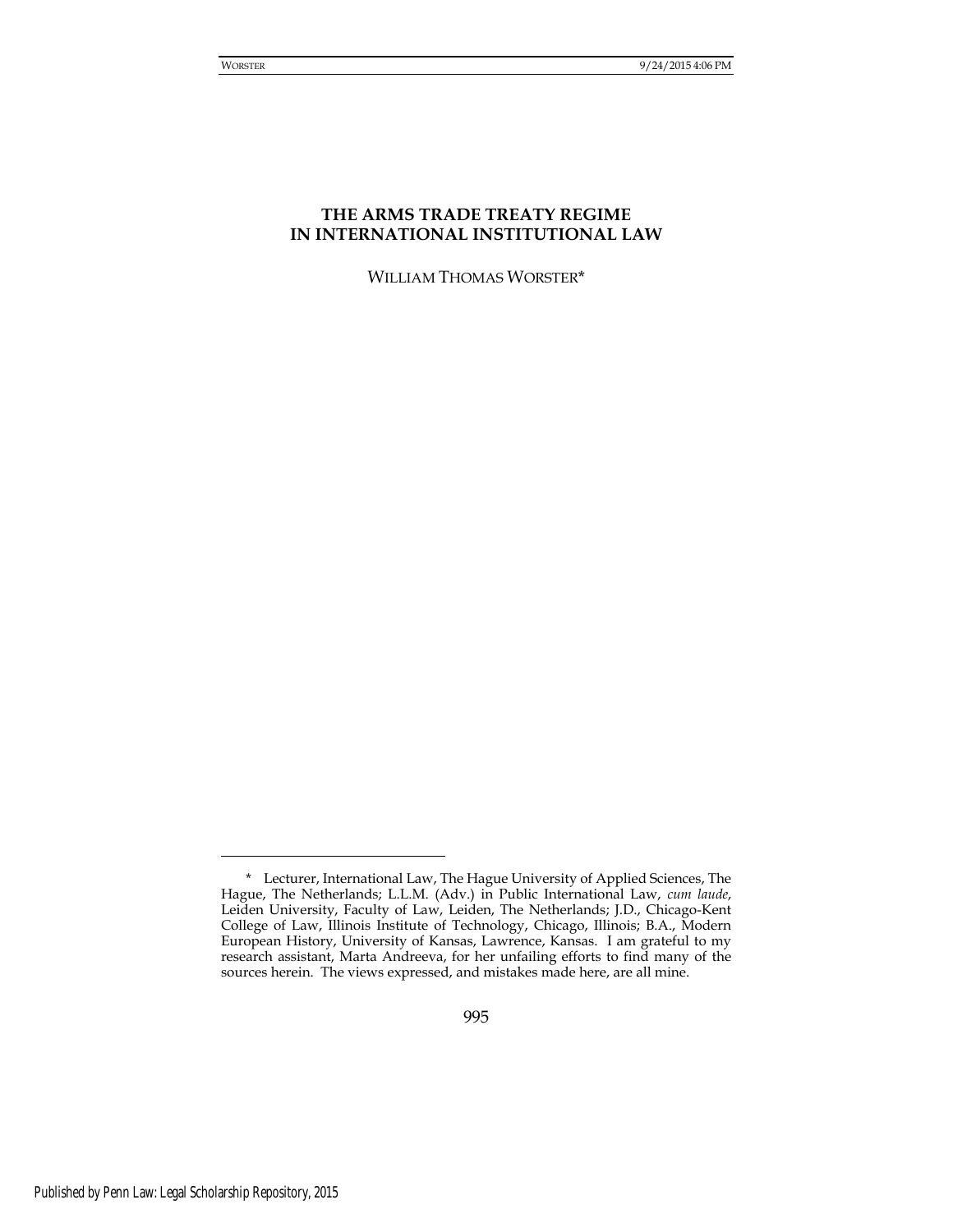# **THE ARMS TRADE TREATY REGIME IN INTERNATIONAL INSTITUTIONAL LAW**

WILLIAM THOMAS WORSTER\*

<sup>\*</sup> Lecturer, International Law, The Hague University of Applied Sciences, The Hague, The Netherlands; L.L.M. (Adv.) in Public International Law, *cum laude*, Leiden University, Faculty of Law, Leiden, The Netherlands; J.D., Chicago-Kent College of Law, Illinois Institute of Technology, Chicago, Illinois; B.A., Modern European History, University of Kansas, Lawrence, Kansas. I am grateful to my research assistant, Marta Andreeva, for her unfailing efforts to find many of the sources herein. The views expressed, and mistakes made here, are all mine.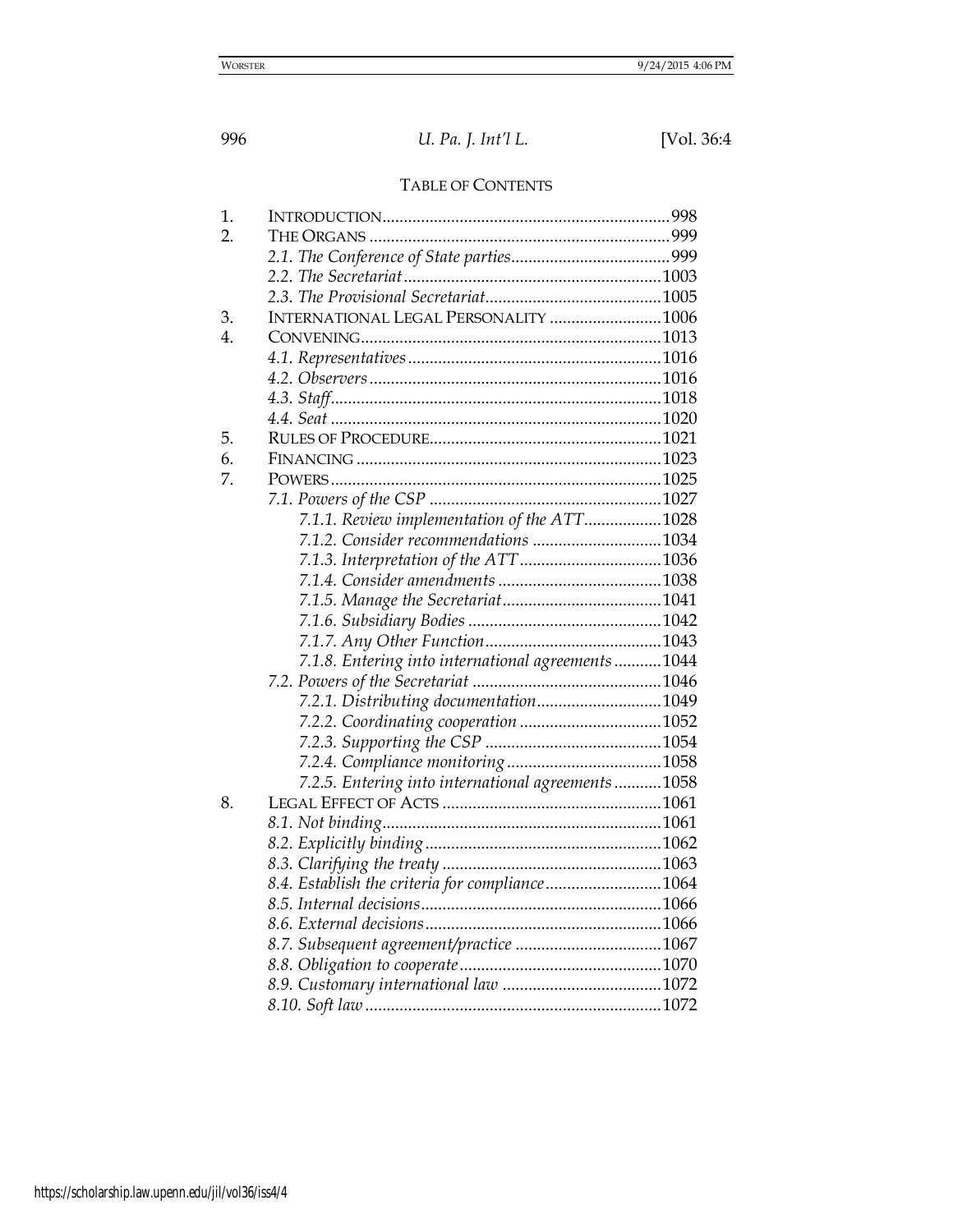# TABLE OF CONTENTS

| $\mathbf 1$ .    |                                                     |  |
|------------------|-----------------------------------------------------|--|
| 2.               |                                                     |  |
|                  |                                                     |  |
|                  |                                                     |  |
|                  |                                                     |  |
| 3.               | INTERNATIONAL LEGAL PERSONALITY 1006                |  |
| $\overline{4}$ . |                                                     |  |
|                  |                                                     |  |
|                  |                                                     |  |
|                  |                                                     |  |
|                  |                                                     |  |
| 5.               |                                                     |  |
| 6.               |                                                     |  |
| 7.               |                                                     |  |
|                  |                                                     |  |
|                  | 7.1.1. Review implementation of the ATT1028         |  |
|                  | 7.1.2. Consider recommendations 1034                |  |
|                  |                                                     |  |
|                  |                                                     |  |
|                  |                                                     |  |
|                  |                                                     |  |
|                  |                                                     |  |
|                  | 7.1.8. Entering into international agreements  1044 |  |
|                  |                                                     |  |
|                  | 7.2.1. Distributing documentation1049               |  |
|                  |                                                     |  |
|                  |                                                     |  |
|                  |                                                     |  |
|                  | 7.2.5. Entering into international agreements1058   |  |
| 8.               |                                                     |  |
|                  |                                                     |  |
|                  |                                                     |  |
|                  |                                                     |  |
|                  | 8.4. Establish the criteria for compliance1064      |  |
|                  |                                                     |  |
|                  |                                                     |  |
|                  |                                                     |  |
|                  |                                                     |  |
|                  |                                                     |  |
|                  |                                                     |  |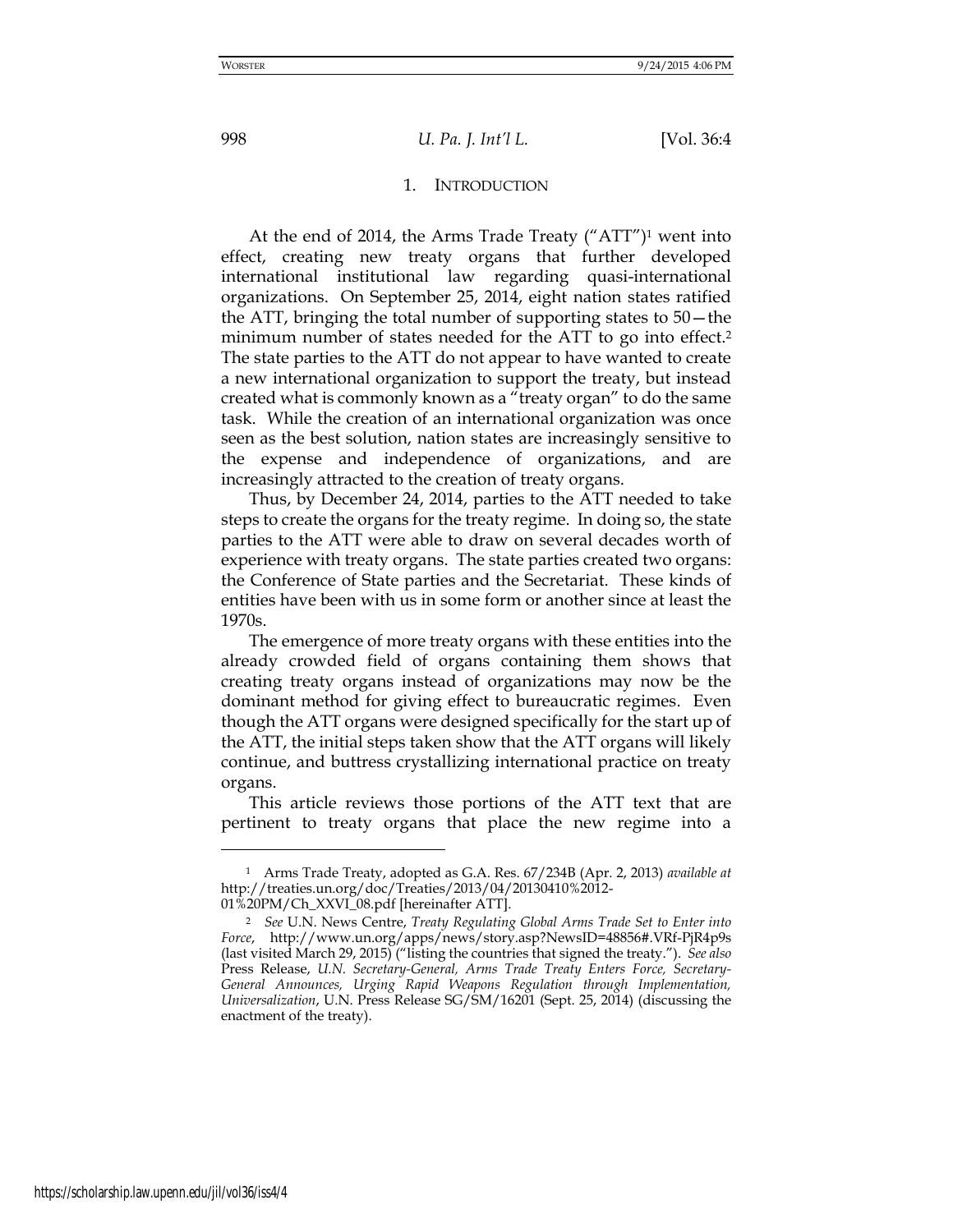#### 1. INTRODUCTION

At the end of 2014, the Arms Trade Treaty ("ATT") <sup>1</sup> went into effect, creating new treaty organs that further developed international institutional law regarding quasi-international organizations. On September 25, 2014, eight nation states ratified the ATT, bringing the total number of supporting states to 50—the minimum number of states needed for the ATT to go into effect.<sup>2</sup> The state parties to the ATT do not appear to have wanted to create a new international organization to support the treaty, but instead created what is commonly known as a "treaty organ" to do the same task. While the creation of an international organization was once seen as the best solution, nation states are increasingly sensitive to the expense and independence of organizations, and are increasingly attracted to the creation of treaty organs.

Thus, by December 24, 2014, parties to the ATT needed to take steps to create the organs for the treaty regime. In doing so, the state parties to the ATT were able to draw on several decades worth of experience with treaty organs. The state parties created two organs: the Conference of State parties and the Secretariat. These kinds of entities have been with us in some form or another since at least the 1970s.

The emergence of more treaty organs with these entities into the already crowded field of organs containing them shows that creating treaty organs instead of organizations may now be the dominant method for giving effect to bureaucratic regimes. Even though the ATT organs were designed specifically for the start up of the ATT, the initial steps taken show that the ATT organs will likely continue, and buttress crystallizing international practice on treaty organs.

This article reviews those portions of the ATT text that are pertinent to treaty organs that place the new regime into a

<sup>1</sup> Arms Trade Treaty, adopted as G.A. Res. 67/234B (Apr. 2, 2013) *available at*  http://treaties.un.org/doc/Treaties/2013/04/20130410%2012- 01%20PM/Ch\_XXVI\_08.pdf [hereinafter ATT].

<sup>2</sup> *See* U.N. News Centre, *Treaty Regulating Global Arms Trade Set to Enter into Force*, http://www.un.org/apps/news/story.asp?NewsID=48856#.VRf-PjR4p9s (last visited March 29, 2015) ("listing the countries that signed the treaty."). *See also*  Press Release, *U.N. Secretary-General, Arms Trade Treaty Enters Force, Secretary-General Announces, Urging Rapid Weapons Regulation through Implementation, Universalization*, U.N. Press Release SG/SM/16201 (Sept. 25, 2014) (discussing the enactment of the treaty).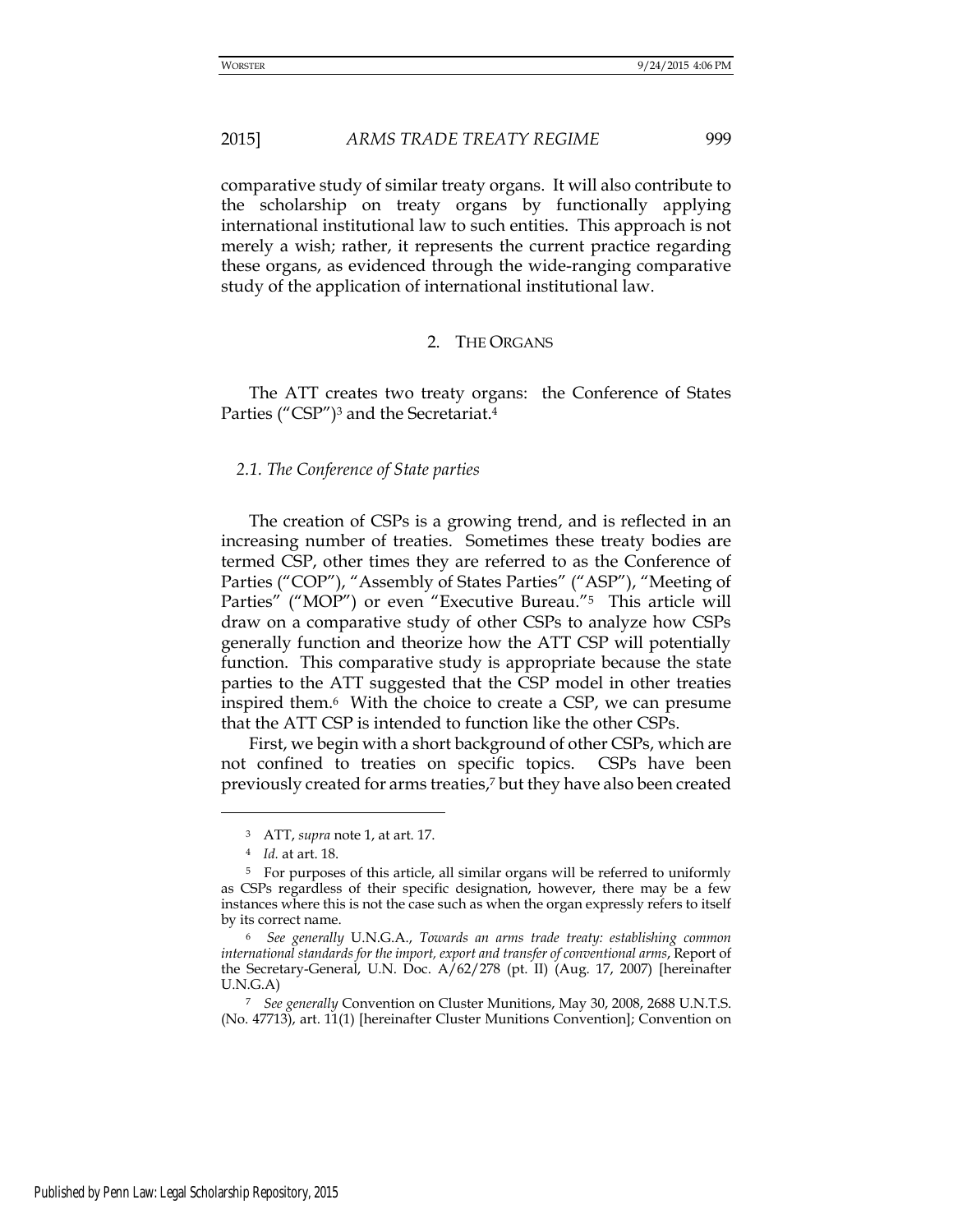comparative study of similar treaty organs. It will also contribute to the scholarship on treaty organs by functionally applying international institutional law to such entities. This approach is not merely a wish; rather, it represents the current practice regarding these organs, as evidenced through the wide-ranging comparative study of the application of international institutional law.

# 2. THE ORGANS

The ATT creates two treaty organs: the Conference of States Parties ("CSP") <sup>3</sup> and the Secretariat.<sup>4</sup>

#### *2.1. The Conference of State parties*

The creation of CSPs is a growing trend, and is reflected in an increasing number of treaties. Sometimes these treaty bodies are termed CSP, other times they are referred to as the Conference of Parties ("COP"), "Assembly of States Parties" ("ASP"), "Meeting of Parties" ("MOP") or even "Executive Bureau."<sup>5</sup> This article will draw on a comparative study of other CSPs to analyze how CSPs generally function and theorize how the ATT CSP will potentially function. This comparative study is appropriate because the state parties to the ATT suggested that the CSP model in other treaties inspired them.6 With the choice to create a CSP, we can presume that the ATT CSP is intended to function like the other CSPs.

First, we begin with a short background of other CSPs, which are not confined to treaties on specific topics. CSPs have been previously created for arms treaties,<sup>7</sup> but they have also been created

<sup>3</sup> ATT, *supra* note 1, at art. 17.

<sup>4</sup> *Id.* at art. 18.

<sup>5</sup> For purposes of this article, all similar organs will be referred to uniformly as CSPs regardless of their specific designation, however, there may be a few instances where this is not the case such as when the organ expressly refers to itself by its correct name.

<sup>6</sup> *See generally* U.N.G.A., *Towards an arms trade treaty: establishing common international standards for the import, export and transfer of conventional arms*, Report of the Secretary-General, U.N. Doc. A/62/278 (pt. II) (Aug. 17, 2007) [hereinafter U.N.G.A)

<sup>7</sup> *See generally* Convention on Cluster Munitions, May 30, 2008, 2688 U.N.T.S. (No. 47713), art. 11(1) [hereinafter Cluster Munitions Convention]; Convention on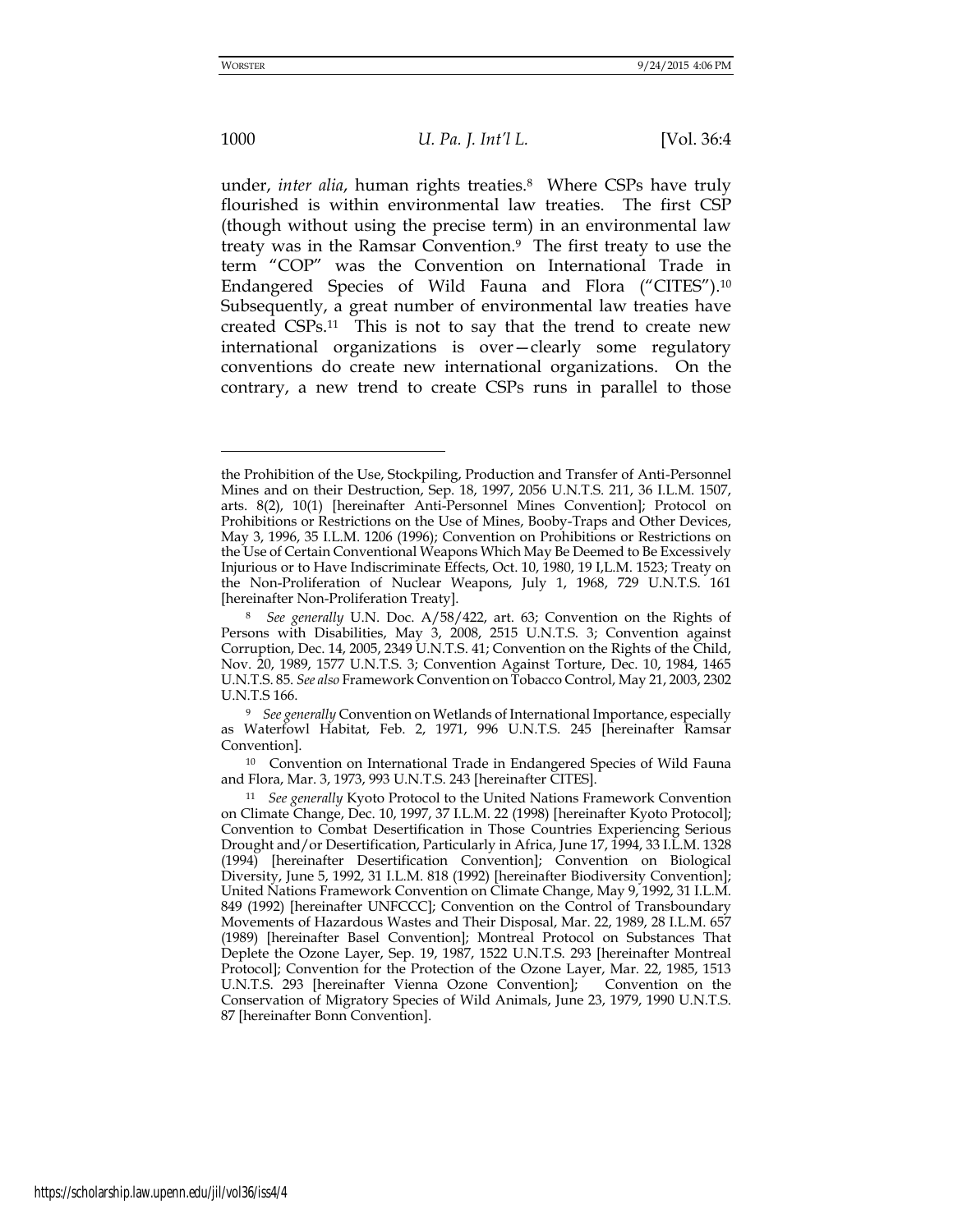-

## 1000 *U. Pa. J. Int'l L.* [Vol. 36:4

under, *inter alia*, human rights treaties.8 Where CSPs have truly flourished is within environmental law treaties. The first CSP (though without using the precise term) in an environmental law treaty was in the Ramsar Convention.9 The first treaty to use the term "COP" was the Convention on International Trade in Endangered Species of Wild Fauna and Flora ("CITES").<sup>10</sup> Subsequently, a great number of environmental law treaties have created CSPs.11 This is not to say that the trend to create new international organizations is over—clearly some regulatory conventions do create new international organizations. On the contrary, a new trend to create CSPs runs in parallel to those

the Prohibition of the Use, Stockpiling, Production and Transfer of Anti-Personnel Mines and on their Destruction, Sep. 18, 1997, 2056 U.N.T.S. 211, 36 I.L.M. 1507, arts. 8(2), 10(1) [hereinafter Anti-Personnel Mines Convention]; Protocol on Prohibitions or Restrictions on the Use of Mines, Booby-Traps and Other Devices, May 3, 1996, 35 I.L.M. 1206 (1996); Convention on Prohibitions or Restrictions on the Use of Certain Conventional Weapons Which May Be Deemed to Be Excessively Injurious or to Have Indiscriminate Effects, Oct. 10, 1980, 19 I,L.M. 1523; Treaty on the Non-Proliferation of Nuclear Weapons, July 1, 1968, 729 U.N.T.S. 161 [hereinafter Non-Proliferation Treaty].

<sup>8</sup> *See generally* U.N. Doc. A/58/422, art. 63; Convention on the Rights of Persons with Disabilities, May 3, 2008, 2515 U.N.T.S. 3; Convention against Corruption, Dec. 14, 2005, 2349 U.N.T.S. 41; Convention on the Rights of the Child, Nov. 20, 1989, 1577 U.N.T.S. 3; Convention Against Torture, Dec. 10, 1984, 1465 U.N.T.S. 85. *See also* Framework Convention on Tobacco Control, May 21, 2003, 2302 U.N.T.S 166.

<sup>9</sup> *See generally* Convention on Wetlands of International Importance, especially as Waterfowl Habitat, Feb. 2, 1971, 996 U.N.T.S. 245 [hereinafter Ramsar Convention].

<sup>10</sup> Convention on International Trade in Endangered Species of Wild Fauna and Flora, Mar. 3, 1973, 993 U.N.T.S. 243 [hereinafter CITES].

<sup>11</sup> *See generally* Kyoto Protocol to the United Nations Framework Convention on Climate Change, Dec. 10, 1997, 37 I.L.M. 22 (1998) [hereinafter Kyoto Protocol]; Convention to Combat Desertification in Those Countries Experiencing Serious Drought and/or Desertification, Particularly in Africa, June 17, 1994, 33 I.L.M. 1328 (1994) [hereinafter Desertification Convention]; Convention on Biological Diversity, June 5, 1992, 31 I.L.M. 818 (1992) [hereinafter Biodiversity Convention]; United Nations Framework Convention on Climate Change, May 9, 1992, 31 I.L.M. 849 (1992) [hereinafter UNFCCC]; Convention on the Control of Transboundary Movements of Hazardous Wastes and Their Disposal, Mar. 22, 1989, 28 I.L.M. 657 (1989) [hereinafter Basel Convention]; Montreal Protocol on Substances That Deplete the Ozone Layer, Sep. 19, 1987, 1522 U.N.T.S. 293 [hereinafter Montreal Protocol]; Convention for the Protection of the Ozone Layer, Mar. 22, 1985, 1513 U.N.T.S. 293 [hereinafter Vienna Ozone Convention]; Convention on the Conservation of Migratory Species of Wild Animals, June 23, 1979, 1990 U.N.T.S. 87 [hereinafter Bonn Convention].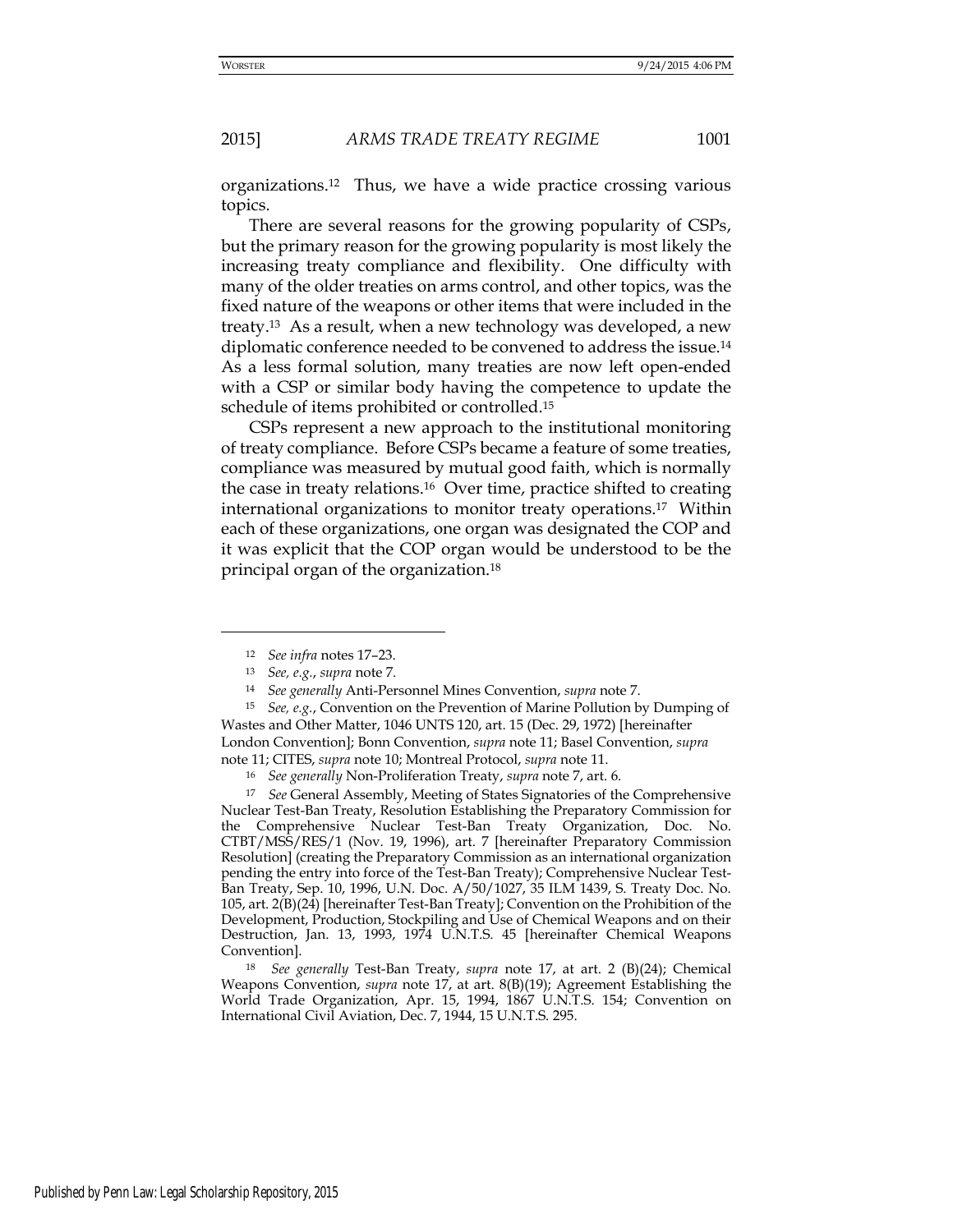organizations.12 Thus, we have a wide practice crossing various topics.

There are several reasons for the growing popularity of CSPs, but the primary reason for the growing popularity is most likely the increasing treaty compliance and flexibility. One difficulty with many of the older treaties on arms control, and other topics, was the fixed nature of the weapons or other items that were included in the treaty.13 As a result, when a new technology was developed, a new diplomatic conference needed to be convened to address the issue.<sup>14</sup> As a less formal solution, many treaties are now left open-ended with a CSP or similar body having the competence to update the schedule of items prohibited or controlled.<sup>15</sup>

CSPs represent a new approach to the institutional monitoring of treaty compliance. Before CSPs became a feature of some treaties, compliance was measured by mutual good faith, which is normally the case in treaty relations.16 Over time, practice shifted to creating international organizations to monitor treaty operations.17 Within each of these organizations, one organ was designated the COP and it was explicit that the COP organ would be understood to be the principal organ of the organization.<sup>18</sup>

<u>.</u>

<sup>17</sup> *See* General Assembly, Meeting of States Signatories of the Comprehensive Nuclear Test-Ban Treaty, Resolution Establishing the Preparatory Commission for the Comprehensive Nuclear Test-Ban Treaty Organization, Doc. No. CTBT/MSS/RES/1 (Nov. 19, 1996), art. 7 [hereinafter Preparatory Commission Resolution] (creating the Preparatory Commission as an international organization pending the entry into force of the Test-Ban Treaty); Comprehensive Nuclear Test-Ban Treaty, Sep. 10, 1996, U.N. Doc. A/50/1027, 35 ILM 1439, S. Treaty Doc. No. 105, art. 2(B)(24) [hereinafter Test-Ban Treaty]; Convention on the Prohibition of the Development, Production, Stockpiling and Use of Chemical Weapons and on their Destruction, Jan. 13, 1993, 1974 U.N.T.S. 45 [hereinafter Chemical Weapons Convention].

<sup>18</sup> *See generally* Test-Ban Treaty, *supra* note 17, at art. 2 (B)(24); Chemical Weapons Convention, *supra* note 17, at art. 8(B)(19); Agreement Establishing the World Trade Organization, Apr. 15, 1994, 1867 U.N.T.S. 154; Convention on International Civil Aviation, Dec. 7, 1944, 15 U.N.T.S. 295.

<sup>12</sup> *See infra* notes 17–23.

<sup>13</sup> *See, e.g.*, *supra* note 7.

<sup>14</sup> *See generally* Anti-Personnel Mines Convention, *supra* note 7.

<sup>15</sup> *See, e.g.*, Convention on the Prevention of Marine Pollution by Dumping of Wastes and Other Matter, 1046 UNTS 120, art. 15 (Dec. 29, 1972) [hereinafter London Convention]; Bonn Convention, *supra* note 11; Basel Convention, *supra* note 11; CITES, *supra* note 10; Montreal Protocol, *supra* note 11.

<sup>16</sup> *See generally* Non-Proliferation Treaty, *supra* note 7, art. 6.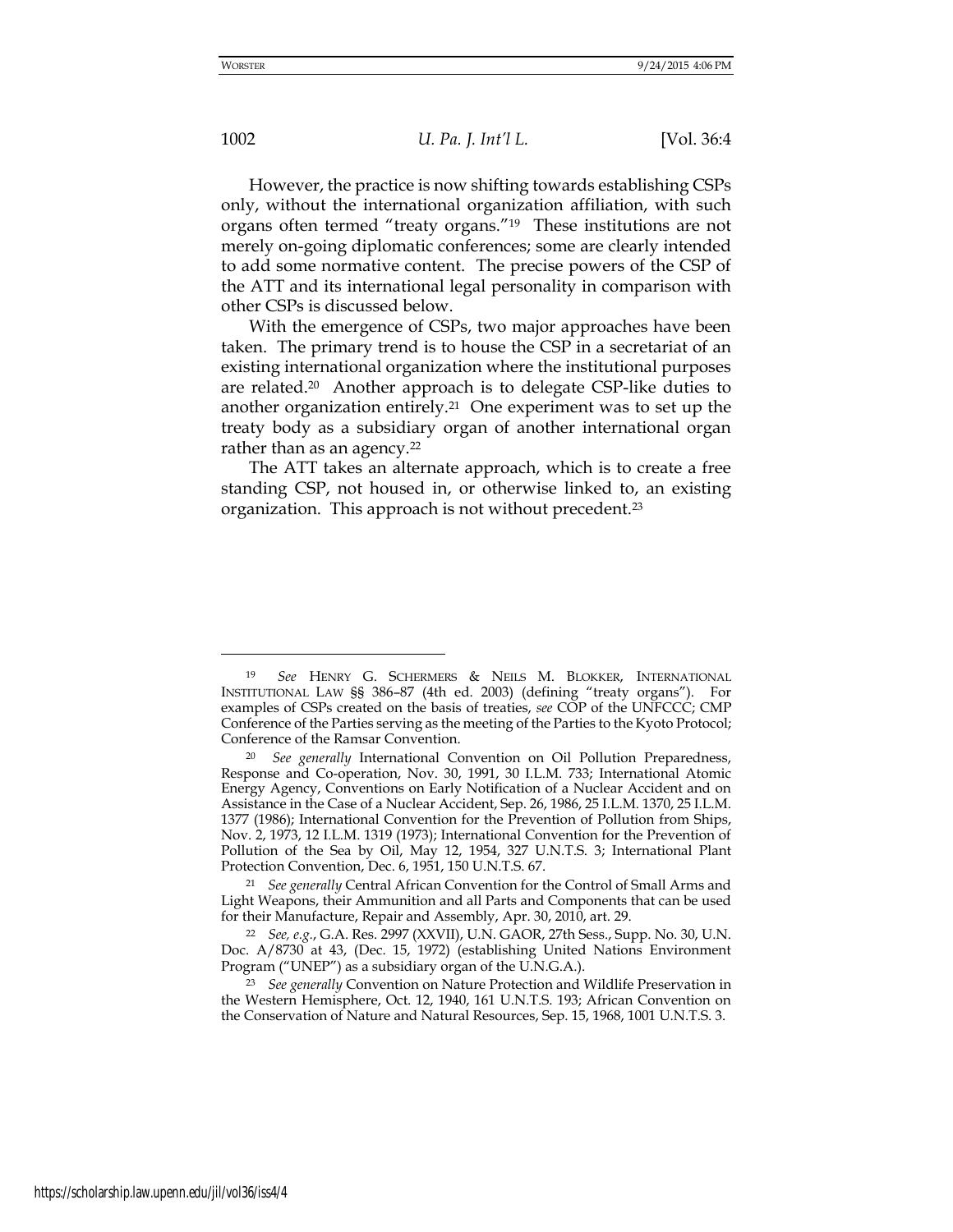<u>.</u>

1002 *U. Pa. J. Int'l L.* [Vol. 36:4

However, the practice is now shifting towards establishing CSPs only, without the international organization affiliation, with such organs often termed "treaty organs."19 These institutions are not merely on-going diplomatic conferences; some are clearly intended to add some normative content. The precise powers of the CSP of the ATT and its international legal personality in comparison with other CSPs is discussed below.

With the emergence of CSPs, two major approaches have been taken. The primary trend is to house the CSP in a secretariat of an existing international organization where the institutional purposes are related.20 Another approach is to delegate CSP-like duties to another organization entirely.<sup>21</sup> One experiment was to set up the treaty body as a subsidiary organ of another international organ rather than as an agency.<sup>22</sup>

The ATT takes an alternate approach, which is to create a free standing CSP, not housed in, or otherwise linked to, an existing organization. This approach is not without precedent.<sup>23</sup>

<sup>19</sup> *See* HENRY G. SCHERMERS & NEILS M. BLOKKER, INTERNATIONAL INSTITUTIONAL LAW §§ 386–87 (4th ed. 2003) (defining "treaty organs"). For examples of CSPs created on the basis of treaties, *see* COP of the UNFCCC; CMP Conference of the Parties serving as the meeting of the Parties to the Kyoto Protocol; Conference of the Ramsar Convention.

<sup>20</sup> *See generally* International Convention on Oil Pollution Preparedness, Response and Co-operation, Nov. 30, 1991, 30 I.L.M. 733; International Atomic Energy Agency, Conventions on Early Notification of a Nuclear Accident and on Assistance in the Case of a Nuclear Accident, Sep. 26, 1986, 25 I.L.M. 1370, 25 I.L.M. 1377 (1986); International Convention for the Prevention of Pollution from Ships, Nov. 2, 1973, 12 I.L.M. 1319 (1973); International Convention for the Prevention of Pollution of the Sea by Oil, May 12, 1954, 327 U.N.T.S. 3; International Plant Protection Convention, Dec. 6, 1951, 150 U.N.T.S. 67.

<sup>21</sup> *See generally* Central African Convention for the Control of Small Arms and Light Weapons, their Ammunition and all Parts and Components that can be used for their Manufacture, Repair and Assembly, Apr. 30, 2010, art. 29.

<sup>22</sup> *See, e.g.*, G.A. Res. 2997 (XXVII), U.N. GAOR, 27th Sess., Supp. No. 30, U.N. Doc. A/8730 at 43, (Dec. 15, 1972) (establishing United Nations Environment Program ("UNEP") as a subsidiary organ of the U.N.G.A.).

<sup>23</sup> *See generally* Convention on Nature Protection and Wildlife Preservation in the Western Hemisphere, Oct. 12, 1940, 161 U.N.T.S. 193; African Convention on the Conservation of Nature and Natural Resources, Sep. 15, 1968, 1001 U.N.T.S. 3.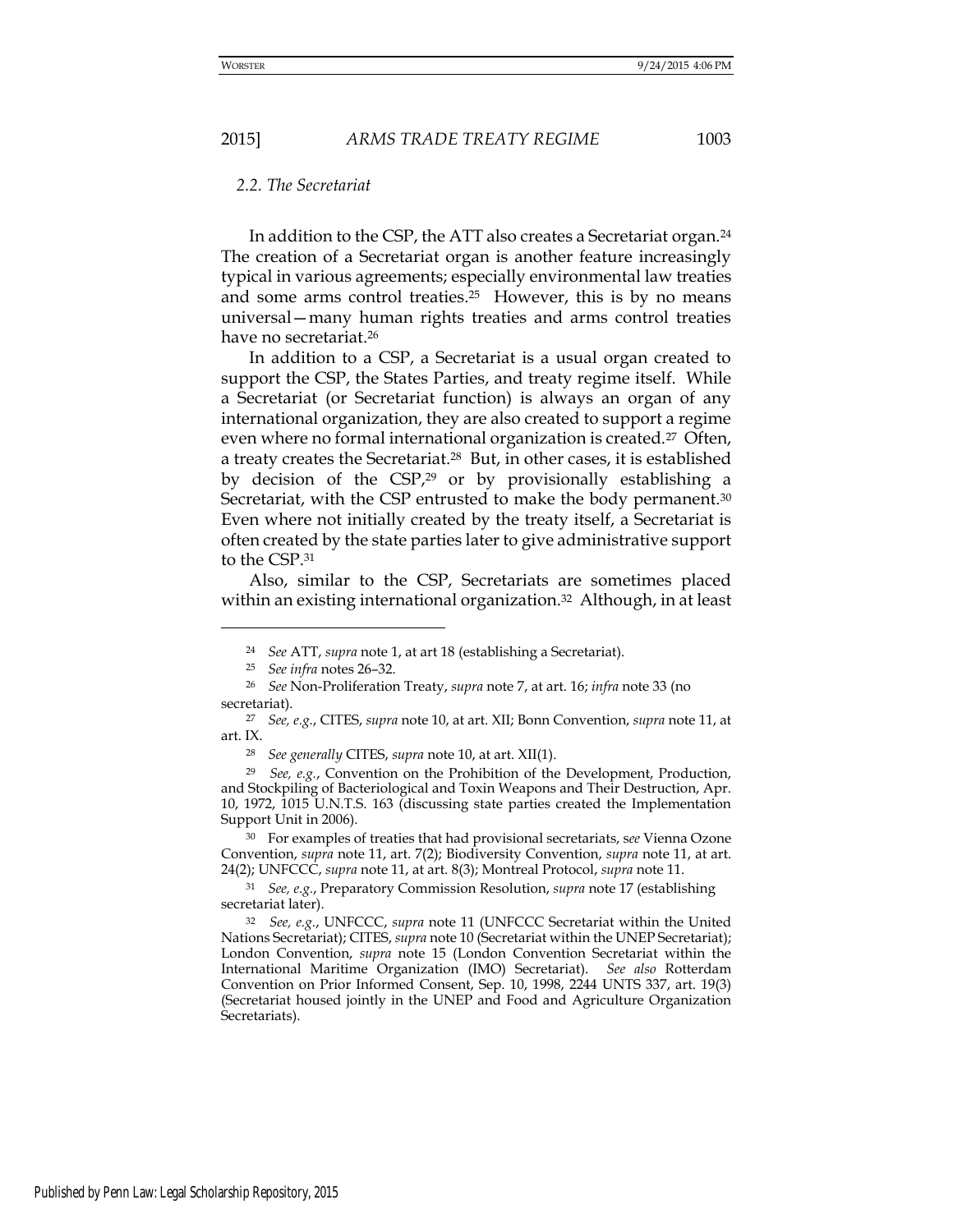#### *2.2. The Secretariat*

In addition to the CSP, the ATT also creates a Secretariat organ.<sup>24</sup> The creation of a Secretariat organ is another feature increasingly typical in various agreements; especially environmental law treaties and some arms control treaties.<sup>25</sup> However, this is by no means universal—many human rights treaties and arms control treaties have no secretariat.<sup>26</sup>

In addition to a CSP, a Secretariat is a usual organ created to support the CSP, the States Parties, and treaty regime itself. While a Secretariat (or Secretariat function) is always an organ of any international organization, they are also created to support a regime even where no formal international organization is created.<sup>27</sup> Often, a treaty creates the Secretariat.28 But, in other cases, it is established by decision of the CSP,<sup>29</sup> or by provisionally establishing a Secretariat, with the CSP entrusted to make the body permanent.<sup>30</sup> Even where not initially created by the treaty itself, a Secretariat is often created by the state parties later to give administrative support to the CSP.<sup>31</sup>

Also, similar to the CSP, Secretariats are sometimes placed within an existing international organization.<sup>32</sup> Although, in at least

<sup>24</sup> *See* ATT, *supra* note 1, at art 18 (establishing a Secretariat).

<sup>25</sup> *See infra* notes 26–32.

<sup>26</sup> *See* Non-Proliferation Treaty, *supra* note 7, at art. 16; *infra* note 33 (no secretariat).

<sup>27</sup> *See, e.g.*, CITES, *supra* note 10, at art. XII; Bonn Convention, *supra* note 11, at art. IX.

<sup>28</sup> *See generally* CITES, *supra* note 10, at art. XII(1).

<sup>29</sup> *See, e.g.*, Convention on the Prohibition of the Development, Production, and Stockpiling of Bacteriological and Toxin Weapons and Their Destruction, Apr. 10, 1972, 1015 U.N.T.S. 163 (discussing state parties created the Implementation Support Unit in 2006).

<sup>30</sup> For examples of treaties that had provisional secretariats, s*ee* Vienna Ozone Convention, *supra* note 11, art. 7(2); Biodiversity Convention, *supra* note 11, at art. 24(2); UNFCCC, *supra* note 11, at art. 8(3); Montreal Protocol, *supra* note 11.

<sup>31</sup> *See, e.g.*, Preparatory Commission Resolution, *supra* note 17 (establishing secretariat later).

<sup>32</sup> *See, e.g.*, UNFCCC, *supra* note 11 (UNFCCC Secretariat within the United Nations Secretariat); CITES, *supra* note 10 (Secretariat within the UNEP Secretariat); London Convention, *supra* note 15 (London Convention Secretariat within the International Maritime Organization (IMO) Secretariat). *See also* Rotterdam Convention on Prior Informed Consent, Sep. 10, 1998, 2244 UNTS 337, art. 19(3) (Secretariat housed jointly in the UNEP and Food and Agriculture Organization Secretariats).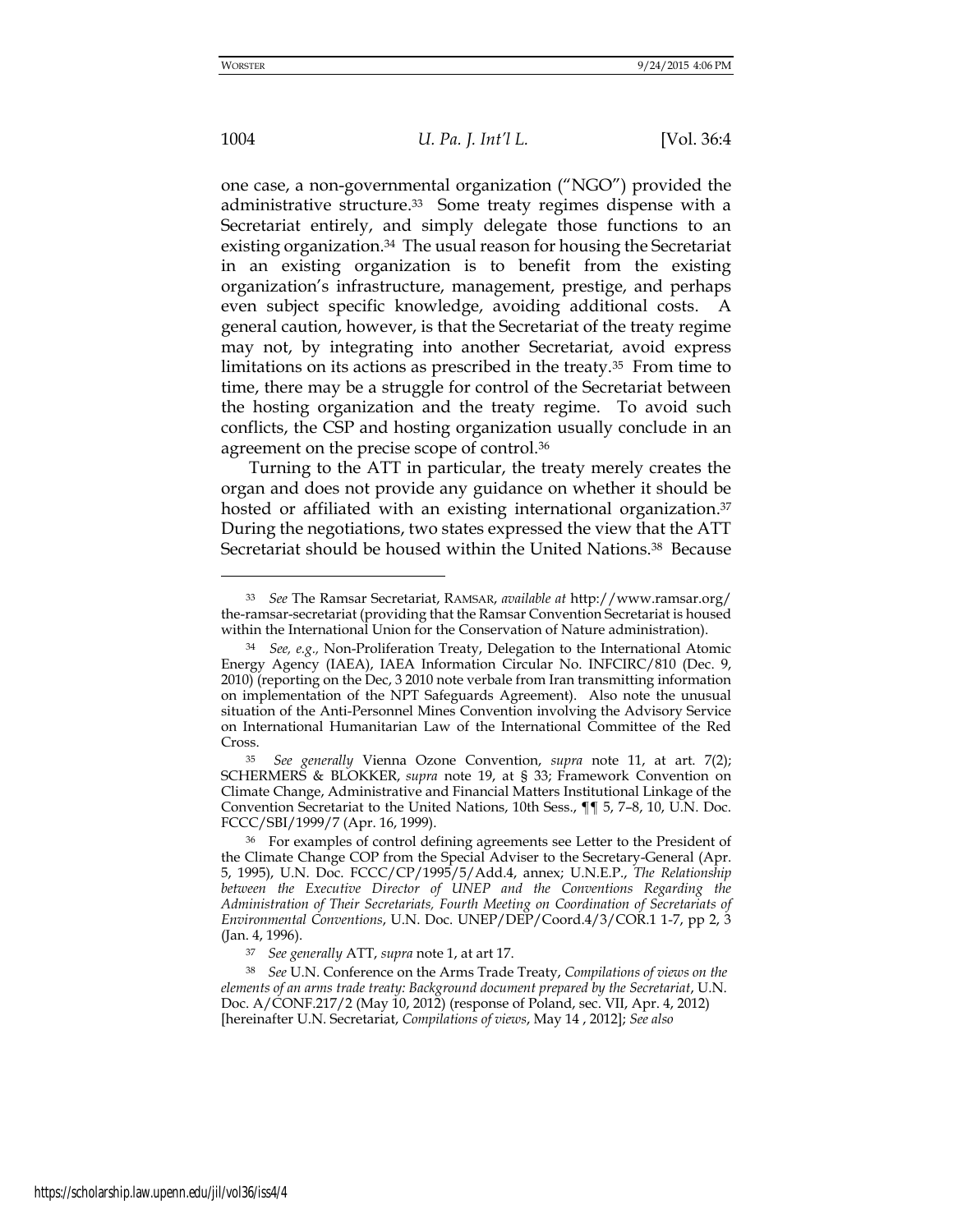<u>.</u>

1004 *U. Pa. J. Int'l L.* [Vol. 36:4

one case, a non-governmental organization ("NGO") provided the administrative structure.33 Some treaty regimes dispense with a Secretariat entirely, and simply delegate those functions to an existing organization.<sup>34</sup> The usual reason for housing the Secretariat in an existing organization is to benefit from the existing organization's infrastructure, management, prestige, and perhaps even subject specific knowledge, avoiding additional costs. A general caution, however, is that the Secretariat of the treaty regime may not, by integrating into another Secretariat, avoid express limitations on its actions as prescribed in the treaty.35 From time to time, there may be a struggle for control of the Secretariat between the hosting organization and the treaty regime. To avoid such conflicts, the CSP and hosting organization usually conclude in an agreement on the precise scope of control.<sup>36</sup>

Turning to the ATT in particular, the treaty merely creates the organ and does not provide any guidance on whether it should be hosted or affiliated with an existing international organization.<sup>37</sup> During the negotiations, two states expressed the view that the ATT Secretariat should be housed within the United Nations.38 Because

<sup>33</sup> *See* The Ramsar Secretariat, RAMSAR, *available at* <http://www.ramsar.org/> the-ramsar-secretariat (providing that the Ramsar Convention Secretariat is housed within the International Union for the Conservation of Nature administration).

<sup>34</sup> *See, e.g.,* Non-Proliferation Treaty, Delegation to the International Atomic Energy Agency (IAEA), IAEA Information Circular No. INFCIRC/810 (Dec. 9, 2010) (reporting on the Dec, 3 2010 note verbale from Iran transmitting information on implementation of the NPT Safeguards Agreement). Also note the unusual situation of the Anti-Personnel Mines Convention involving the Advisory Service on International Humanitarian Law of the International Committee of the Red Cross.

<sup>35</sup> *See generally* Vienna Ozone Convention, *supra* note 11, at art. 7(2); SCHERMERS & BLOKKER, *supra* note 19, at § 33; Framework Convention on Climate Change, Administrative and Financial Matters Institutional Linkage of the Convention Secretariat to the United Nations, 10th Sess., ¶¶ 5, 7–8, 10, U.N. Doc. FCCC/SBI/1999/7 (Apr. 16, 1999).

<sup>36</sup> For examples of control defining agreements see Letter to the President of the Climate Change COP from the Special Adviser to the Secretary-General (Apr. 5, 1995), U.N. Doc. FCCC/CP/1995/5/Add.4, annex; U.N.E.P., *The Relationship between the Executive Director of UNEP and the Conventions Regarding the Administration of Their Secretariats, Fourth Meeting on Coordination of Secretariats of Environmental Conventions*, U.N. Doc. UNEP/DEP/Coord.4/3/COR.1 1-7, pp 2, 3 (Jan. 4, 1996).

<sup>37</sup> *See generally* ATT, *supra* note 1, at art 17.

<sup>38</sup> *See* U.N. Conference on the Arms Trade Treaty, *Compilations of views on the elements of an arms trade treaty: Background document prepared by the Secretariat*, U.N. Doc. A/CONF.217/2 (May 10, 2012) (response of Poland, sec. VII, Apr. 4, 2012) [hereinafter U.N. Secretariat, *Compilations of views*, May 14 , 2012]; *See also*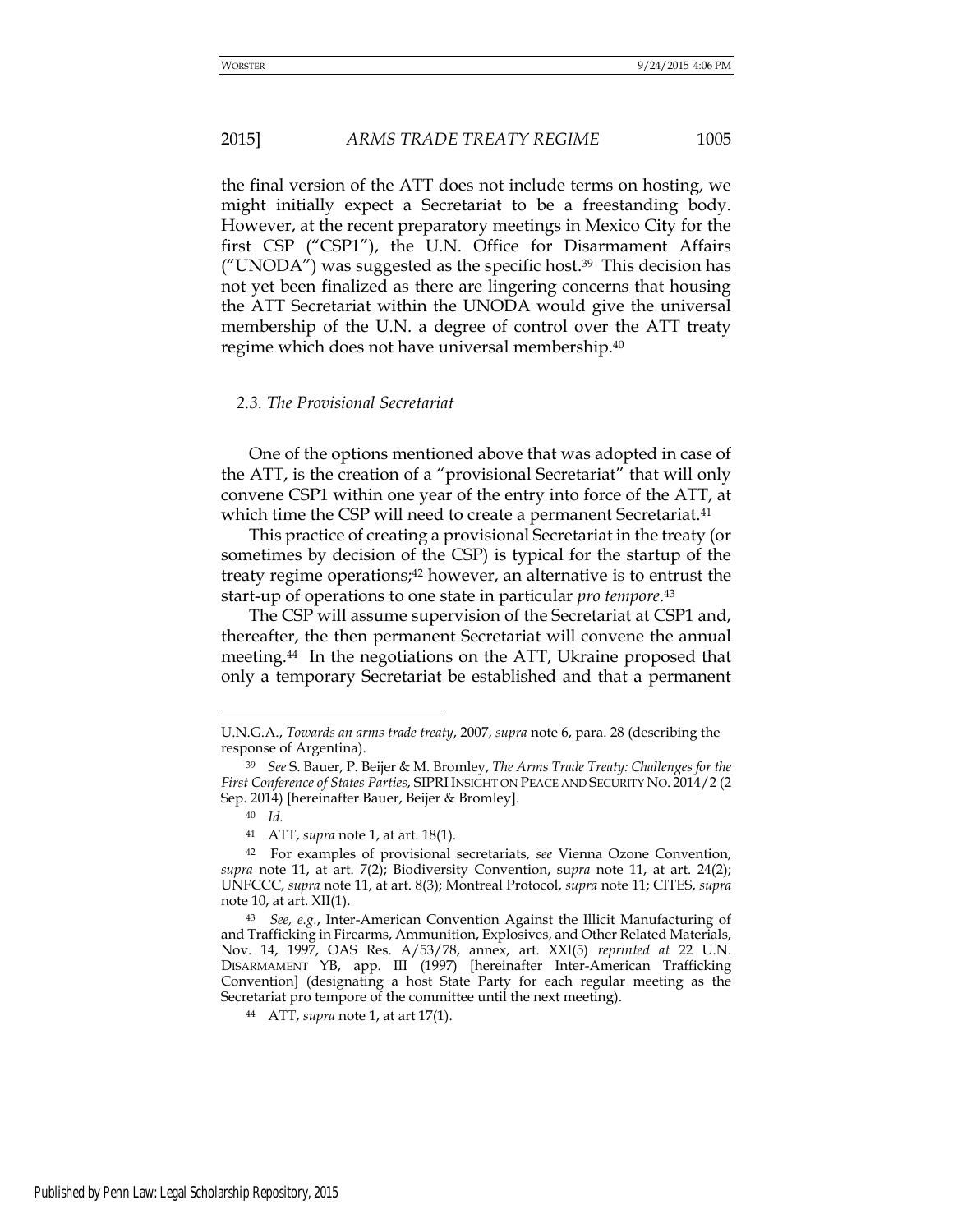the final version of the ATT does not include terms on hosting, we might initially expect a Secretariat to be a freestanding body. However, at the recent preparatory meetings in Mexico City for the first CSP ("CSP1"), the U.N. Office for Disarmament Affairs ("UNODA") was suggested as the specific host.<sup>39</sup> This decision has not yet been finalized as there are lingering concerns that housing the ATT Secretariat within the UNODA would give the universal membership of the U.N. a degree of control over the ATT treaty regime which does not have universal membership.<sup>40</sup>

# *2.3. The Provisional Secretariat*

 One of the options mentioned above that was adopted in case of the ATT, is the creation of a "provisional Secretariat" that will only convene CSP1 within one year of the entry into force of the ATT, at which time the CSP will need to create a permanent Secretariat.<sup>41</sup>

 This practice of creating a provisional Secretariat in the treaty (or sometimes by decision of the CSP) is typical for the startup of the treaty regime operations;42 however, an alternative is to entrust the start-up of operations to one state in particular *pro tempore*. 43

 The CSP will assume supervision of the Secretariat at CSP1 and, thereafter, the then permanent Secretariat will convene the annual meeting.44 In the negotiations on the ATT, Ukraine proposed that only a temporary Secretariat be established and that a permanent

<u>.</u>

Published by Penn Law: Legal Scholarship Repository, 2015

U.N.G.A., *Towards an arms trade treaty*, 2007, *supra* note 6, para. 28 (describing the response of Argentina).

<sup>39</sup> *See* S. Bauer, P. Beijer & M. Bromley, *The Arms Trade Treaty: Challenges for the First Conference of States Parties*, SIPRI INSIGHT ON PEACE AND SECURITY NO. 2014/2 (2 Sep. 2014) [hereinafter Bauer, Beijer & Bromley].

<sup>40</sup> *Id.*

<sup>41</sup> ATT, *supra* note 1, at art. 18(1).

<sup>42</sup> For examples of provisional secretariats, *see* Vienna Ozone Convention, *supra* note 11, at art. 7(2); Biodiversity Convention, su*pra* note 11, at art. 24(2); UNFCCC, *supra* note 11, at art. 8(3); Montreal Protocol, *supra* note 11; CITES, *supra* note 10, at art. XII(1).

<sup>43</sup> *See, e.g.*, Inter-American Convention Against the Illicit Manufacturing of and Trafficking in Firearms, Ammunition, Explosives, and Other Related Materials, Nov. 14, 1997, OAS Res. A/53/78, annex, art. XXI(5) *reprinted at* 22 U.N. DISARMAMENT YB, app. III (1997) [hereinafter Inter-American Trafficking Convention] (designating a host State Party for each regular meeting as the Secretariat pro tempore of the committee until the next meeting).

<sup>44</sup> ATT, *supra* note 1, at art 17(1).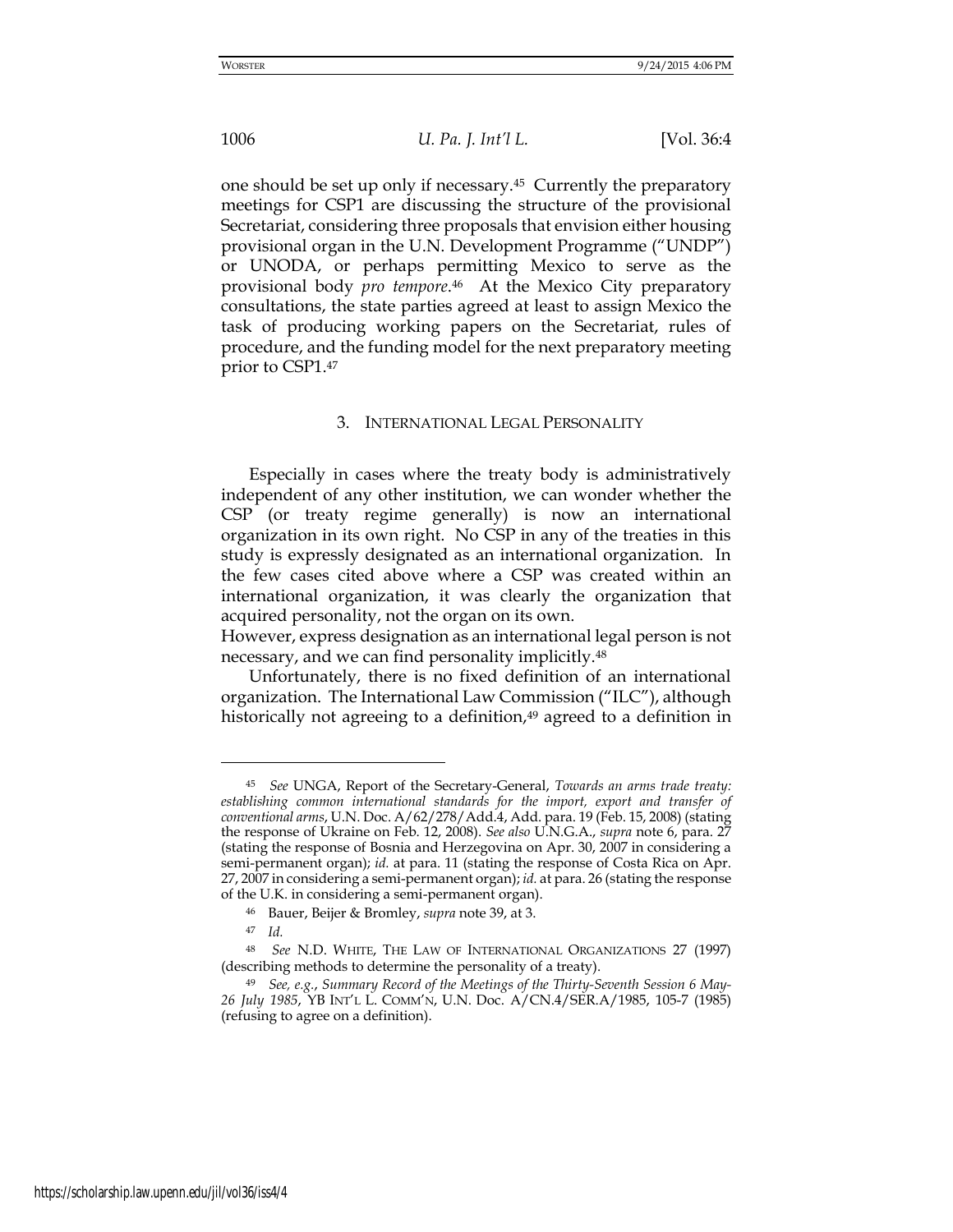one should be set up only if necessary.45 Currently the preparatory meetings for CSP1 are discussing the structure of the provisional Secretariat, considering three proposals that envision either housing provisional organ in the U.N. Development Programme ("UNDP") or UNODA, or perhaps permitting Mexico to serve as the provisional body *pro tempore*. <sup>46</sup> At the Mexico City preparatory consultations, the state parties agreed at least to assign Mexico the task of producing working papers on the Secretariat, rules of procedure, and the funding model for the next preparatory meeting prior to CSP1.<sup>47</sup>

#### 3. INTERNATIONAL LEGAL PERSONALITY

 Especially in cases where the treaty body is administratively independent of any other institution, we can wonder whether the CSP (or treaty regime generally) is now an international organization in its own right. No CSP in any of the treaties in this study is expressly designated as an international organization. In the few cases cited above where a CSP was created within an international organization, it was clearly the organization that acquired personality, not the organ on its own.

However, express designation as an international legal person is not necessary, and we can find personality implicitly.<sup>48</sup>

 Unfortunately, there is no fixed definition of an international organization. The International Law Commission ("ILC"), although historically not agreeing to a definition, $49$  agreed to a definition in

<sup>47</sup> *Id.* 

<sup>45</sup> *See* UNGA, Report of the Secretary-General, *Towards an arms trade treaty: establishing common international standards for the import, export and transfer of conventional arms*, U.N. Doc. A/62/278/Add.4, Add. para. 19 (Feb. 15, 2008) (stating the response of Ukraine on Feb. 12, 2008). *See also* U.N.G.A., *supra* note 6, para. 27 (stating the response of Bosnia and Herzegovina on Apr. 30, 2007 in considering a semi-permanent organ); *id.* at para. 11 (stating the response of Costa Rica on Apr. 27, 2007 in considering a semi-permanent organ); *id.* at para. 26 (stating the response of the U.K. in considering a semi-permanent organ).

<sup>46</sup> Bauer, Beijer & Bromley, *supra* note 39, at 3.

<sup>48</sup> *See* N.D. WHITE, THE LAW OF INTERNATIONAL ORGANIZATIONS 27 (1997) (describing methods to determine the personality of a treaty).

<sup>49</sup> *See, e.g.*, *Summary Record of the Meetings of the Thirty-Seventh Session 6 May-26 July 1985*, YB INT'L L. COMM'N, U.N. Doc. A/CN.4/SER.A/1985, 105-7 (1985) (refusing to agree on a definition).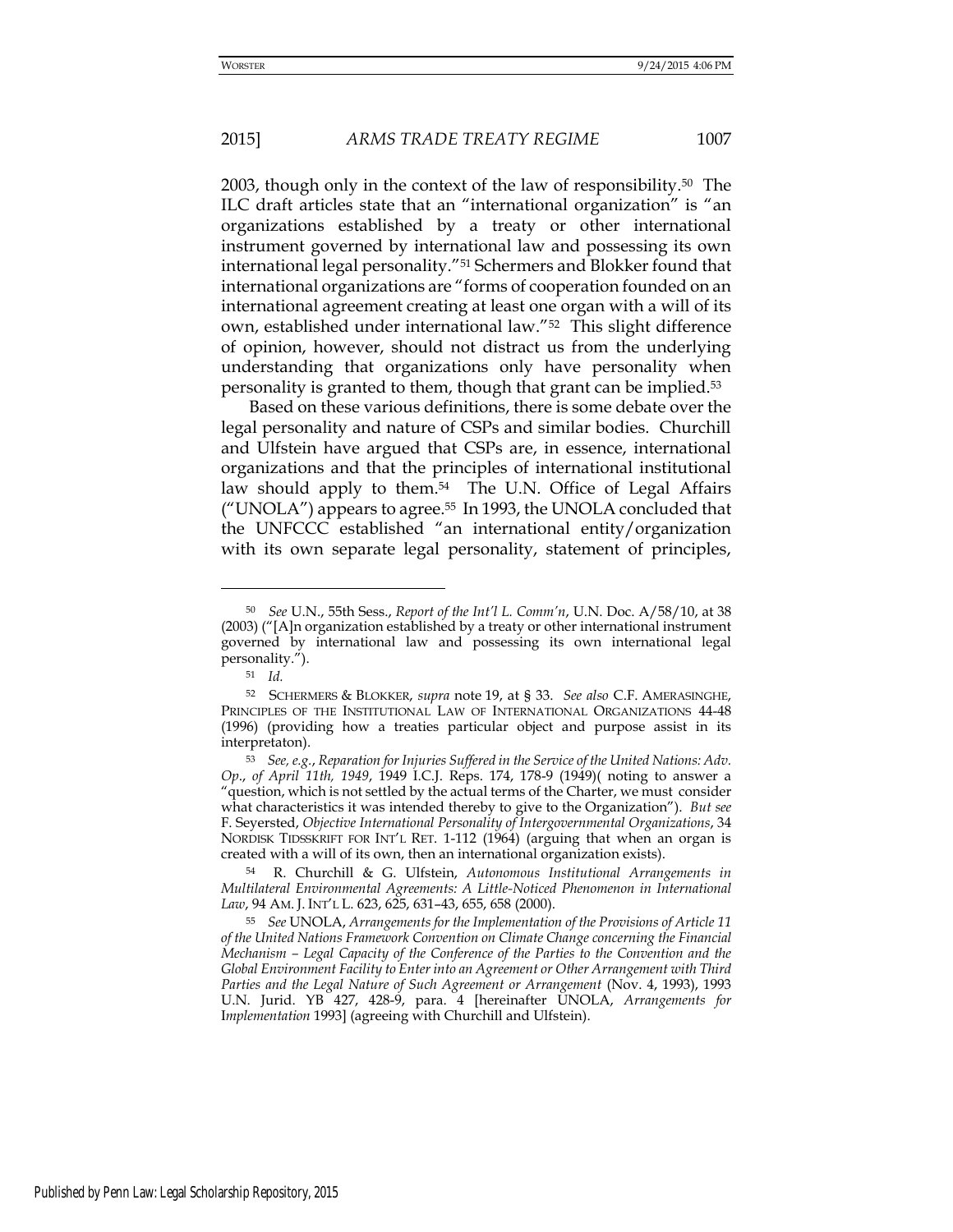2003, though only in the context of the law of responsibility.50 The ILC draft articles state that an "international organization" is "an organizations established by a treaty or other international instrument governed by international law and possessing its own international legal personality."51 Schermers and Blokker found that international organizations are "forms of cooperation founded on an international agreement creating at least one organ with a will of its own, established under international law."52 This slight difference of opinion, however, should not distract us from the underlying understanding that organizations only have personality when personality is granted to them, though that grant can be implied.<sup>53</sup>

 Based on these various definitions, there is some debate over the legal personality and nature of CSPs and similar bodies. Churchill and Ulfstein have argued that CSPs are, in essence, international organizations and that the principles of international institutional law should apply to them.<sup>54</sup> The U.N. Office of Legal Affairs ("UNOLA") appears to agree.<sup>55</sup> In 1993, the UNOLA concluded that the UNFCCC established "an international entity/organization with its own separate legal personality, statement of principles,

<sup>50</sup> *See* U.N., 55th Sess., *Report of the Int'l L. Comm'n*, U.N. Doc. A/58/10, at 38 (2003) ("[A]n organization established by a treaty or other international instrument governed by international law and possessing its own international legal personality.").

<sup>51</sup> *Id.*

<sup>52</sup> SCHERMERS & BLOKKER, *supra* note 19, at § 33. *See also* C.F. AMERASINGHE, PRINCIPLES OF THE INSTITUTIONAL LAW OF INTERNATIONAL ORGANIZATIONS 44-48 (1996) (providing how a treaties particular object and purpose assist in its interpretaton).

<sup>53</sup> *See, e.g.*, *Reparation for Injuries Suffered in the Service of the United Nations: Adv. Op*., *of April 11th, 1949*, 1949 I.C.J. Reps. 174, 178-9 (1949)( noting to answer a "question, which is not settled by the actual terms of the Charter, we must consider what characteristics it was intended thereby to give to the Organization"). *But see* F. Seyersted, *Objective International Personality of Intergovernmental Organizations*, 34 NORDISK TIDSSKRIFT FOR INT'L RET. 1-112 (1964) (arguing that when an organ is created with a will of its own, then an international organization exists).

<sup>54</sup> R. Churchill & G. Ulfstein, *Autonomous Institutional Arrangements in Multilateral Environmental Agreements: A Little-Noticed Phenomenon in International Law*, 94 AM. J. INT'L L. 623, 625, 631–43, 655, 658 (2000).

<sup>55</sup> *See* UNOLA, *Arrangements for the Implementation of the Provisions of Article 11 of the United Nations Framework Convention on Climate Change concerning the Financial Mechanism – Legal Capacity of the Conference of the Parties to the Convention and the Global Environment Facility to Enter into an Agreement or Other Arrangement with Third Parties and the Legal Nature of Such Agreement or Arrangement* (Nov. 4, 1993), 1993 U.N. Jurid. YB 427, 428-9, para. 4 [hereinafter UNOLA, *Arrangements for*  I*mplementation* 1993] (agreeing with Churchill and Ulfstein).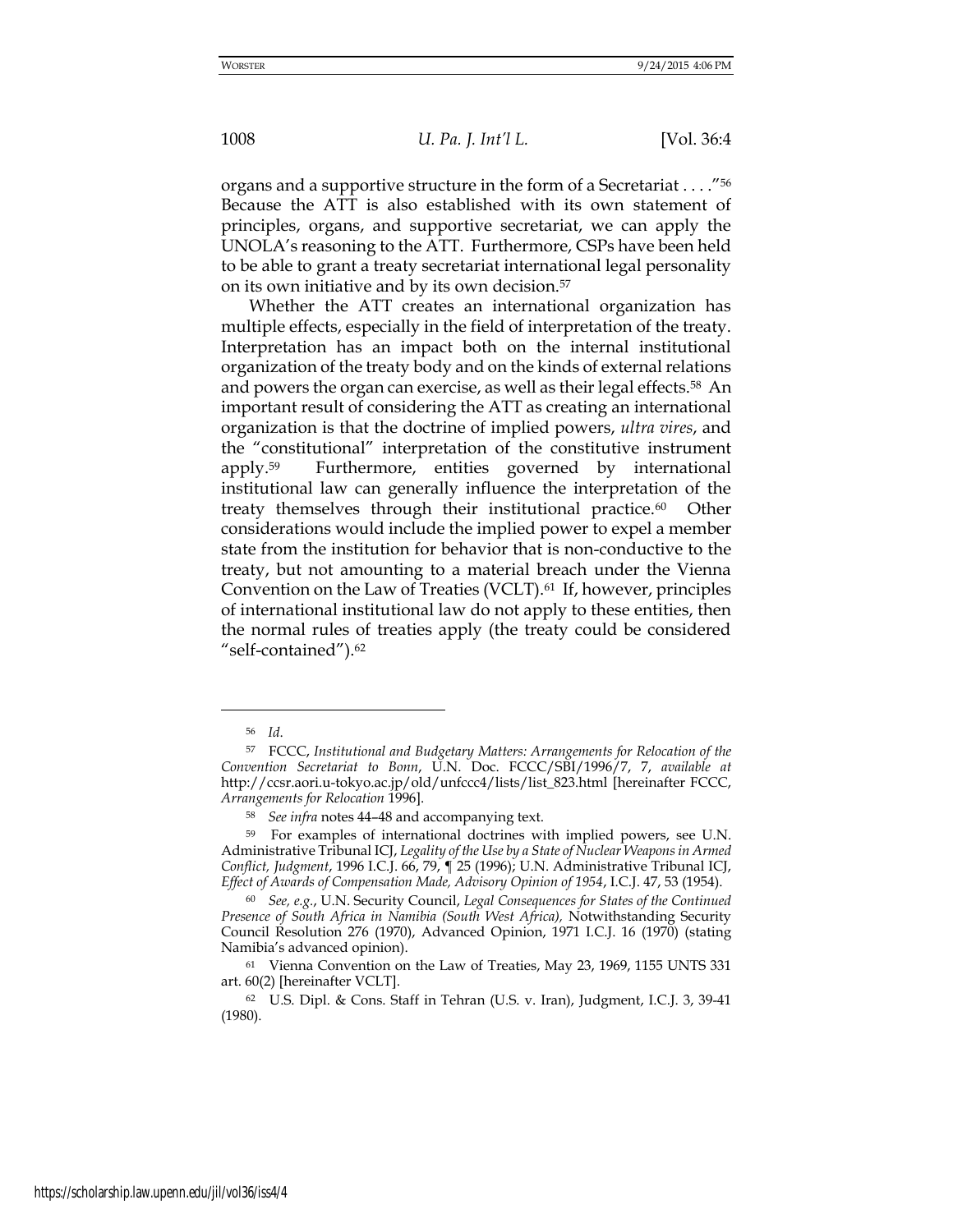organs and a supportive structure in the form of a Secretariat . . . ."<sup>56</sup> Because the ATT is also established with its own statement of principles, organs, and supportive secretariat, we can apply the UNOLA's reasoning to the ATT. Furthermore, CSPs have been held to be able to grant a treaty secretariat international legal personality on its own initiative and by its own decision.<sup>57</sup>

 Whether the ATT creates an international organization has multiple effects, especially in the field of interpretation of the treaty. Interpretation has an impact both on the internal institutional organization of the treaty body and on the kinds of external relations and powers the organ can exercise, as well as their legal effects.<sup>58</sup> An important result of considering the ATT as creating an international organization is that the doctrine of implied powers, *ultra vires*, and the "constitutional" interpretation of the constitutive instrument apply.59 Furthermore, entities governed by international institutional law can generally influence the interpretation of the treaty themselves through their institutional practice.<sup>60</sup> Other considerations would include the implied power to expel a member state from the institution for behavior that is non-conductive to the treaty, but not amounting to a material breach under the Vienna Convention on the Law of Treaties (VCLT).61 If, however, principles of international institutional law do not apply to these entities, then the normal rules of treaties apply (the treaty could be considered "self-contained").<sup>62</sup>

<sup>56</sup> *Id*.

<sup>57</sup> FCCC, *Institutional and Budgetary Matters: Arrangements for Relocation of the Convention Secretariat to Bonn*, U.N. Doc. FCCC/SBI/1996/7, 7, *available at* http://ccsr.aori.u-tokyo.ac.jp/old/unfccc4/lists/list\_823.html [hereinafter FCCC, *Arrangements for Relocation* 1996].

<sup>58</sup> *See infra* notes 44–48 and accompanying text.

<sup>59</sup> For examples of international doctrines with implied powers, see U.N. Administrative Tribunal ICJ, *Legality of the Use by a State of Nuclear Weapons in Armed Conflict, Judgment*, 1996 I.C.J. 66, 79, ¶ 25 (1996); U.N. Administrative Tribunal ICJ, *Effect of Awards of Compensation Made, Advisory Opinion of 1954*, I.C.J. 47, 53 (1954).

<sup>60</sup> *See, e.g.*, U.N. Security Council, *Legal Consequences for States of the Continued Presence of South Africa in Namibia (South West Africa),* Notwithstanding Security Council Resolution 276 (1970), Advanced Opinion, 1971 I.C.J. 16 (1970) (stating Namibia's advanced opinion).

<sup>61</sup> Vienna Convention on the Law of Treaties, May 23, 1969, 1155 UNTS 331 art. 60(2) [hereinafter VCLT].

<sup>62</sup> U.S. Dipl. & Cons. Staff in Tehran (U.S. v. Iran), Judgment, I.C.J. 3, 39-41 (1980).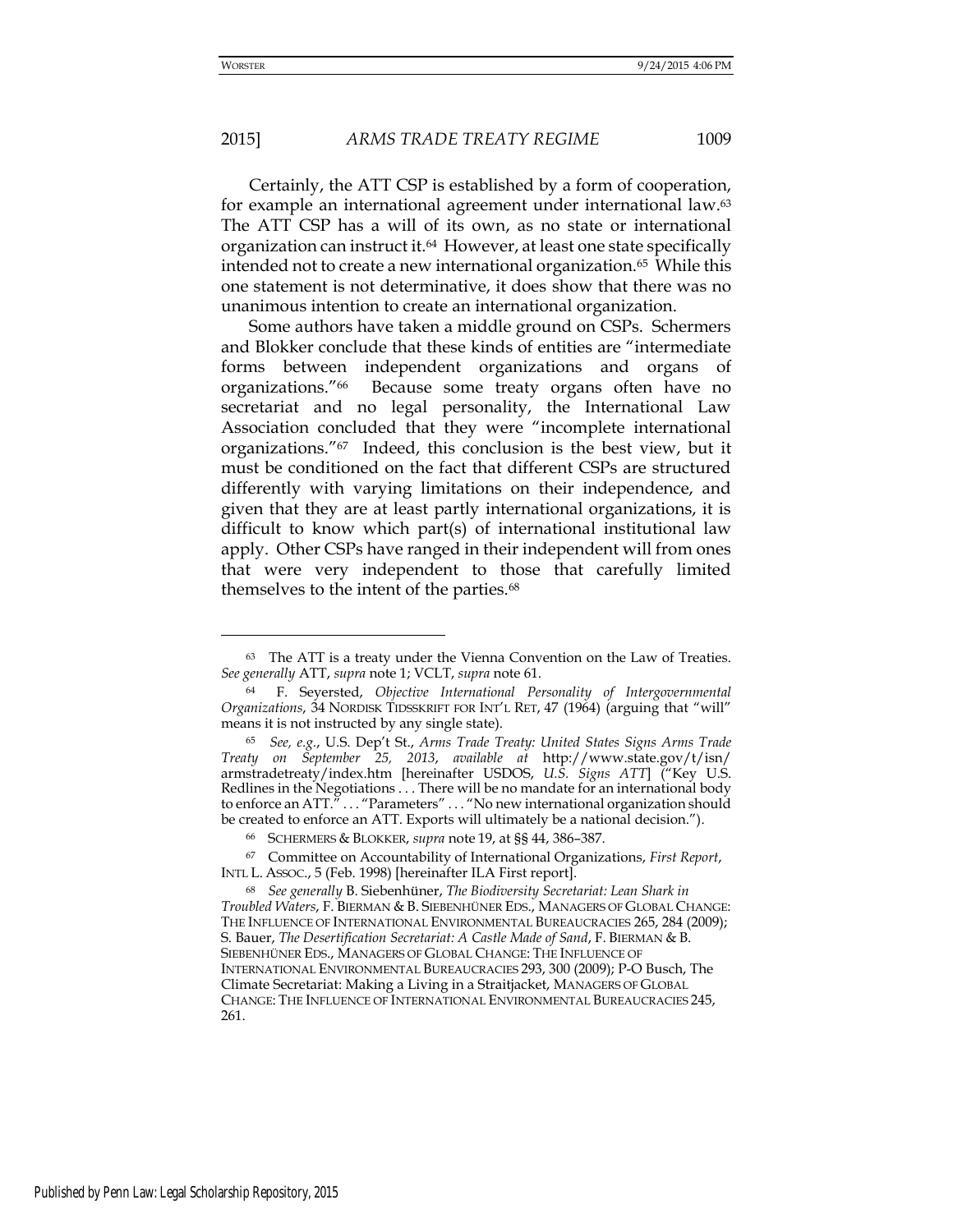<u>.</u>

# 2015] *ARMS TRADE TREATY REGIME* 1009

 Certainly, the ATT CSP is established by a form of cooperation, for example an international agreement under international law.<sup>63</sup> The ATT CSP has a will of its own, as no state or international organization can instruct it.64 However, at least one state specifically intended not to create a new international organization.65 While this one statement is not determinative, it does show that there was no unanimous intention to create an international organization.

 Some authors have taken a middle ground on CSPs. Schermers and Blokker conclude that these kinds of entities are "intermediate forms between independent organizations and organs of organizations."66 Because some treaty organs often have no secretariat and no legal personality, the International Law Association concluded that they were "incomplete international organizations."67 Indeed, this conclusion is the best view, but it must be conditioned on the fact that different CSPs are structured differently with varying limitations on their independence, and given that they are at least partly international organizations, it is difficult to know which part(s) of international institutional law apply. Other CSPs have ranged in their independent will from ones that were very independent to those that carefully limited themselves to the intent of the parties.<sup>68</sup>

<sup>63</sup> The ATT is a treaty under the Vienna Convention on the Law of Treaties. *See generally* ATT, *supra* note 1; VCLT, *supra* note 61.

<sup>64</sup> F. Seyersted, *Objective International Personality of Intergovernmental Organizations*, 34 NORDISK TIDSSKRIFT FOR INT'L RET, 47 (1964) (arguing that "will" means it is not instructed by any single state).

<sup>65</sup> *See, e.g.*, U.S. Dep't St., *Arms Trade Treaty: United States Signs Arms Trade Treaty on September 25, 2013*, *available at* <http://www.state.gov/t/isn/> armstradetreaty/index.htm [hereinafter USDOS, *U.S. Signs ATT*] ("Key U.S. Redlines in the Negotiations . . . There will be no mandate for an international body to enforce an ATT." . . . "Parameters" . . . "No new international organization should be created to enforce an ATT. Exports will ultimately be a national decision.").

<sup>66</sup> SCHERMERS & BLOKKER, *supra* note 19, at §§ 44, 386–387.

<sup>67</sup> Committee on Accountability of International Organizations, *First Report*, INTL L. ASSOC., 5 (Feb. 1998) [hereinafter ILA First report].

<sup>68</sup> *See generally* B. Siebenhüner, *The Biodiversity Secretariat: Lean Shark in Troubled Waters*, F. BIERMAN & B. SIEBENHÜNER EDS., MANAGERS OF GLOBAL CHANGE: THE INFLUENCE OF INTERNATIONAL ENVIRONMENTAL BUREAUCRACIES 265, 284 (2009); S. Bauer, *The Desertification Secretariat: A Castle Made of Sand*, F. BIERMAN & B. SIEBENHÜNER EDS., MANAGERS OF GLOBAL CHANGE: THE INFLUENCE OF INTERNATIONAL ENVIRONMENTAL BUREAUCRACIES 293, 300 (2009); P-O Busch, The Climate Secretariat: Making a Living in a Straitjacket, MANAGERS OF GLOBAL CHANGE: THE INFLUENCE OF INTERNATIONAL ENVIRONMENTAL BUREAUCRACIES 245, 261.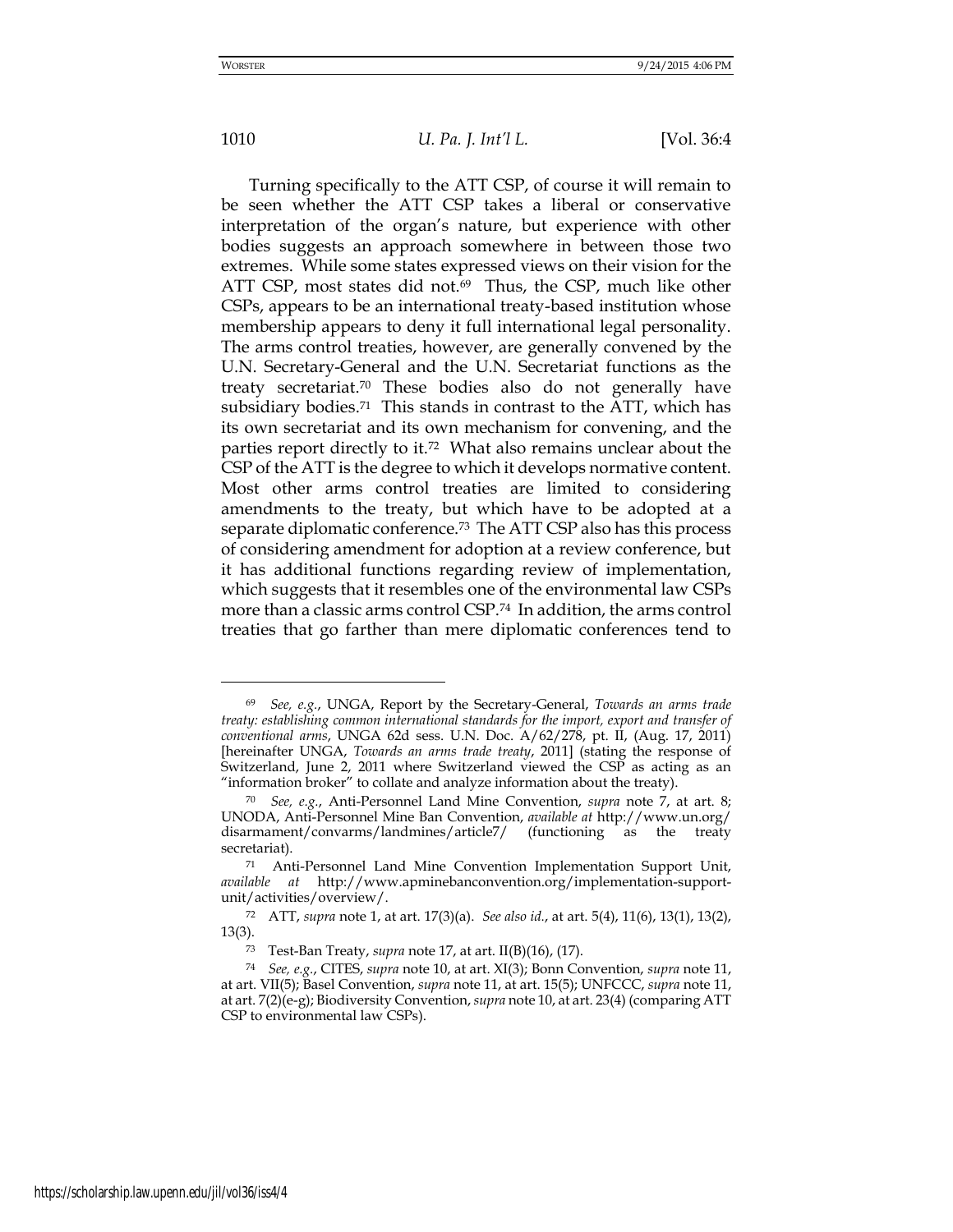<u>.</u>

## 1010 *U. Pa. J. Int'l L.* [Vol. 36:4

 Turning specifically to the ATT CSP, of course it will remain to be seen whether the ATT CSP takes a liberal or conservative interpretation of the organ's nature, but experience with other bodies suggests an approach somewhere in between those two extremes. While some states expressed views on their vision for the ATT CSP, most states did not.<sup>69</sup> Thus, the CSP, much like other CSPs, appears to be an international treaty-based institution whose membership appears to deny it full international legal personality. The arms control treaties, however, are generally convened by the U.N. Secretary-General and the U.N. Secretariat functions as the treaty secretariat.70 These bodies also do not generally have subsidiary bodies.<sup>71</sup> This stands in contrast to the ATT, which has its own secretariat and its own mechanism for convening, and the parties report directly to it.72 What also remains unclear about the CSP of the ATT is the degree to which it develops normative content. Most other arms control treaties are limited to considering amendments to the treaty, but which have to be adopted at a separate diplomatic conference.73 The ATT CSP also has this process of considering amendment for adoption at a review conference, but it has additional functions regarding review of implementation, which suggests that it resembles one of the environmental law CSPs more than a classic arms control CSP.74 In addition, the arms control treaties that go farther than mere diplomatic conferences tend to

<sup>69</sup> *See, e.g.*, UNGA, Report by the Secretary-General, *Towards an arms trade treaty: establishing common international standards for the import, export and transfer of conventional arms*, UNGA 62d sess. U.N. Doc. A/62/278, pt. II, (Aug. 17, 2011) [hereinafter UNGA, *Towards an arms trade treaty*, 2011] (stating the response of Switzerland, June 2, 2011 where Switzerland viewed the CSP as acting as an "information broker" to collate and analyze information about the treaty).

<sup>70</sup> *See, e.g.*, Anti-Personnel Land Mine Convention, *supra* note 7, at art. 8; UNODA, Anti-Personnel Mine Ban Convention, *available at* <http://www.un.org/> disarmament/convarms/landmines/article7/ (functioning as the treaty secretariat).

<sup>71</sup> Anti-Personnel Land Mine Convention Implementation Support Unit, *available at* http://www.apminebanconvention.org/implementation-supportunit/activities/overview/.

<sup>72</sup> ATT, *supra* note 1, at art. 17(3)(a). *See also id.*, at art. 5(4), 11(6), 13(1), 13(2), 13(3).

<sup>73</sup> Test-Ban Treaty, *supra* note 17, at art. II(B)(16), (17).

<sup>74</sup> *See, e.g.*, CITES, *supra* note 10, at art. XI(3); Bonn Convention, *supra* note 11, at art. VII(5); Basel Convention, *supra* note 11, at art. 15(5); UNFCCC, *supra* note 11, at art. 7(2)(e-g); Biodiversity Convention, *supra* note 10, at art. 23(4) (comparing ATT CSP to environmental law CSPs).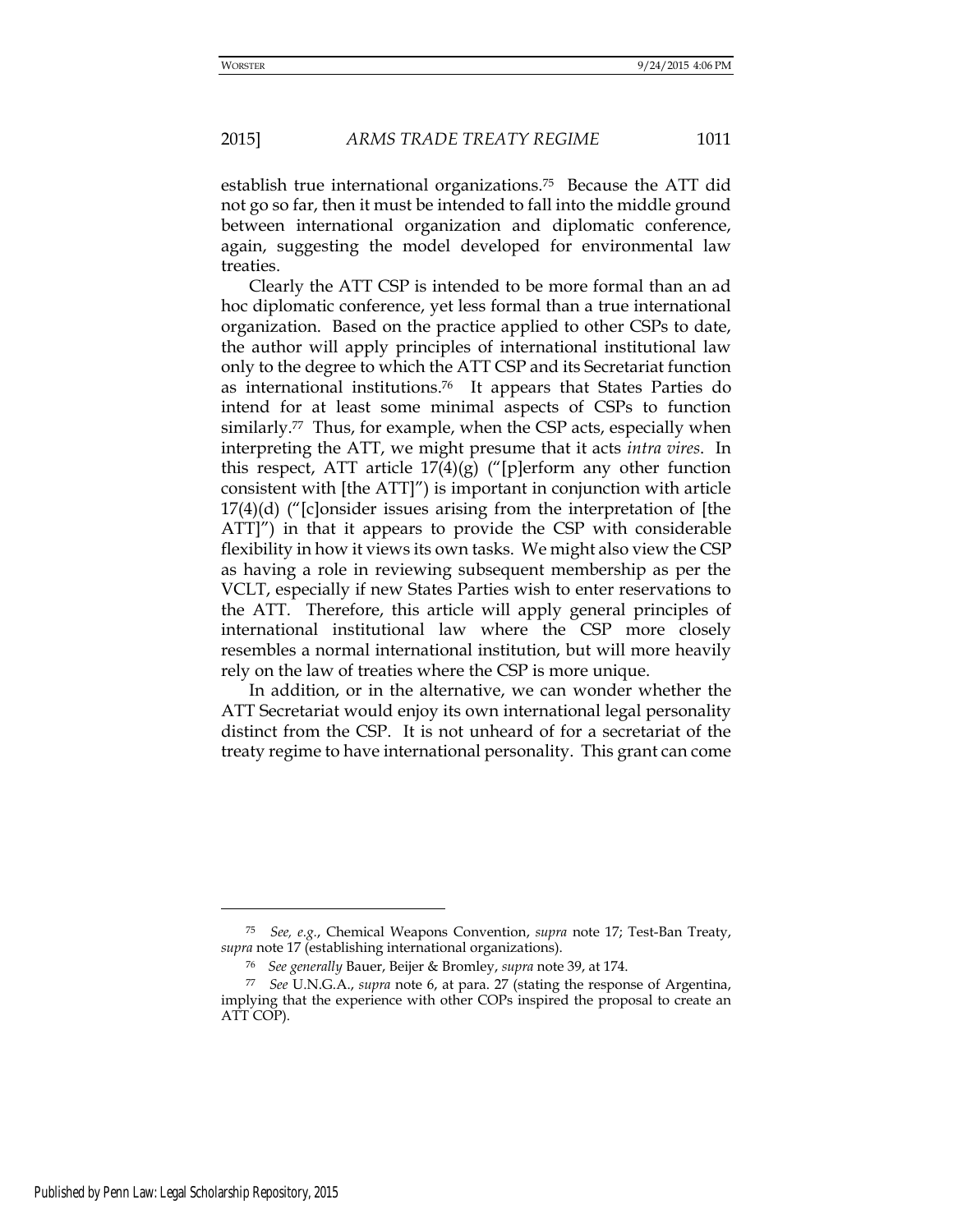establish true international organizations.75 Because the ATT did not go so far, then it must be intended to fall into the middle ground between international organization and diplomatic conference, again, suggesting the model developed for environmental law treaties.

 Clearly the ATT CSP is intended to be more formal than an ad hoc diplomatic conference, yet less formal than a true international organization. Based on the practice applied to other CSPs to date, the author will apply principles of international institutional law only to the degree to which the ATT CSP and its Secretariat function as international institutions.76 It appears that States Parties do intend for at least some minimal aspects of CSPs to function similarly.<sup>77</sup> Thus, for example, when the CSP acts, especially when interpreting the ATT, we might presume that it acts *intra vires*. In this respect, ATT article  $17(4)(g)$  ("[p]erform any other function consistent with [the ATT]") is important in conjunction with article 17(4)(d) ("[c]onsider issues arising from the interpretation of [the ATT]") in that it appears to provide the CSP with considerable flexibility in how it views its own tasks. We might also view the CSP as having a role in reviewing subsequent membership as per the VCLT, especially if new States Parties wish to enter reservations to the ATT. Therefore, this article will apply general principles of international institutional law where the CSP more closely resembles a normal international institution, but will more heavily rely on the law of treaties where the CSP is more unique.

 In addition, or in the alternative, we can wonder whether the ATT Secretariat would enjoy its own international legal personality distinct from the CSP. It is not unheard of for a secretariat of the treaty regime to have international personality. This grant can come

-

<sup>75</sup> *See, e.g.*, Chemical Weapons Convention, *supra* note 17; Test-Ban Treaty, *supra* note 17 (establishing international organizations).

<sup>76</sup> *See generally* Bauer, Beijer & Bromley, *supra* note 39, at 174.

<sup>77</sup> *See* U.N.G.A., *supra* note 6, at para. 27 (stating the response of Argentina, implying that the experience with other COPs inspired the proposal to create an ATT COP).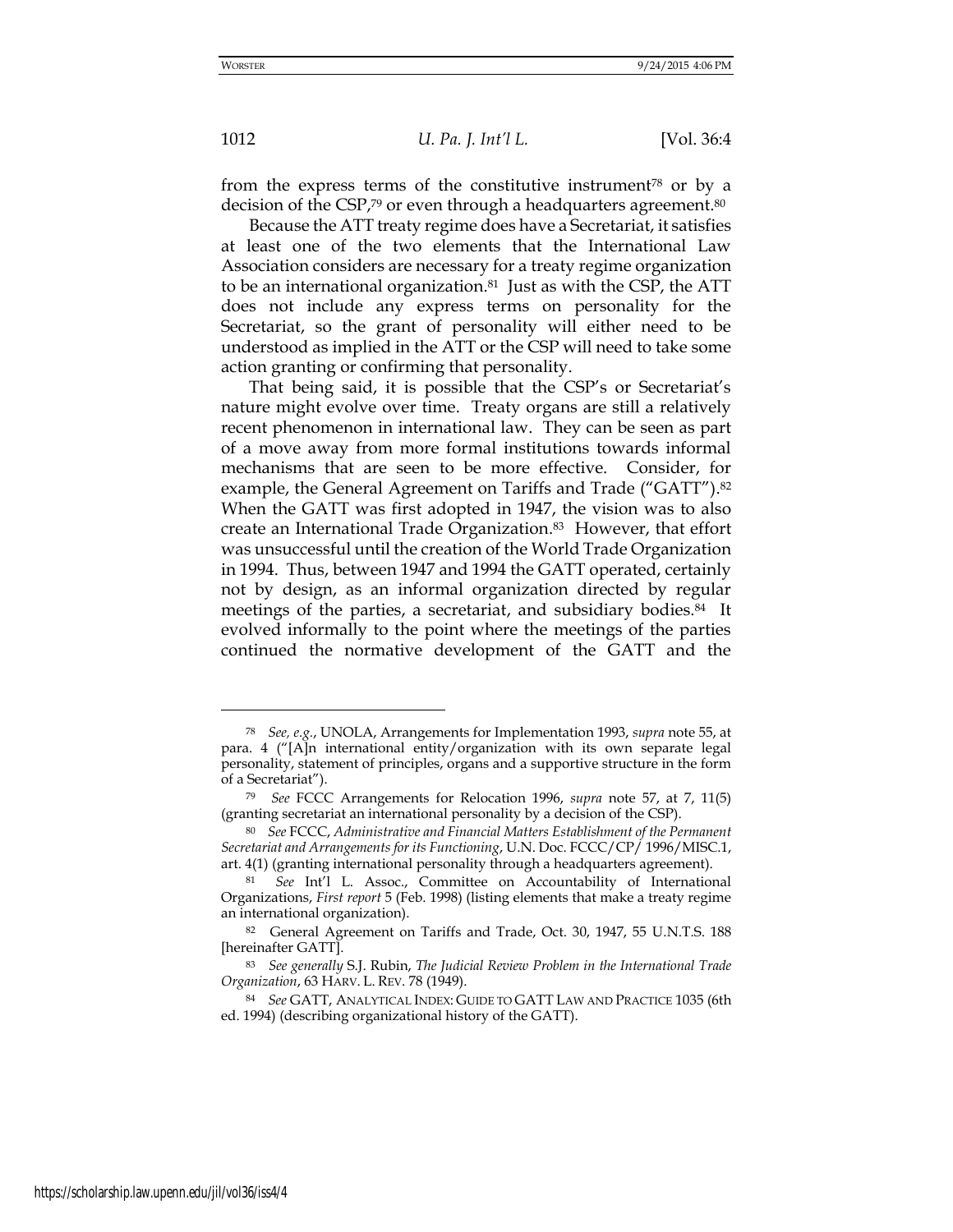<u>.</u>

1012 *U. Pa. J. Int'l L.* [Vol. 36:4

from the express terms of the constitutive instrument<sup>78</sup> or by a decision of the CSP,<sup>79</sup> or even through a headquarters agreement.<sup>80</sup>

Because the ATT treaty regime does have a Secretariat, it satisfies at least one of the two elements that the International Law Association considers are necessary for a treaty regime organization to be an international organization.<sup>81</sup> Just as with the CSP, the ATT does not include any express terms on personality for the Secretariat, so the grant of personality will either need to be understood as implied in the ATT or the CSP will need to take some action granting or confirming that personality.

That being said, it is possible that the CSP's or Secretariat's nature might evolve over time. Treaty organs are still a relatively recent phenomenon in international law. They can be seen as part of a move away from more formal institutions towards informal mechanisms that are seen to be more effective. Consider, for example, the General Agreement on Tariffs and Trade ("GATT"). 82 When the GATT was first adopted in 1947, the vision was to also create an International Trade Organization.83 However, that effort was unsuccessful until the creation of the World Trade Organization in 1994. Thus, between 1947 and 1994 the GATT operated, certainly not by design, as an informal organization directed by regular meetings of the parties, a secretariat, and subsidiary bodies.<sup>84</sup> It evolved informally to the point where the meetings of the parties continued the normative development of the GATT and the

<sup>78</sup> *See, e.g.*, UNOLA, Arrangements for Implementation 1993, *supra* note 55, at para. 4 ("[A]n international entity/organization with its own separate legal personality, statement of principles, organs and a supportive structure in the form of a Secretariat").

<sup>79</sup> *See* FCCC Arrangements for Relocation 1996, *supra* note 57, at 7, 11(5) (granting secretariat an international personality by a decision of the CSP).

<sup>80</sup> *See* FCCC, *Administrative and Financial Matters Establishment of the Permanent Secretariat and Arrangements for its Functioning*, U.N. Doc. FCCC/CP/ 1996/MISC.1, art. 4(1) (granting international personality through a headquarters agreement).

<sup>81</sup> *See* Int'l L. Assoc., Committee on Accountability of International Organizations, *First report* 5 (Feb. 1998) (listing elements that make a treaty regime an international organization).

<sup>82</sup> General Agreement on Tariffs and Trade, Oct. 30, 1947, 55 U.N.T.S. 188 [hereinafter GATT].

<sup>83</sup> *See generally* S.J. Rubin, *The Judicial Review Problem in the International Trade Organization*, 63 HARV. L. REV. 78 (1949).

<sup>84</sup> *See* GATT, ANALYTICAL INDEX: GUIDE TO GATT LAW AND PRACTICE 1035 (6th ed. 1994) (describing organizational history of the GATT).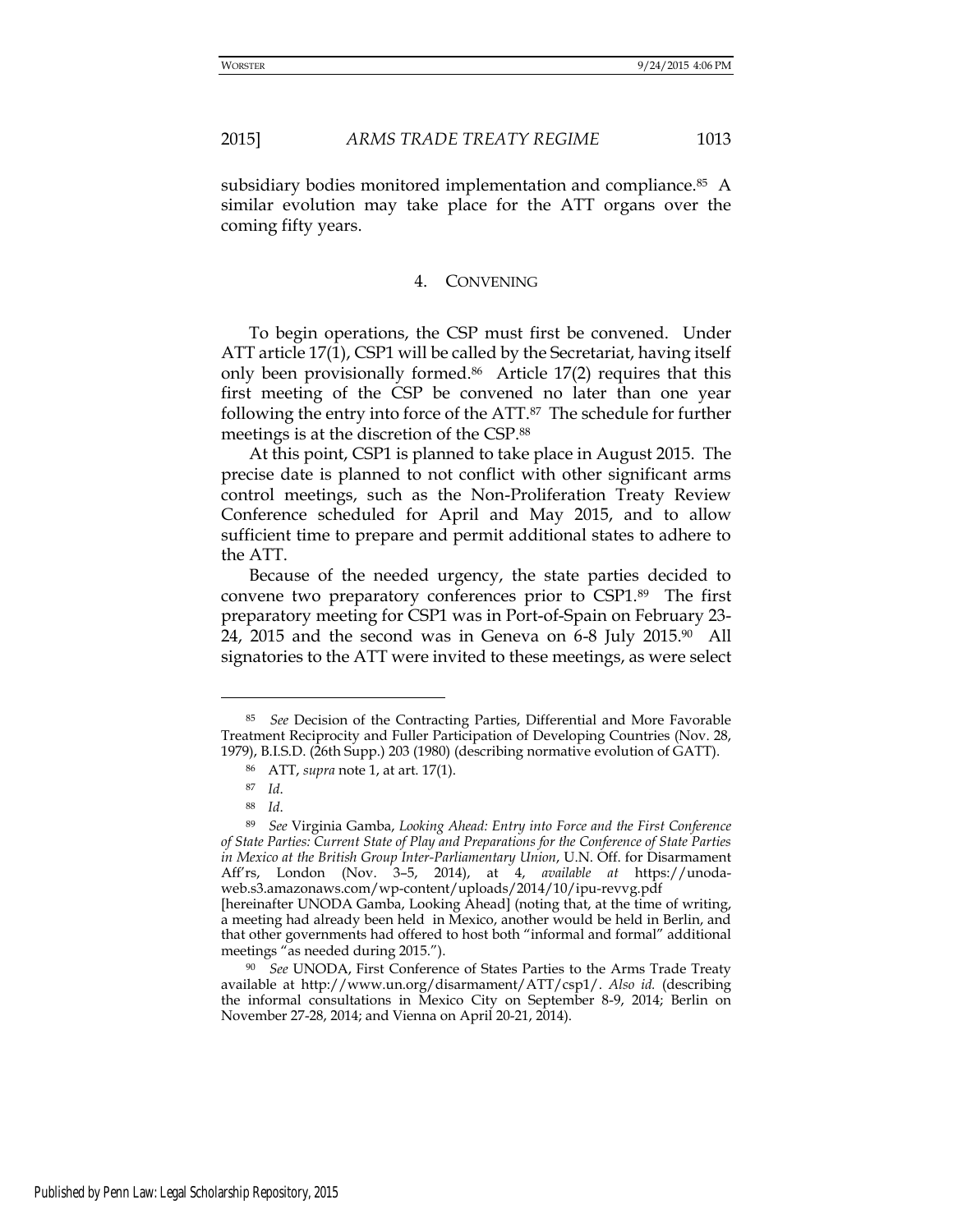subsidiary bodies monitored implementation and compliance.<sup>85</sup> A similar evolution may take place for the ATT organs over the coming fifty years.

#### 4. CONVENING

To begin operations, the CSP must first be convened. Under ATT article 17(1), CSP1 will be called by the Secretariat, having itself only been provisionally formed.86 Article 17(2) requires that this first meeting of the CSP be convened no later than one year following the entry into force of the ATT.87 The schedule for further meetings is at the discretion of the CSP.<sup>88</sup>

At this point, CSP1 is planned to take place in August 2015. The precise date is planned to not conflict with other significant arms control meetings, such as the Non-Proliferation Treaty Review Conference scheduled for April and May 2015, and to allow sufficient time to prepare and permit additional states to adhere to the ATT.

Because of the needed urgency, the state parties decided to convene two preparatory conferences prior to CSP1.89 The first preparatory meeting for CSP1 was in Port-of-Spain on February 23- 24, 2015 and the second was in Geneva on 6-8 July 2015.90 All signatories to the ATT were invited to these meetings, as were select

<sup>85</sup> *See* Decision of the Contracting Parties, Differential and More Favorable Treatment Reciprocity and Fuller Participation of Developing Countries (Nov. 28, 1979), B.I.S.D. (26th Supp.) 203 (1980) (describing normative evolution of GATT).

<sup>86</sup> ATT, *supra* note 1, at art. 17(1).

<sup>87</sup> *Id*.

<sup>88</sup> *Id*.

<sup>89</sup> *See* Virginia Gamba, *Looking Ahead: Entry into Force and the First Conference of State Parties: Current State of Play and Preparations for the Conference of State Parties in Mexico at the British Group Inter-Parliamentary Union*, U.N. Off. for Disarmament Aff'rs, London (Nov. 3–5, 2014), at 4, *available at* https://unodaweb.s3.amazonaws.com/wp-content/uploads/2014/10/ipu-revvg.pdf

<sup>[</sup>hereinafter UNODA Gamba, Looking Ahead] (noting that, at the time of writing, a meeting had already been held in Mexico, another would be held in Berlin, and that other governments had offered to host both "informal and formal" additional meetings "as needed during 2015.").

<sup>90</sup> *See* UNODA, First Conference of States Parties to the Arms Trade Treaty available at http://www.un.org/disarmament/ATT/csp1/. *Also id.* (describing the informal consultations in Mexico City on September 8-9, 2014; Berlin on November 27-28, 2014; and Vienna on April 20-21, 2014).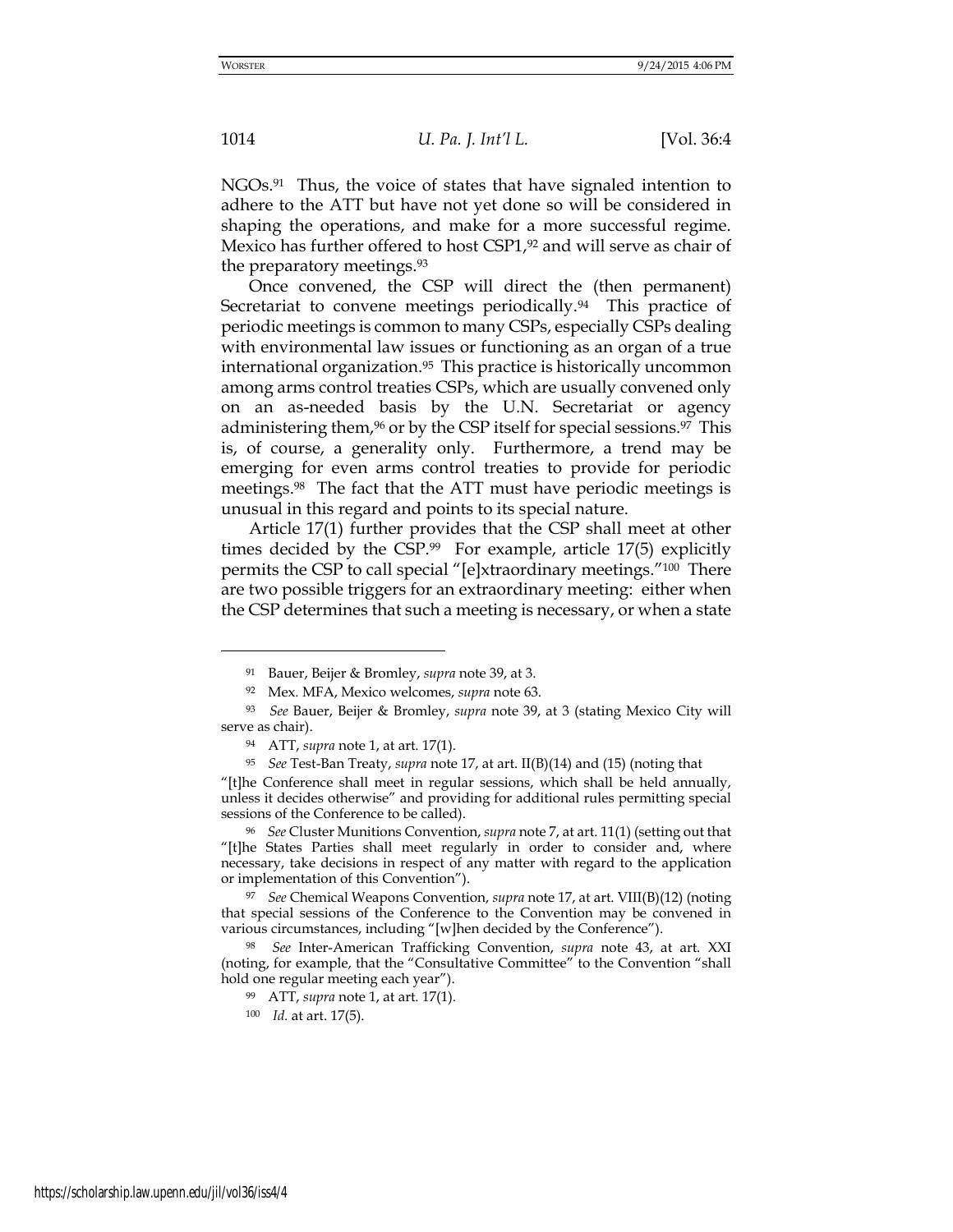<u>.</u>

1014 *U. Pa. J. Int'l L.* [Vol. 36:4

NGOs.91 Thus, the voice of states that have signaled intention to adhere to the ATT but have not yet done so will be considered in shaping the operations, and make for a more successful regime. Mexico has further offered to host CSP1,<sup>92</sup> and will serve as chair of the preparatory meetings.<sup>93</sup>

Once convened, the CSP will direct the (then permanent) Secretariat to convene meetings periodically.<sup>94</sup> This practice of periodic meetings is common to many CSPs, especially CSPs dealing with environmental law issues or functioning as an organ of a true international organization.95 This practice is historically uncommon among arms control treaties CSPs, which are usually convened only on an as-needed basis by the U.N. Secretariat or agency administering them,<sup>96</sup> or by the CSP itself for special sessions.<sup>97</sup> This is, of course, a generality only. Furthermore, a trend may be emerging for even arms control treaties to provide for periodic meetings.98 The fact that the ATT must have periodic meetings is unusual in this regard and points to its special nature.

Article 17(1) further provides that the CSP shall meet at other times decided by the CSP.<sup>99</sup> For example, article 17(5) explicitly permits the CSP to call special "[e]xtraordinary meetings."100 There are two possible triggers for an extraordinary meeting: either when the CSP determines that such a meeting is necessary, or when a state

<sup>95</sup> *See* Test-Ban Treaty, *supra* note 17, at art. II(B)(14) and (15) (noting that

"[t]he Conference shall meet in regular sessions, which shall be held annually, unless it decides otherwise" and providing for additional rules permitting special sessions of the Conference to be called).

<sup>96</sup> *See* Cluster Munitions Convention, *supra* note 7, at art. 11(1) (setting out that "[t]he States Parties shall meet regularly in order to consider and, where necessary, take decisions in respect of any matter with regard to the application or implementation of this Convention").

<sup>97</sup> *See* Chemical Weapons Convention, *supra* note 17, at art. VIII(B)(12) (noting that special sessions of the Conference to the Convention may be convened in various circumstances, including "[w]hen decided by the Conference").

<sup>91</sup> Bauer, Beijer & Bromley, *supra* note 39, at 3.

<sup>92</sup> Mex. MFA, Mexico welcomes, *supra* note 63.

<sup>93</sup> *See* Bauer, Beijer & Bromley, *supra* note 39, at 3 (stating Mexico City will serve as chair).

<sup>94</sup> ATT, *supra* note 1, at art. 17(1).

<sup>98</sup> *See* Inter-American Trafficking Convention, *supra* note 43, at art. XXI (noting, for example, that the "Consultative Committee" to the Convention "shall hold one regular meeting each year").

<sup>99</sup> ATT, *supra* note 1, at art. 17(1).

<sup>100</sup> *Id.* at art. 17(5).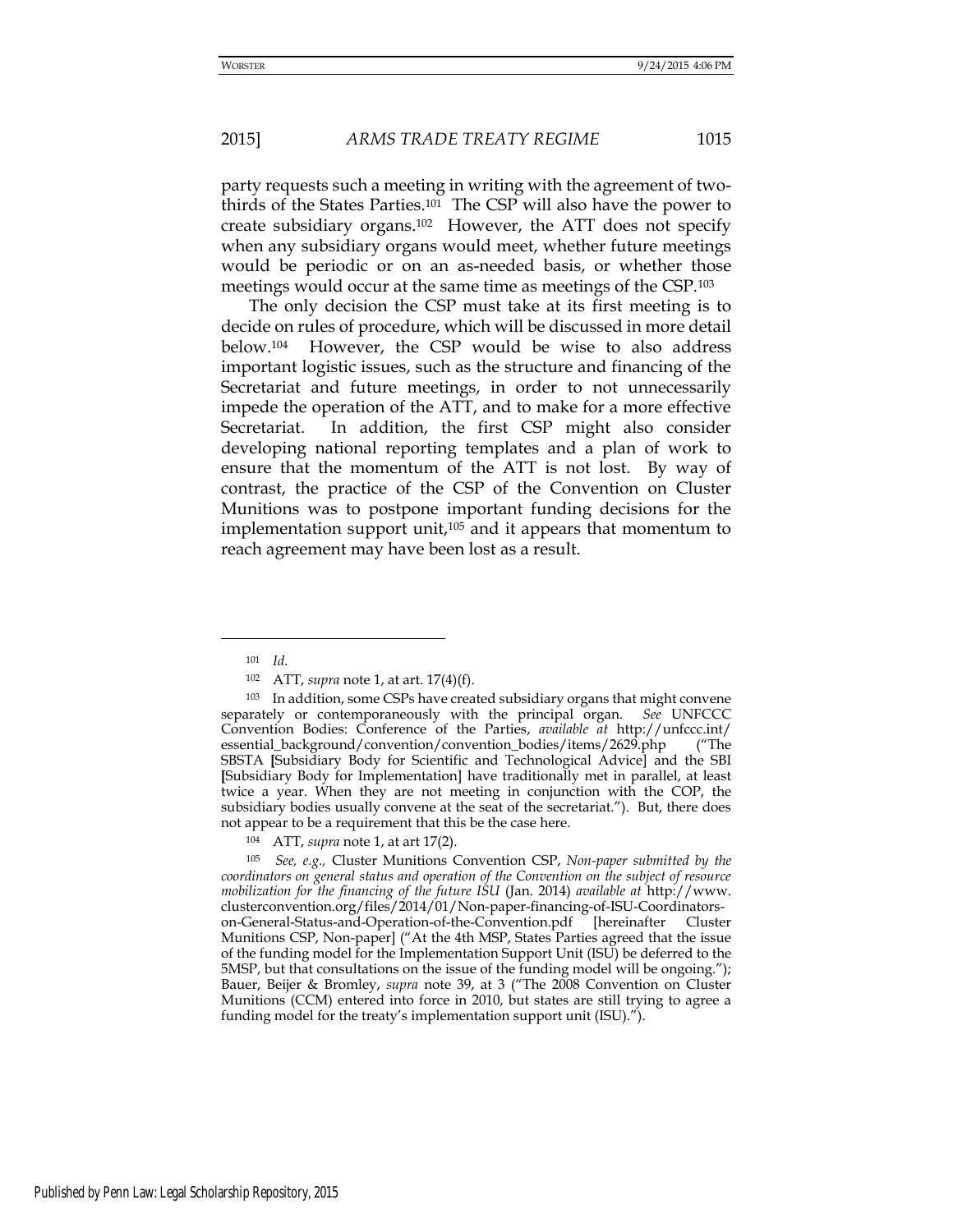party requests such a meeting in writing with the agreement of twothirds of the States Parties.101 The CSP will also have the power to create subsidiary organs.102 However, the ATT does not specify when any subsidiary organs would meet, whether future meetings would be periodic or on an as-needed basis, or whether those meetings would occur at the same time as meetings of the CSP.<sup>103</sup>

The only decision the CSP must take at its first meeting is to decide on rules of procedure, which will be discussed in more detail below.104 However, the CSP would be wise to also address important logistic issues, such as the structure and financing of the Secretariat and future meetings, in order to not unnecessarily impede the operation of the ATT, and to make for a more effective Secretariat. In addition, the first CSP might also consider developing national reporting templates and a plan of work to ensure that the momentum of the ATT is not lost. By way of contrast, the practice of the CSP of the Convention on Cluster Munitions was to postpone important funding decisions for the implementation support unit, $105$  and it appears that momentum to reach agreement may have been lost as a result.

-

<sup>101</sup> *Id*.

<sup>102</sup> ATT, *supra* note 1, at art. 17(4)(f).

<sup>103</sup> In addition, some CSPs have created subsidiary organs that might convene separately or contemporaneously with the principal organ. *See* UNFCCC Convention Bodies: Conference of the Parties, *available at* http://unfccc.int/ essential\_background/convention/convention\_bodies/items/2629.php ("The SBSTA **[**Subsidiary Body for Scientific and Technological Advice] and the SBI **[**Subsidiary Body for Implementation] have traditionally met in parallel, at least twice a year. When they are not meeting in conjunction with the COP, the subsidiary bodies usually convene at the seat of the secretariat."). But, there does not appear to be a requirement that this be the case here.

<sup>104</sup> ATT, *supra* note 1, at art 17(2).

<sup>105</sup> *See, e.g.,* Cluster Munitions Convention CSP, *Non-paper submitted by the coordinators on general status and operation of the Convention on the subject of resource mobilization for the financing of the future ISU* (Jan. 2014) *available at* [http://www.](http://www/) clusterconvention.org/files/2014/01/Non-paper-financing-of-ISU-Coordinatorson-General-Status-and-Operation-of-the-Convention.pdf [hereinafter Cluster Munitions CSP, Non-paper] ("At the 4th MSP, States Parties agreed that the issue of the funding model for the Implementation Support Unit (ISU) be deferred to the 5MSP, but that consultations on the issue of the funding model will be ongoing."); Bauer, Beijer & Bromley, *supra* note 39, at 3 ("The 2008 Convention on Cluster Munitions (CCM) entered into force in 2010, but states are still trying to agree a funding model for the treaty's implementation support unit (ISU).").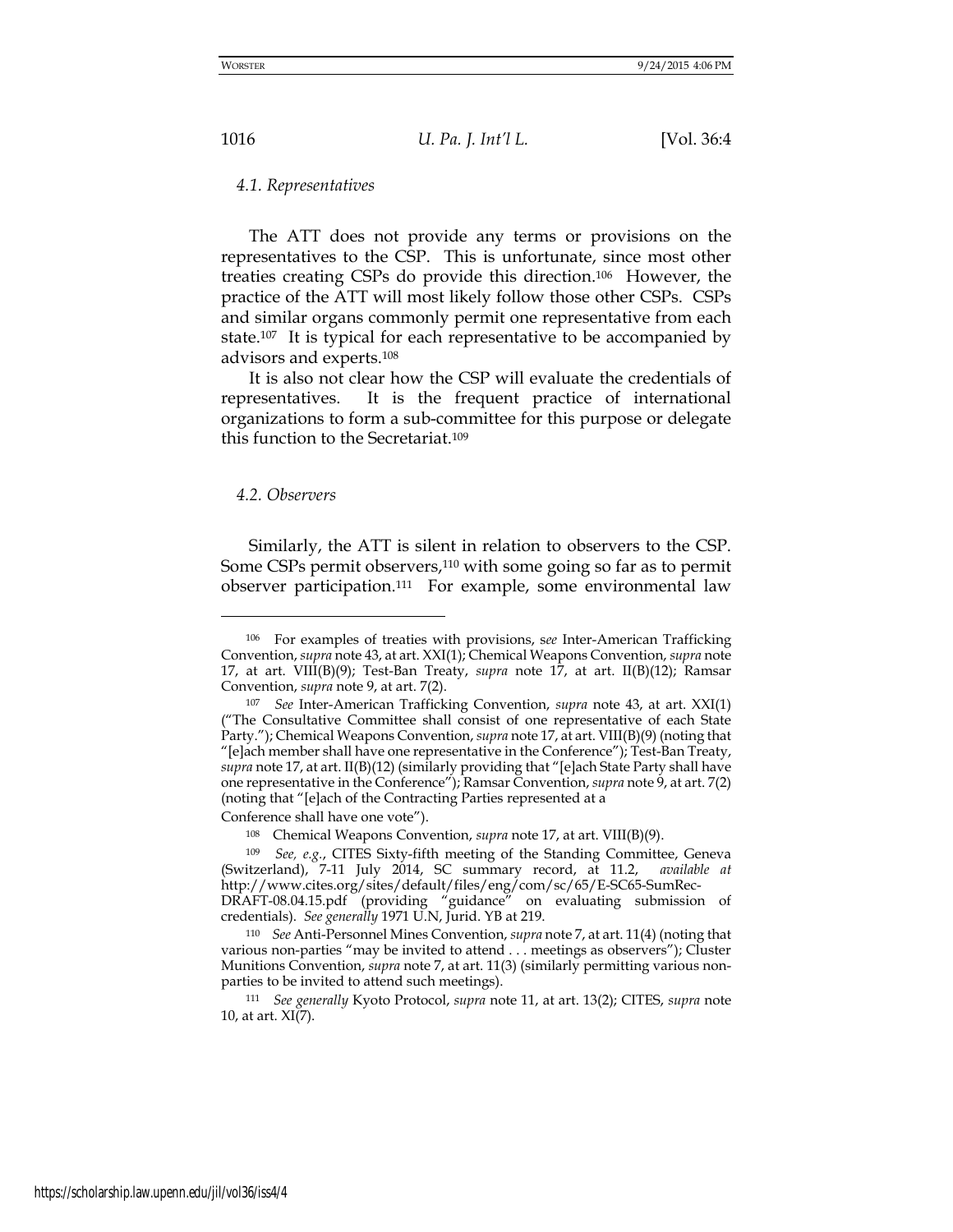*4.1. Representatives* 

The ATT does not provide any terms or provisions on the representatives to the CSP. This is unfortunate, since most other treaties creating CSPs do provide this direction.106 However, the practice of the ATT will most likely follow those other CSPs. CSPs and similar organs commonly permit one representative from each state.<sup>107</sup> It is typical for each representative to be accompanied by advisors and experts.<sup>108</sup>

It is also not clear how the CSP will evaluate the credentials of representatives. It is the frequent practice of international organizations to form a sub-committee for this purpose or delegate this function to the Secretariat.<sup>109</sup>

#### *4.2. Observers*

<u>.</u>

Similarly, the ATT is silent in relation to observers to the CSP. Some CSPs permit observers,110 with some going so far as to permit observer participation.111 For example, some environmental law

Conference shall have one vote").

<sup>106</sup> For examples of treaties with provisions, s*ee* Inter-American Trafficking Convention, *supra* note 43, at art. XXI(1); Chemical Weapons Convention, *supra* note 17, at art. VIII(B)(9); Test-Ban Treaty, *supra* note 17, at art. II(B)(12); Ramsar Convention, *supra* note 9, at art. 7(2).

<sup>107</sup> *See* Inter-American Trafficking Convention, *supra* note 43, at art. XXI(1) ("The Consultative Committee shall consist of one representative of each State Party."); Chemical Weapons Convention, *supra* note 17, at art. VIII(B)(9) (noting that "[e]ach member shall have one representative in the Conference"); Test-Ban Treaty, *supra* note 17, at art. II(B)(12) (similarly providing that "[e]ach State Party shall have one representative in the Conference"); Ramsar Convention, *supra* note 9, at art. 7(2) (noting that "[e]ach of the Contracting Parties represented at a

<sup>108</sup> Chemical Weapons Convention, *supra* note 17, at art. VIII(B)(9).

<sup>109</sup> *See, e.g.*, CITES Sixty-fifth meeting of the Standing Committee, Geneva (Switzerland), 7-11 July 2014, SC summary record, at 11.2, *available at* http://www.cites.org/sites/default/files/eng/com/sc/65/E-SC65-SumRec-DRAFT-08.04.15.pdf (providing "guidance" on evaluating submission of credentials). *See generally* 1971 U.N, Jurid. YB at 219.

<sup>110</sup> *See* Anti-Personnel Mines Convention, *supra* note 7, at art. 11(4) (noting that various non-parties "may be invited to attend . . . meetings as observers"); Cluster Munitions Convention, *supra* note 7, at art. 11(3) (similarly permitting various nonparties to be invited to attend such meetings).

<sup>111</sup> *See generally* Kyoto Protocol, *supra* note 11, at art. 13(2); CITES, *supra* note 10, at art. XI(7).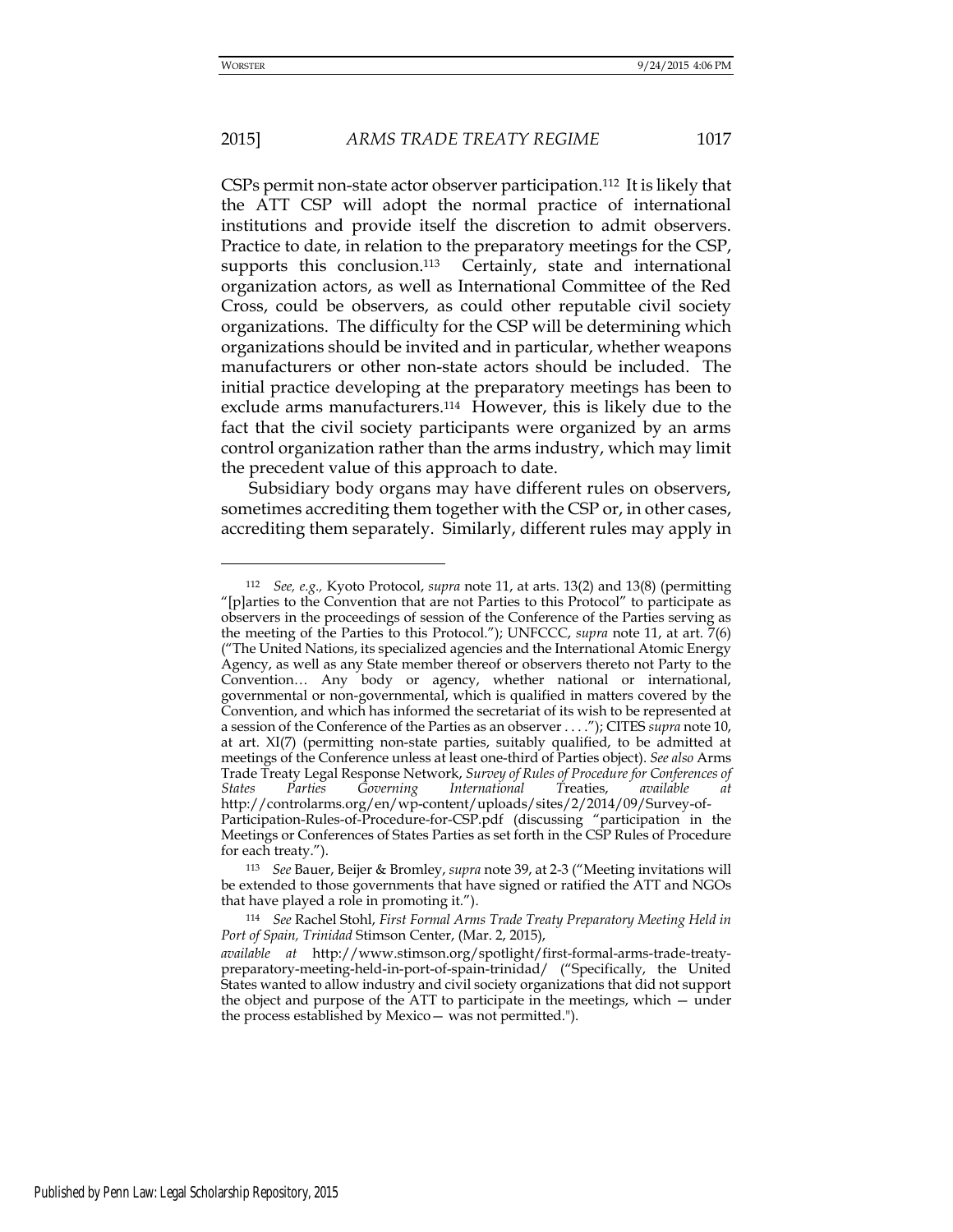-

# 2015] *ARMS TRADE TREATY REGIME* 1017

CSPs permit non-state actor observer participation.112 It is likely that the ATT CSP will adopt the normal practice of international institutions and provide itself the discretion to admit observers. Practice to date, in relation to the preparatory meetings for the CSP, supports this conclusion.<sup>113</sup> Certainly, state and international organization actors, as well as International Committee of the Red Cross, could be observers, as could other reputable civil society organizations. The difficulty for the CSP will be determining which organizations should be invited and in particular, whether weapons manufacturers or other non-state actors should be included. The initial practice developing at the preparatory meetings has been to exclude arms manufacturers.114 However, this is likely due to the fact that the civil society participants were organized by an arms control organization rather than the arms industry, which may limit the precedent value of this approach to date.

Subsidiary body organs may have different rules on observers, sometimes accrediting them together with the CSP or, in other cases, accrediting them separately. Similarly, different rules may apply in

<sup>112</sup> *See, e.g.,* Kyoto Protocol, *supra* note 11, at arts. 13(2) and 13(8) (permitting "[p]arties to the Convention that are not Parties to this Protocol" to participate as observers in the proceedings of session of the Conference of the Parties serving as the meeting of the Parties to this Protocol."); UNFCCC, *supra* note 11, at art. 7(6) ("The United Nations, its specialized agencies and the International Atomic Energy Agency, as well as any State member thereof or observers thereto not Party to the Convention… Any body or agency, whether national or international, governmental or non-governmental, which is qualified in matters covered by the Convention, and which has informed the secretariat of its wish to be represented at a session of the Conference of the Parties as an observer . . . ."); CITES *supra* note 10, at art. XI(7) (permitting non-state parties, suitably qualified, to be admitted at meetings of the Conference unless at least one-third of Parties object). *See also* Arms Trade Treaty Legal Response Network, *Survey of Rules of Procedure for Conferences of States Parties Governing International T*reaties, *available at* http://controlarms.org/en/wp-content/uploads/sites/2/2014/09/Survey-of-Participation-Rules-of-Procedure-for-CSP.pdf (discussing "participation in the Meetings or Conferences of States Parties as set forth in the CSP Rules of Procedure

for each treaty.").

<sup>113</sup> *See* Bauer, Beijer & Bromley, *supra* note 39, at 2-3 ("Meeting invitations will be extended to those governments that have signed or ratified the ATT and NGOs that have played a role in promoting it.").

<sup>114</sup> *See* Rachel Stohl, *First Formal Arms Trade Treaty Preparatory Meeting Held in Port of Spain, Trinidad* Stimson Center, (Mar. 2, 2015),

*available at* http://www.stimson.org/spotlight/first-formal-arms-trade-treatypreparatory-meeting-held-in-port-of-spain-trinidad/ ("Specifically, the United States wanted to allow industry and civil society organizations that did not support the object and purpose of the ATT to participate in the meetings, which — under the process established by Mexico— was not permitted.").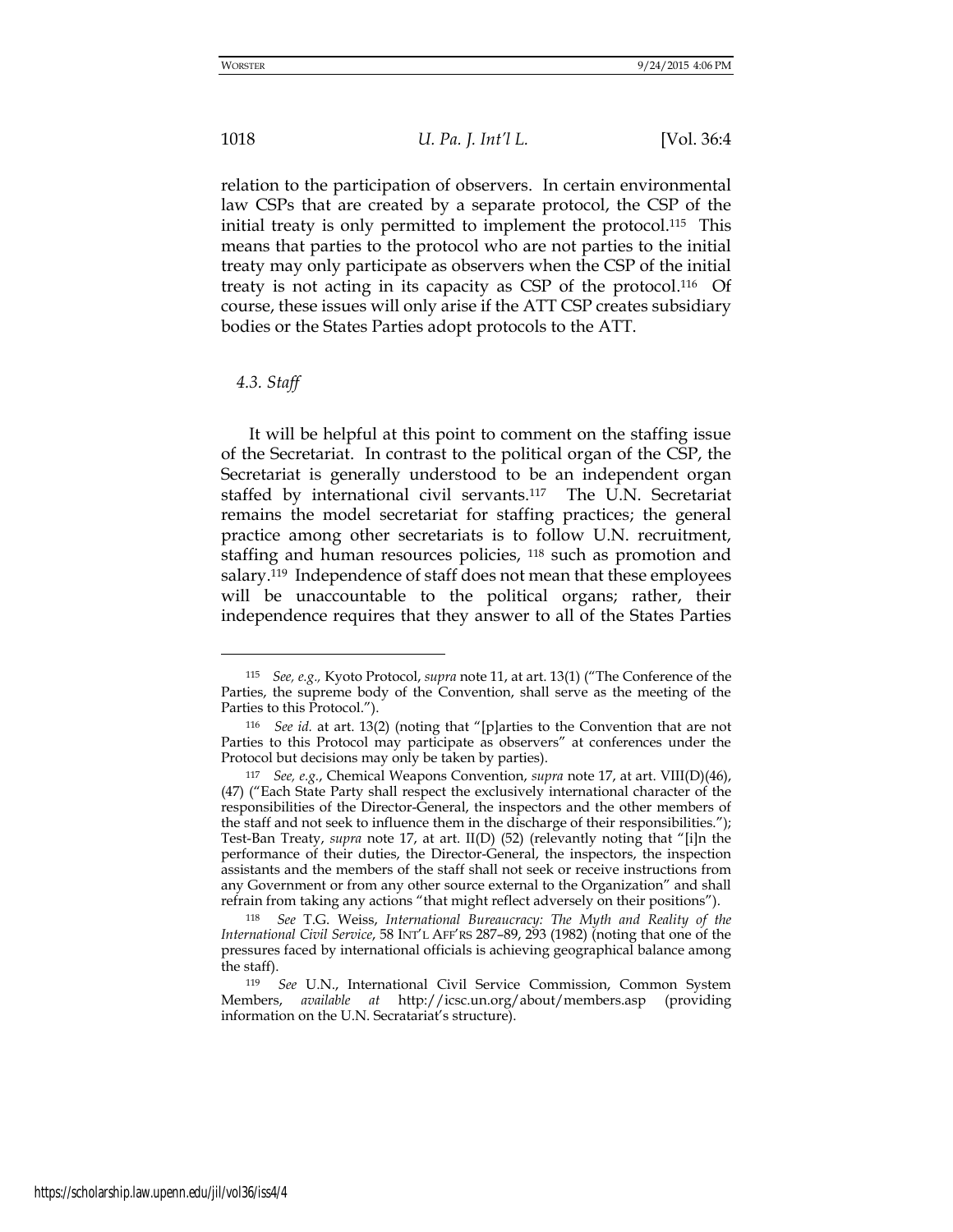relation to the participation of observers. In certain environmental law CSPs that are created by a separate protocol, the CSP of the initial treaty is only permitted to implement the protocol.115 This means that parties to the protocol who are not parties to the initial treaty may only participate as observers when the CSP of the initial treaty is not acting in its capacity as CSP of the protocol.116 Of course, these issues will only arise if the ATT CSP creates subsidiary bodies or the States Parties adopt protocols to the ATT.

*4.3. Staff* 

<u>.</u>

It will be helpful at this point to comment on the staffing issue of the Secretariat. In contrast to the political organ of the CSP, the Secretariat is generally understood to be an independent organ staffed by international civil servants.117 The U.N. Secretariat remains the model secretariat for staffing practices; the general practice among other secretariats is to follow U.N. recruitment, staffing and human resources policies, 118 such as promotion and salary.119 Independence of staff does not mean that these employees will be unaccountable to the political organs; rather, their independence requires that they answer to all of the States Parties

<sup>115</sup> *See, e.g.,* Kyoto Protocol, *supra* note 11, at art. 13(1) ("The Conference of the Parties, the supreme body of the Convention, shall serve as the meeting of the Parties to this Protocol.").

<sup>116</sup> *See id.* at art. 13(2) (noting that "[p]arties to the Convention that are not Parties to this Protocol may participate as observers" at conferences under the Protocol but decisions may only be taken by parties).

<sup>117</sup> *See, e.g.*, Chemical Weapons Convention, *supra* note 17, at art. VIII(D)(46), (47) ("Each State Party shall respect the exclusively international character of the responsibilities of the Director-General, the inspectors and the other members of the staff and not seek to influence them in the discharge of their responsibilities."); Test-Ban Treaty, *supra* note 17, at art. II(D) (52) (relevantly noting that "[i]n the performance of their duties, the Director-General, the inspectors, the inspection assistants and the members of the staff shall not seek or receive instructions from any Government or from any other source external to the Organization" and shall refrain from taking any actions "that might reflect adversely on their positions").

<sup>118</sup> *See* T.G. Weiss, *International Bureaucracy: The Myth and Reality of the International Civil Service*, 58 INT'L AFF'RS 287–89, 293 (1982) (noting that one of the pressures faced by international officials is achieving geographical balance among the staff).

<sup>119</sup> *See* U.N., International Civil Service Commission, Common System Members, *available at* <http://icsc.un.org/about/members.asp>(providing information on the U.N. Secratariat's structure).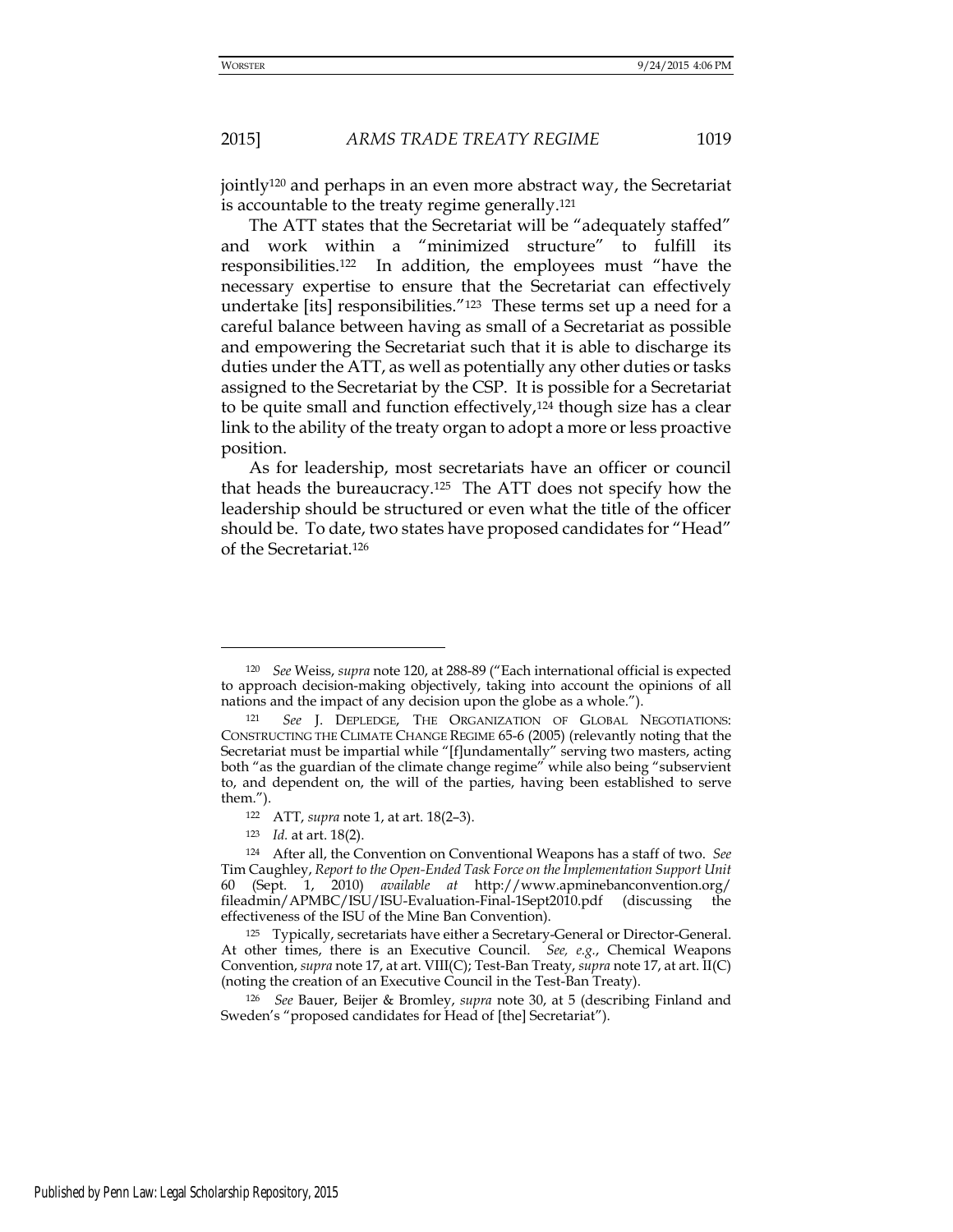jointly120 and perhaps in an even more abstract way, the Secretariat is accountable to the treaty regime generally.<sup>121</sup>

 The ATT states that the Secretariat will be "adequately staffed" and work within a "minimized structure" to fulfill its responsibilities.122 In addition, the employees must "have the necessary expertise to ensure that the Secretariat can effectively undertake [its] responsibilities."123 These terms set up a need for a careful balance between having as small of a Secretariat as possible and empowering the Secretariat such that it is able to discharge its duties under the ATT, as well as potentially any other duties or tasks assigned to the Secretariat by the CSP. It is possible for a Secretariat to be quite small and function effectively,<sup>124</sup> though size has a clear link to the ability of the treaty organ to adopt a more or less proactive position.

As for leadership, most secretariats have an officer or council that heads the bureaucracy.125 The ATT does not specify how the leadership should be structured or even what the title of the officer should be. To date, two states have proposed candidates for "Head" of the Secretariat.<sup>126</sup>

-

<sup>120</sup> *See* Weiss, *supra* note 120, at 288-89 ("Each international official is expected to approach decision-making objectively, taking into account the opinions of all nations and the impact of any decision upon the globe as a whole.").

<sup>121</sup> *See* J. DEPLEDGE, THE ORGANIZATION OF GLOBAL NEGOTIATIONS: CONSTRUCTING THE CLIMATE CHANGE REGIME 65-6 (2005) (relevantly noting that the Secretariat must be impartial while "[f]undamentally" serving two masters, acting both "as the guardian of the climate change regime" while also being "subservient to, and dependent on, the will of the parties, having been established to serve them.").

<sup>122</sup> ATT, *supra* note 1, at art. 18(2–3).

<sup>123</sup> *Id.* at art. 18(2).

<sup>124</sup> After all, the Convention on Conventional Weapons has a staff of two. *See*  Tim Caughley, *Report to the Open-Ended Task Force on the Implementation Support Unit* 60 (Sept. 1, 2010) *available at* <http://www.apminebanconvention.org/> fileadmin/APMBC/ISU/ISU-Evaluation-Final-1Sept2010.pdf (discussing the effectiveness of the ISU of the Mine Ban Convention).

<sup>125</sup> Typically, secretariats have either a Secretary-General or Director-General. At other times, there is an Executive Council. *See, e.g.*, Chemical Weapons Convention, *supra* note 17, at art. VIII(C); Test-Ban Treaty, *supra* note 17, at art. II(C) (noting the creation of an Executive Council in the Test-Ban Treaty).

<sup>126</sup> *See* Bauer, Beijer & Bromley, *supra* note 30, at 5 (describing Finland and Sweden's "proposed candidates for Head of [the] Secretariat").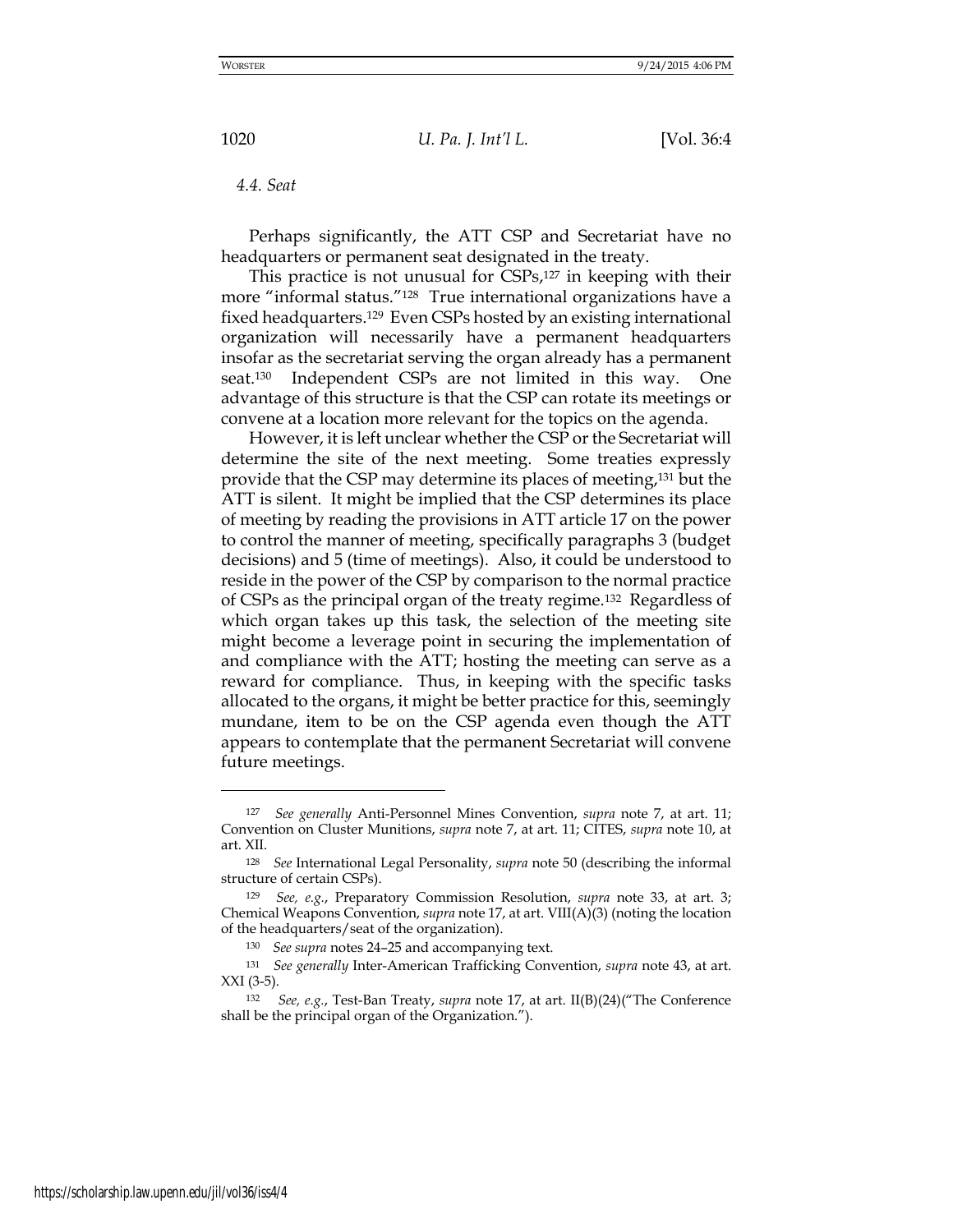*4.4. Seat* 

Perhaps significantly, the ATT CSP and Secretariat have no headquarters or permanent seat designated in the treaty.

This practice is not unusual for CSPs,127 in keeping with their more "informal status."128 True international organizations have a fixed headquarters.129 Even CSPs hosted by an existing international organization will necessarily have a permanent headquarters insofar as the secretariat serving the organ already has a permanent seat. Independent CSPs are not limited in this way. One advantage of this structure is that the CSP can rotate its meetings or convene at a location more relevant for the topics on the agenda.

However, it is left unclear whether the CSP or the Secretariat will determine the site of the next meeting. Some treaties expressly provide that the CSP may determine its places of meeting,131 but the ATT is silent. It might be implied that the CSP determines its place of meeting by reading the provisions in ATT article 17 on the power to control the manner of meeting, specifically paragraphs 3 (budget decisions) and 5 (time of meetings). Also, it could be understood to reside in the power of the CSP by comparison to the normal practice of CSPs as the principal organ of the treaty regime.132 Regardless of which organ takes up this task, the selection of the meeting site might become a leverage point in securing the implementation of and compliance with the ATT; hosting the meeting can serve as a reward for compliance. Thus, in keeping with the specific tasks allocated to the organs, it might be better practice for this, seemingly mundane, item to be on the CSP agenda even though the ATT appears to contemplate that the permanent Secretariat will convene future meetings.

<sup>127</sup> *See generally* Anti-Personnel Mines Convention, *supra* note 7, at art. 11; Convention on Cluster Munitions, *supra* note 7, at art. 11; CITES, *supra* note 10, at art. XII.

<sup>128</sup> *See* International Legal Personality, *supra* note 50 (describing the informal structure of certain CSPs).

<sup>129</sup> *See, e.g.*, Preparatory Commission Resolution, *supra* note 33, at art. 3; Chemical Weapons Convention, *supra* note 17, at art. VIII(A)(3) (noting the location of the headquarters/seat of the organization).

<sup>130</sup> *See supra* notes 24–25 and accompanying text.

<sup>131</sup> *See generally* Inter-American Trafficking Convention, *supra* note 43, at art. XXI (3-5).

<sup>132</sup> *See, e.g.*, Test-Ban Treaty, *supra* note 17, at art. II(B)(24)("The Conference shall be the principal organ of the Organization.").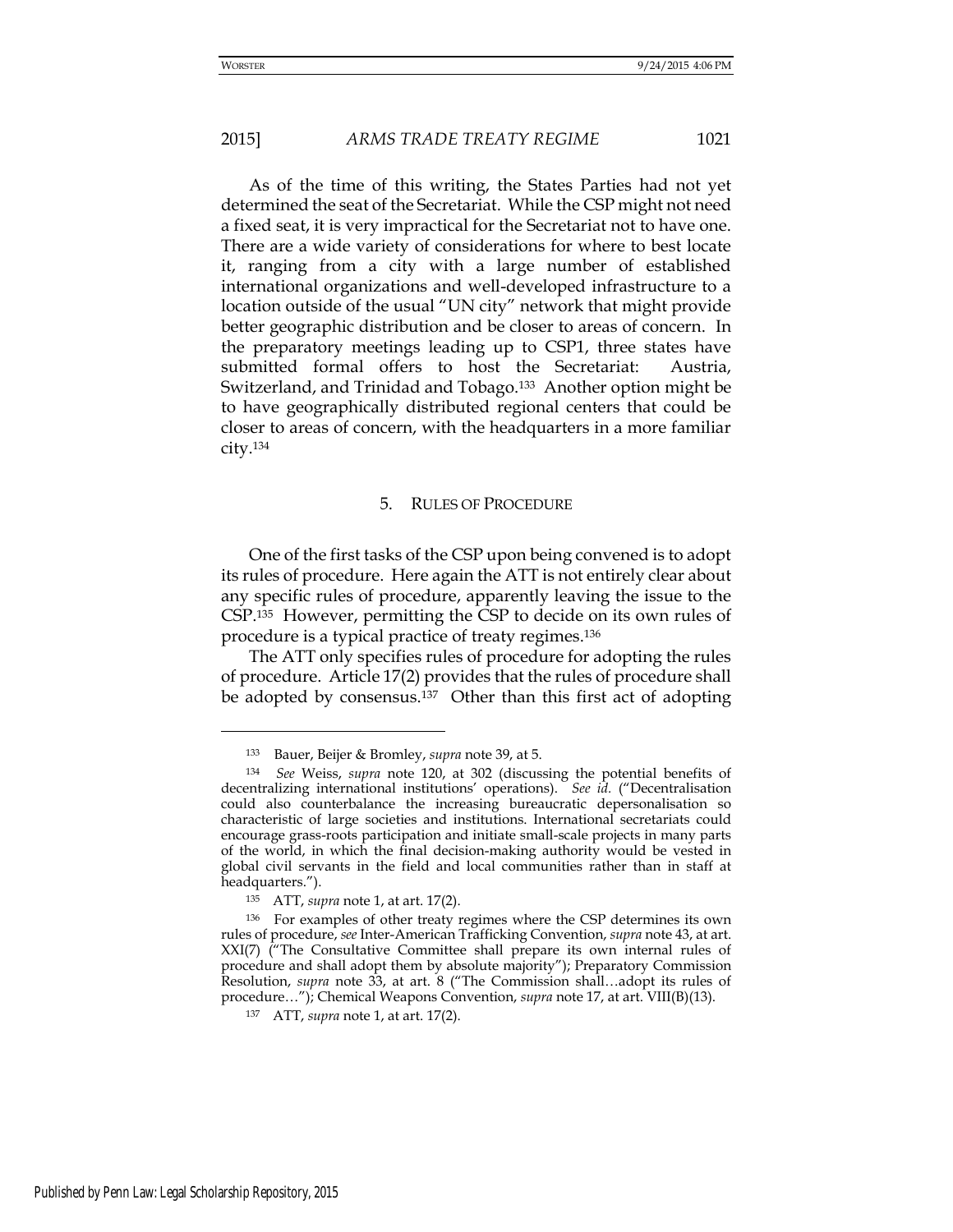As of the time of this writing, the States Parties had not yet determined the seat of the Secretariat. While the CSP might not need a fixed seat, it is very impractical for the Secretariat not to have one. There are a wide variety of considerations for where to best locate it, ranging from a city with a large number of established international organizations and well-developed infrastructure to a location outside of the usual "UN city" network that might provide better geographic distribution and be closer to areas of concern. In the preparatory meetings leading up to CSP1, three states have submitted formal offers to host the Secretariat: Austria, Switzerland, and Trinidad and Tobago.133 Another option might be to have geographically distributed regional centers that could be closer to areas of concern, with the headquarters in a more familiar city.<sup>134</sup>

#### 5. RULES OF PROCEDURE

One of the first tasks of the CSP upon being convened is to adopt its rules of procedure. Here again the ATT is not entirely clear about any specific rules of procedure, apparently leaving the issue to the CSP.135 However, permitting the CSP to decide on its own rules of procedure is a typical practice of treaty regimes.<sup>136</sup>

The ATT only specifies rules of procedure for adopting the rules of procedure. Article 17(2) provides that the rules of procedure shall be adopted by consensus.137 Other than this first act of adopting

-

<sup>133</sup> Bauer, Beijer & Bromley, *supra* note 39, at 5.

<sup>134</sup> *See* Weiss, *supra* note 120, at 302 (discussing the potential benefits of decentralizing international institutions' operations). *See id.* ("Decentralisation could also counterbalance the increasing bureaucratic depersonalisation so characteristic of large societies and institutions. International secretariats could encourage grass-roots participation and initiate small-scale projects in many parts of the world, in which the final decision-making authority would be vested in global civil servants in the field and local communities rather than in staff at headquarters.").

<sup>135</sup> ATT, *supra* note 1, at art. 17(2).

<sup>136</sup> For examples of other treaty regimes where the CSP determines its own rules of procedure, *see* Inter-American Trafficking Convention, *supra* note 43, at art. XXI(7) ("The Consultative Committee shall prepare its own internal rules of procedure and shall adopt them by absolute majority"); Preparatory Commission Resolution, *supra* note 33, at art. 8 ("The Commission shall…adopt its rules of procedure…"); Chemical Weapons Convention, *supra* note 17, at art. VIII(B)(13).

<sup>137</sup> ATT, *supra* note 1, at art. 17(2).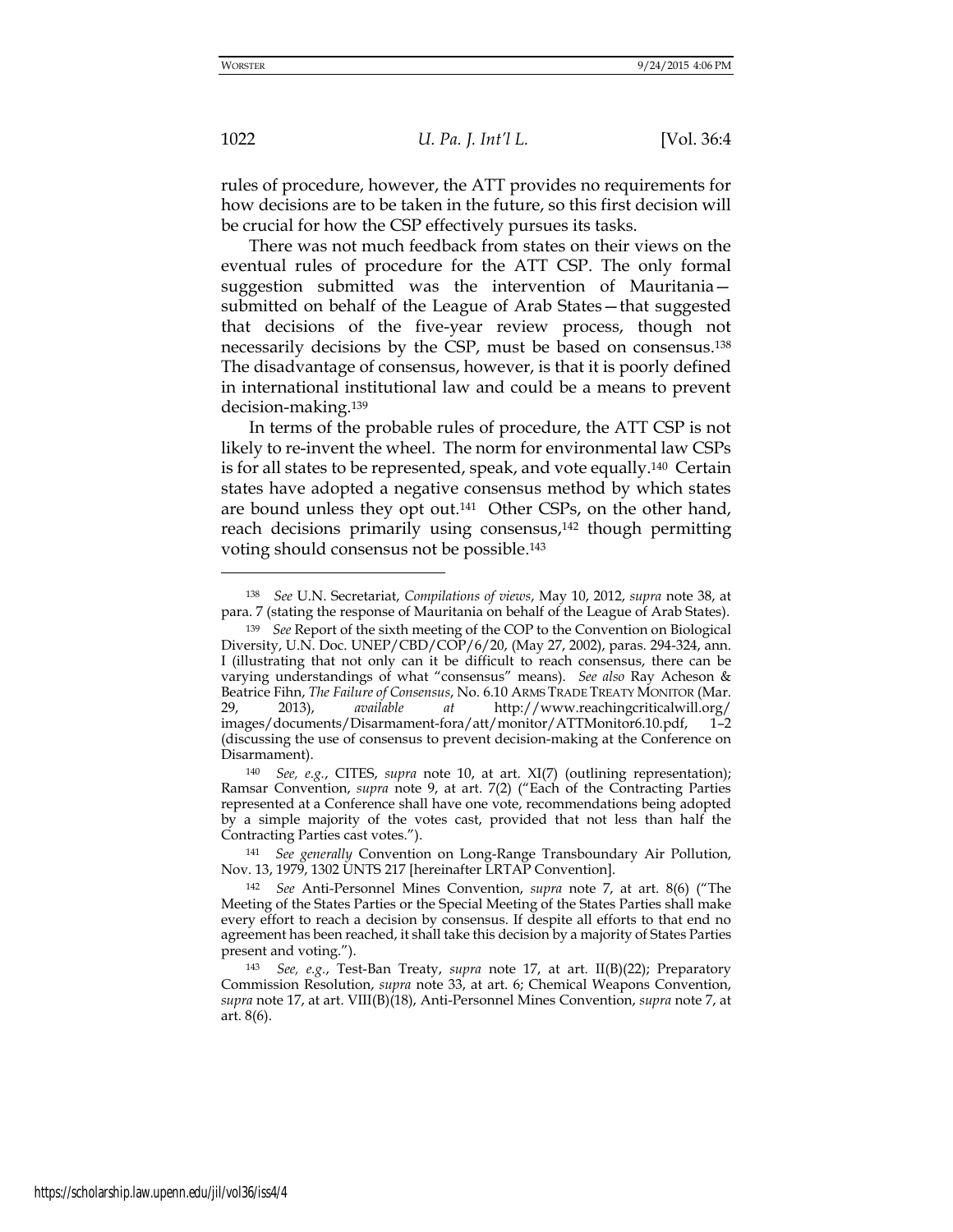rules of procedure, however, the ATT provides no requirements for how decisions are to be taken in the future, so this first decision will be crucial for how the CSP effectively pursues its tasks.

There was not much feedback from states on their views on the eventual rules of procedure for the ATT CSP. The only formal suggestion submitted was the intervention of Mauritania submitted on behalf of the League of Arab States—that suggested that decisions of the five-year review process, though not necessarily decisions by the CSP, must be based on consensus.<sup>138</sup> The disadvantage of consensus, however, is that it is poorly defined in international institutional law and could be a means to prevent decision-making.<sup>139</sup>

In terms of the probable rules of procedure, the ATT CSP is not likely to re-invent the wheel. The norm for environmental law CSPs is for all states to be represented, speak, and vote equally.140 Certain states have adopted a negative consensus method by which states are bound unless they opt out.141 Other CSPs, on the other hand, reach decisions primarily using consensus,142 though permitting voting should consensus not be possible.<sup>143</sup>

-

<sup>138</sup> *See* U.N. Secretariat, *Compilations of views*, May 10, 2012, *supra* note 38, at para. 7 (stating the response of Mauritania on behalf of the League of Arab States).

<sup>139</sup> *See* Report of the sixth meeting of the COP to the Convention on Biological Diversity, U.N. Doc. UNEP/CBD/COP/6/20, (May 27, 2002), paras. 294-324, ann. I (illustrating that not only can it be difficult to reach consensus, there can be varying understandings of what "consensus" means). *See also* Ray Acheson & Beatrice Fihn, *The Failure of Consensus*, No. 6.10 ARMS TRADE TREATY MONITOR (Mar. 29, 2013), *available at* <http://www.reachingcriticalwill.org/> images/documents/Disarmament-fora/att/monitor/ATTMonitor6.10.pdf, 1–2 (discussing the use of consensus to prevent decision-making at the Conference on Disarmament).

<sup>140</sup> *See, e.g.*, CITES, *supra* note 10, at art. XI(7) (outlining representation); Ramsar Convention, *supra* note 9, at art. 7(2) ("Each of the Contracting Parties represented at a Conference shall have one vote, recommendations being adopted by a simple majority of the votes cast, provided that not less than half the Contracting Parties cast votes.").

<sup>141</sup> *See generally* Convention on Long-Range Transboundary Air Pollution, Nov. 13, 1979, 1302 UNTS 217 [hereinafter LRTAP Convention].

<sup>142</sup> *See* Anti-Personnel Mines Convention, *supra* note 7, at art. 8(6) ("The Meeting of the States Parties or the Special Meeting of the States Parties shall make every effort to reach a decision by consensus. If despite all efforts to that end no agreement has been reached, it shall take this decision by a majority of States Parties present and voting.").

<sup>143</sup> *See, e.g.*, Test-Ban Treaty, *supra* note 17, at art. II(B)(22); Preparatory Commission Resolution, *supra* note 33, at art. 6; Chemical Weapons Convention, *supra* note 17, at art. VIII(B)(18), Anti-Personnel Mines Convention, *supra* note 7, at art. 8(6).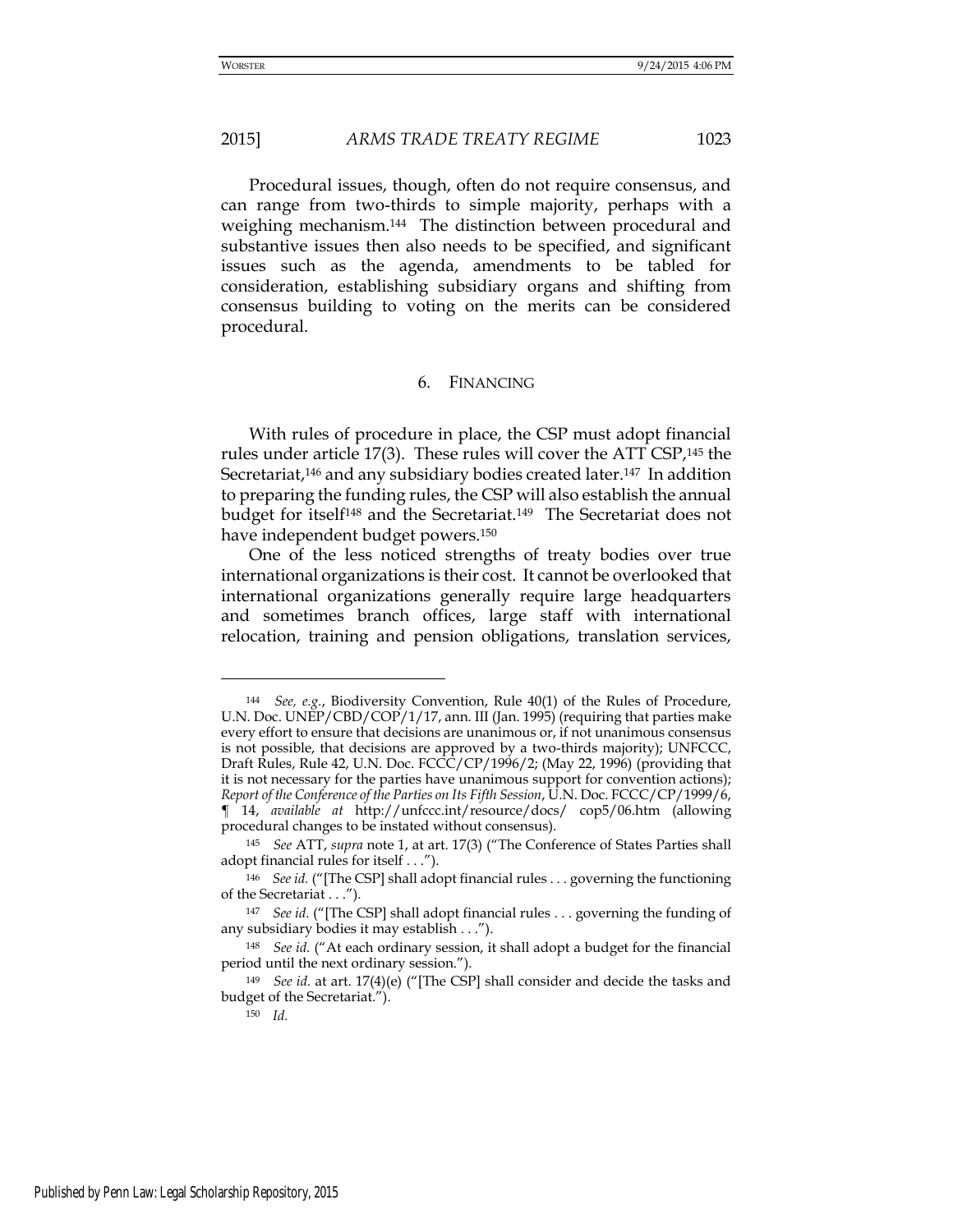Procedural issues, though, often do not require consensus, and can range from two-thirds to simple majority, perhaps with a weighing mechanism.144 The distinction between procedural and substantive issues then also needs to be specified, and significant issues such as the agenda, amendments to be tabled for consideration, establishing subsidiary organs and shifting from consensus building to voting on the merits can be considered procedural.

#### 6. FINANCING

With rules of procedure in place, the CSP must adopt financial rules under article 17(3). These rules will cover the ATT CSP,<sup>145</sup> the Secretariat,<sup>146</sup> and any subsidiary bodies created later.<sup>147</sup> In addition to preparing the funding rules, the CSP will also establish the annual budget for itself148 and the Secretariat.149 The Secretariat does not have independent budget powers.<sup>150</sup>

One of the less noticed strengths of treaty bodies over true international organizations is their cost. It cannot be overlooked that international organizations generally require large headquarters and sometimes branch offices, large staff with international relocation, training and pension obligations, translation services,

<sup>144</sup> *See, e.g.*, Biodiversity Convention, Rule 40(1) of the Rules of Procedure, U.N. Doc. UNEP/CBD/COP/1/17, ann. III (Jan. 1995) (requiring that parties make every effort to ensure that decisions are unanimous or, if not unanimous consensus is not possible, that decisions are approved by a two-thirds majority); UNFCCC, Draft Rules, Rule 42, U.N. Doc. FCCC/CP/1996/2; (May 22, 1996) (providing that it is not necessary for the parties have unanimous support for convention actions); *Report of the Conference of the Parties on Its Fifth Session*, U.N. Doc. FCCC/CP/1999/6, ¶ 14, *available at* <http://unfccc.int/resource/docs/>cop5/06.htm (allowing procedural changes to be instated without consensus).

<sup>145</sup> *See* ATT, *supra* note 1, at art. 17(3) ("The Conference of States Parties shall adopt financial rules for itself . . .").

<sup>146</sup> *See id.* ("[The CSP] shall adopt financial rules . . . governing the functioning of the Secretariat . . .").

<sup>147</sup> *See id.* ("[The CSP] shall adopt financial rules . . . governing the funding of any subsidiary bodies it may establish . . .").

<sup>148</sup> *See id.* ("At each ordinary session, it shall adopt a budget for the financial period until the next ordinary session.").

<sup>149</sup> *See id.* at art. 17(4)(e) ("[The CSP] shall consider and decide the tasks and budget of the Secretariat.").

<sup>150</sup> *Id.*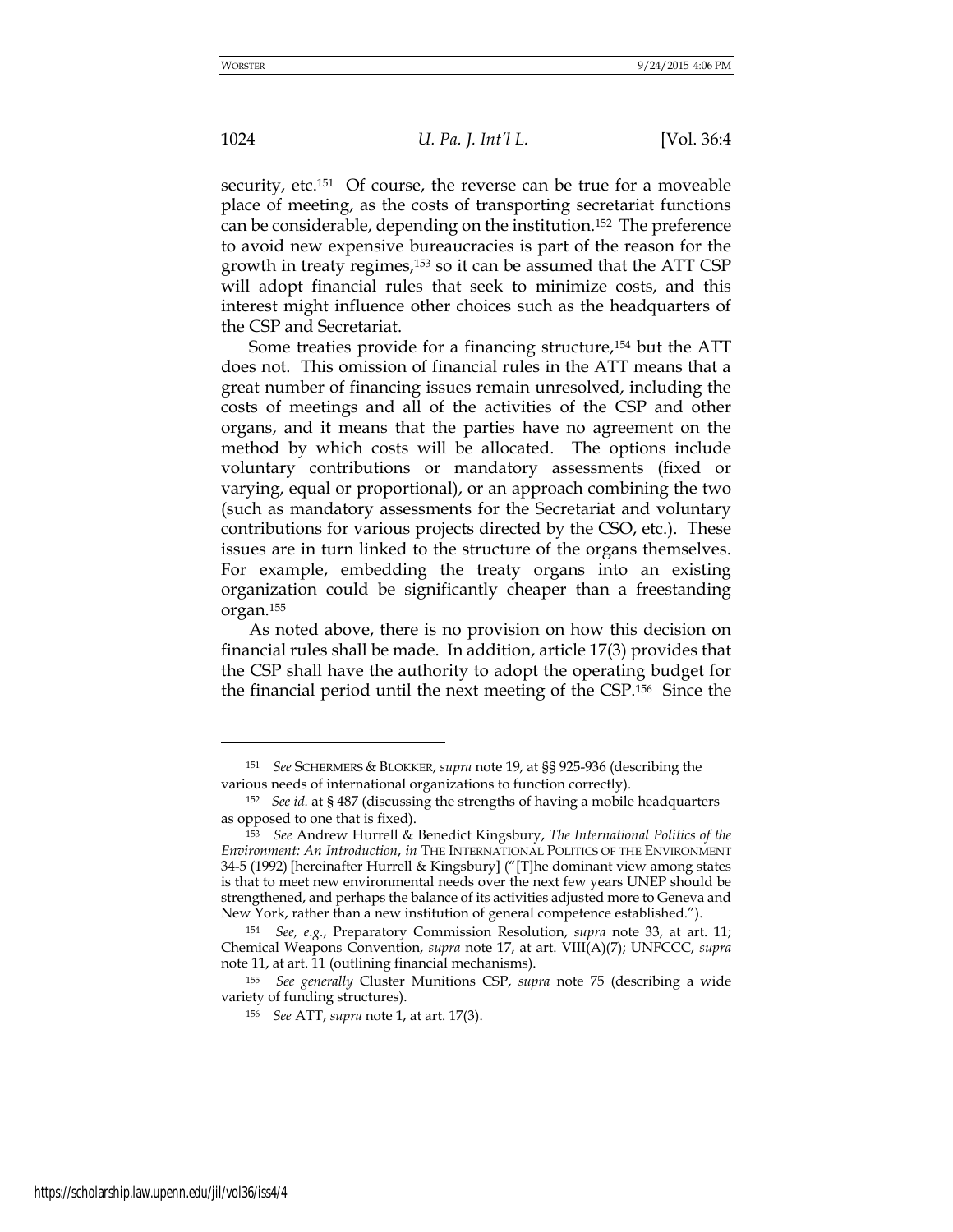<u>.</u>

1024 *U. Pa. J. Int'l L.* [Vol. 36:4

security, etc.<sup>151</sup> Of course, the reverse can be true for a moveable place of meeting, as the costs of transporting secretariat functions can be considerable, depending on the institution.152 The preference to avoid new expensive bureaucracies is part of the reason for the growth in treaty regimes,153 so it can be assumed that the ATT CSP will adopt financial rules that seek to minimize costs, and this interest might influence other choices such as the headquarters of the CSP and Secretariat.

Some treaties provide for a financing structure,<sup>154</sup> but the ATT does not. This omission of financial rules in the ATT means that a great number of financing issues remain unresolved, including the costs of meetings and all of the activities of the CSP and other organs, and it means that the parties have no agreement on the method by which costs will be allocated. The options include voluntary contributions or mandatory assessments (fixed or varying, equal or proportional), or an approach combining the two (such as mandatory assessments for the Secretariat and voluntary contributions for various projects directed by the CSO, etc.). These issues are in turn linked to the structure of the organs themselves. For example, embedding the treaty organs into an existing organization could be significantly cheaper than a freestanding organ.<sup>155</sup>

As noted above, there is no provision on how this decision on financial rules shall be made. In addition, article 17(3) provides that the CSP shall have the authority to adopt the operating budget for the financial period until the next meeting of the CSP.156 Since the

<sup>151</sup> *See* SCHERMERS & BLOKKER, *supra* note 19, at §§ 925-936 (describing the various needs of international organizations to function correctly).

<sup>152</sup> *See id.* at § 487 (discussing the strengths of having a mobile headquarters as opposed to one that is fixed).

<sup>153</sup> *See* Andrew Hurrell & Benedict Kingsbury, *The International Politics of the Environment: An Introduction*, *in* THE INTERNATIONAL POLITICS OF THE ENVIRONMENT 34-5 (1992) [hereinafter Hurrell & Kingsbury] ("[T]he dominant view among states is that to meet new environmental needs over the next few years UNEP should be strengthened, and perhaps the balance of its activities adjusted more to Geneva and New York, rather than a new institution of general competence established.").

<sup>154</sup> *See, e.g.*, Preparatory Commission Resolution, *supra* note 33, at art. 11; Chemical Weapons Convention, *supra* note 17, at art. VIII(A)(7); UNFCCC, *supra*  note 11, at art. 11 (outlining financial mechanisms).

<sup>155</sup> *See generally* Cluster Munitions CSP, *supra* note 75 (describing a wide variety of funding structures).

<sup>156</sup> *See* ATT, *supra* note 1, at art. 17(3).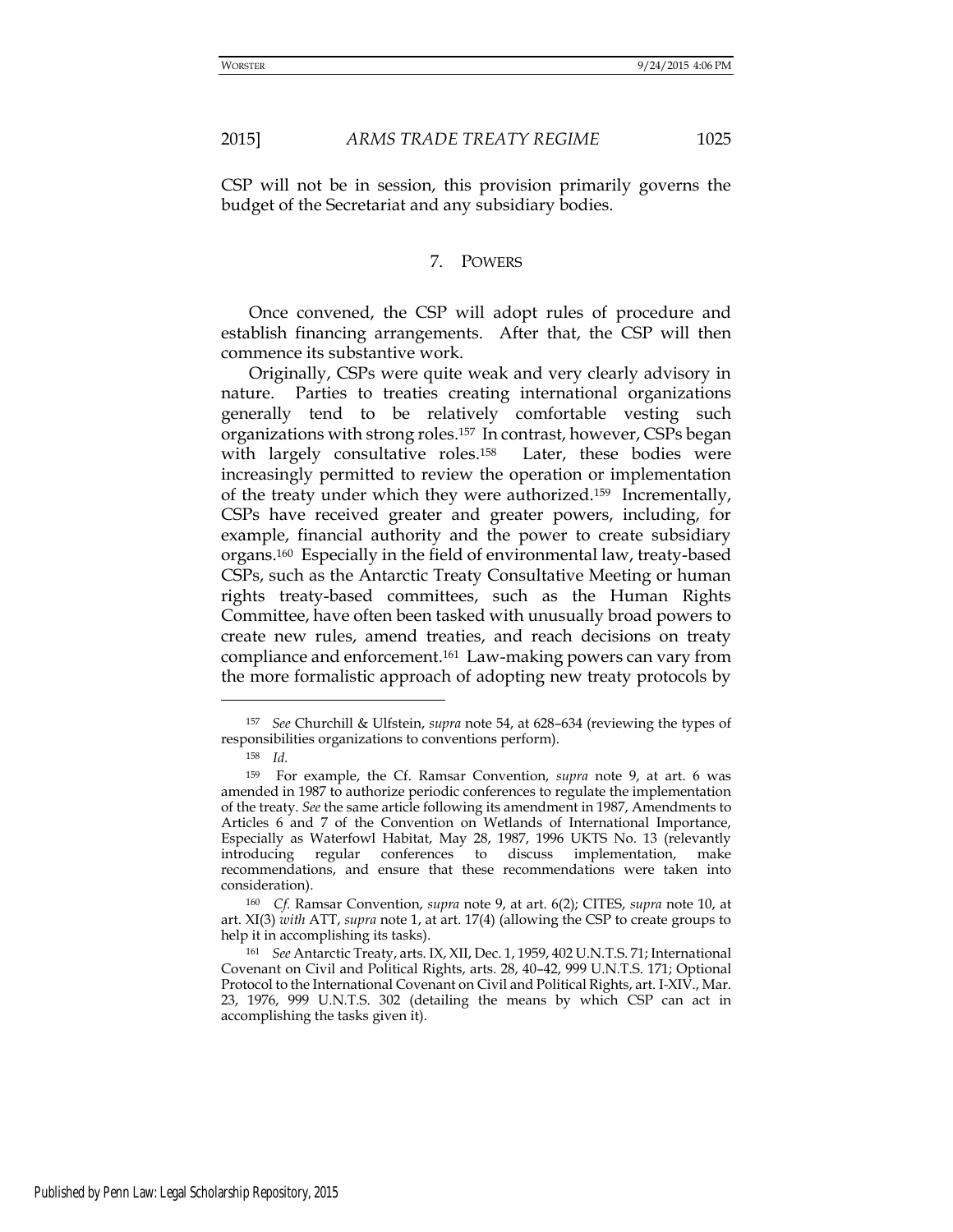CSP will not be in session, this provision primarily governs the budget of the Secretariat and any subsidiary bodies.

#### 7. POWERS

Once convened, the CSP will adopt rules of procedure and establish financing arrangements. After that, the CSP will then commence its substantive work.

Originally, CSPs were quite weak and very clearly advisory in nature. Parties to treaties creating international organizations generally tend to be relatively comfortable vesting such organizations with strong roles.157 In contrast, however, CSPs began with largely consultative roles.<sup>158</sup> Later, these bodies were increasingly permitted to review the operation or implementation of the treaty under which they were authorized.159 Incrementally, CSPs have received greater and greater powers, including, for example, financial authority and the power to create subsidiary organs.160 Especially in the field of environmental law, treaty-based CSPs, such as the Antarctic Treaty Consultative Meeting or human rights treaty-based committees, such as the Human Rights Committee, have often been tasked with unusually broad powers to create new rules, amend treaties, and reach decisions on treaty compliance and enforcement.161 Law-making powers can vary from the more formalistic approach of adopting new treaty protocols by

<sup>157</sup> *See* Churchill & Ulfstein, *supra* note 54, at 628–634 (reviewing the types of responsibilities organizations to conventions perform).

<sup>158</sup> *Id.*

<sup>159</sup> For example, the Cf. Ramsar Convention, *supra* note 9, at art. 6 was amended in 1987 to authorize periodic conferences to regulate the implementation of the treaty. *See* the same article following its amendment in 1987, Amendments to Articles 6 and 7 of the Convention on Wetlands of International Importance, Especially as Waterfowl Habitat, May 28, 1987, 1996 UKTS No. 13 (relevantly introducing regular conferences to discuss implementation, make recommendations, and ensure that these recommendations were taken into consideration).

<sup>160</sup> *Cf.* Ramsar Convention, *supra* note 9, at art. 6(2); CITES, *supra* note 10, at art. XI(3) *with* ATT, *supra* note 1, at art. 17(4) (allowing the CSP to create groups to help it in accomplishing its tasks).

<sup>161</sup> *See* Antarctic Treaty, arts. IX, XII, Dec. 1, 1959, 402 U.N.T.S. 71; International Covenant on Civil and Political Rights, arts. 28, 40–42, 999 U.N.T.S. 171; Optional Protocol to the International Covenant on Civil and Political Rights, art. I*-*XIV., Mar. 23, 1976, 999 U.N.T.S. 302 (detailing the means by which CSP can act in accomplishing the tasks given it).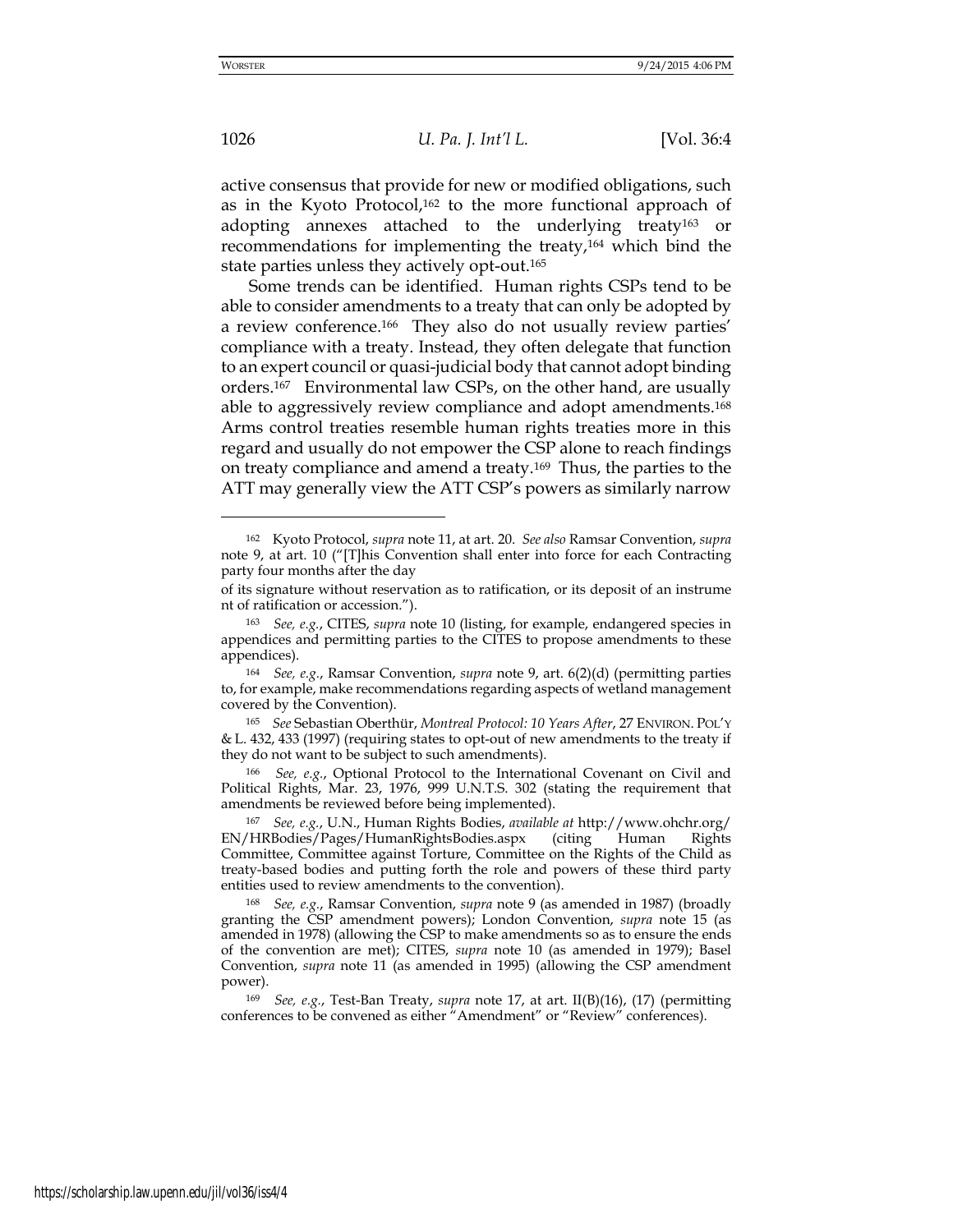-

1026 *U. Pa. J. Int'l L.* [Vol. 36:4

active consensus that provide for new or modified obligations, such as in the Kyoto Protocol,<sup>162</sup> to the more functional approach of adopting annexes attached to the underlying treaty<sup>163</sup> or recommendations for implementing the treaty,164 which bind the state parties unless they actively opt-out.<sup>165</sup>

Some trends can be identified. Human rights CSPs tend to be able to consider amendments to a treaty that can only be adopted by a review conference.<sup>166</sup> They also do not usually review parties' compliance with a treaty. Instead, they often delegate that function to an expert council or quasi-judicial body that cannot adopt binding orders.167 Environmental law CSPs, on the other hand, are usually able to aggressively review compliance and adopt amendments.<sup>168</sup> Arms control treaties resemble human rights treaties more in this regard and usually do not empower the CSP alone to reach findings on treaty compliance and amend a treaty.169 Thus, the parties to the ATT may generally view the ATT CSP's powers as similarly narrow

<sup>162</sup> Kyoto Protocol, *supra* note 11, at art. 20. *See also* Ramsar Convention, *supra* note 9, at art. 10 ("[T]his Convention shall enter into force for each Contracting party four months after the day

of its signature without reservation as to ratification, or its deposit of an instrume nt of ratification or accession.").

<sup>163</sup> *See, e.g.*, CITES, *supra* note 10 (listing, for example, endangered species in appendices and permitting parties to the CITES to propose amendments to these appendices).

<sup>164</sup> *See, e.g.*, Ramsar Convention, *supra* note 9, art. 6(2)(d) (permitting parties to, for example, make recommendations regarding aspects of wetland management covered by the Convention).

<sup>165</sup> *See* Sebastian Oberthür, *Montreal Protocol: 10 Years After*, 27 ENVIRON. POL'Y & L. 432, 433 (1997) (requiring states to opt-out of new amendments to the treaty if they do not want to be subject to such amendments).

<sup>166</sup> *See, e.g.*, Optional Protocol to the International Covenant on Civil and Political Rights, Mar. 23, 1976, 999 U.N.T.S. 302 (stating the requirement that amendments be reviewed before being implemented).

<sup>167</sup> *See, e.g.*, U.N., Human Rights Bodies, *available at* <http://www.ohchr.org/> EN/HRBodies/Pages/HumanRightsBodies.aspx (citing Human Rights Committee, Committee against Torture, Committee on the Rights of the Child as treaty-based bodies and putting forth the role and powers of these third party entities used to review amendments to the convention).

<sup>168</sup> *See, e.g.*, Ramsar Convention, *supra* note 9 (as amended in 1987) (broadly granting the CSP amendment powers); London Convention, *supra* note 15 (as amended in 1978) (allowing the CSP to make amendments so as to ensure the ends of the convention are met); CITES, *supra* note 10 (as amended in 1979); Basel Convention, *supra* note 11 (as amended in 1995) (allowing the CSP amendment power).

<sup>169</sup> *See, e.g.*, Test-Ban Treaty, *supra* note 17, at art. II(B)(16), (17) (permitting conferences to be convened as either "Amendment" or "Review" conferences).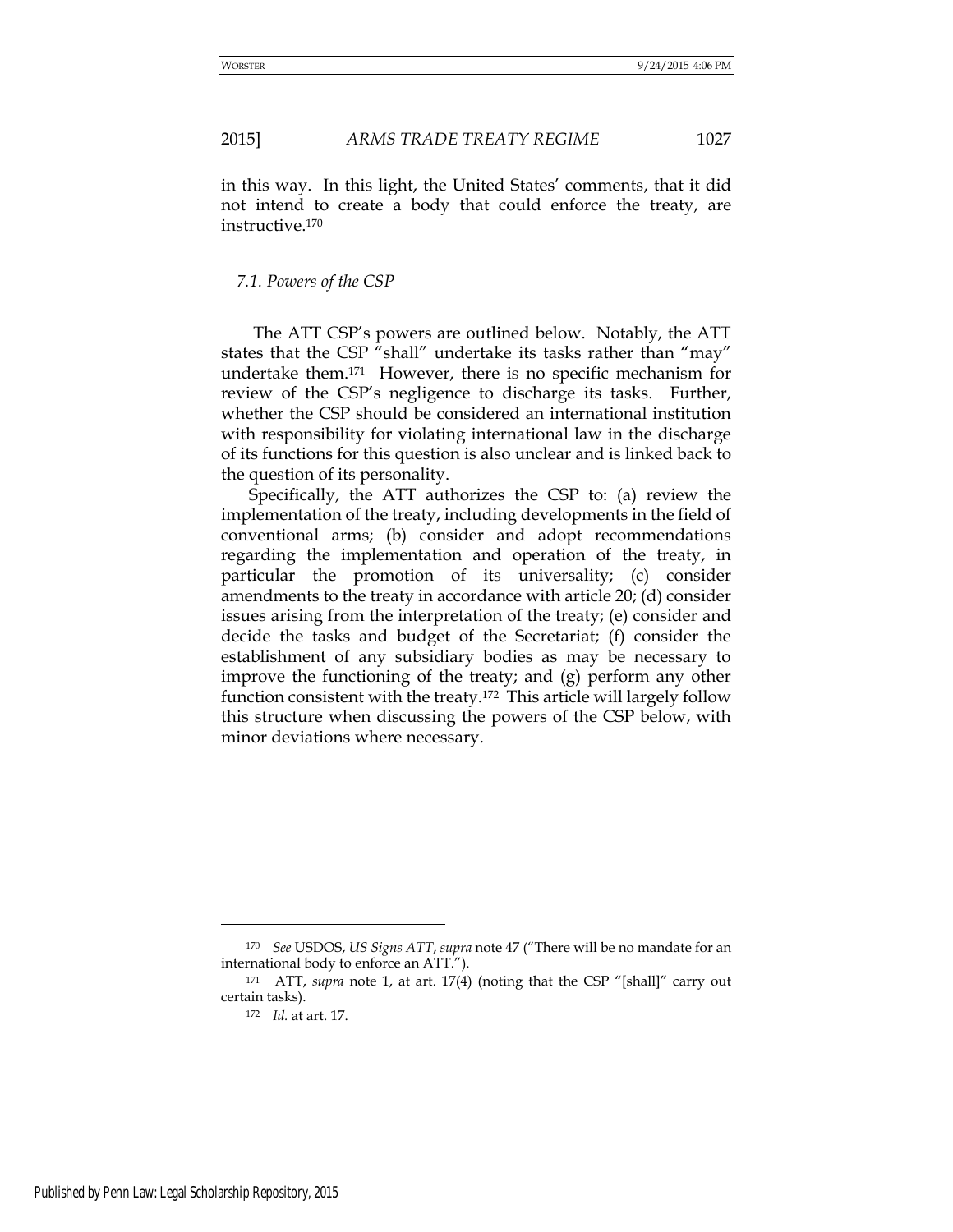in this way. In this light, the United States' comments, that it did not intend to create a body that could enforce the treaty, are instructive.<sup>170</sup>

#### *7.1. Powers of the CSP*

The ATT CSP's powers are outlined below. Notably, the ATT states that the CSP "shall" undertake its tasks rather than "may" undertake them.171 However, there is no specific mechanism for review of the CSP's negligence to discharge its tasks. Further, whether the CSP should be considered an international institution with responsibility for violating international law in the discharge of its functions for this question is also unclear and is linked back to the question of its personality.

Specifically, the ATT authorizes the CSP to: (a) review the implementation of the treaty, including developments in the field of conventional arms; (b) consider and adopt recommendations regarding the implementation and operation of the treaty, in particular the promotion of its universality; (c) consider amendments to the treaty in accordance with article 20; (d) consider issues arising from the interpretation of the treaty; (e) consider and decide the tasks and budget of the Secretariat; (f) consider the establishment of any subsidiary bodies as may be necessary to improve the functioning of the treaty; and (g) perform any other function consistent with the treaty.172 This article will largely follow this structure when discussing the powers of the CSP below, with minor deviations where necessary.

<sup>170</sup> *See* USDOS, *US Signs ATT*, *supra* note 47 ("There will be no mandate for an international body to enforce an ATT.").

<sup>171</sup> ATT, *supra* note 1, at art. 17(4) (noting that the CSP "[shall]" carry out certain tasks).

<sup>172</sup> *Id.* at art. 17.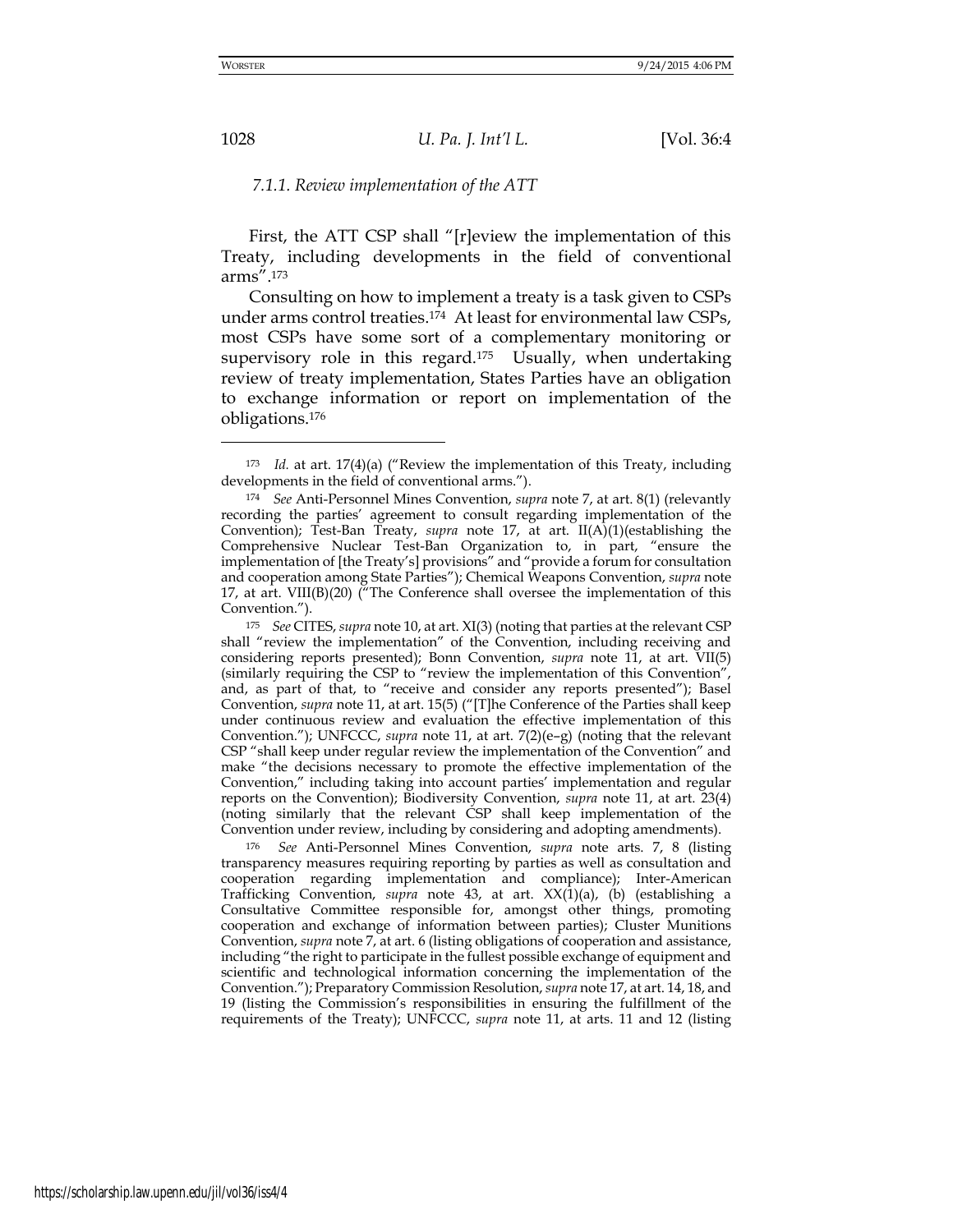#### *7.1.1. Review implementation of the ATT*

First, the ATT CSP shall "[r]eview the implementation of this Treaty, including developments in the field of conventional arms".<sup>173</sup>

Consulting on how to implement a treaty is a task given to CSPs under arms control treaties.174 At least for environmental law CSPs, most CSPs have some sort of a complementary monitoring or supervisory role in this regard.<sup>175</sup> Usually, when undertaking review of treaty implementation, States Parties have an obligation to exchange information or report on implementation of the obligations.<sup>176</sup>

<sup>175</sup> *See* CITES, *supra* note 10, at art. XI(3) (noting that parties at the relevant CSP shall "review the implementation" of the Convention, including receiving and considering reports presented); Bonn Convention, *supra* note 11, at art. VII(5) (similarly requiring the CSP to "review the implementation of this Convention", and, as part of that, to "receive and consider any reports presented"); Basel Convention, *supra* note 11, at art. 15(5) ("[T]he Conference of the Parties shall keep under continuous review and evaluation the effective implementation of this Convention."); UNFCCC, *supra* note 11, at art. 7(2)(e–g) (noting that the relevant CSP "shall keep under regular review the implementation of the Convention" and make "the decisions necessary to promote the effective implementation of the Convention," including taking into account parties' implementation and regular reports on the Convention); Biodiversity Convention, *supra* note 11, at art. 23(4) (noting similarly that the relevant CSP shall keep implementation of the Convention under review, including by considering and adopting amendments).

<sup>176</sup> *See* Anti-Personnel Mines Convention, *supra* note arts. 7, 8 (listing transparency measures requiring reporting by parties as well as consultation and cooperation regarding implementation and compliance); Inter-American Trafficking Convention, *supra* note 43, at art. XX(1)(a), (b) (establishing a Consultative Committee responsible for, amongst other things, promoting cooperation and exchange of information between parties); Cluster Munitions Convention, *supra* note 7, at art. 6 (listing obligations of cooperation and assistance, including "the right to participate in the fullest possible exchange of equipment and scientific and technological information concerning the implementation of the Convention."); Preparatory Commission Resolution, *supra* note 17, at art. 14, 18, and 19 (listing the Commission's responsibilities in ensuring the fulfillment of the requirements of the Treaty); UNFCCC, *supra* note 11, at arts. 11 and 12 (listing

-

<sup>173</sup> *Id.* at art. 17(4)(a) ("Review the implementation of this Treaty, including developments in the field of conventional arms.").

<sup>174</sup> *See* Anti-Personnel Mines Convention, *supra* note 7, at art. 8(1) (relevantly recording the parties' agreement to consult regarding implementation of the Convention); Test-Ban Treaty, *supra* note 17, at art. II(A)(1)(establishing the Comprehensive Nuclear Test-Ban Organization to, in part, "ensure the implementation of [the Treaty's] provisions" and "provide a forum for consultation and cooperation among State Parties"); Chemical Weapons Convention, *supra* note 17, at art.  $VIII(B)(20)$  ("The Conference shall oversee the implementation of this Convention.").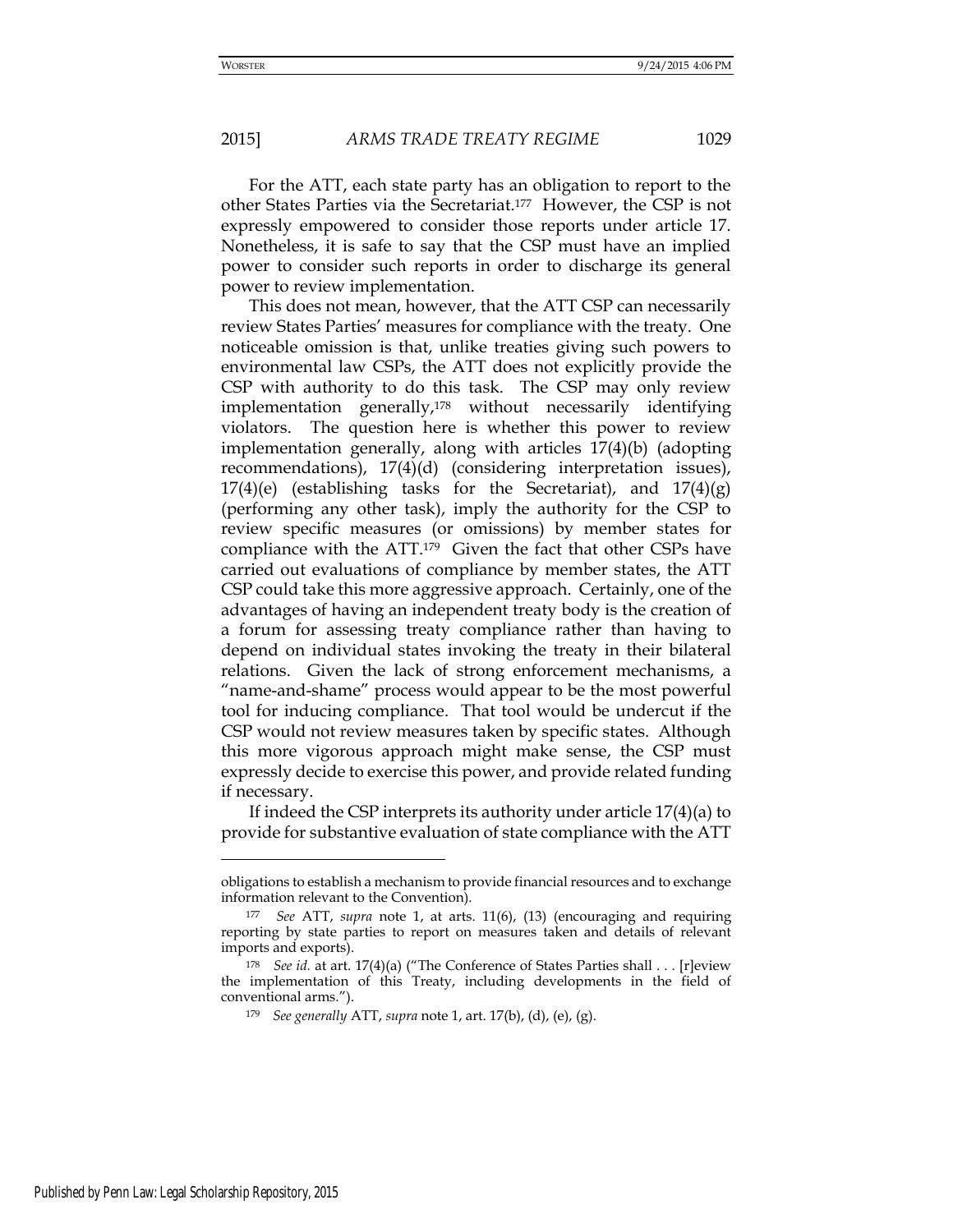For the ATT, each state party has an obligation to report to the other States Parties via the Secretariat.177 However, the CSP is not

expressly empowered to consider those reports under article 17. Nonetheless, it is safe to say that the CSP must have an implied power to consider such reports in order to discharge its general power to review implementation.

This does not mean, however, that the ATT CSP can necessarily review States Parties' measures for compliance with the treaty. One noticeable omission is that, unlike treaties giving such powers to environmental law CSPs, the ATT does not explicitly provide the CSP with authority to do this task. The CSP may only review implementation generally,178 without necessarily identifying violators. The question here is whether this power to review implementation generally, along with articles 17(4)(b) (adopting recommendations), 17(4)(d) (considering interpretation issues),  $17(4)(e)$  (establishing tasks for the Secretariat), and  $17(4)(g)$ (performing any other task), imply the authority for the CSP to review specific measures (or omissions) by member states for compliance with the ATT.179 Given the fact that other CSPs have carried out evaluations of compliance by member states, the ATT CSP could take this more aggressive approach. Certainly, one of the advantages of having an independent treaty body is the creation of a forum for assessing treaty compliance rather than having to depend on individual states invoking the treaty in their bilateral relations. Given the lack of strong enforcement mechanisms, a "name-and-shame" process would appear to be the most powerful tool for inducing compliance. That tool would be undercut if the CSP would not review measures taken by specific states. Although this more vigorous approach might make sense, the CSP must expressly decide to exercise this power, and provide related funding if necessary.

If indeed the CSP interprets its authority under article 17(4)(a) to provide for substantive evaluation of state compliance with the ATT

obligations to establish a mechanism to provide financial resources and to exchange information relevant to the Convention).

<sup>177</sup> *See* ATT, *supra* note 1, at arts. 11(6), (13) (encouraging and requiring reporting by state parties to report on measures taken and details of relevant imports and exports).

<sup>178</sup> *See id.* at art. 17(4)(a) ("The Conference of States Parties shall . . . [r]eview the implementation of this Treaty, including developments in the field of conventional arms.").

<sup>179</sup> *See generally* ATT, *supra* note 1, art. 17(b), (d), (e), (g).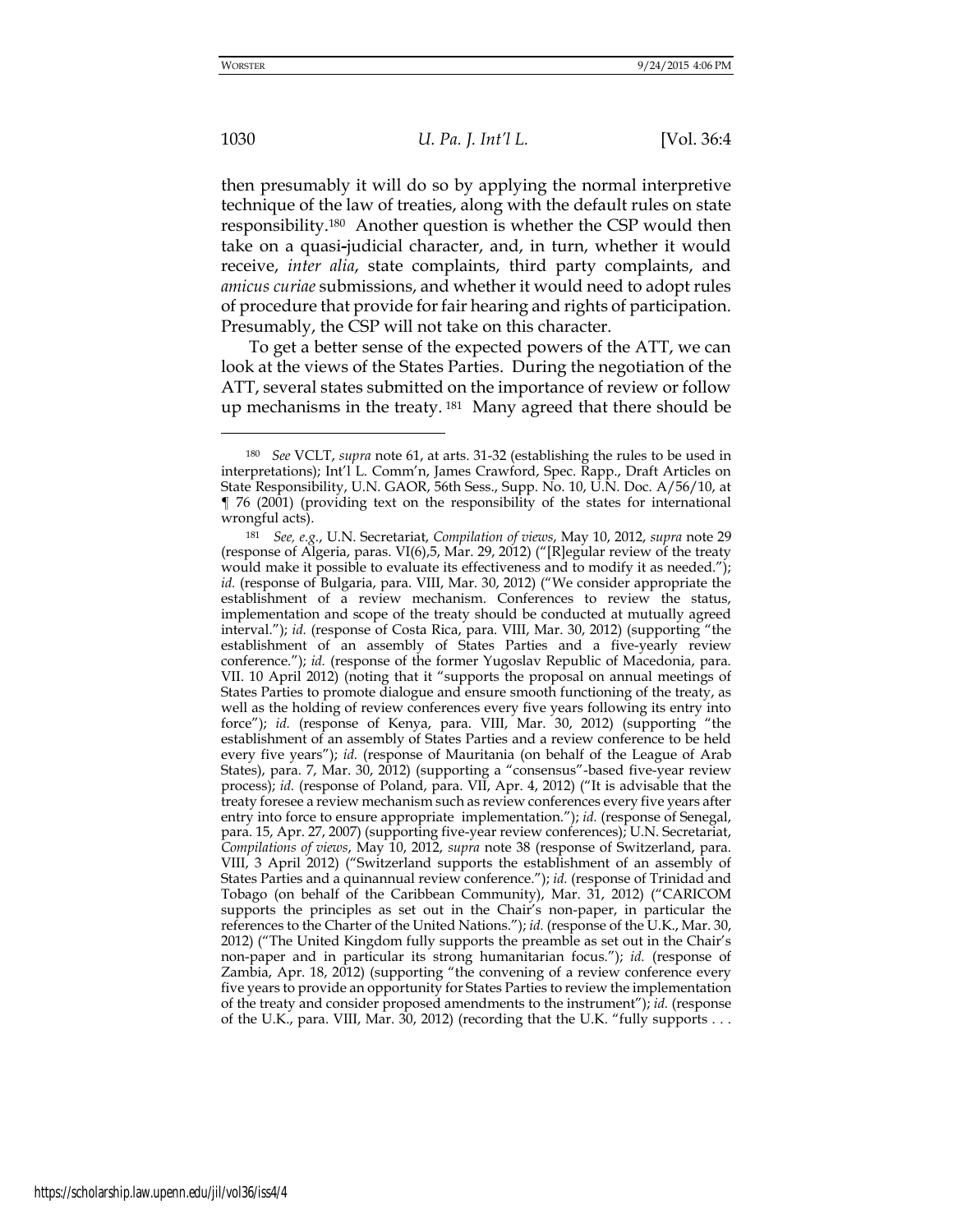then presumably it will do so by applying the normal interpretive technique of the law of treaties, along with the default rules on state responsibility.180 Another question is whether the CSP would then take on a quasi**-**judicial character, and, in turn, whether it would receive, *inter alia*, state complaints, third party complaints, and *amicus curiae* submissions, and whether it would need to adopt rules of procedure that provide for fair hearing and rights of participation. Presumably, the CSP will not take on this character.

To get a better sense of the expected powers of the ATT, we can look at the views of the States Parties. During the negotiation of the ATT, several states submitted on the importance of review or follow up mechanisms in the treaty. <sup>181</sup> Many agreed that there should be

-

<sup>180</sup> *See* VCLT, *supra* note 61, at arts. 31-32 (establishing the rules to be used in interpretations); Int'l L. Comm'n, James Crawford, Spec. Rapp., Draft Articles on State Responsibility, U.N. GAOR, 56th Sess., Supp. No. 10, U.N. Doc. A/56/10, at ¶ 76 (2001) (providing text on the responsibility of the states for international wrongful acts).

<sup>181</sup> *See, e.g.*, U.N. Secretariat, *Compilation of views*, May 10, 2012, *supra* note 29 (response of Algeria, paras. VI(6),5, Mar. 29, 2012) ("[R]egular review of the treaty would make it possible to evaluate its effectiveness and to modify it as needed."); *id.* (response of Bulgaria, para. VIII, Mar. 30, 2012) ("We consider appropriate the establishment of a review mechanism. Conferences to review the status, implementation and scope of the treaty should be conducted at mutually agreed interval."); *id.* (response of Costa Rica, para. VIII, Mar. 30, 2012) (supporting "the establishment of an assembly of States Parties and a five-yearly review conference."); *id.* (response of the former Yugoslav Republic of Macedonia, para. VII. 10 April 2012) (noting that it "supports the proposal on annual meetings of States Parties to promote dialogue and ensure smooth functioning of the treaty, as well as the holding of review conferences every five years following its entry into force"); *id.* (response of Kenya, para. VIII, Mar. 30, 2012) (supporting "the establishment of an assembly of States Parties and a review conference to be held every five years"); *id.* (response of Mauritania (on behalf of the League of Arab States), para. 7, Mar. 30, 2012) (supporting a "consensus"-based five-year review process); *id.* (response of Poland, para. VII, Apr. 4, 2012) ("It is advisable that the treaty foresee a review mechanism such as review conferences every five years after entry into force to ensure appropriate implementation."); *id.* (response of Senegal, para. 15, Apr. 27, 2007) (supporting five-year review conferences); U.N. Secretariat, *Compilations of views*, May 10, 2012, *supra* note 38 (response of Switzerland, para. VIII, 3 April 2012) ("Switzerland supports the establishment of an assembly of States Parties and a quinannual review conference."); *id.* (response of Trinidad and Tobago (on behalf of the Caribbean Community), Mar. 31, 2012) ("CARICOM supports the principles as set out in the Chair's non-paper, in particular the references to the Charter of the United Nations."); *id.* (response of the U.K., Mar. 30, 2012) ("The United Kingdom fully supports the preamble as set out in the Chair's non-paper and in particular its strong humanitarian focus."); *id.* (response of Zambia, Apr. 18, 2012) (supporting "the convening of a review conference every five years to provide an opportunity for States Parties to review the implementation of the treaty and consider proposed amendments to the instrument"); *id.* (response of the U.K., para. VIII, Mar. 30, 2012) (recording that the U.K. "fully supports . . .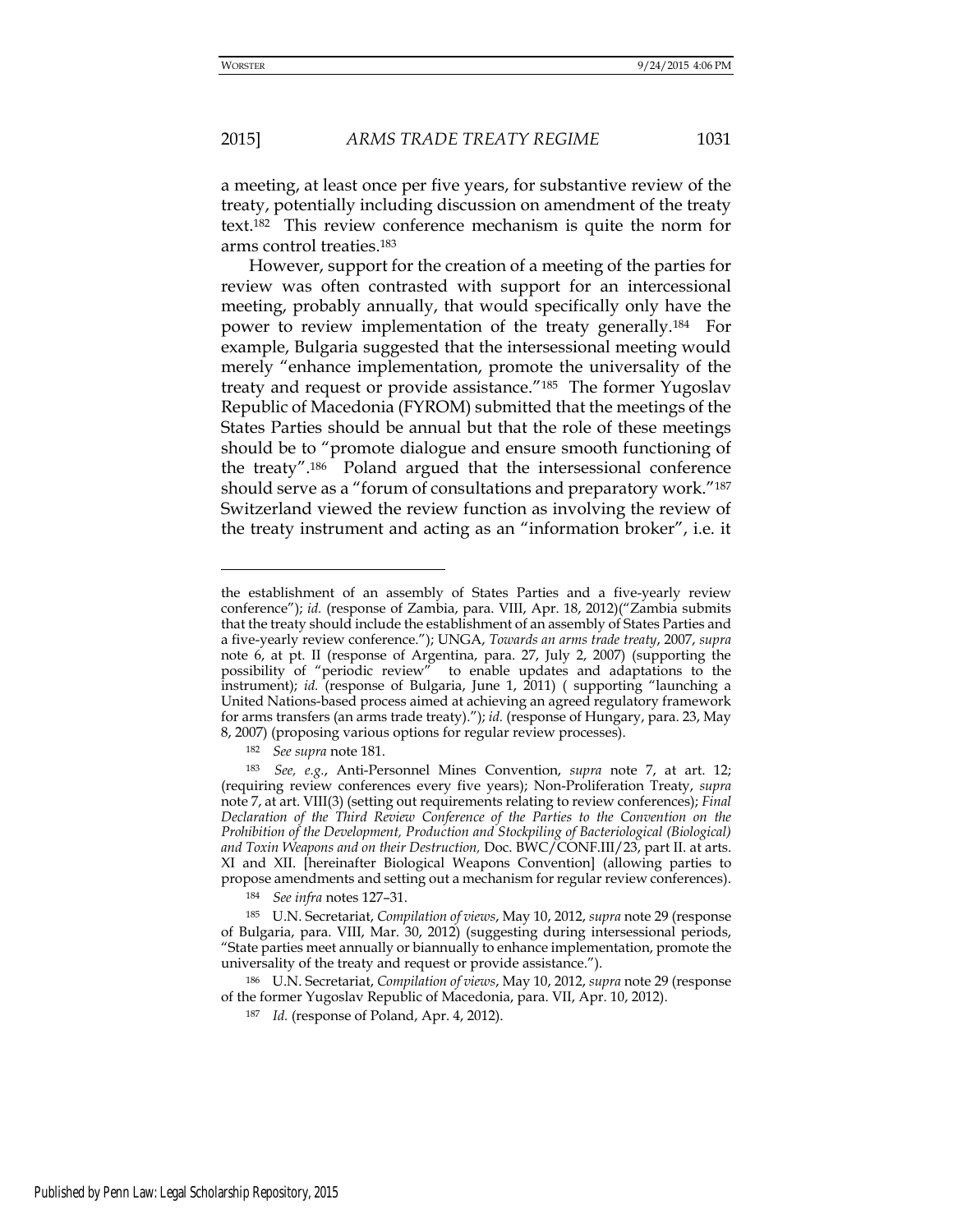## 2015] *ARMS TRADE TREATY REGIME* 1031

a meeting, at least once per five years, for substantive review of the treaty, potentially including discussion on amendment of the treaty text.182 This review conference mechanism is quite the norm for arms control treaties.<sup>183</sup>

However, support for the creation of a meeting of the parties for review was often contrasted with support for an intercessional meeting, probably annually, that would specifically only have the power to review implementation of the treaty generally.184 For example, Bulgaria suggested that the intersessional meeting would merely "enhance implementation, promote the universality of the treaty and request or provide assistance.<sup>"185</sup> The former Yugoslav Republic of Macedonia (FYROM) submitted that the meetings of the States Parties should be annual but that the role of these meetings should be to "promote dialogue and ensure smooth functioning of the treaty".186 Poland argued that the intersessional conference should serve as a "forum of consultations and preparatory work."<sup>187</sup> Switzerland viewed the review function as involving the review of the treaty instrument and acting as an "information broker", i.e. it

the establishment of an assembly of States Parties and a five-yearly review conference"); *id.* (response of Zambia, para. VIII, Apr. 18, 2012)("Zambia submits that the treaty should include the establishment of an assembly of States Parties and a five-yearly review conference."); UNGA, *Towards an arms trade treaty*, 2007, *supra* note 6, at pt. II (response of Argentina, para. 27, July 2, 2007) (supporting the possibility of "periodic review" to enable updates and adaptations to the instrument); *id.* (response of Bulgaria, June 1, 2011) ( supporting "launching a United Nations-based process aimed at achieving an agreed regulatory framework for arms transfers (an arms trade treaty)."); *id.* (response of Hungary, para. 23, May 8, 2007) (proposing various options for regular review processes).

<sup>182</sup> *See supra* note 181.

<sup>183</sup> *See, e.g.*, Anti-Personnel Mines Convention, *supra* note 7, at art. 12; (requiring review conferences every five years); Non-Proliferation Treaty, *supra* note 7, at art. VIII(3) (setting out requirements relating to review conferences); *Final Declaration of the Third Review Conference of the Parties to the Convention on the Prohibition of the Development, Production and Stockpiling of Bacteriological (Biological) and Toxin Weapons and on their Destruction,* Doc. BWC/CONF.III/23, part II. at arts. XI and XII. [hereinafter Biological Weapons Convention] (allowing parties to propose amendments and setting out a mechanism for regular review conferences).

<sup>184</sup> *See infra* notes 127–31.

<sup>185</sup> U.N. Secretariat, *Compilation of views*, May 10, 2012, *supra* note 29 (response of Bulgaria, para. VIII, Mar. 30, 2012) (suggesting during intersessional periods, "State parties meet annually or biannually to enhance implementation, promote the universality of the treaty and request or provide assistance.").

<sup>186</sup> U.N. Secretariat, *Compilation of views*, May 10, 2012, *supra* note 29 (response of the former Yugoslav Republic of Macedonia, para. VII, Apr. 10, 2012).

<sup>187</sup> *Id.* (response of Poland, Apr. 4, 2012).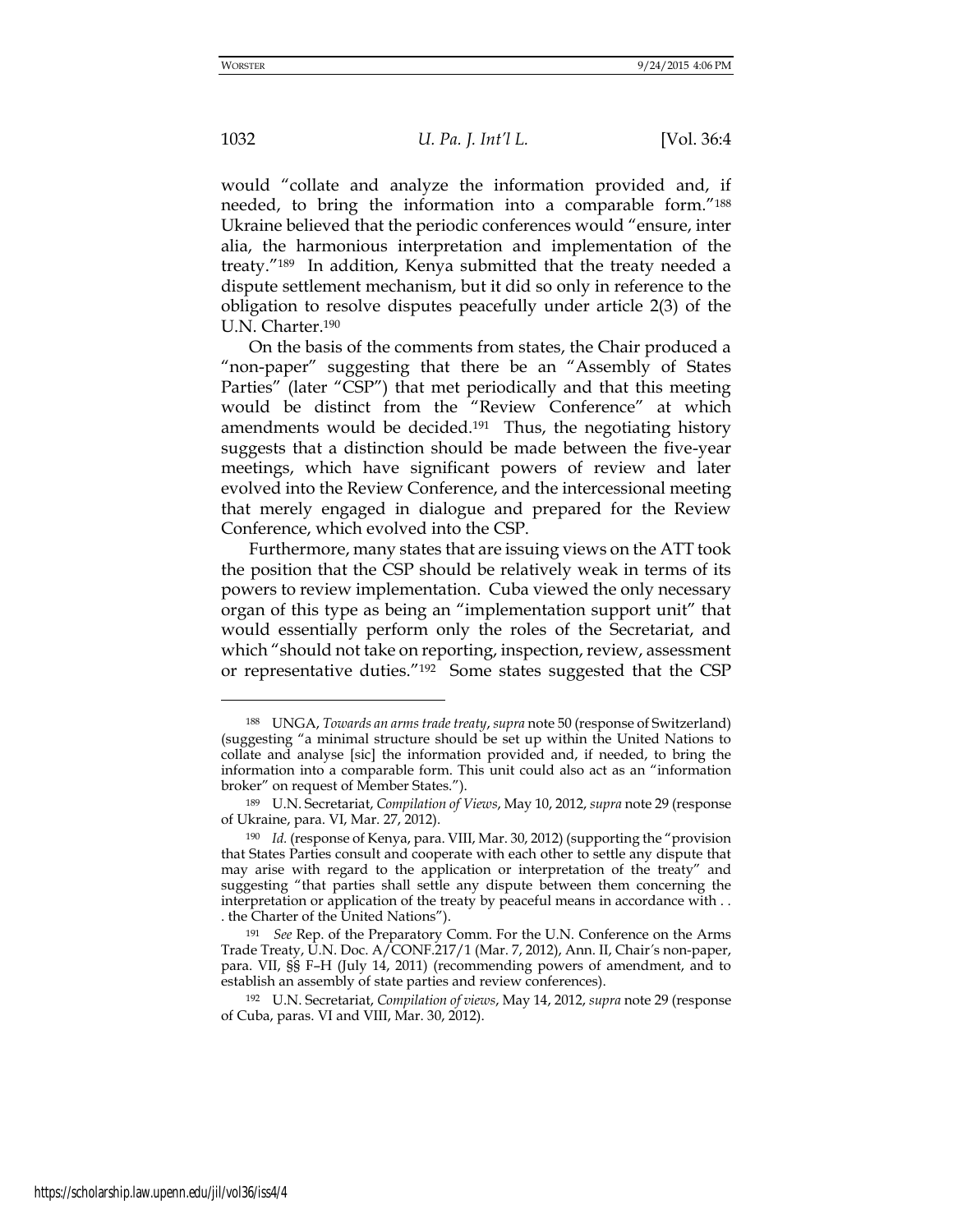would "collate and analyze the information provided and, if needed, to bring the information into a comparable form."<sup>188</sup> Ukraine believed that the periodic conferences would "ensure, inter alia, the harmonious interpretation and implementation of the treaty."189 In addition, Kenya submitted that the treaty needed a dispute settlement mechanism, but it did so only in reference to the obligation to resolve disputes peacefully under article 2(3) of the U.N. Charter.<sup>190</sup>

On the basis of the comments from states, the Chair produced a "non-paper" suggesting that there be an "Assembly of States Parties" (later "CSP") that met periodically and that this meeting would be distinct from the "Review Conference" at which amendments would be decided.<sup>191</sup> Thus, the negotiating history suggests that a distinction should be made between the five-year meetings, which have significant powers of review and later evolved into the Review Conference, and the intercessional meeting that merely engaged in dialogue and prepared for the Review Conference, which evolved into the CSP.

Furthermore, many states that are issuing views on the ATT took the position that the CSP should be relatively weak in terms of its powers to review implementation. Cuba viewed the only necessary organ of this type as being an "implementation support unit" that would essentially perform only the roles of the Secretariat, and which "should not take on reporting, inspection, review, assessment or representative duties."192 Some states suggested that the CSP

<sup>188</sup> UNGA, *Towards an arms trade treaty*, *supra* note 50 (response of Switzerland) (suggesting "a minimal structure should be set up within the United Nations to collate and analyse [sic] the information provided and, if needed, to bring the information into a comparable form. This unit could also act as an "information broker" on request of Member States.").

<sup>189</sup> U.N. Secretariat, *Compilation of Views*, May 10, 2012, *supra* note 29 (response of Ukraine, para. VI, Mar. 27, 2012).

<sup>190</sup> *Id.* (response of Kenya, para. VIII, Mar. 30, 2012) (supporting the "provision that States Parties consult and cooperate with each other to settle any dispute that may arise with regard to the application or interpretation of the treaty" and suggesting "that parties shall settle any dispute between them concerning the interpretation or application of the treaty by peaceful means in accordance with . . . the Charter of the United Nations").

<sup>191</sup> *See* Rep. of the Preparatory Comm. For the U.N. Conference on the Arms Trade Treaty, U.N. Doc. A/CONF.217/1 (Mar. 7, 2012), Ann. II, Chair*'*s non-paper, para. VII, §§ F–H (July 14, 2011) (recommending powers of amendment, and to establish an assembly of state parties and review conferences).

<sup>192</sup> U.N. Secretariat, *Compilation of views*, May 14, 2012, *supra* note 29 (response of Cuba, paras. VI and VIII, Mar. 30, 2012).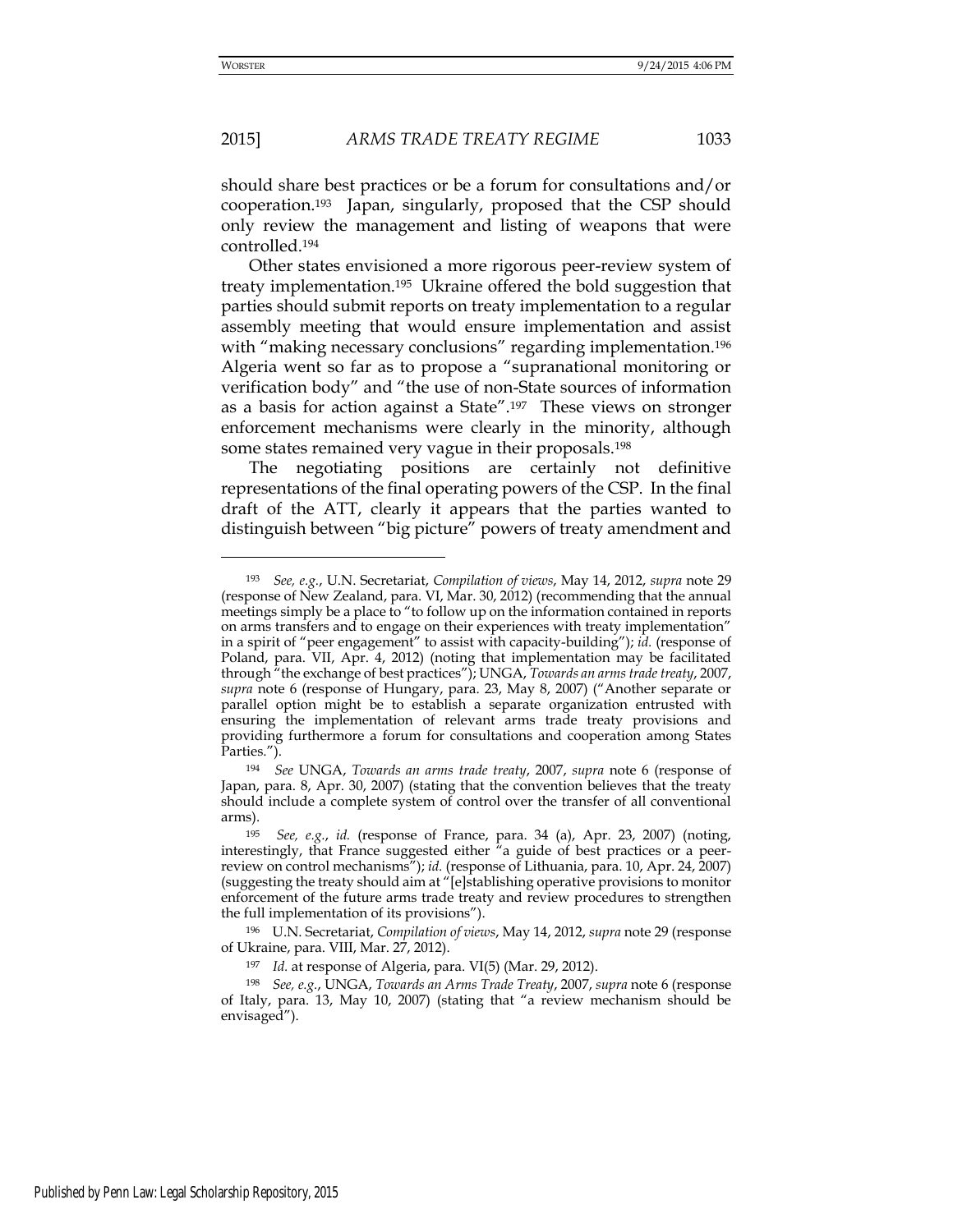## 2015] *ARMS TRADE TREATY REGIME* 1033

should share best practices or be a forum for consultations and/or cooperation.193 Japan, singularly, proposed that the CSP should only review the management and listing of weapons that were controlled.<sup>194</sup>

Other states envisioned a more rigorous peer-review system of treaty implementation.195 Ukraine offered the bold suggestion that parties should submit reports on treaty implementation to a regular assembly meeting that would ensure implementation and assist with "making necessary conclusions" regarding implementation.<sup>196</sup> Algeria went so far as to propose a "supranational monitoring or verification body" and "the use of non-State sources of information as a basis for action against a State".197 These views on stronger enforcement mechanisms were clearly in the minority, although some states remained very vague in their proposals.<sup>198</sup>

The negotiating positions are certainly not definitive representations of the final operating powers of the CSP. In the final draft of the ATT, clearly it appears that the parties wanted to distinguish between "big picture" powers of treaty amendment and

<sup>193</sup> *See, e.g.*, U.N. Secretariat, *Compilation of views*, May 14, 2012, *supra* note 29 (response of New Zealand, para. VI, Mar. 30, 2012) (recommending that the annual meetings simply be a place to "to follow up on the information contained in reports on arms transfers and to engage on their experiences with treaty implementation" in a spirit of "peer engagement" to assist with capacity-building"); *id.* (response of Poland, para. VII, Apr. 4, 2012) (noting that implementation may be facilitated through "the exchange of best practices"); UNGA, *Towards an arms trade treaty*, 2007, *supra* note 6 (response of Hungary, para. 23, May 8, 2007) ("Another separate or parallel option might be to establish a separate organization entrusted with ensuring the implementation of relevant arms trade treaty provisions and providing furthermore a forum for consultations and cooperation among States Parties.").

<sup>194</sup> *See* UNGA, *Towards an arms trade treaty*, 2007, *supra* note 6 (response of Japan, para. 8, Apr. 30, 2007) (stating that the convention believes that the treaty should include a complete system of control over the transfer of all conventional arms).

<sup>195</sup> *See, e.g.*, *id.* (response of France, para. 34 (a), Apr. 23, 2007) (noting, interestingly, that France suggested either "a guide of best practices or a peerreview on control mechanisms"); *id.* (response of Lithuania, para. 10, Apr. 24, 2007) (suggesting the treaty should aim at "[e]stablishing operative provisions to monitor enforcement of the future arms trade treaty and review procedures to strengthen the full implementation of its provisions").

<sup>196</sup> U.N. Secretariat, *Compilation of views*, May 14, 2012, *supra* note 29 (response of Ukraine, para. VIII, Mar. 27, 2012).

<sup>197</sup> *Id.* at response of Algeria, para. VI(5) (Mar. 29, 2012).

<sup>198</sup> *See, e.g.*, UNGA, *Towards an Arms Trade Treaty*, 2007, *supra* note 6 (response of Italy, para. 13, May 10, 2007) (stating that "a review mechanism should be envisaged").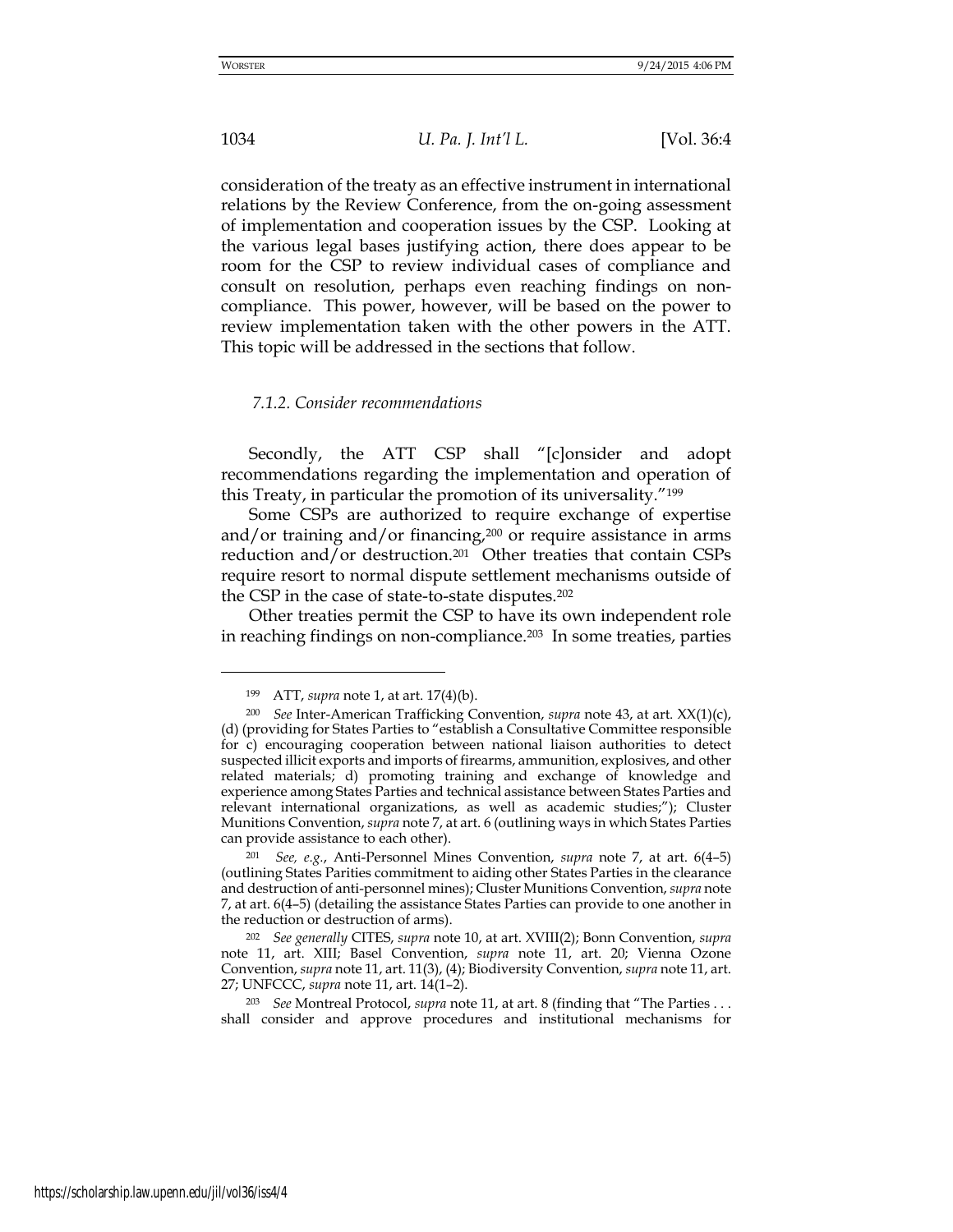1034 *U. Pa. J. Int'l L.* [Vol. 36:4

consideration of the treaty as an effective instrument in international relations by the Review Conference, from the on-going assessment of implementation and cooperation issues by the CSP. Looking at the various legal bases justifying action, there does appear to be room for the CSP to review individual cases of compliance and consult on resolution, perhaps even reaching findings on noncompliance. This power, however, will be based on the power to review implementation taken with the other powers in the ATT. This topic will be addressed in the sections that follow.

#### *7.1.2. Consider recommendations*

Secondly, the ATT CSP shall "[c]onsider and adopt recommendations regarding the implementation and operation of this Treaty, in particular the promotion of its universality."<sup>199</sup>

Some CSPs are authorized to require exchange of expertise and/or training and/or financing, $200$  or require assistance in arms reduction and/or destruction.201 Other treaties that contain CSPs require resort to normal dispute settlement mechanisms outside of the CSP in the case of state-to-state disputes.<sup>202</sup>

Other treaties permit the CSP to have its own independent role in reaching findings on non-compliance.203 In some treaties, parties

<sup>199</sup> ATT, *supra* note 1, at art. 17(4)(b).

<sup>200</sup> *See* Inter-American Trafficking Convention, *supra* note 43, at art. XX(1)(c), (d) (providing for States Parties to "establish a Consultative Committee responsible for c) encouraging cooperation between national liaison authorities to detect suspected illicit exports and imports of firearms, ammunition, explosives, and other related materials; d) promoting training and exchange of knowledge and experience among States Parties and technical assistance between States Parties and relevant international organizations, as well as academic studies;"); Cluster Munitions Convention, *supra* note 7, at art. 6 (outlining ways in which States Parties can provide assistance to each other).

<sup>201</sup> *See, e.g.*, Anti-Personnel Mines Convention, *supra* note 7, at art. 6(4–5) (outlining States Parities commitment to aiding other States Parties in the clearance and destruction of anti-personnel mines); Cluster Munitions Convention, *supra* note 7, at art. 6(4–5) (detailing the assistance States Parties can provide to one another in the reduction or destruction of arms).

<sup>202</sup> *See generally* CITES, *supra* note 10, at art. XVIII(2); Bonn Convention, *supra*  note 11, art. XIII; Basel Convention, *supra* note 11, art. 20; Vienna Ozone Convention, *supra* note 11, art. 11(3), (4); Biodiversity Convention, *supra* note 11, art. 27; UNFCCC, *supra* note 11, art. 14(1–2).

<sup>203</sup> *See* Montreal Protocol, *supra* note 11, at art. 8 (finding that "The Parties . . . shall consider and approve procedures and institutional mechanisms for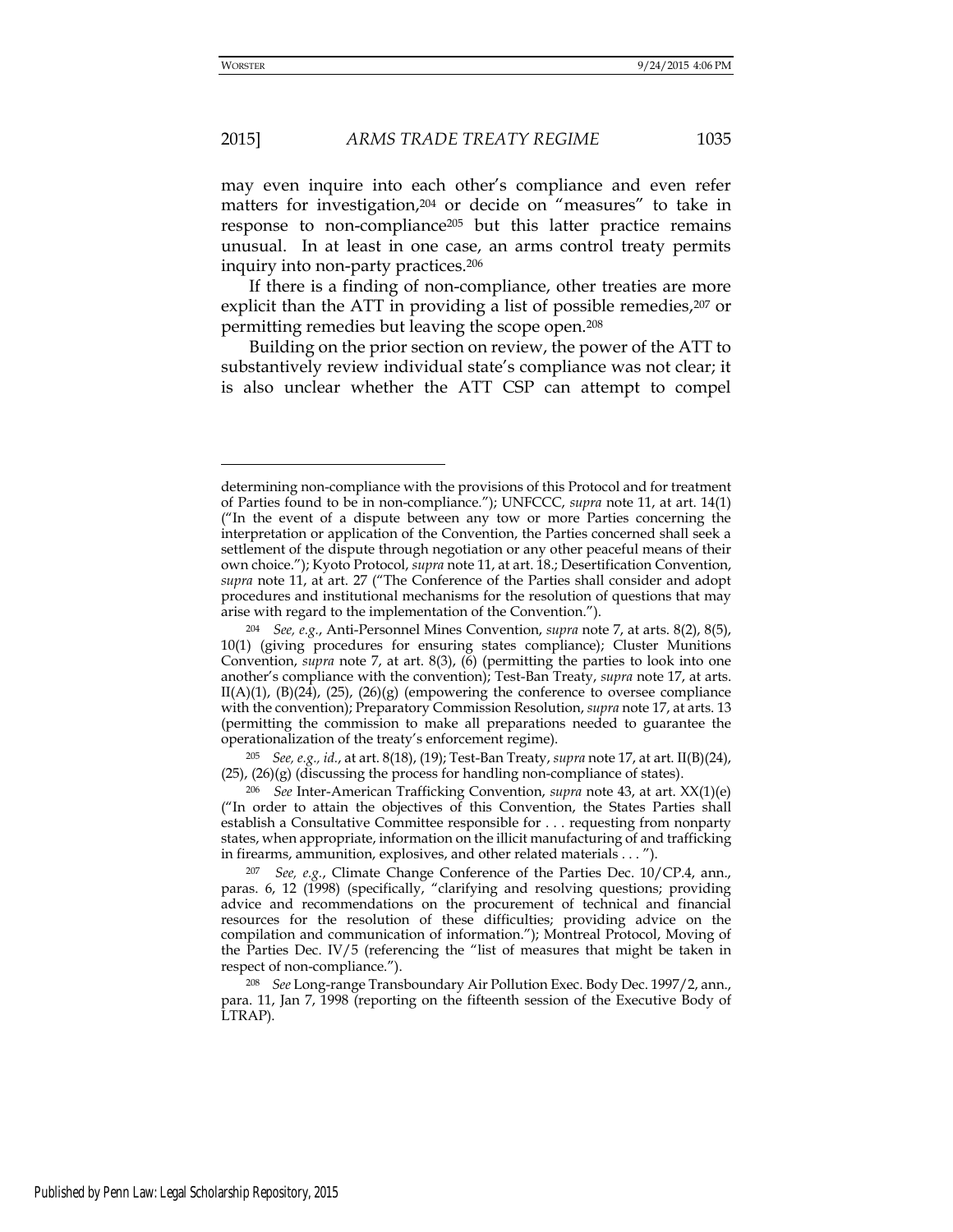## 2015] *ARMS TRADE TREATY REGIME* 1035

may even inquire into each other's compliance and even refer matters for investigation,<sup>204</sup> or decide on "measures" to take in response to non-compliance<sup>205</sup> but this latter practice remains unusual. In at least in one case, an arms control treaty permits inquiry into non-party practices.<sup>206</sup>

If there is a finding of non-compliance, other treaties are more explicit than the ATT in providing a list of possible remedies,<sup>207</sup> or permitting remedies but leaving the scope open.<sup>208</sup>

Building on the prior section on review, the power of the ATT to substantively review individual state's compliance was not clear; it is also unclear whether the ATT CSP can attempt to compel

determining non-compliance with the provisions of this Protocol and for treatment of Parties found to be in non-compliance."); UNFCCC, *supra* note 11, at art. 14(1) ("In the event of a dispute between any tow or more Parties concerning the interpretation or application of the Convention, the Parties concerned shall seek a settlement of the dispute through negotiation or any other peaceful means of their own choice."); Kyoto Protocol, *supra* note 11, at art. 18.; Desertification Convention, *supra* note 11, at art. 27 ("The Conference of the Parties shall consider and adopt procedures and institutional mechanisms for the resolution of questions that may arise with regard to the implementation of the Convention.").

<sup>204</sup> *See, e.g.*, Anti-Personnel Mines Convention, *supra* note 7, at arts. 8(2), 8(5), 10(1) (giving procedures for ensuring states compliance); Cluster Munitions Convention, *supra* note 7, at art. 8(3), (6) (permitting the parties to look into one another's compliance with the convention); Test-Ban Treaty, *supra* note 17, at arts. II(A)(1), (B)(24), (25), (26)(g) (empowering the conference to oversee compliance with the convention); Preparatory Commission Resolution, *supra* note 17, at arts. 13 (permitting the commission to make all preparations needed to guarantee the operationalization of the treaty's enforcement regime).

<sup>205</sup> *See, e.g., id.*, at art. 8(18), (19); Test-Ban Treaty, *supra* note 17, at art. II(B)(24),  $(25)$ ,  $(26)(g)$  (discussing the process for handling non-compliance of states).

<sup>206</sup> *See* Inter-American Trafficking Convention, *supra* note 43, at art. XX(1)(e) ("In order to attain the objectives of this Convention, the States Parties shall establish a Consultative Committee responsible for . . . requesting from nonparty states, when appropriate, information on the illicit manufacturing of and trafficking in firearms, ammunition, explosives, and other related materials . . . ").

<sup>207</sup> *See, e.g.*, Climate Change Conference of the Parties Dec. 10/CP.4, ann., paras. 6, 12 (1998) (specifically, "clarifying and resolving questions; providing advice and recommendations on the procurement of technical and financial resources for the resolution of these difficulties; providing advice on the compilation and communication of information."); Montreal Protocol, Moving of the Parties Dec. IV/5 (referencing the "list of measures that might be taken in respect of non-compliance.").

<sup>208</sup> *See* Long-range Transboundary Air Pollution Exec. Body Dec. 1997/2, ann., para. 11, Jan 7, 1998 (reporting on the fifteenth session of the Executive Body of LTRAP).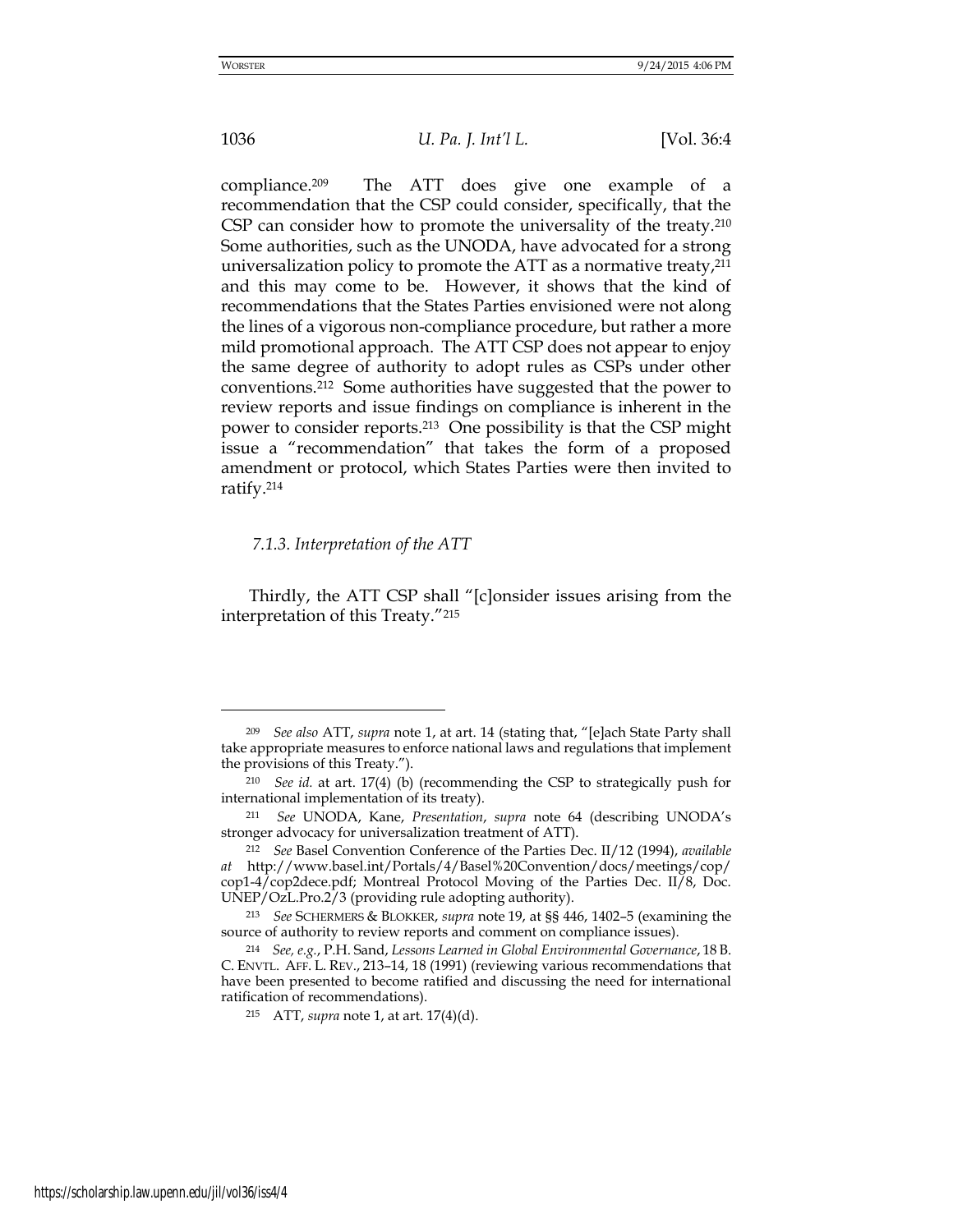1036 *U. Pa. J. Int'l L.* [Vol. 36:4

compliance.209 The ATT does give one example of a recommendation that the CSP could consider, specifically, that the CSP can consider how to promote the universality of the treaty.<sup>210</sup> Some authorities, such as the UNODA, have advocated for a strong universalization policy to promote the ATT as a normative treaty,<sup>211</sup> and this may come to be. However, it shows that the kind of recommendations that the States Parties envisioned were not along the lines of a vigorous non-compliance procedure, but rather a more mild promotional approach. The ATT CSP does not appear to enjoy the same degree of authority to adopt rules as CSPs under other conventions.212 Some authorities have suggested that the power to review reports and issue findings on compliance is inherent in the power to consider reports.213 One possibility is that the CSP might issue a "recommendation" that takes the form of a proposed amendment or protocol, which States Parties were then invited to ratify.<sup>214</sup>

#### *7.1.3. Interpretation of the ATT*

Thirdly, the ATT CSP shall "[c]onsider issues arising from the interpretation of this Treaty."<sup>215</sup>

<sup>209</sup> *See also* ATT, *supra* note 1, at art. 14 (stating that, "[e]ach State Party shall take appropriate measures to enforce national laws and regulations that implement the provisions of this Treaty.").

<sup>210</sup> *See id.* at art. 17(4) (b) (recommending the CSP to strategically push for international implementation of its treaty).

<sup>211</sup> *See* UNODA, Kane, *Presentation*, *supra* note 64 (describing UNODA's stronger advocacy for universalization treatment of ATT).

<sup>212</sup> *See* Basel Convention Conference of the Parties Dec. II/12 (1994), *available at* [http://www.basel.int/Portals/4/Basel%20Convention/d](http://www.basel.int/Portals/4/Basel%20Convention/)ocs/meetings/cop/ cop1-4/cop2dece.pdf; Montreal Protocol Moving of the Parties Dec. II/8, Doc. UNEP/OzL.Pro.2/3 (providing rule adopting authority).

<sup>213</sup> *See* SCHERMERS & BLOKKER, *supra* note 19, at §§ 446, 1402–5 (examining the source of authority to review reports and comment on compliance issues).

<sup>214</sup> *See, e.g.*, P.H. Sand, *Lessons Learned in Global Environmental Governance*, 18 B. C. ENVTL. AFF. L. REV., 213–14, 18 (1991) (reviewing various recommendations that have been presented to become ratified and discussing the need for international ratification of recommendations).

<sup>215</sup> ATT, *supra* note 1, at art. 17(4)(d).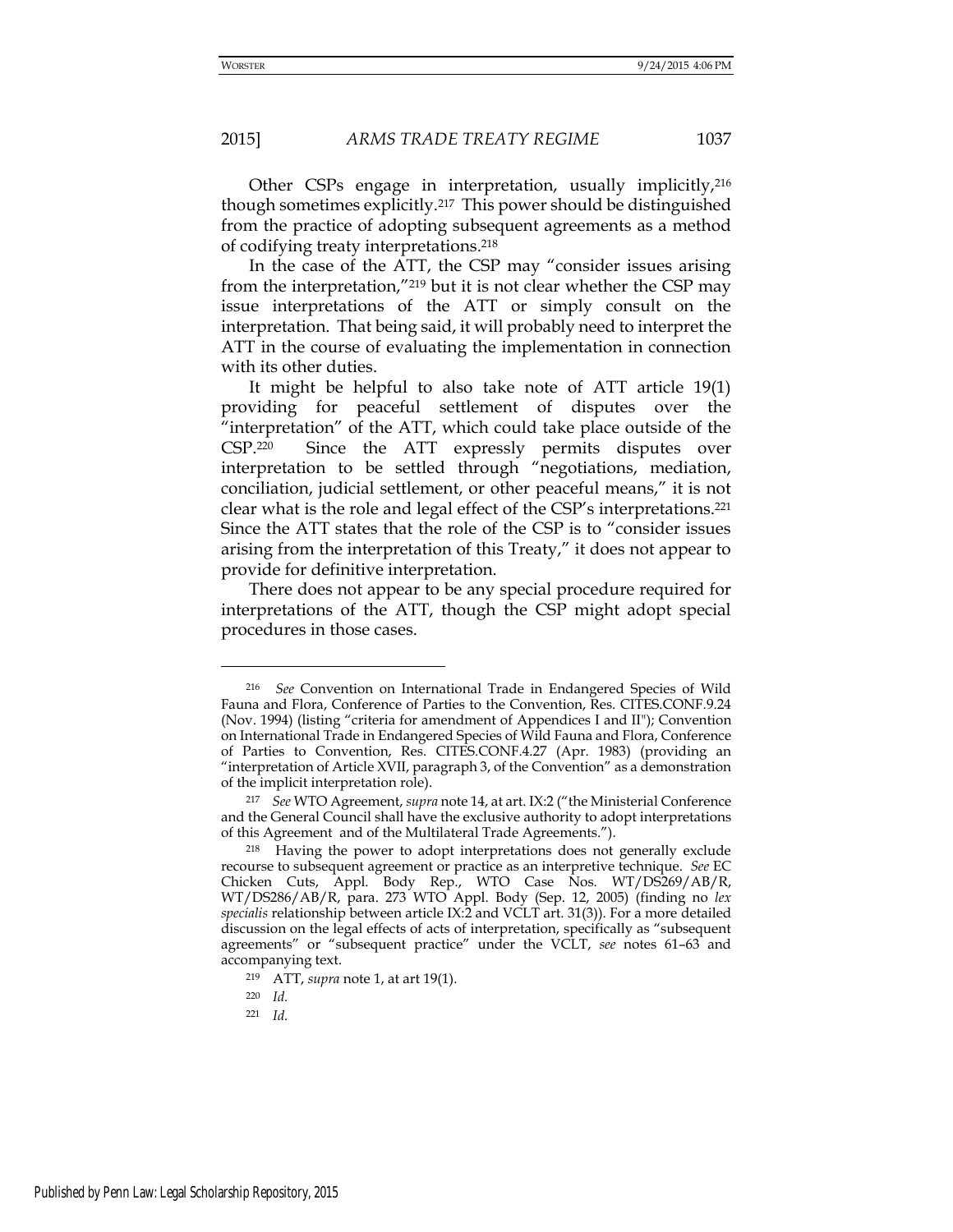Other CSPs engage in interpretation, usually implicitly,<sup>216</sup> though sometimes explicitly.217 This power should be distinguished from the practice of adopting subsequent agreements as a method of codifying treaty interpretations.<sup>218</sup>

In the case of the ATT, the CSP may "consider issues arising from the interpretation,"219 but it is not clear whether the CSP may issue interpretations of the ATT or simply consult on the interpretation. That being said, it will probably need to interpret the ATT in the course of evaluating the implementation in connection with its other duties.

It might be helpful to also take note of ATT article 19(1) providing for peaceful settlement of disputes over the "interpretation" of the ATT, which could take place outside of the CSP.220 Since the ATT expressly permits disputes over interpretation to be settled through "negotiations, mediation, conciliation, judicial settlement, or other peaceful means," it is not clear what is the role and legal effect of the CSP's interpretations.<sup>221</sup> Since the ATT states that the role of the CSP is to "consider issues arising from the interpretation of this Treaty," it does not appear to provide for definitive interpretation.

There does not appear to be any special procedure required for interpretations of the ATT, though the CSP might adopt special procedures in those cases.

-

<sup>216</sup> *See* Convention on International Trade in Endangered Species of Wild Fauna and Flora, Conference of Parties to the Convention, Res. CITES.CONF.9.24 (Nov. 1994) (listing "criteria for amendment of Appendices I and II"); Convention on International Trade in Endangered Species of Wild Fauna and Flora, Conference of Parties to Convention, Res. CITES.CONF.4.27 (Apr. 1983) (providing an "interpretation of Article XVII, paragraph 3, of the Convention" as a demonstration of the implicit interpretation role).

<sup>217</sup> *See* WTO Agreement, *supra* note 14, at art. IX:2 ("the Ministerial Conference and the General Council shall have the exclusive authority to adopt interpretations of this Agreement and of the Multilateral Trade Agreements.").

<sup>218</sup> Having the power to adopt interpretations does not generally exclude recourse to subsequent agreement or practice as an interpretive technique. *See* EC Chicken Cuts, Appl. Body Rep., WTO Case Nos. WT/DS269/AB/R, WT/DS286/AB/R, para. 273 WTO Appl. Body (Sep. 12, 2005) (finding no *lex specialis* relationship between article IX:2 and VCLT art. 31(3)). For a more detailed discussion on the legal effects of acts of interpretation, specifically as "subsequent agreements" or "subsequent practice" under the VCLT, *see* notes 61–63 and accompanying text.

<sup>219</sup> ATT, *supra* note 1, at art 19(1).

<sup>220</sup> *Id.*

<sup>221</sup> *Id.*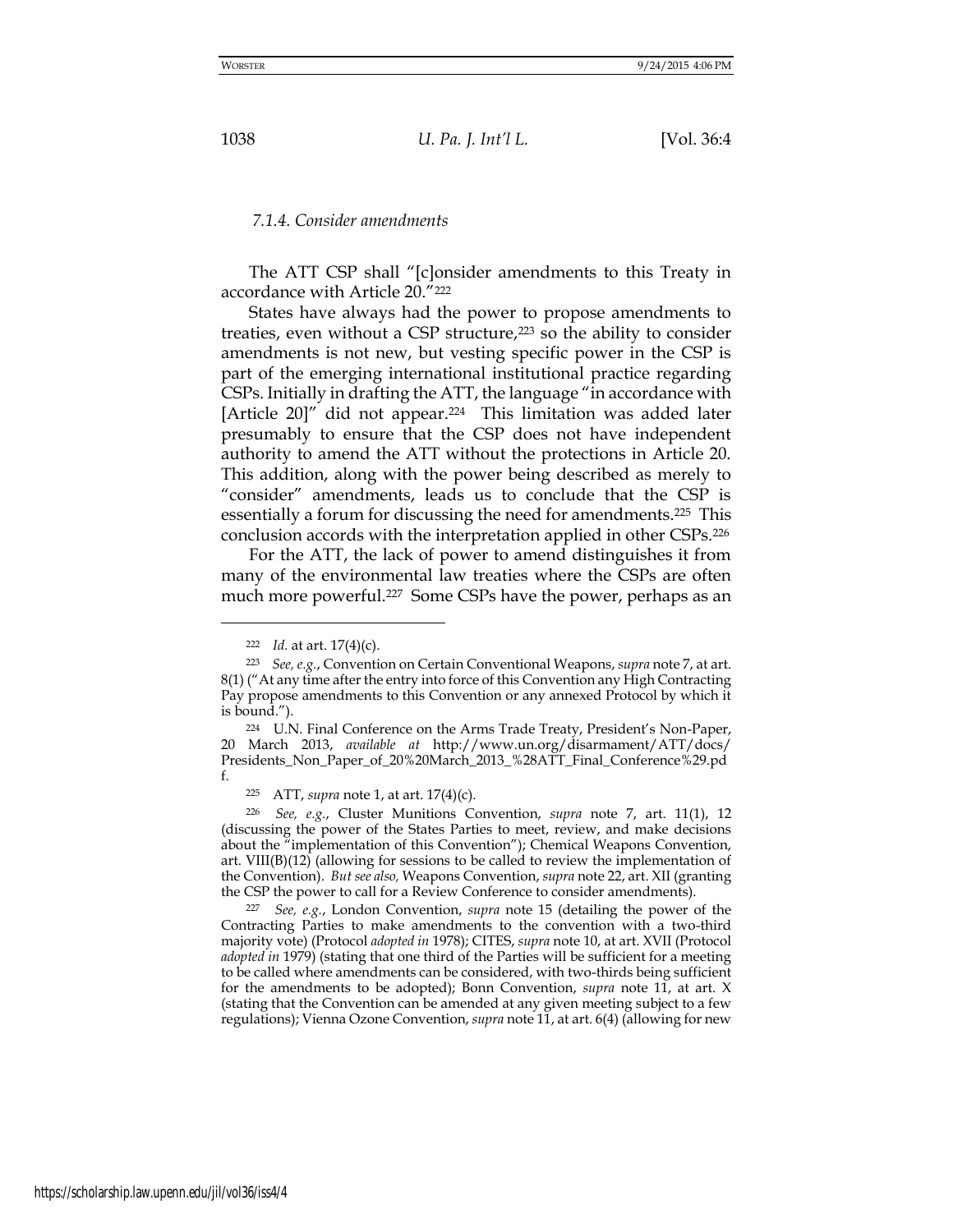#### *7.1.4. Consider amendments*

The ATT CSP shall "[c]onsider amendments to this Treaty in accordance with Article 20."<sup>222</sup>

States have always had the power to propose amendments to treaties, even without a CSP structure,<sup>223</sup> so the ability to consider amendments is not new, but vesting specific power in the CSP is part of the emerging international institutional practice regarding CSPs. Initially in drafting the ATT, the language "in accordance with [Article 20]" did not appear.<sup>224</sup> This limitation was added later presumably to ensure that the CSP does not have independent authority to amend the ATT without the protections in Article 20. This addition, along with the power being described as merely to "consider" amendments, leads us to conclude that the CSP is essentially a forum for discussing the need for amendments.225 This conclusion accords with the interpretation applied in other CSPs.<sup>226</sup>

For the ATT, the lack of power to amend distinguishes it from many of the environmental law treaties where the CSPs are often much more powerful.<sup>227</sup> Some CSPs have the power, perhaps as an

<sup>222</sup> *Id.* at art. 17(4)(c).

<sup>223</sup> *See, e.g.*, Convention on Certain Conventional Weapons, *supra* note 7, at art. 8(1) ("At any time after the entry into force of this Convention any High Contracting Pay propose amendments to this Convention or any annexed Protocol by which it is bound.").

<sup>224</sup> U.N. Final Conference on the Arms Trade Treaty, President's Non-Paper, 20 March 2013, *available at* [http://www.un.org/disarmament/ATT/d](http://www.un.org/disarmament/ATT/)ocs/ Presidents\_Non\_Paper\_of\_20%20March\_2013\_%28ATT\_Final\_Conference%29.pd f.

<sup>225</sup> ATT, *supra* note 1, at art. 17(4)(c).

<sup>226</sup> *See, e.g.*, Cluster Munitions Convention, *supra* note 7, art. 11(1), 12 (discussing the power of the States Parties to meet, review, and make decisions about the "implementation of this Convention"); Chemical Weapons Convention, art.  $VIII(B)(12)$  (allowing for sessions to be called to review the implementation of the Convention). *But see also,* Weapons Convention, *supra* note 22, art. XII (granting the CSP the power to call for a Review Conference to consider amendments).

<sup>227</sup> *See, e.g.*, London Convention, *supra* note 15 (detailing the power of the Contracting Parties to make amendments to the convention with a two-third majority vote) (Protocol *adopted in* 1978); CITES, *supra* note 10, at art. XVII (Protocol *adopted in* 1979) (stating that one third of the Parties will be sufficient for a meeting to be called where amendments can be considered, with two-thirds being sufficient for the amendments to be adopted); Bonn Convention, *supra* note 11, at art. X (stating that the Convention can be amended at any given meeting subject to a few regulations); Vienna Ozone Convention, *supra* note 11, at art. 6(4) (allowing for new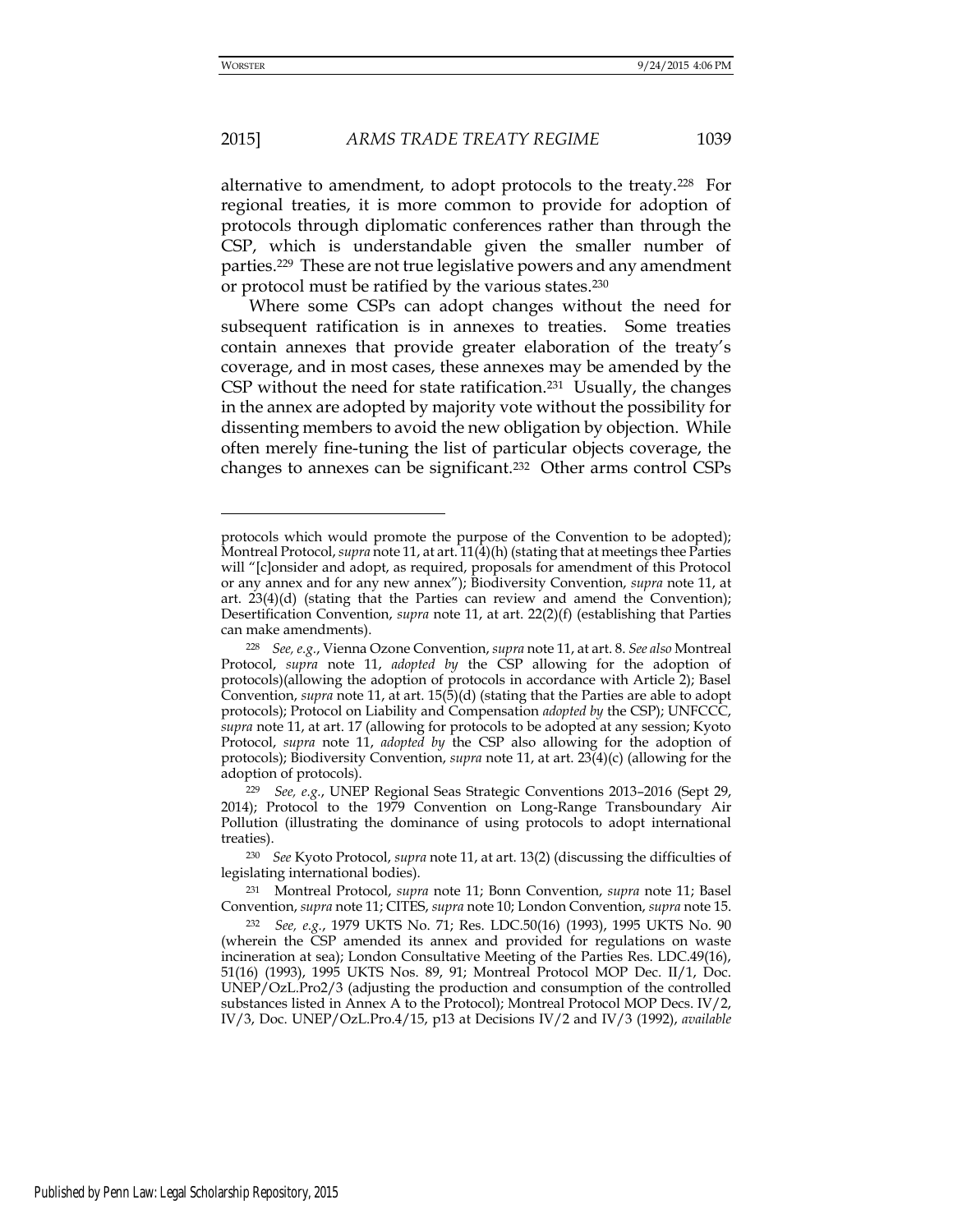## 2015] *ARMS TRADE TREATY REGIME* 1039

alternative to amendment, to adopt protocols to the treaty.228 For regional treaties, it is more common to provide for adoption of protocols through diplomatic conferences rather than through the CSP, which is understandable given the smaller number of parties.229 These are not true legislative powers and any amendment or protocol must be ratified by the various states.<sup>230</sup>

Where some CSPs can adopt changes without the need for subsequent ratification is in annexes to treaties. Some treaties contain annexes that provide greater elaboration of the treaty's coverage, and in most cases, these annexes may be amended by the CSP without the need for state ratification.<sup>231</sup> Usually, the changes in the annex are adopted by majority vote without the possibility for dissenting members to avoid the new obligation by objection. While often merely fine-tuning the list of particular objects coverage, the changes to annexes can be significant.232 Other arms control CSPs

protocols which would promote the purpose of the Convention to be adopted); Montreal Protocol, *supra* note 11, at art. 11(4)(h) (stating that at meetings thee Parties will "[c]onsider and adopt, as required, proposals for amendment of this Protocol or any annex and for any new annex"); Biodiversity Convention, *supra* note 11, at art. 23(4)(d) (stating that the Parties can review and amend the Convention); Desertification Convention, *supra* note 11, at art. 22(2)(f) (establishing that Parties can make amendments).

<sup>228</sup> *See, e.g.*, Vienna Ozone Convention, *supra* note 11, at art. 8. *See also* Montreal Protocol, *supra* note 11, *adopted by* the CSP allowing for the adoption of protocols)(allowing the adoption of protocols in accordance with Article 2); Basel Convention, *supra* note 11, at art. 15(5)(d) (stating that the Parties are able to adopt protocols); Protocol on Liability and Compensation *adopted by* the CSP); UNFCCC, *supra* note 11, at art. 17 (allowing for protocols to be adopted at any session; Kyoto Protocol, *supra* note 11, *adopted by* the CSP also allowing for the adoption of protocols); Biodiversity Convention, *supra* note 11, at art. 23(4)(c) (allowing for the adoption of protocols).

<sup>229</sup> *See, e.g.*, UNEP Regional Seas Strategic Conventions 2013–2016 (Sept 29, 2014); Protocol to the 1979 Convention on Long-Range Transboundary Air Pollution (illustrating the dominance of using protocols to adopt international treaties).

<sup>230</sup> *See* Kyoto Protocol, *supra* note 11, at art. 13(2) (discussing the difficulties of legislating international bodies).

<sup>231</sup> Montreal Protocol, *supra* note 11; Bonn Convention, *supra* note 11; Basel Convention, *supra* note 11; CITES, *supra* note 10; London Convention, *supra* note 15.

<sup>232</sup> *See, e.g.*, 1979 UKTS No. 71; Res. LDC.50(16) (1993), 1995 UKTS No. 90 (wherein the CSP amended its annex and provided for regulations on waste incineration at sea); London Consultative Meeting of the Parties Res. LDC.49(16), 51(16) (1993), 1995 UKTS Nos. 89, 91; Montreal Protocol MOP Dec. II/1, Doc. UNEP/OzL.Pro2/3 (adjusting the production and consumption of the controlled substances listed in Annex A to the Protocol); Montreal Protocol MOP Decs. IV/2, IV/3, Doc. UNEP/OzL.Pro.4/15, p13 at Decisions IV/2 and IV/3 (1992), *available*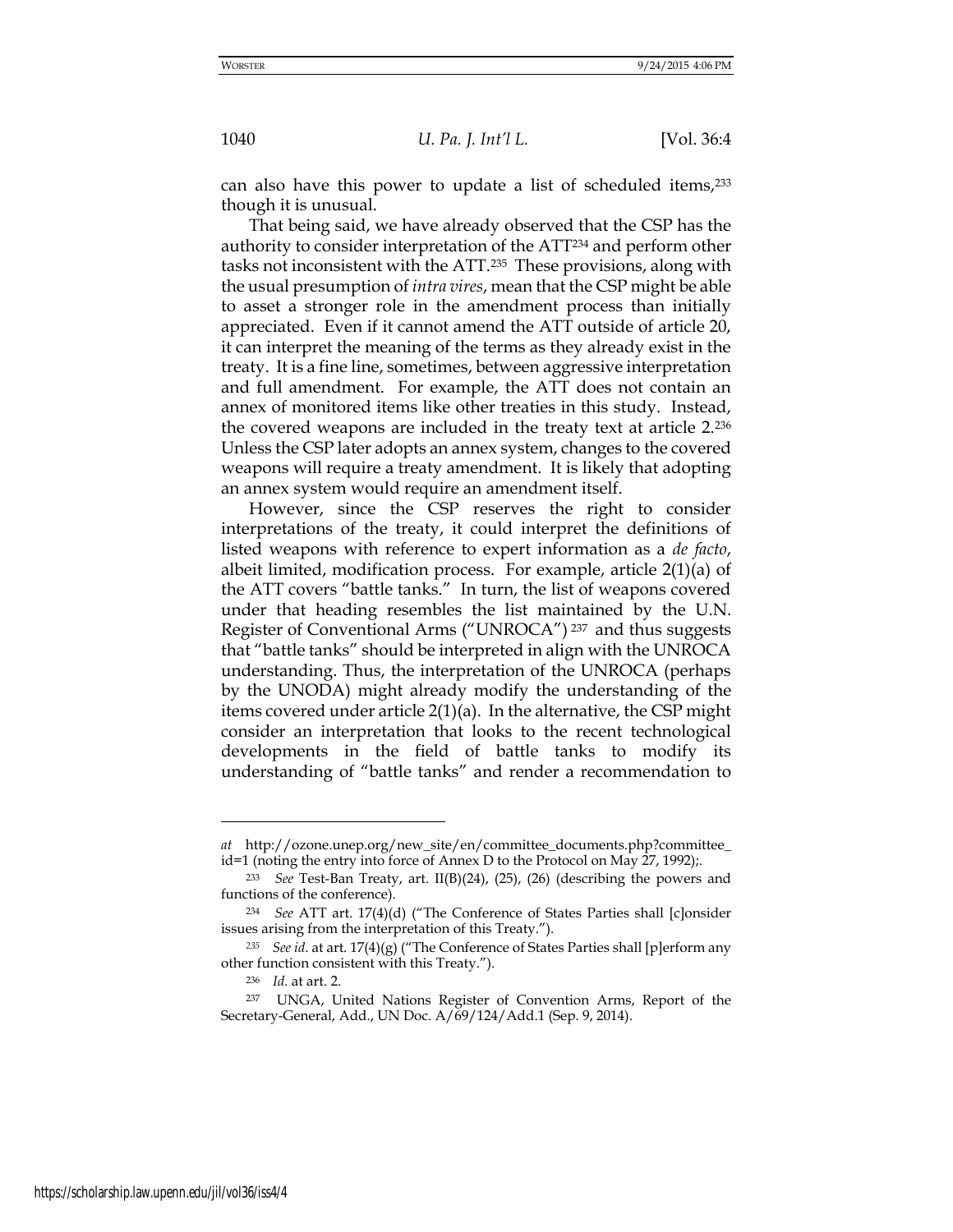can also have this power to update a list of scheduled items,<sup>233</sup> though it is unusual.

That being said, we have already observed that the CSP has the authority to consider interpretation of the ATT234 and perform other tasks not inconsistent with the ATT.235 These provisions, along with the usual presumption of *intra vires*, mean that the CSP might be able to asset a stronger role in the amendment process than initially appreciated. Even if it cannot amend the ATT outside of article 20, it can interpret the meaning of the terms as they already exist in the treaty. It is a fine line, sometimes, between aggressive interpretation and full amendment. For example, the ATT does not contain an annex of monitored items like other treaties in this study. Instead, the covered weapons are included in the treaty text at article 2.<sup>236</sup> Unless the CSP later adopts an annex system, changes to the covered weapons will require a treaty amendment. It is likely that adopting an annex system would require an amendment itself.

However, since the CSP reserves the right to consider interpretations of the treaty, it could interpret the definitions of listed weapons with reference to expert information as a *de facto*, albeit limited, modification process. For example, article 2(1)(a) of the ATT covers "battle tanks." In turn, the list of weapons covered under that heading resembles the list maintained by the U.N. Register of Conventional Arms ("UNROCA") <sup>237</sup> and thus suggests that "battle tanks" should be interpreted in align with the UNROCA understanding. Thus, the interpretation of the UNROCA (perhaps by the UNODA) might already modify the understanding of the items covered under article 2(1)(a). In the alternative, the CSP might consider an interpretation that looks to the recent technological developments in the field of battle tanks to modify its understanding of "battle tanks" and render a recommendation to

*at* [http://ozone.unep.org/new\\_site/en/committee\\_documents.php?](http://ozone.unep.org/new_site/en/committee_documents.php)committee\_ id=1 (noting the entry into force of Annex D to the Protocol on May 27, 1992);.

<sup>233</sup> *See* Test-Ban Treaty, art. II(B)(24), (25), (26) (describing the powers and functions of the conference).

<sup>234</sup> *See* ATT art. 17(4)(d) ("The Conference of States Parties shall [c]onsider issues arising from the interpretation of this Treaty.").

*<sup>235</sup> See id*. at art. 17(4)(g) ("The Conference of States Parties shall [p]erform any other function consistent with this Treaty.").

<sup>236</sup> *Id.* at art. 2.

<sup>237</sup> UNGA, United Nations Register of Convention Arms, Report of the Secretary-General, Add., UN Doc. A/69/124/Add.1 (Sep. 9, 2014).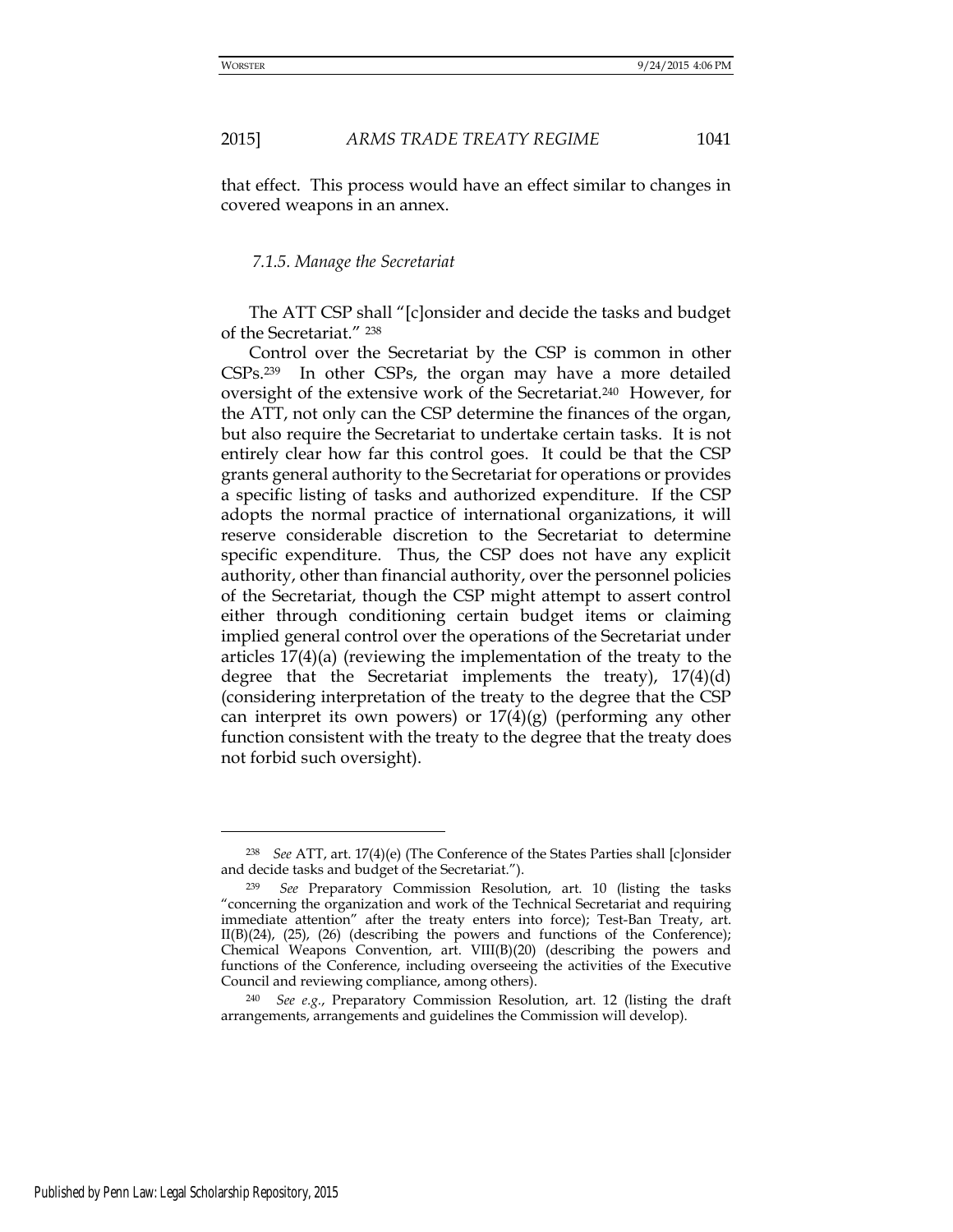that effect. This process would have an effect similar to changes in covered weapons in an annex.

#### *7.1.5. Manage the Secretariat*

The ATT CSP shall "[c]onsider and decide the tasks and budget of the Secretariat." <sup>238</sup>

Control over the Secretariat by the CSP is common in other CSPs.239 In other CSPs, the organ may have a more detailed oversight of the extensive work of the Secretariat.240 However, for the ATT, not only can the CSP determine the finances of the organ, but also require the Secretariat to undertake certain tasks. It is not entirely clear how far this control goes. It could be that the CSP grants general authority to the Secretariat for operations or provides a specific listing of tasks and authorized expenditure. If the CSP adopts the normal practice of international organizations, it will reserve considerable discretion to the Secretariat to determine specific expenditure. Thus, the CSP does not have any explicit authority, other than financial authority, over the personnel policies of the Secretariat, though the CSP might attempt to assert control either through conditioning certain budget items or claiming implied general control over the operations of the Secretariat under articles 17(4)(a) (reviewing the implementation of the treaty to the degree that the Secretariat implements the treaty),  $17(4)(d)$ (considering interpretation of the treaty to the degree that the CSP can interpret its own powers) or  $17(4)(g)$  (performing any other function consistent with the treaty to the degree that the treaty does not forbid such oversight).

<sup>238</sup> *See* ATT, art. 17(4)(e) (The Conference of the States Parties shall [c]onsider and decide tasks and budget of the Secretariat.").

See Preparatory Commission Resolution, art. 10 (listing the tasks "concerning the organization and work of the Technical Secretariat and requiring immediate attention" after the treaty enters into force); Test-Ban Treaty, art.  $II(B)(24)$ ,  $(25)$ ,  $(26)$  (describing the powers and functions of the Conference); Chemical Weapons Convention, art. VIII(B)(20) (describing the powers and functions of the Conference, including overseeing the activities of the Executive Council and reviewing compliance, among others).

<sup>240</sup> *See e.g.*, Preparatory Commission Resolution, art. 12 (listing the draft arrangements, arrangements and guidelines the Commission will develop).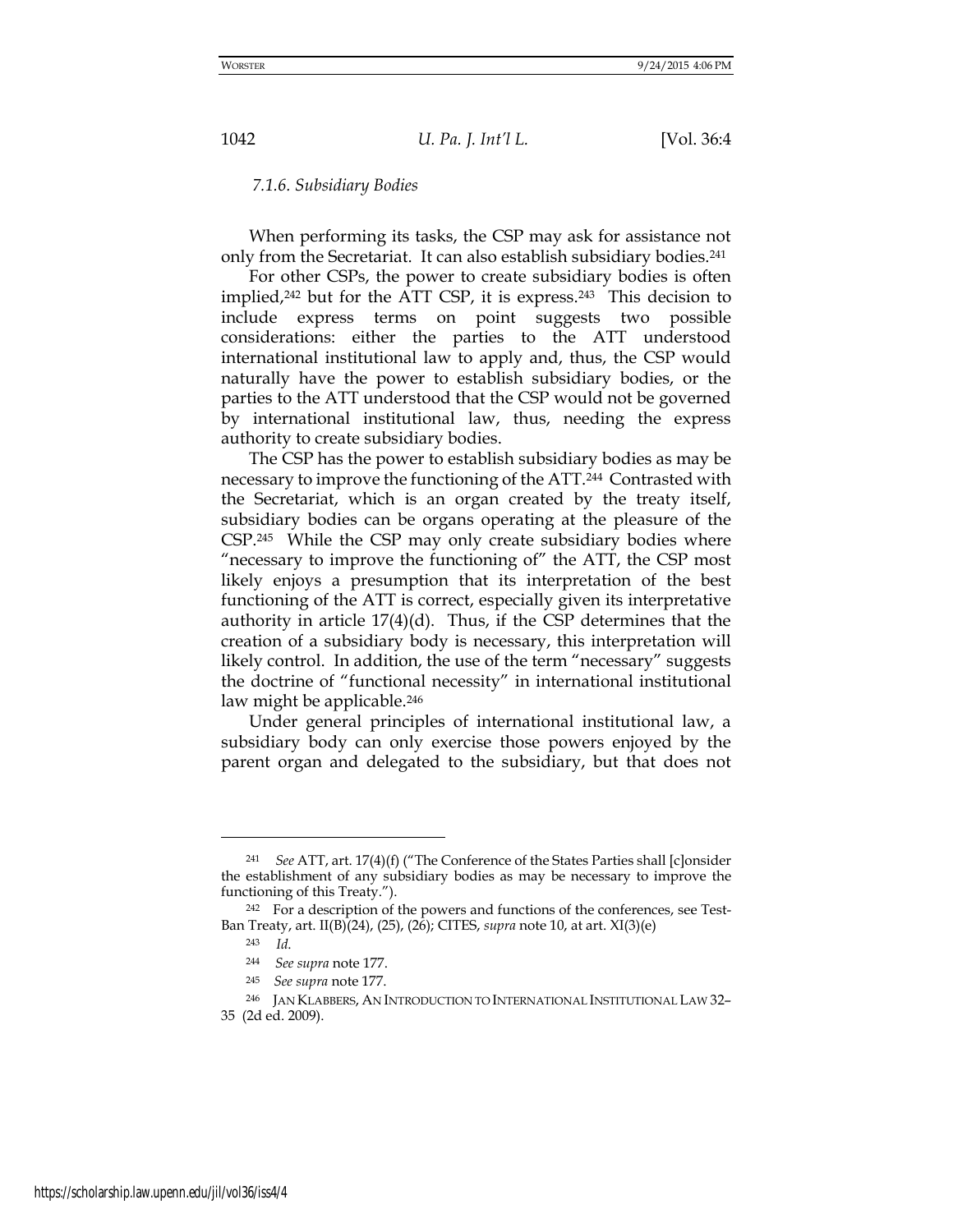#### *7.1.6. Subsidiary Bodies*

When performing its tasks, the CSP may ask for assistance not only from the Secretariat. It can also establish subsidiary bodies.<sup>241</sup>

For other CSPs, the power to create subsidiary bodies is often implied,242 but for the ATT CSP, it is express.243 This decision to include express terms on point suggests two possible considerations: either the parties to the ATT understood international institutional law to apply and, thus, the CSP would naturally have the power to establish subsidiary bodies, or the parties to the ATT understood that the CSP would not be governed by international institutional law, thus, needing the express authority to create subsidiary bodies.

The CSP has the power to establish subsidiary bodies as may be necessary to improve the functioning of the ATT.244 Contrasted with the Secretariat, which is an organ created by the treaty itself, subsidiary bodies can be organs operating at the pleasure of the CSP.245 While the CSP may only create subsidiary bodies where "necessary to improve the functioning of" the ATT, the CSP most likely enjoys a presumption that its interpretation of the best functioning of the ATT is correct, especially given its interpretative authority in article 17(4)(d). Thus, if the CSP determines that the creation of a subsidiary body is necessary, this interpretation will likely control. In addition, the use of the term "necessary" suggests the doctrine of "functional necessity" in international institutional law might be applicable.<sup>246</sup>

Under general principles of international institutional law, a subsidiary body can only exercise those powers enjoyed by the parent organ and delegated to the subsidiary, but that does not

<sup>241</sup> *See* ATT, art. 17(4)(f) ("The Conference of the States Parties shall [c]onsider the establishment of any subsidiary bodies as may be necessary to improve the functioning of this Treaty.").

<sup>242</sup> For a description of the powers and functions of the conferences, see Test-Ban Treaty, art. II(B)(24), (25), (26); CITES, *supra* note 10, at art. XI(3)(e)

<sup>243</sup> *Id*.

<sup>244</sup> *See supra* note 177.

<sup>245</sup>*See supra* note 177.

<sup>&</sup>lt;sup>246</sup> JAN KLABBERS, AN INTRODUCTION TO INTERNATIONAL INSTITUTIONAL LAW 32-35 (2d ed. 2009).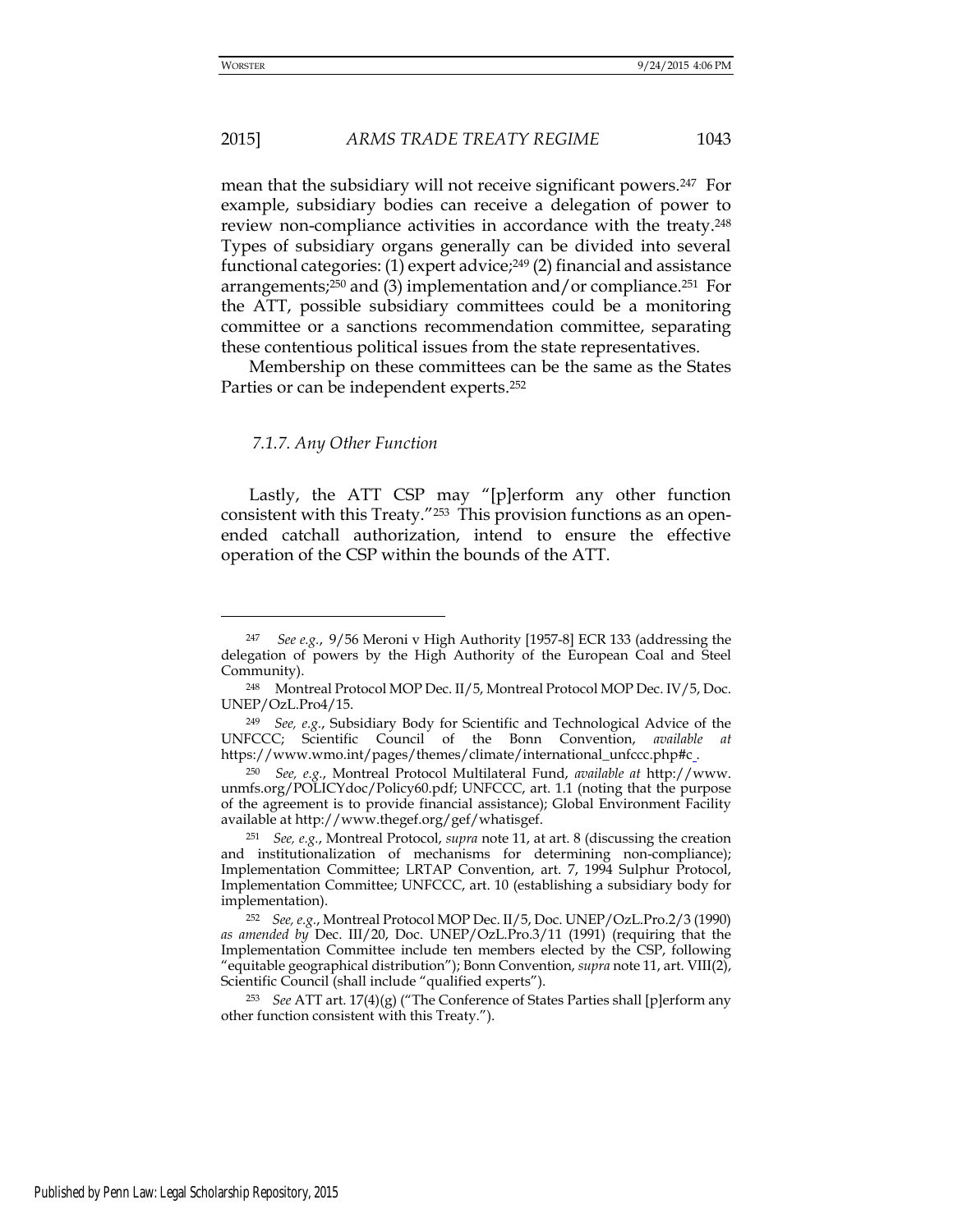## 2015] *ARMS TRADE TREATY REGIME* 1043

mean that the subsidiary will not receive significant powers.247 For example, subsidiary bodies can receive a delegation of power to review non-compliance activities in accordance with the treaty.<sup>248</sup> Types of subsidiary organs generally can be divided into several functional categories:  $(1)$  expert advice;<sup>249</sup> $(2)$  financial and assistance arrangements;<sup>250</sup> and (3) implementation and/or compliance.<sup>251</sup> For the ATT, possible subsidiary committees could be a monitoring committee or a sanctions recommendation committee, separating these contentious political issues from the state representatives.

Membership on these committees can be the same as the States Parties or can be independent experts.<sup>252</sup>

#### *7.1.7. Any Other Function*

Lastly, the ATT CSP may "[p]erform any other function consistent with this Treaty."253 This provision functions as an openended catchall authorization, intend to ensure the effective operation of the CSP within the bounds of the ATT.

<sup>247</sup> *See e.g.*, 9/56 Meroni v High Authority [1957-8] ECR 133 (addressing the delegation of powers by the High Authority of the European Coal and Steel Community).

<sup>248</sup> Montreal Protocol MOP Dec. II/5, Montreal Protocol MOP Dec. IV/5, Doc. UNEP/OzL.Pro4/15.

<sup>249</sup> *See, e.g.*, Subsidiary Body for Scientific and Technological Advice of the UNFCCC; Scientific Council of the Bonn Convention, *available at*  https://www.wmo.int/pages/themes/climate/international\_unfccc.php#c\_.

<sup>250</sup> *See, e.g.*, Montreal Protocol Multilateral Fund, *available at* [http://www.](http://www/) unmfs.org/POLICYdoc/Policy60.pdf; UNFCCC, art. 1.1 (noting that the purpose of the agreement is to provide financial assistance); Global Environment Facility available at http://www.thegef.org/gef/whatisgef.

<sup>251</sup> *See, e.g.*, Montreal Protocol, *supra* note 11, at art. 8 (discussing the creation and institutionalization of mechanisms for determining non-compliance); Implementation Committee; LRTAP Convention, art. 7, 1994 Sulphur Protocol, Implementation Committee; UNFCCC, art. 10 (establishing a subsidiary body for implementation).

<sup>252</sup> *See, e.g.*, Montreal Protocol MOP Dec. II/5, Doc. UNEP/OzL.Pro.2/3 (1990) *as amended by* Dec. III/20, Doc. UNEP/OzL.Pro.3/11 (1991) (requiring that the Implementation Committee include ten members elected by the CSP, following "equitable geographical distribution"); Bonn Convention, *supra* note 11, art. VIII(2), Scientific Council (shall include "qualified experts").

<sup>253</sup> *See* ATT art. 17(4)(g) ("The Conference of States Parties shall [p]erform any other function consistent with this Treaty.").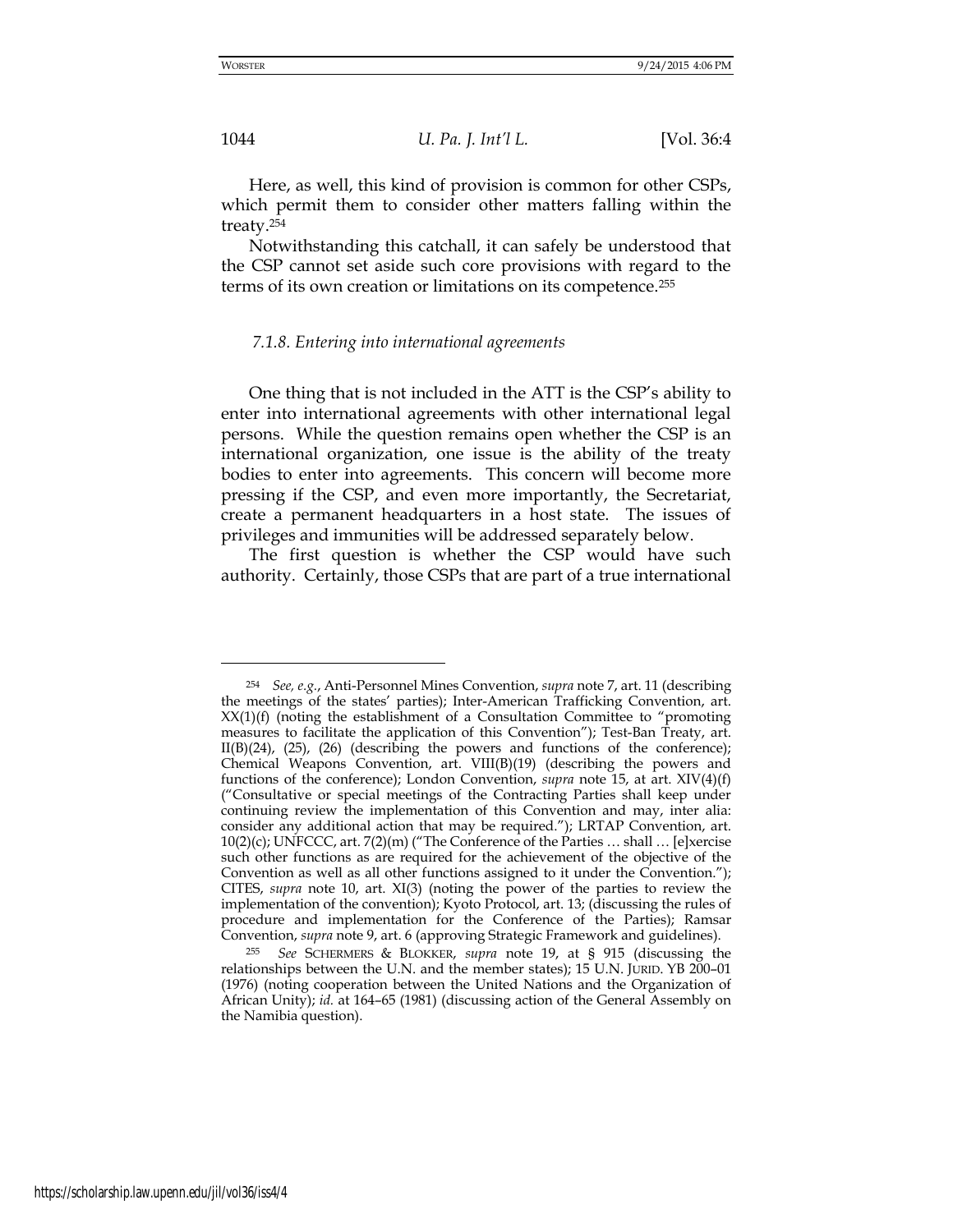Here, as well, this kind of provision is common for other CSPs, which permit them to consider other matters falling within the treaty.<sup>254</sup>

Notwithstanding this catchall, it can safely be understood that the CSP cannot set aside such core provisions with regard to the terms of its own creation or limitations on its competence.<sup>255</sup>

#### *7.1.8. Entering into international agreements*

One thing that is not included in the ATT is the CSP's ability to enter into international agreements with other international legal persons. While the question remains open whether the CSP is an international organization, one issue is the ability of the treaty bodies to enter into agreements. This concern will become more pressing if the CSP, and even more importantly, the Secretariat, create a permanent headquarters in a host state. The issues of privileges and immunities will be addressed separately below.

The first question is whether the CSP would have such authority. Certainly, those CSPs that are part of a true international

<sup>254</sup> *See, e.g.*, Anti-Personnel Mines Convention, *supra* note 7, art. 11 (describing the meetings of the states' parties); Inter-American Trafficking Convention, art. XX(1)(f) (noting the establishment of a Consultation Committee to "promoting measures to facilitate the application of this Convention"); Test-Ban Treaty, art. II(B)(24), (25), (26) (describing the powers and functions of the conference); Chemical Weapons Convention, art. VIII(B)(19) (describing the powers and functions of the conference); London Convention, *supra* note 15, at art. XIV(4)(f) ("Consultative or special meetings of the Contracting Parties shall keep under continuing review the implementation of this Convention and may, inter alia: consider any additional action that may be required."); LRTAP Convention, art.  $10(2)(c)$ ; UNFCCC, art.  $7(2)(m)$  ("The Conference of the Parties ... shall ... [e]xercise such other functions as are required for the achievement of the objective of the Convention as well as all other functions assigned to it under the Convention."); CITES, *supra* note 10, art. XI(3) (noting the power of the parties to review the implementation of the convention); Kyoto Protocol, art. 13; (discussing the rules of procedure and implementation for the Conference of the Parties); Ramsar Convention, *supra* note 9, art. 6 (approving Strategic Framework and guidelines).

<sup>255</sup> *See* SCHERMERS & BLOKKER, *supra* note 19, at § 915 (discussing the relationships between the U.N. and the member states); 15 U.N. JURID. YB 200–01 (1976) (noting cooperation between the United Nations and the Organization of African Unity); *id.* at 164–65 (1981) (discussing action of the General Assembly on the Namibia question).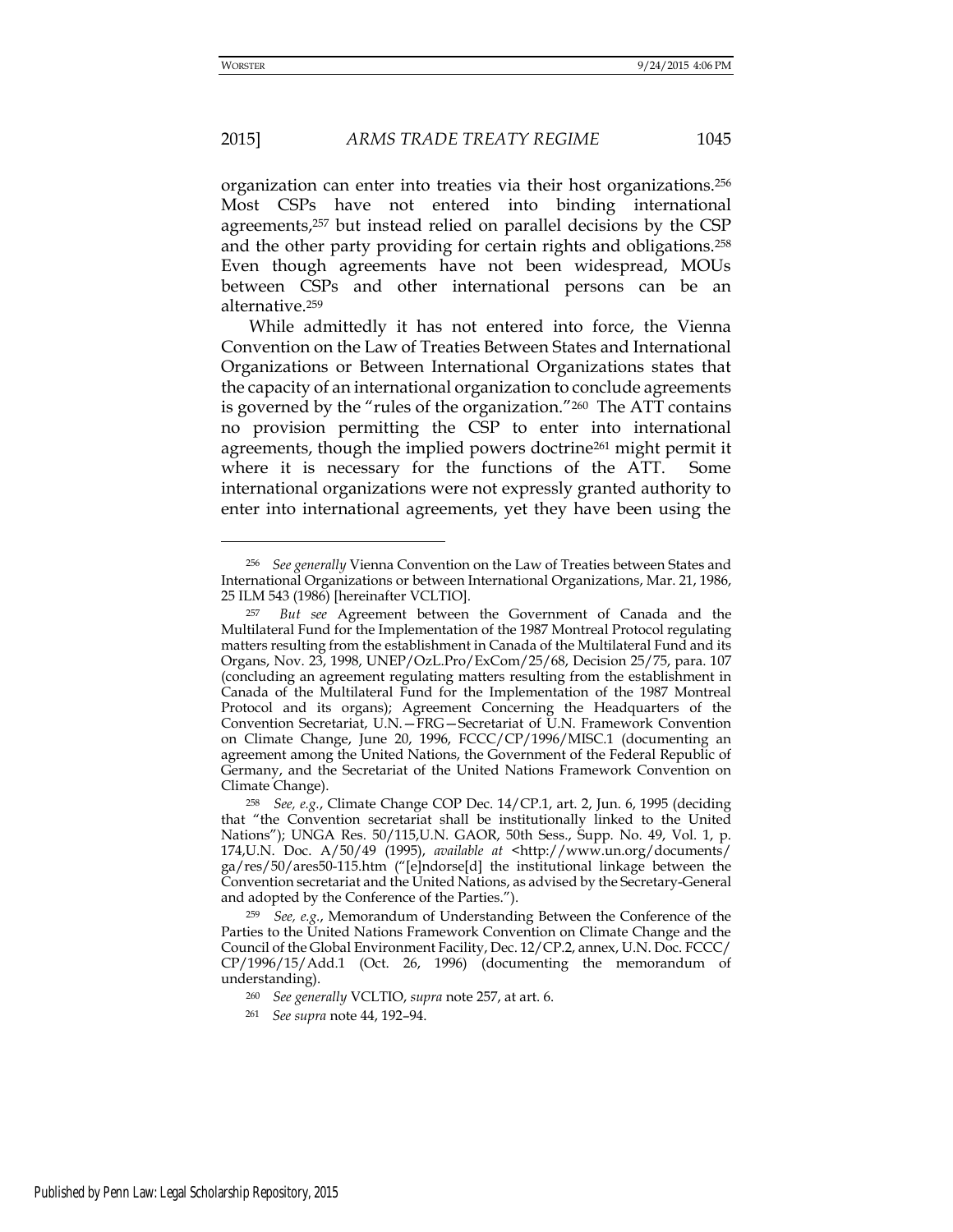## 2015] *ARMS TRADE TREATY REGIME* 1045

organization can enter into treaties via their host organizations.<sup>256</sup> Most CSPs have not entered into binding international agreements,257 but instead relied on parallel decisions by the CSP and the other party providing for certain rights and obligations.<sup>258</sup> Even though agreements have not been widespread, MOUs between CSPs and other international persons can be an alternative.<sup>259</sup>

While admittedly it has not entered into force, the Vienna Convention on the Law of Treaties Between States and International Organizations or Between International Organizations states that the capacity of an international organization to conclude agreements is governed by the "rules of the organization."260 The ATT contains no provision permitting the CSP to enter into international agreements, though the implied powers doctrine<sup>261</sup> might permit it where it is necessary for the functions of the ATT. Some international organizations were not expressly granted authority to enter into international agreements, yet they have been using the

<sup>256</sup> *See generally* Vienna Convention on the Law of Treaties between States and International Organizations or between International Organizations, Mar. 21, 1986, 25 ILM 543 (1986) [hereinafter VCLTIO].

<sup>257</sup> *But see* Agreement between the Government of Canada and the Multilateral Fund for the Implementation of the 1987 Montreal Protocol regulating matters resulting from the establishment in Canada of the Multilateral Fund and its Organs, Nov. 23, 1998, UNEP/OzL.Pro/ExCom/25/68, Decision 25/75, para. 107 (concluding an agreement regulating matters resulting from the establishment in Canada of the Multilateral Fund for the Implementation of the 1987 Montreal Protocol and its organs); Agreement Concerning the Headquarters of the Convention Secretariat, U.N.—FRG—Secretariat of U.N. Framework Convention on Climate Change, June 20, 1996, FCCC/CP/1996/MISC.1 (documenting an agreement among the United Nations, the Government of the Federal Republic of Germany, and the Secretariat of the United Nations Framework Convention on Climate Change).

<sup>258</sup> *See, e.g.*, Climate Change COP Dec. 14/CP.1, art. 2, Jun. 6, 1995 (deciding that "the Convention secretariat shall be institutionally linked to the United Nations"); UNGA Res. 50/115,U.N. GAOR, 50th Sess., Supp. No. 49, Vol. 1, p. 174,U.N. Doc. A/50/49 (1995), *available at* <http://www.un.org/documents/ ga/res/50/ares50-115.htm ("[e]ndorse[d] the institutional linkage between the Convention secretariat and the United Nations, as advised by the Secretary-General and adopted by the Conference of the Parties.").

<sup>259</sup> *See, e.g.*, Memorandum of Understanding Between the Conference of the Parties to the United Nations Framework Convention on Climate Change and the Council of the Global Environment Facility, Dec. 12/CP.2, annex, U.N. Doc. FCCC/ CP/1996/15/Add.1 (Oct. 26, 1996) (documenting the memorandum of understanding).

<sup>260</sup> *See generally* VCLTIO, *supra* note 257, at art. 6.

<sup>261</sup> *See supra* note 44, 192–94.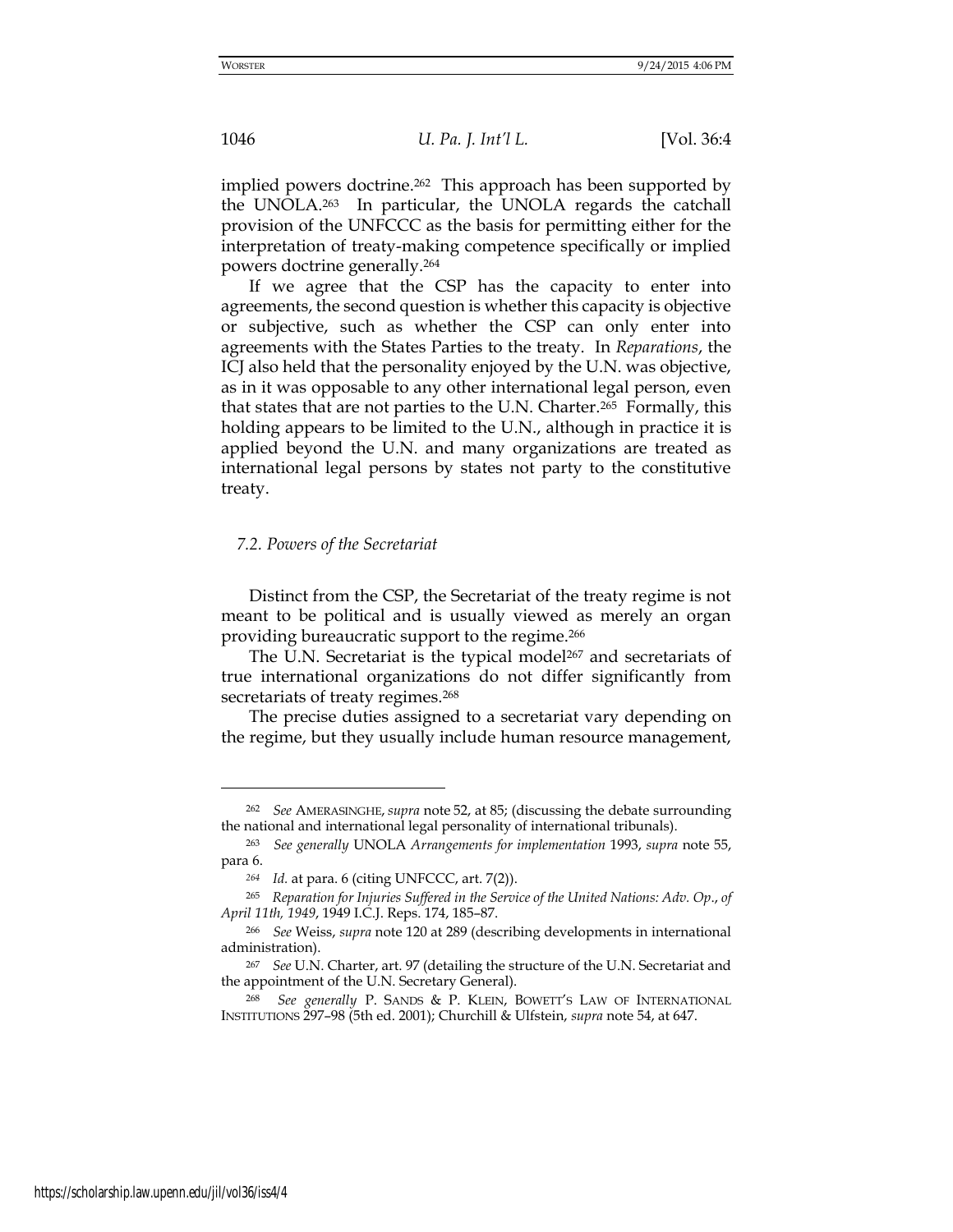implied powers doctrine.<sup>262</sup> This approach has been supported by the UNOLA.263 In particular, the UNOLA regards the catchall provision of the UNFCCC as the basis for permitting either for the interpretation of treaty-making competence specifically or implied powers doctrine generally.<sup>264</sup>

If we agree that the CSP has the capacity to enter into agreements, the second question is whether this capacity is objective or subjective, such as whether the CSP can only enter into agreements with the States Parties to the treaty. In *Reparations*, the ICJ also held that the personality enjoyed by the U.N. was objective, as in it was opposable to any other international legal person, even that states that are not parties to the U.N. Charter.265 Formally, this holding appears to be limited to the U.N., although in practice it is applied beyond the U.N. and many organizations are treated as international legal persons by states not party to the constitutive treaty.

## *7.2. Powers of the Secretariat*

Distinct from the CSP, the Secretariat of the treaty regime is not meant to be political and is usually viewed as merely an organ providing bureaucratic support to the regime.<sup>266</sup>

The U.N. Secretariat is the typical model<sup>267</sup> and secretariats of true international organizations do not differ significantly from secretariats of treaty regimes.<sup>268</sup>

The precise duties assigned to a secretariat vary depending on the regime, but they usually include human resource management,

-

<sup>262</sup> *See* AMERASINGHE, *supra* note 52, at 85; (discussing the debate surrounding the national and international legal personality of international tribunals).

<sup>263</sup> *See generally* UNOLA *Arrangements for implementation* 1993, *supra* note 55, para 6.

*<sup>264</sup> Id.* at para. 6 (citing UNFCCC, art. 7(2)).

<sup>265</sup> *Reparation for Injuries Suffered in the Service of the United Nations: Adv. Op*., *of April 11th, 1949*, 1949 I.C.J. Reps. 174, 185–87.

<sup>266</sup> *See* Weiss, *supra* note 120 at 289 (describing developments in international administration).

<sup>267</sup> *See* U.N. Charter, art. 97 (detailing the structure of the U.N. Secretariat and the appointment of the U.N. Secretary General).

<sup>268</sup> *See generally* P. SANDS & P. KLEIN, BOWETT'S LAW OF INTERNATIONAL INSTITUTIONS 297–98 (5th ed. 2001); Churchill & Ulfstein, *supra* note 54, at 647.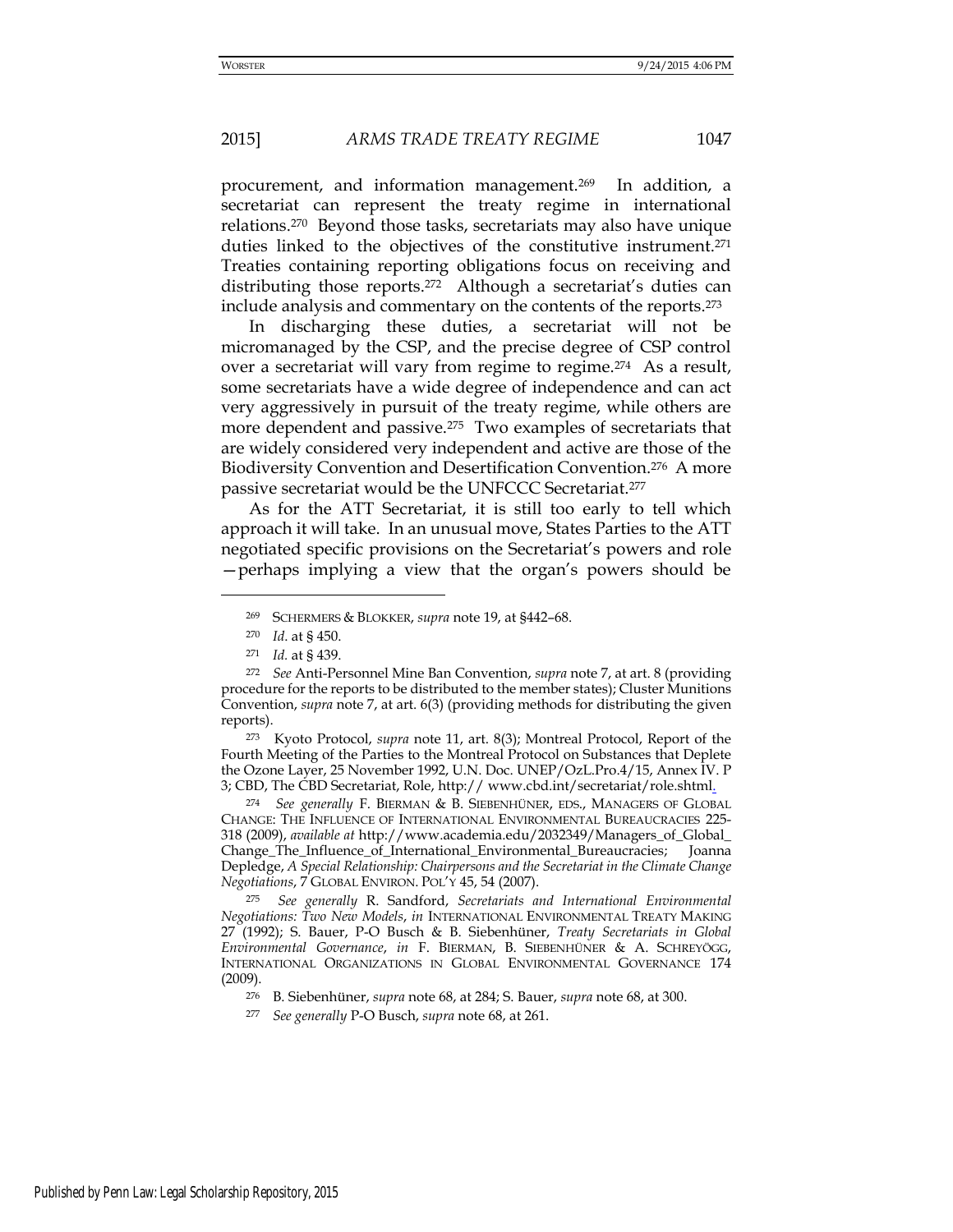procurement, and information management.269 In addition, a secretariat can represent the treaty regime in international relations.270 Beyond those tasks, secretariats may also have unique duties linked to the objectives of the constitutive instrument.<sup>271</sup> Treaties containing reporting obligations focus on receiving and distributing those reports.<sup>272</sup> Although a secretariat's duties can include analysis and commentary on the contents of the reports.<sup>273</sup>

In discharging these duties, a secretariat will not be micromanaged by the CSP, and the precise degree of CSP control over a secretariat will vary from regime to regime.274 As a result, some secretariats have a wide degree of independence and can act very aggressively in pursuit of the treaty regime, while others are more dependent and passive.275 Two examples of secretariats that are widely considered very independent and active are those of the Biodiversity Convention and Desertification Convention.276 A more passive secretariat would be the UNFCCC Secretariat.<sup>277</sup>

As for the ATT Secretariat, it is still too early to tell which approach it will take. In an unusual move, States Parties to the ATT negotiated specific provisions on the Secretariat's powers and role —perhaps implying a view that the organ's powers should be

<u>.</u>

<sup>273</sup> Kyoto Protocol, *supra* note 11, art. 8(3); Montreal Protocol, Report of the Fourth Meeting of the Parties to the Montreal Protocol on Substances that Deplete the Ozone Layer, 25 November 1992, U.N. Doc. UNEP/OzL.Pro.4/15, Annex IV. P 3; CBD, The CBD Secretariat, Role, http:// www.cbd.int/secretariat/role.shtml.

<sup>274</sup> *See generally* F. BIERMAN & B. SIEBENHÜNER, EDS., MANAGERS OF GLOBAL CHANGE: THE INFLUENCE OF INTERNATIONAL ENVIRONMENTAL BUREAUCRACIES 225- 318 (2009), *available at* [http://www.academia.edu/2032349/Managers\\_of\\_G](http://www.academia.edu/2032349/Managers_of_)lobal\_ Change\_The\_Influence\_of\_International\_Environmental\_Bureaucracies; Joanna Depledge, *A Special Relationship: Chairpersons and the Secretariat in the Climate Change Negotiations*, 7 GLOBAL ENVIRON. POL'Y 45, 54 (2007).

<sup>275</sup> *See generally* R. Sandford, *Secretariats and International Environmental Negotiations: Two New Models*, *in* INTERNATIONAL ENVIRONMENTAL TREATY MAKING 27 (1992); S. Bauer, P-O Busch & B. Siebenhüner, *Treaty Secretariats in Global Environmental Governance*, *in* F. BIERMAN, B. SIEBENHÜNER & A. SCHREYÖGG, INTERNATIONAL ORGANIZATIONS IN GLOBAL ENVIRONMENTAL GOVERNANCE 174 (2009).

<sup>276</sup> B. Siebenhüner, *supra* note 68, at 284; S. Bauer, *supra* note 68, at 300.

<sup>269</sup> SCHERMERS & BLOKKER, *supra* note 19, at §442–68.

<sup>270</sup> *Id*. at § 450.

<sup>271</sup> *Id.* at § 439.

<sup>272</sup> *See* Anti-Personnel Mine Ban Convention, *supra* note 7, at art. 8 (providing procedure for the reports to be distributed to the member states); Cluster Munitions Convention, *supra* note 7, at art. 6(3) (providing methods for distributing the given reports).

<sup>277</sup> *See generally* P-O Busch, *supra* note 68, at 261.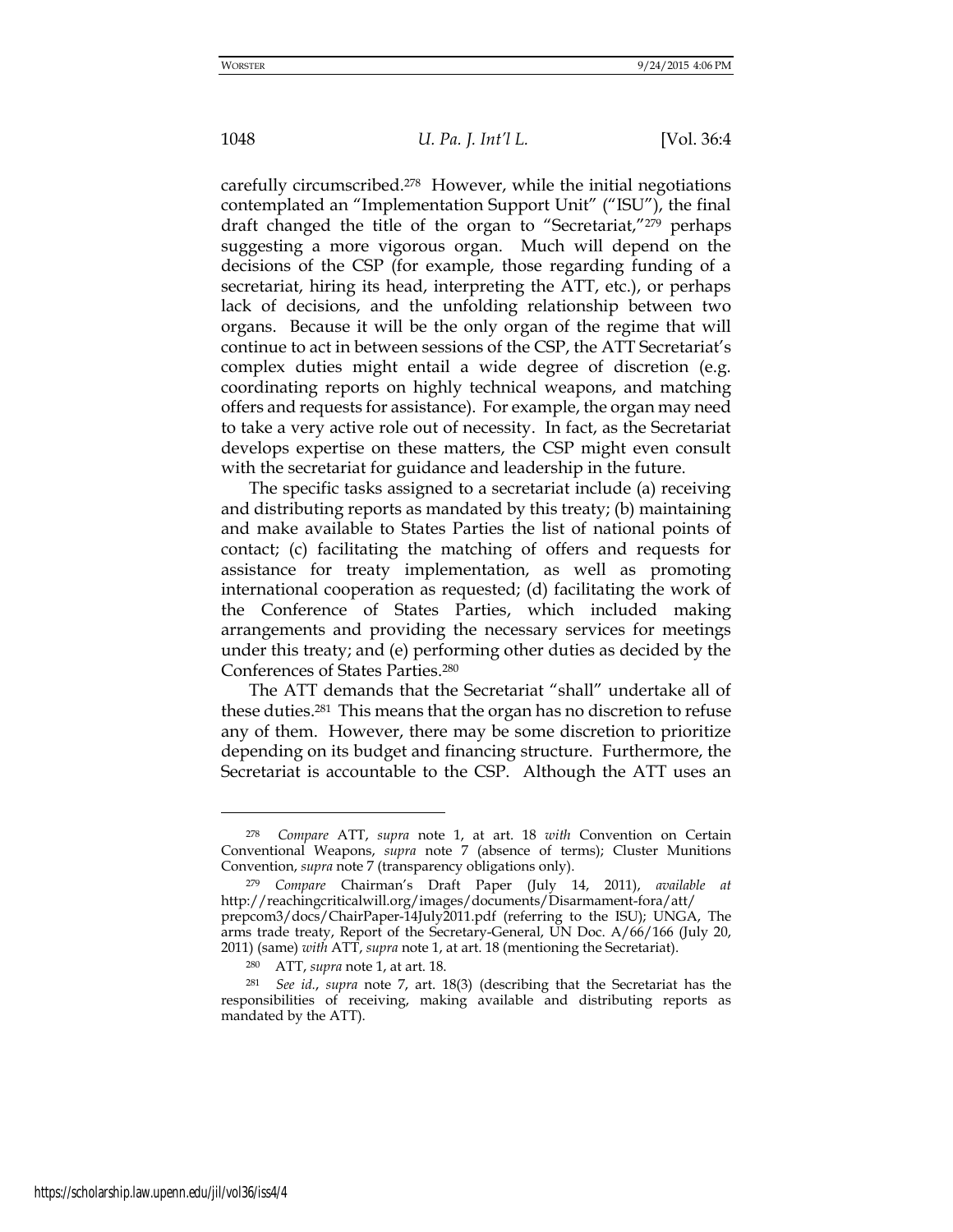carefully circumscribed.278 However, while the initial negotiations contemplated an "Implementation Support Unit" ("ISU"), the final draft changed the title of the organ to "Secretariat,"279 perhaps suggesting a more vigorous organ. Much will depend on the decisions of the CSP (for example, those regarding funding of a secretariat, hiring its head, interpreting the ATT, etc.), or perhaps lack of decisions, and the unfolding relationship between two organs. Because it will be the only organ of the regime that will continue to act in between sessions of the CSP, the ATT Secretariat's complex duties might entail a wide degree of discretion (e.g. coordinating reports on highly technical weapons, and matching offers and requests for assistance). For example, the organ may need to take a very active role out of necessity. In fact, as the Secretariat develops expertise on these matters, the CSP might even consult with the secretariat for guidance and leadership in the future.

The specific tasks assigned to a secretariat include (a) receiving and distributing reports as mandated by this treaty; (b) maintaining and make available to States Parties the list of national points of contact; (c) facilitating the matching of offers and requests for assistance for treaty implementation, as well as promoting international cooperation as requested; (d) facilitating the work of the Conference of States Parties, which included making arrangements and providing the necessary services for meetings under this treaty; and (e) performing other duties as decided by the Conferences of States Parties.<sup>280</sup>

The ATT demands that the Secretariat "shall" undertake all of these duties.281 This means that the organ has no discretion to refuse any of them. However, there may be some discretion to prioritize depending on its budget and financing structure. Furthermore, the Secretariat is accountable to the CSP. Although the ATT uses an

<sup>278</sup> *Compare* ATT, *supra* note 1, at art. 18 *with* Convention on Certain Conventional Weapons, *supra* note 7 (absence of terms); Cluster Munitions Convention, *supra* note 7 (transparency obligations only).

<sup>279</sup> *Compare* Chairman's Draft Paper (July 14, 2011), *available at* <http://reachingcriticalwill.org/images/documents/Disarmament-fora/att/> prepcom3/docs/ChairPaper-14July2011.pdf (referring to the ISU); UNGA, The arms trade treaty, Report of the Secretary-General, UN Doc. A/66/166 (July 20, 2011) (same) *with* ATT, *supra* note 1, at art. 18 (mentioning the Secretariat).

<sup>280</sup> ATT, *supra* note 1, at art. 18.

<sup>281</sup> *See id.*, *supra* note 7, art. 18(3) (describing that the Secretariat has the responsibilities of receiving, making available and distributing reports as mandated by the ATT).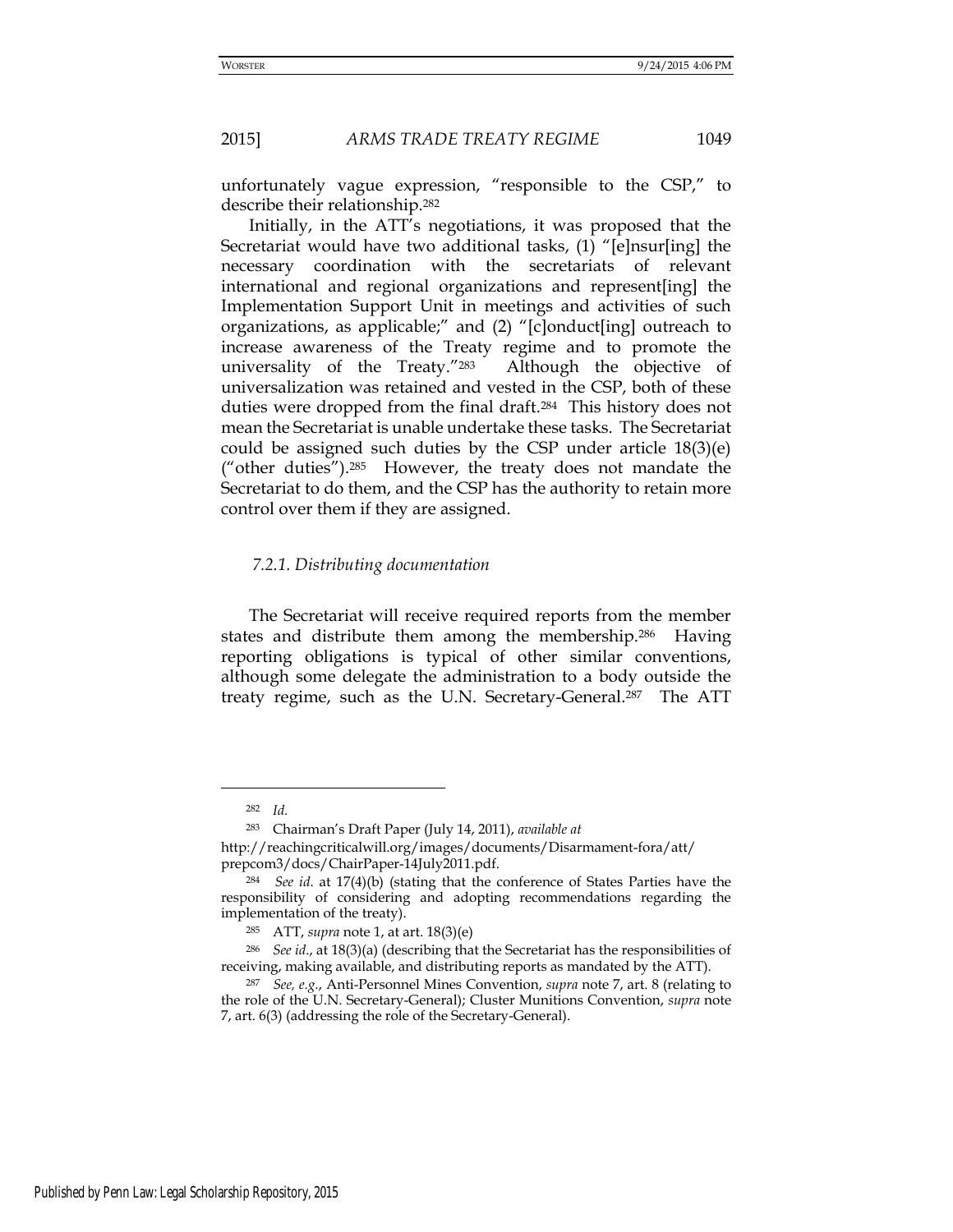unfortunately vague expression, "responsible to the CSP," to describe their relationship.<sup>282</sup>

Initially, in the ATT's negotiations, it was proposed that the Secretariat would have two additional tasks, (1) "[e]nsur[ing] the necessary coordination with the secretariats of relevant international and regional organizations and represent[ing] the Implementation Support Unit in meetings and activities of such organizations, as applicable;" and (2) "[c]onduct[ing] outreach to increase awareness of the Treaty regime and to promote the universality of the Treaty."283 Although the objective of universalization was retained and vested in the CSP, both of these duties were dropped from the final draft.284 This history does not mean the Secretariat is unable undertake these tasks. The Secretariat could be assigned such duties by the CSP under article 18(3)(e) ("other duties").285 However, the treaty does not mandate the Secretariat to do them, and the CSP has the authority to retain more control over them if they are assigned.

#### *7.2.1. Distributing documentation*

The Secretariat will receive required reports from the member states and distribute them among the membership.286 Having reporting obligations is typical of other similar conventions, although some delegate the administration to a body outside the treaty regime, such as the U.N. Secretary-General.287 The ATT

-

<sup>282</sup> *Id.*

<sup>283</sup> Chairman's Draft Paper (July 14, 2011), *available at*

http://reachingcriticalwill.org/images/documents/Disarmament-fora/att/ prepcom3/docs/ChairPaper-14July2011.pdf.

<sup>284</sup> *See id*. at 17(4)(b) (stating that the conference of States Parties have the responsibility of considering and adopting recommendations regarding the implementation of the treaty).

<sup>285</sup> ATT, *supra* note 1, at art. 18(3)(e)

<sup>286</sup> *See id*., at 18(3)(a) (describing that the Secretariat has the responsibilities of receiving, making available, and distributing reports as mandated by the ATT).

<sup>287</sup> *See, e.g.*, Anti-Personnel Mines Convention, *supra* note 7, art. 8 (relating to the role of the U.N. Secretary-General); Cluster Munitions Convention, *supra* note 7, art. 6(3) (addressing the role of the Secretary-General).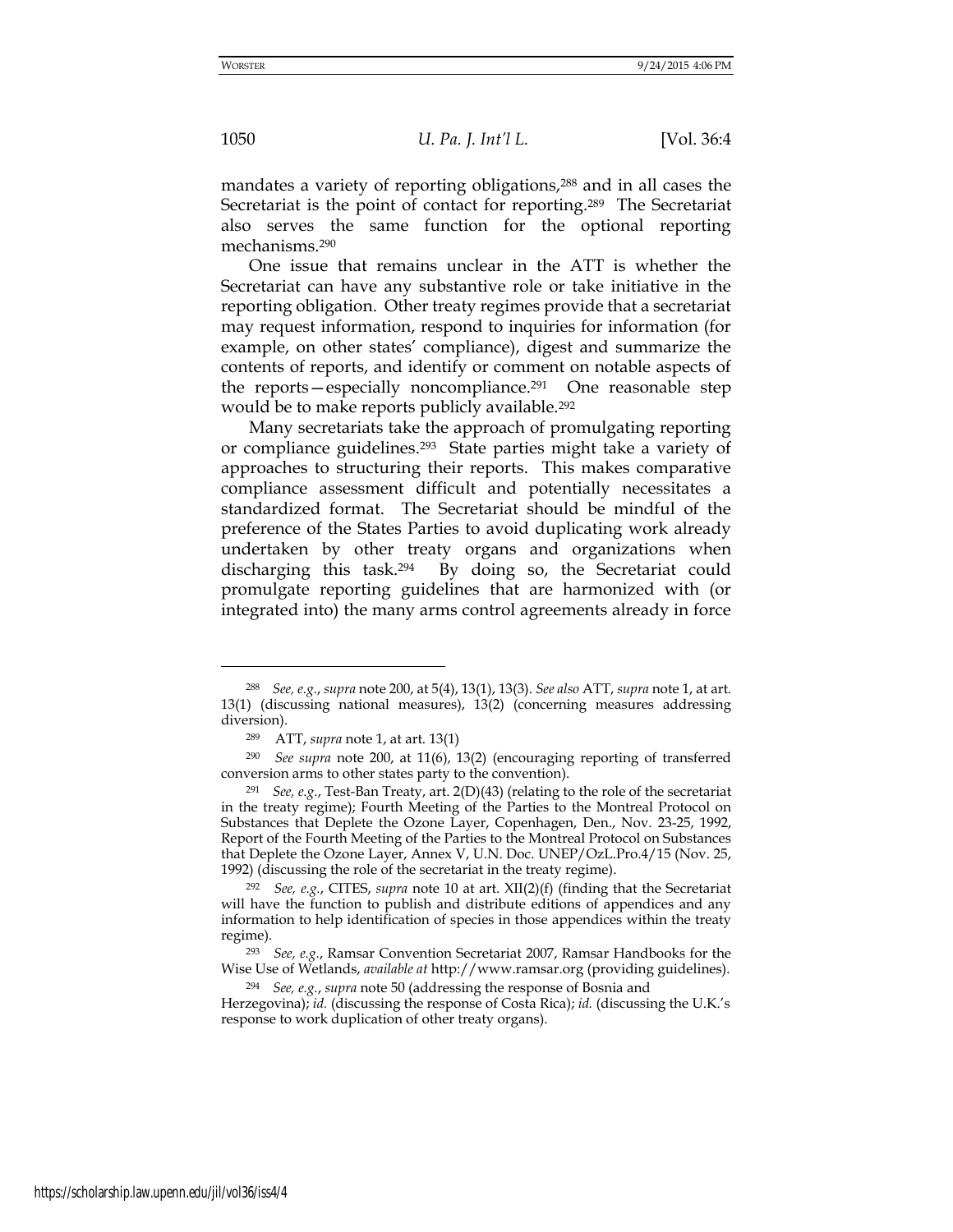mandates a variety of reporting obligations,<sup>288</sup> and in all cases the Secretariat is the point of contact for reporting.<sup>289</sup> The Secretariat also serves the same function for the optional reporting mechanisms.<sup>290</sup>

One issue that remains unclear in the ATT is whether the Secretariat can have any substantive role or take initiative in the reporting obligation. Other treaty regimes provide that a secretariat may request information, respond to inquiries for information (for example, on other states' compliance), digest and summarize the contents of reports, and identify or comment on notable aspects of the reports—especially noncompliance.291 One reasonable step would be to make reports publicly available.<sup>292</sup>

Many secretariats take the approach of promulgating reporting or compliance guidelines.293 State parties might take a variety of approaches to structuring their reports. This makes comparative compliance assessment difficult and potentially necessitates a standardized format. The Secretariat should be mindful of the preference of the States Parties to avoid duplicating work already undertaken by other treaty organs and organizations when discharging this task.294 By doing so, the Secretariat could promulgate reporting guidelines that are harmonized with (or integrated into) the many arms control agreements already in force

-

<sup>288</sup> *See, e.g.*, *supra* note 200, at 5(4), 13(1), 13(3). *See also* ATT, *supra* note 1, at art. 13(1) (discussing national measures), 13(2) (concerning measures addressing diversion).

<sup>289</sup> ATT, *supra* note 1, at art. 13(1)

<sup>290</sup> *See supra* note 200, at 11(6), 13(2) (encouraging reporting of transferred conversion arms to other states party to the convention).

<sup>291</sup> *See, e.g.*, Test-Ban Treaty, art. 2(D)(43) (relating to the role of the secretariat in the treaty regime); Fourth Meeting of the Parties to the Montreal Protocol on Substances that Deplete the Ozone Layer, Copenhagen, Den., Nov. 23-25, 1992, Report of the Fourth Meeting of the Parties to the Montreal Protocol on Substances that Deplete the Ozone Layer, Annex V, U.N. Doc. UNEP/OzL.Pro.4/15 (Nov. 25, 1992) (discussing the role of the secretariat in the treaty regime).

<sup>292</sup> *See, e.g.*, CITES, *supra* note 10 at art. XII(2)(f) (finding that the Secretariat will have the function to publish and distribute editions of appendices and any information to help identification of species in those appendices within the treaty regime).

<sup>293</sup> *See, e.g.*, Ramsar Convention Secretariat 2007, Ramsar Handbooks for the Wise Use of Wetlands, *available at* http://www.ramsar.org (providing guidelines).

<sup>294</sup> *See, e.g.*, *supra* note 50 (addressing the response of Bosnia and

Herzegovina); *id.* (discussing the response of Costa Rica); *id.* (discussing the U.K.'s response to work duplication of other treaty organs).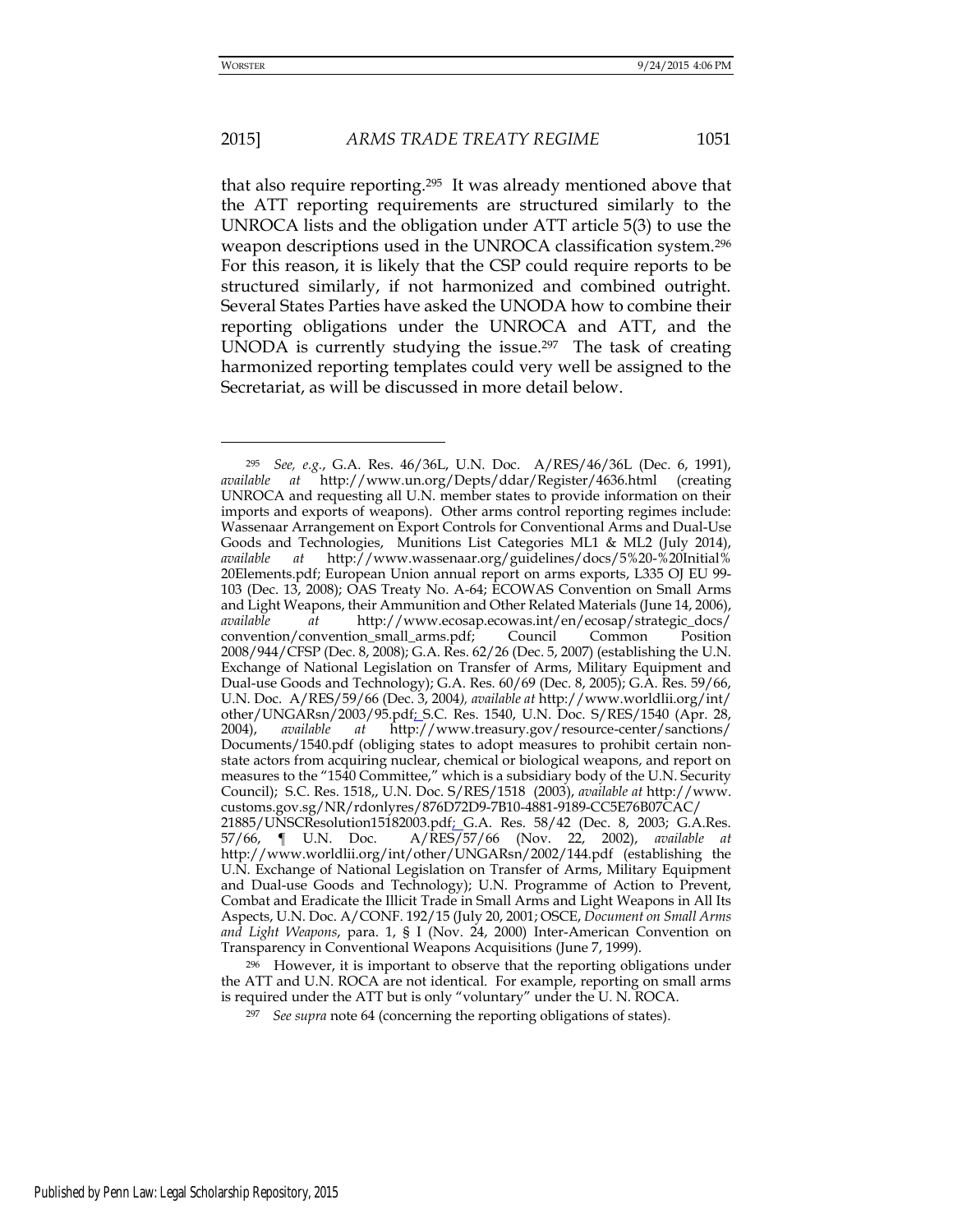-

# 2015] *ARMS TRADE TREATY REGIME* 1051

that also require reporting.295 It was already mentioned above that the ATT reporting requirements are structured similarly to the UNROCA lists and the obligation under ATT article 5(3) to use the weapon descriptions used in the UNROCA classification system.<sup>296</sup> For this reason, it is likely that the CSP could require reports to be structured similarly, if not harmonized and combined outright. Several States Parties have asked the UNODA how to combine their reporting obligations under the UNROCA and ATT, and the UNODA is currently studying the issue.<sup>297</sup> The task of creating harmonized reporting templates could very well be assigned to the Secretariat, as will be discussed in more detail below.

<sup>296</sup> However, it is important to observe that the reporting obligations under the ATT and U.N. ROCA are not identical. For example, reporting on small arms is required under the ATT but is only "voluntary" under the U. N. ROCA.

<sup>297</sup> *See supra* note 64 (concerning the reporting obligations of states).

<sup>295</sup> *See, e.g.*, G.A. Res. 46/36L, U.N. Doc. A/RES/46/36L (Dec. 6, 1991), *available at* http://www.un.org/Depts/ddar/Register/4636.html (creating UNROCA and requesting all U.N. member states to provide information on their imports and exports of weapons). Other arms control reporting regimes include: Wassenaar Arrangement on Export Controls for Conventional Arms and Dual-Use Goods and Technologies, Munitions List Categories ML1 & ML2 (July 2014), *available at* [http://www.wassenaar.org/guidelines/docs/5%20-%20Initial%](http://www.wassenaar.org/guidelines/docs/5%20-%20Initial%25) 20Elements.pdf; European Union annual report on arms exports, L335 OJ EU 99- 103 (Dec. 13, 2008); OAS Treaty No. A-64; ECOWAS Convention on Small Arms and Light Weapons, their Ammunition and Other Related Materials (June 14, 2006), *available at* [http://www.ecosap.ecowas.int/en/ecosap/strategic\\_docs/](http://www.ecosap.ecowas.int/en/ecosap/strategic_docs/) convention/convention\_small\_arms.pdf; Council Common Position 2008/944/CFSP (Dec. 8, 2008); G.A. Res. 62/26 (Dec. 5, 2007) (establishing the U.N. Exchange of National Legislation on Transfer of Arms, Military Equipment and Dual-use Goods and Technology); G.A. Res. 60/69 (Dec. 8, 2005); G.A. Res. 59/66, U.N. Doc. A/RES/59/66 (Dec. 3, 2004*), available at* <http://www.worldlii.org/int/> other/UNGARsn/2003/95.pdf; S.C. Res. 1540, U.N. Doc. S/RES/1540 (Apr. 28, 2004), *available at* <http://www.treasury.gov/resource-center/sanctions/> Documents/1540.pdf (obliging states to adopt measures to prohibit certain nonstate actors from acquiring nuclear, chemical or biological weapons, and report on measures to the "1540 Committee," which is a subsidiary body of the U.N. Security Council); S.C. Res. 1518,, U.N. Doc. S/RES/1518 (2003), *available at* http://www. customs.gov.sg/NR/rdonlyres/876D72D9-7B10-4881-9189-CC5E76B07CAC/ 21885/UNSCResolution15182003.pdf; G.A. Res. 58/42 (Dec. 8, 2003; G.A.Res. 57/66, ¶ U.N. Doc. A/RES/57/66 (Nov. 22, 2002), *available at*  http://www.worldlii.org/int/other/UNGARsn/2002/144.pdf (establishing the U.N. Exchange of National Legislation on Transfer of Arms, Military Equipment and Dual-use Goods and Technology); U.N. Programme of Action to Prevent, Combat and Eradicate the Illicit Trade in Small Arms and Light Weapons in All Its Aspects, U.N. Doc. A/CONF. 192/15 (July 20, 2001; OSCE, *Document on Small Arms and Light Weapons*, para. 1, § I (Nov. 24, 2000) Inter-American Convention on Transparency in Conventional Weapons Acquisitions (June 7, 1999).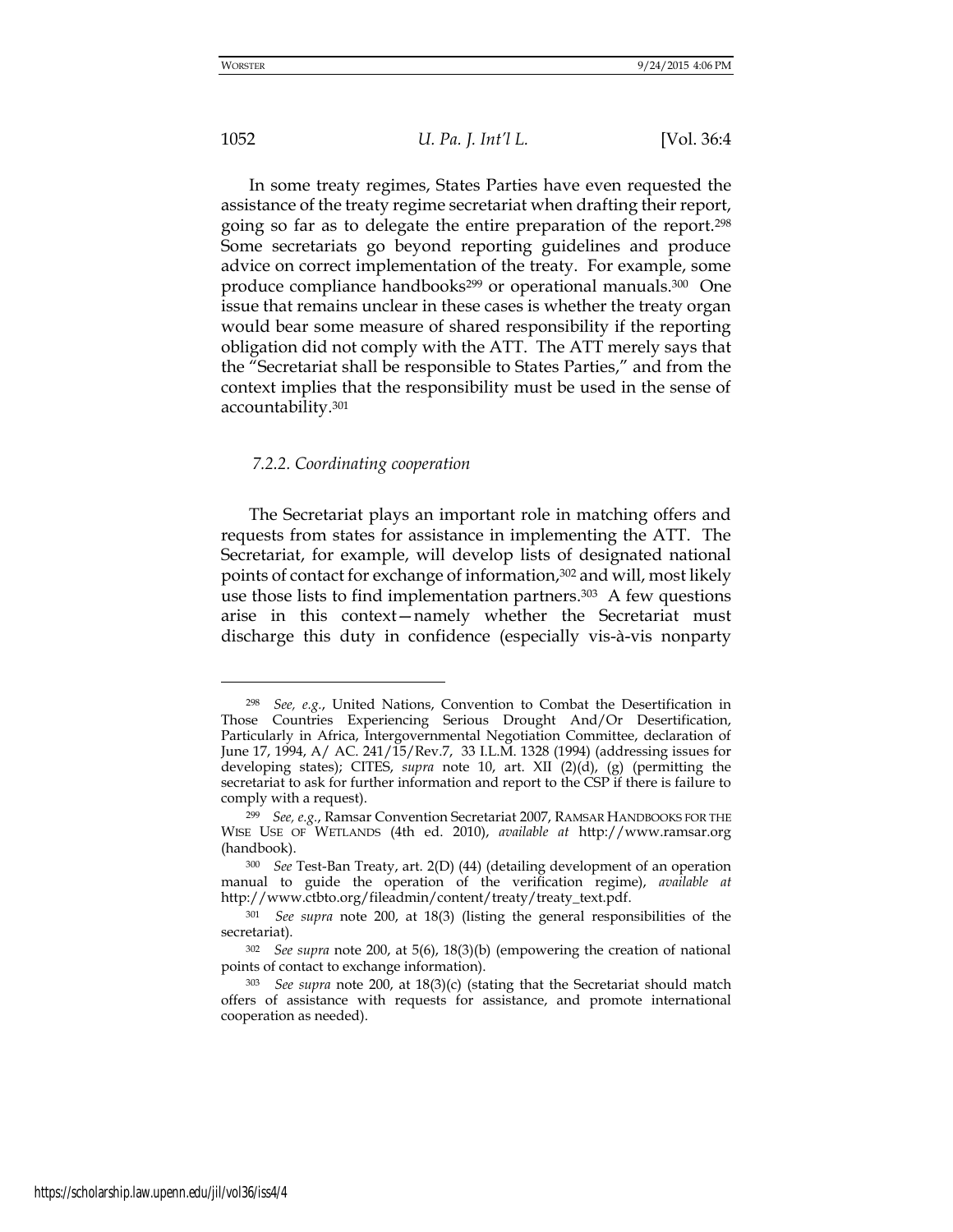# 1052 *U. Pa. J. Int'l L.* [Vol. 36:4

In some treaty regimes, States Parties have even requested the assistance of the treaty regime secretariat when drafting their report, going so far as to delegate the entire preparation of the report.<sup>298</sup> Some secretariats go beyond reporting guidelines and produce advice on correct implementation of the treaty. For example, some produce compliance handbooks<sup>299</sup> or operational manuals.<sup>300</sup> One issue that remains unclear in these cases is whether the treaty organ would bear some measure of shared responsibility if the reporting obligation did not comply with the ATT. The ATT merely says that the "Secretariat shall be responsible to States Parties," and from the context implies that the responsibility must be used in the sense of accountability.<sup>301</sup>

## *7.2.2. Coordinating cooperation*

The Secretariat plays an important role in matching offers and requests from states for assistance in implementing the ATT. The Secretariat, for example, will develop lists of designated national points of contact for exchange of information,302 and will, most likely use those lists to find implementation partners.<sup>303</sup> A few questions arise in this context—namely whether the Secretariat must discharge this duty in confidence (especially vis-à-vis nonparty

<sup>298</sup> *See, e.g.*, United Nations, Convention to Combat the Desertification in Those Countries Experiencing Serious Drought And/Or Desertification, Particularly in Africa, Intergovernmental Negotiation Committee, declaration of June 17, 1994, A/ AC. 241/15/Rev.7, 33 I.L.M. 1328 (1994) (addressing issues for developing states); CITES, *supra* note 10, art. XII (2)(d), (g) (permitting the secretariat to ask for further information and report to the CSP if there is failure to comply with a request).

<sup>299</sup> *See, e.g.*, Ramsar Convention Secretariat 2007, RAMSAR HANDBOOKS FOR THE WISE USE OF WETLANDS (4th ed. 2010), *available at* http://www.ramsar.org (handbook).

<sup>300</sup> *See* Test-Ban Treaty, art. 2(D) (44) (detailing development of an operation manual to guide the operation of the verification regime), *available at*  http://www.ctbto.org/fileadmin/content/treaty/treaty\_text.pdf.

<sup>301</sup> *See supra* note 200, at 18(3) (listing the general responsibilities of the secretariat).

<sup>302</sup> *See supra* note 200, at 5(6), 18(3)(b) (empowering the creation of national points of contact to exchange information).

<sup>303</sup> *See supra* note 200, at 18(3)(c) (stating that the Secretariat should match offers of assistance with requests for assistance, and promote international cooperation as needed).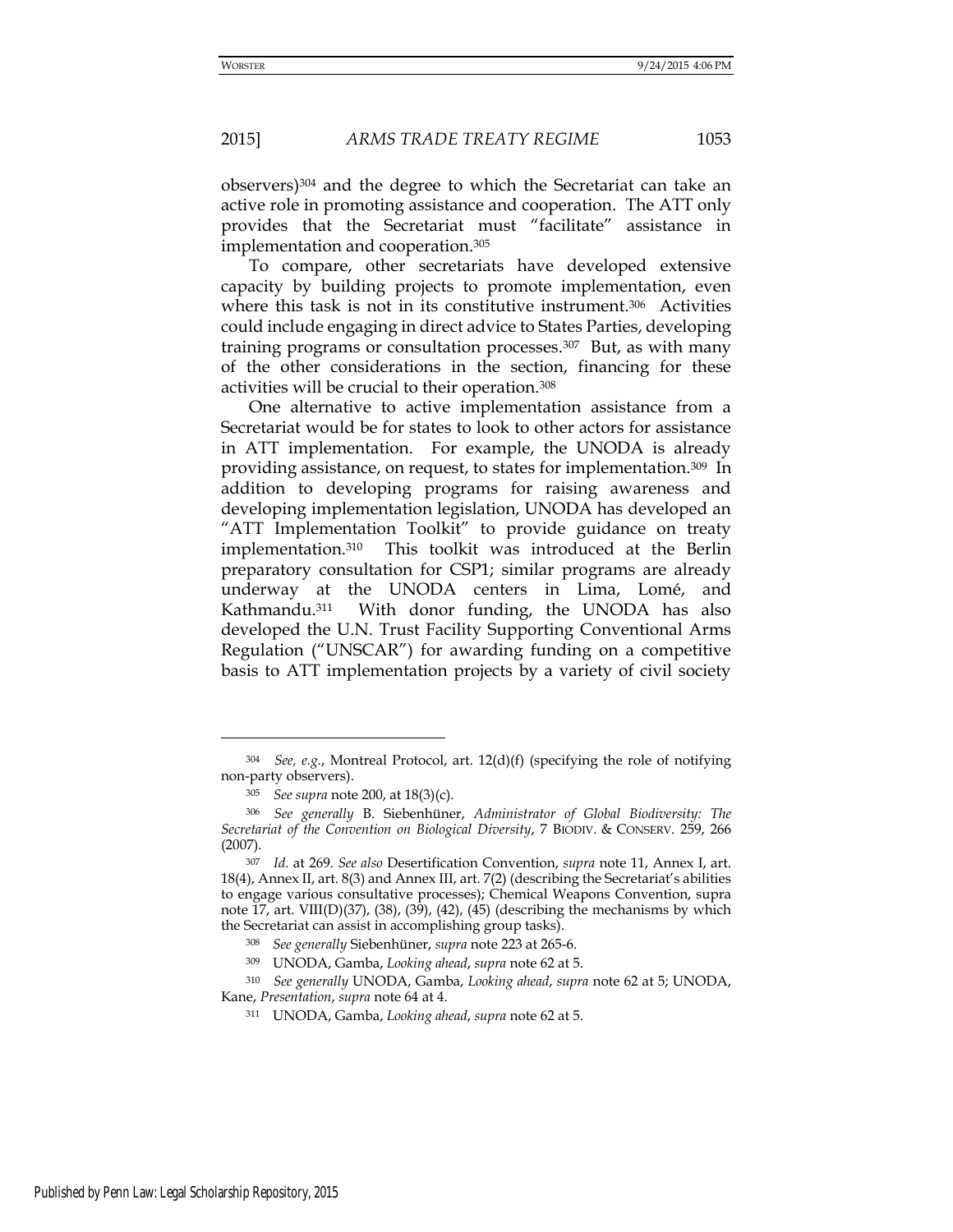observers)304 and the degree to which the Secretariat can take an active role in promoting assistance and cooperation. The ATT only provides that the Secretariat must "facilitate" assistance in implementation and cooperation.<sup>305</sup>

To compare, other secretariats have developed extensive capacity by building projects to promote implementation, even where this task is not in its constitutive instrument.<sup>306</sup> Activities could include engaging in direct advice to States Parties, developing training programs or consultation processes.307 But, as with many of the other considerations in the section, financing for these activities will be crucial to their operation.<sup>308</sup>

One alternative to active implementation assistance from a Secretariat would be for states to look to other actors for assistance in ATT implementation. For example, the UNODA is already providing assistance, on request, to states for implementation.309 In addition to developing programs for raising awareness and developing implementation legislation, UNODA has developed an "ATT Implementation Toolkit" to provide guidance on treaty implementation.310 This toolkit was introduced at the Berlin preparatory consultation for CSP1; similar programs are already underway at the UNODA centers in Lima, Lomé, and Kathmandu.311 With donor funding, the UNODA has also developed the U.N. Trust Facility Supporting Conventional Arms Regulation ("UNSCAR") for awarding funding on a competitive basis to ATT implementation projects by a variety of civil society

<sup>310</sup> *See generally* UNODA, Gamba, *Looking ahead*, *supra* note 62 at 5; UNODA, Kane, *Presentation*, *supra* note 64 at 4.

<sup>304</sup> *See, e.g.*, Montreal Protocol, art. 12(d)(f) (specifying the role of notifying non-party observers).

<sup>305</sup> *See supra* note 200, at 18(3)(c).

<sup>306</sup> *See generally* B. Siebenhüner, *Administrator of Global Biodiversity: The Secretariat of the Convention on Biological Diversity*, 7 BIODIV. & CONSERV. 259, 266 (2007).

<sup>307</sup> *Id.* at 269. *See also* Desertification Convention, *supra* note 11, Annex I, art. 18(4), Annex II, art. 8(3) and Annex III, art. 7(2) (describing the Secretariat's abilities to engage various consultative processes); Chemical Weapons Convention, supra note 17, art. VIII(D)(37), (38), (39), (42), (45) (describing the mechanisms by which the Secretariat can assist in accomplishing group tasks).

<sup>308</sup> *See generally* Siebenhüner, *supra* note 223 at 265-6.

<sup>309</sup> UNODA, Gamba, *Looking ahead*, *supra* note 62 at 5.

<sup>311</sup> UNODA, Gamba, *Looking ahead*, *supra* note 62 at 5.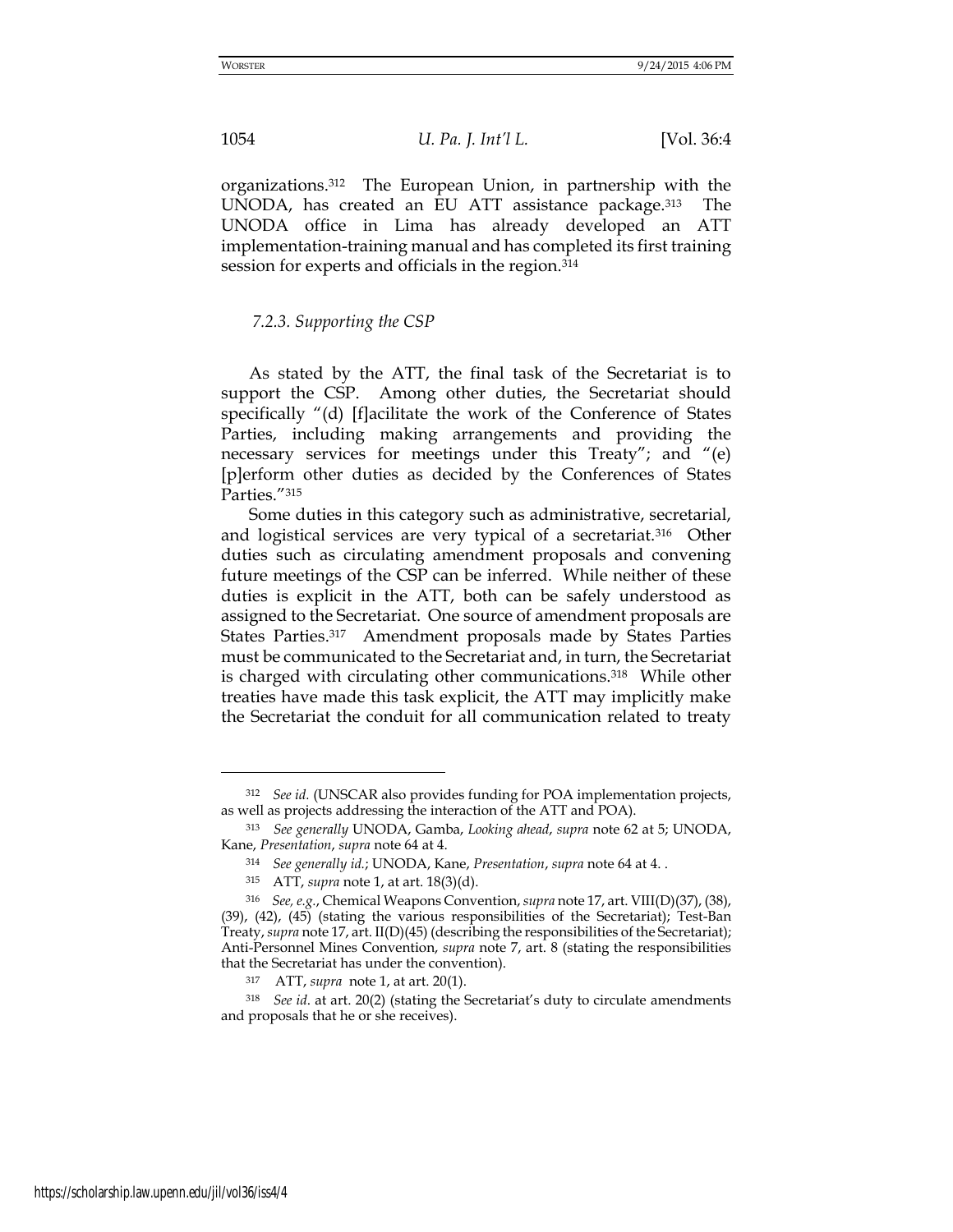1054 *U. Pa. J. Int'l L.* [Vol. 36:4

organizations.312 The European Union, in partnership with the UNODA, has created an EU ATT assistance package.313 The UNODA office in Lima has already developed an ATT implementation-training manual and has completed its first training session for experts and officials in the region.<sup>314</sup>

## *7.2.3. Supporting the CSP*

As stated by the ATT, the final task of the Secretariat is to support the CSP. Among other duties, the Secretariat should specifically "(d) [f]acilitate the work of the Conference of States Parties, including making arrangements and providing the necessary services for meetings under this Treaty"; and "(e) [p]erform other duties as decided by the Conferences of States Parties."<sup>315</sup>

Some duties in this category such as administrative, secretarial, and logistical services are very typical of a secretariat.316 Other duties such as circulating amendment proposals and convening future meetings of the CSP can be inferred. While neither of these duties is explicit in the ATT, both can be safely understood as assigned to the Secretariat. One source of amendment proposals are States Parties.317 Amendment proposals made by States Parties must be communicated to the Secretariat and, in turn, the Secretariat is charged with circulating other communications.<sup>318</sup> While other treaties have made this task explicit, the ATT may implicitly make the Secretariat the conduit for all communication related to treaty

<sup>312</sup> *See id.* (UNSCAR also provides funding for POA implementation projects, as well as projects addressing the interaction of the ATT and POA).

<sup>313</sup> *See generally* UNODA, Gamba, *Looking ahead*, *supra* note 62 at 5; UNODA, Kane, *Presentation*, *supra* note 64 at 4.

<sup>314</sup> *See generally id.*; UNODA, Kane, *Presentation*, *supra* note 64 at 4. .

<sup>315</sup> ATT, *supra* note 1, at art. 18(3)(d).

<sup>316</sup> *See, e.g.*, Chemical Weapons Convention, *supra* note 17, art. VIII(D)(37), (38), (39), (42), (45) (stating the various responsibilities of the Secretariat); Test-Ban Treaty, *supra* note 17, art. II(D)(45) (describing the responsibilities of the Secretariat); Anti-Personnel Mines Convention, *supra* note 7, art. 8 (stating the responsibilities that the Secretariat has under the convention).

<sup>317</sup> ATT, *supra* note 1, at art. 20(1).

<sup>318</sup> *See id*. at art. 20(2) (stating the Secretariat's duty to circulate amendments and proposals that he or she receives).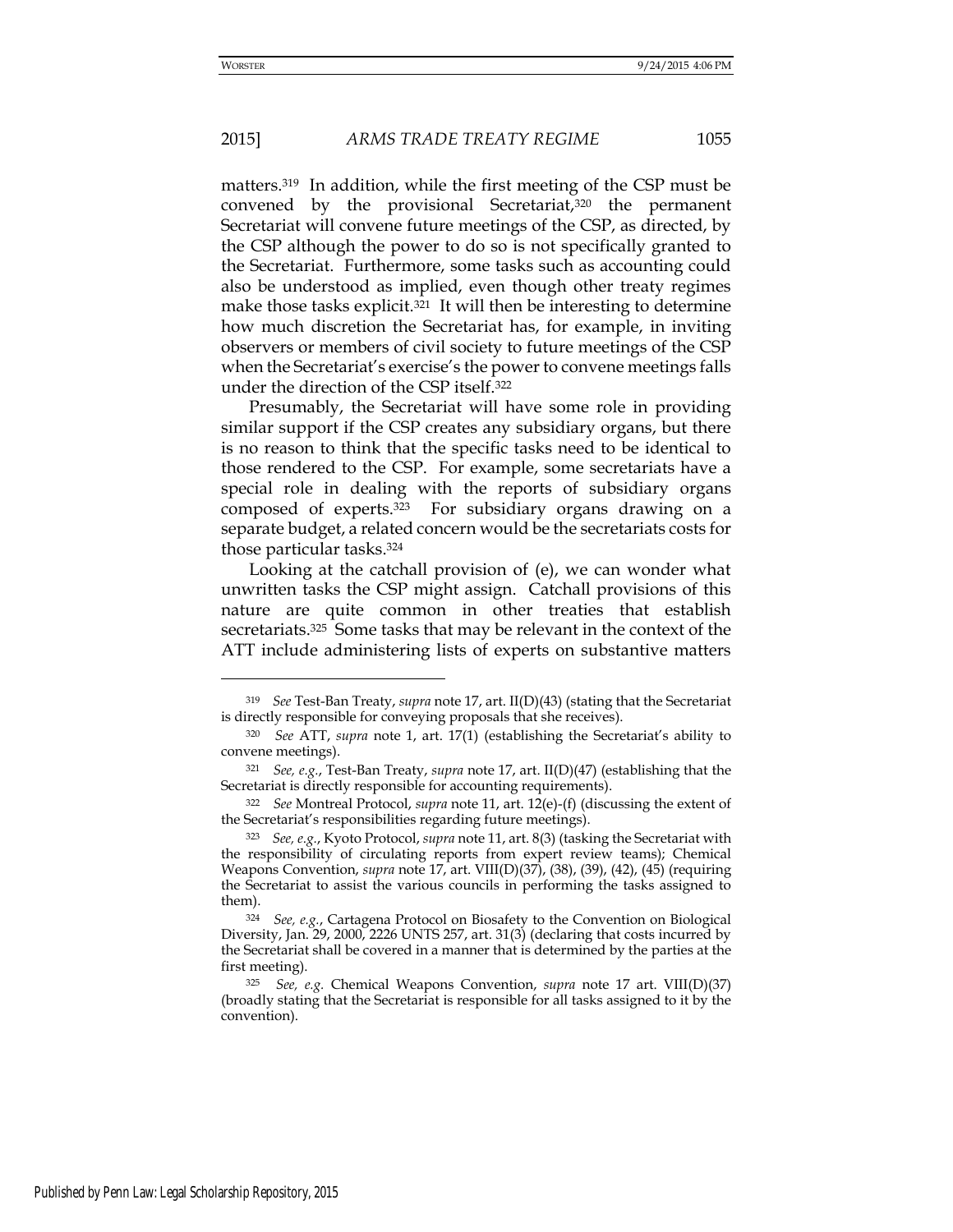matters.319 In addition, while the first meeting of the CSP must be convened by the provisional Secretariat,<sup>320</sup> the permanent Secretariat will convene future meetings of the CSP, as directed, by the CSP although the power to do so is not specifically granted to the Secretariat. Furthermore, some tasks such as accounting could also be understood as implied, even though other treaty regimes make those tasks explicit.<sup>321</sup> It will then be interesting to determine how much discretion the Secretariat has, for example, in inviting observers or members of civil society to future meetings of the CSP when the Secretariat's exercise's the power to convene meetings falls under the direction of the CSP itself.<sup>322</sup>

Presumably, the Secretariat will have some role in providing similar support if the CSP creates any subsidiary organs, but there is no reason to think that the specific tasks need to be identical to those rendered to the CSP. For example, some secretariats have a special role in dealing with the reports of subsidiary organs composed of experts.323 For subsidiary organs drawing on a separate budget, a related concern would be the secretariats costs for those particular tasks.<sup>324</sup>

Looking at the catchall provision of (e), we can wonder what unwritten tasks the CSP might assign. Catchall provisions of this nature are quite common in other treaties that establish secretariats.325 Some tasks that may be relevant in the context of the ATT include administering lists of experts on substantive matters

<sup>319</sup> *See* Test-Ban Treaty, *supra* note 17, art. II(D)(43) (stating that the Secretariat is directly responsible for conveying proposals that she receives).

<sup>320</sup> *See* ATT, *supra* note 1, art. 17(1) (establishing the Secretariat's ability to convene meetings).

<sup>321</sup> *See, e.g.*, Test-Ban Treaty, *supra* note 17, art. II(D)(47) (establishing that the Secretariat is directly responsible for accounting requirements).

<sup>322</sup> *See* Montreal Protocol, *supra* note 11, art. 12(e)-(f) (discussing the extent of the Secretariat's responsibilities regarding future meetings).

<sup>323</sup> *See, e.g.*, Kyoto Protocol, *supra* note 11, art. 8(3) (tasking the Secretariat with the responsibility of circulating reports from expert review teams); Chemical Weapons Convention, *supra* note 17, art. VIII(D)(37), (38), (39), (42), (45) (requiring the Secretariat to assist the various councils in performing the tasks assigned to them).

<sup>324</sup> *See, e.g.*, Cartagena Protocol on Biosafety to the Convention on Biological Diversity, Jan. 29, 2000, 2226 UNTS 257, art. 31(3) (declaring that costs incurred by the Secretariat shall be covered in a manner that is determined by the parties at the first meeting).

<sup>325</sup> *See, e.g.* Chemical Weapons Convention, *supra* note 17 art. VIII(D)(37) (broadly stating that the Secretariat is responsible for all tasks assigned to it by the convention).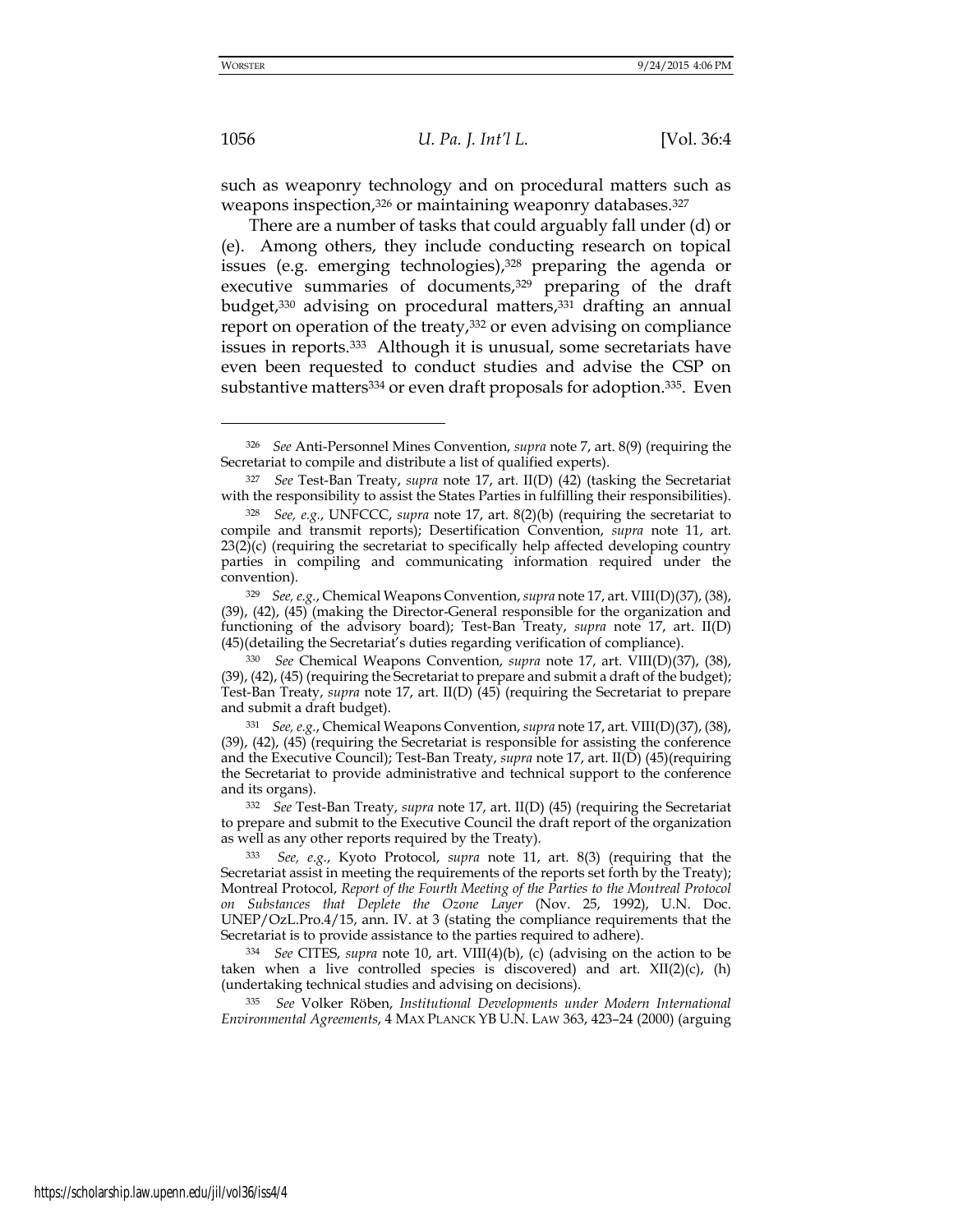-

1056 *U. Pa. J. Int'l L.* [Vol. 36:4

such as weaponry technology and on procedural matters such as weapons inspection, 326 or maintaining weaponry databases. 327

There are a number of tasks that could arguably fall under (d) or (e). Among others, they include conducting research on topical issues (e.g. emerging technologies),<sup>328</sup> preparing the agenda or executive summaries of documents,<sup>329</sup> preparing of the draft budget,330 advising on procedural matters,331 drafting an annual report on operation of the treaty,<sup>332</sup> or even advising on compliance issues in reports.333 Although it is unusual, some secretariats have even been requested to conduct studies and advise the CSP on substantive matters<sup>334</sup> or even draft proposals for adoption.<sup>335</sup>. Even

<sup>326</sup> *See* Anti-Personnel Mines Convention, *supra* note 7, art. 8(9) (requiring the Secretariat to compile and distribute a list of qualified experts).

<sup>327</sup> *See* Test-Ban Treaty, *supra* note 17, art. II(D) (42) (tasking the Secretariat with the responsibility to assist the States Parties in fulfilling their responsibilities).

<sup>328</sup> *See, e.g.*, UNFCCC, *supra* note 17, art. 8(2)(b) (requiring the secretariat to compile and transmit reports); Desertification Convention, *supra* note 11, art.  $23(2)(c)$  (requiring the secretariat to specifically help affected developing country parties in compiling and communicating information required under the convention).

<sup>329</sup> *See, e.g.*, Chemical Weapons Convention, *supra* note 17, art. VIII(D)(37), (38), (39), (42), (45) (making the Director-General responsible for the organization and functioning of the advisory board); Test-Ban Treaty, *supra* note 17, art. II(D) (45)(detailing the Secretariat's duties regarding verification of compliance).

<sup>330</sup> *See* Chemical Weapons Convention, *supra* note 17, art. VIII(D)(37), (38), (39), (42), (45) (requiring the Secretariat to prepare and submit a draft of the budget); Test-Ban Treaty, *supra* note 17, art. II(D) (45) (requiring the Secretariat to prepare and submit a draft budget).

<sup>331</sup> *See, e.g.*, Chemical Weapons Convention, *supra* note 17, art. VIII(D)(37), (38), (39), (42), (45) (requiring the Secretariat is responsible for assisting the conference and the Executive Council); Test-Ban Treaty, *supra* note 17, art. II(D) (45)(requiring the Secretariat to provide administrative and technical support to the conference and its organs).

<sup>332</sup> *See* Test-Ban Treaty, *supra* note 17, art. II(D) (45) (requiring the Secretariat to prepare and submit to the Executive Council the draft report of the organization as well as any other reports required by the Treaty).

<sup>333</sup> *See, e.g.*, Kyoto Protocol, *supra* note 11, art. 8(3) (requiring that the Secretariat assist in meeting the requirements of the reports set forth by the Treaty); Montreal Protocol, *Report of the Fourth Meeting of the Parties to the Montreal Protocol on Substances that Deplete the Ozone Layer* (Nov. 25, 1992), U.N. Doc. UNEP/OzL.Pro.4/15, ann. IV. at 3 (stating the compliance requirements that the Secretariat is to provide assistance to the parties required to adhere).

<sup>334</sup> *See* CITES, *supra* note 10, art. VIII(4)(b), (c) (advising on the action to be taken when a live controlled species is discovered) and art.  $XII(2)(c)$ , (h) (undertaking technical studies and advising on decisions).

<sup>335</sup> *See* Volker Röben, *Institutional Developments under Modern International Environmental Agreements*, 4 MAX PLANCK YB U.N. LAW 363, 423–24 (2000) (arguing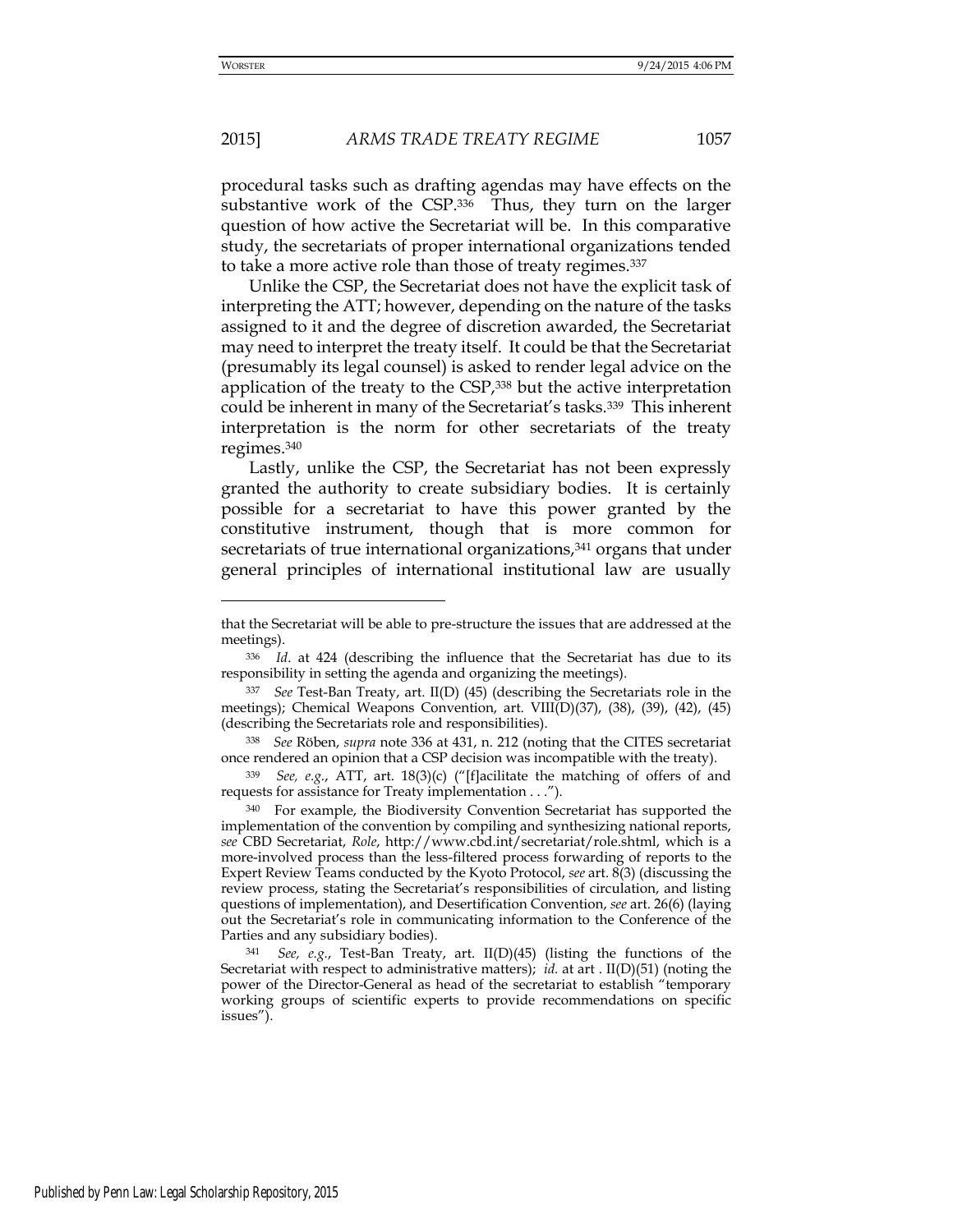procedural tasks such as drafting agendas may have effects on the substantive work of the CSP.<sup>336</sup> Thus, they turn on the larger question of how active the Secretariat will be. In this comparative study, the secretariats of proper international organizations tended to take a more active role than those of treaty regimes.<sup>337</sup>

Unlike the CSP, the Secretariat does not have the explicit task of interpreting the ATT; however, depending on the nature of the tasks assigned to it and the degree of discretion awarded, the Secretariat may need to interpret the treaty itself. It could be that the Secretariat (presumably its legal counsel) is asked to render legal advice on the application of the treaty to the CSP,<sup>338</sup> but the active interpretation could be inherent in many of the Secretariat's tasks.339 This inherent interpretation is the norm for other secretariats of the treaty regimes.<sup>340</sup>

Lastly, unlike the CSP, the Secretariat has not been expressly granted the authority to create subsidiary bodies. It is certainly possible for a secretariat to have this power granted by the constitutive instrument, though that is more common for secretariats of true international organizations,<sup>341</sup> organs that under general principles of international institutional law are usually

-

that the Secretariat will be able to pre-structure the issues that are addressed at the meetings).

<sup>336</sup> *Id*. at 424 (describing the influence that the Secretariat has due to its responsibility in setting the agenda and organizing the meetings)*.*

<sup>337</sup> *See* Test-Ban Treaty, art. II(D) (45) (describing the Secretariats role in the meetings); Chemical Weapons Convention, art. VIII(D)(37), (38), (39), (42), (45) (describing the Secretariats role and responsibilities).

<sup>338</sup> *See* Röben, *supra* note 336 at 431, n. 212 (noting that the CITES secretariat once rendered an opinion that a CSP decision was incompatible with the treaty).

<sup>339</sup> *See, e.g.*, ATT, art. 18(3)(c) ("[f]acilitate the matching of offers of and requests for assistance for Treaty implementation . . .").

<sup>340</sup> For example, the Biodiversity Convention Secretariat has supported the implementation of the convention by compiling and synthesizing national reports, *see* CBD Secretariat, *Role*, http://www.cbd.int/secretariat/role.shtml, which is a more-involved process than the less-filtered process forwarding of reports to the Expert Review Teams conducted by the Kyoto Protocol, *see* art. 8(3) (discussing the review process, stating the Secretariat's responsibilities of circulation, and listing questions of implementation), and Desertification Convention, *see* art. 26(6) (laying out the Secretariat's role in communicating information to the Conference of the Parties and any subsidiary bodies).

<sup>341</sup> *See, e.g.*, Test-Ban Treaty, art. II(D)(45) (listing the functions of the Secretariat with respect to administrative matters); *id.* at art . II(D)(51) (noting the power of the Director-General as head of the secretariat to establish "temporary working groups of scientific experts to provide recommendations on specific issues").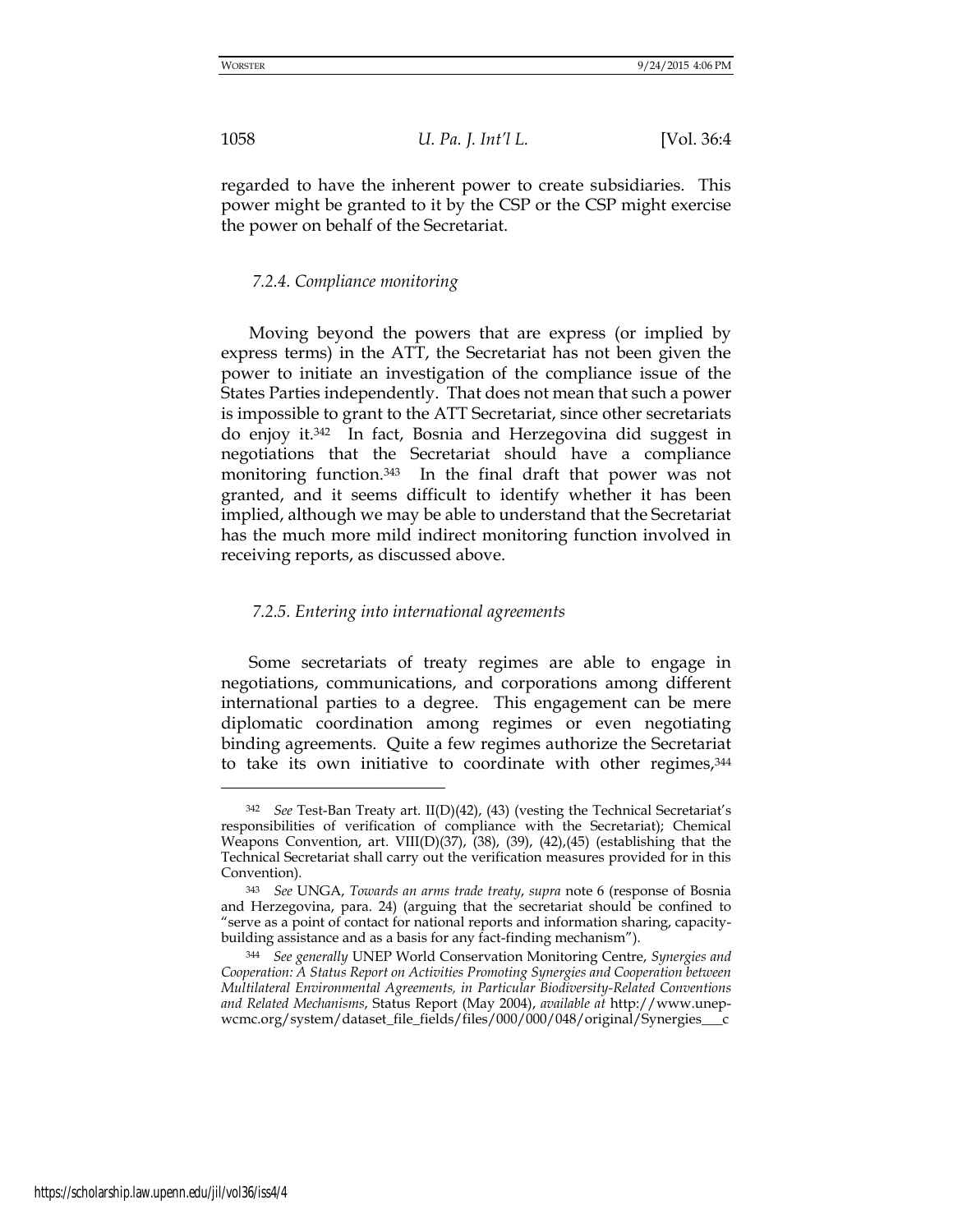regarded to have the inherent power to create subsidiaries. This power might be granted to it by the CSP or the CSP might exercise the power on behalf of the Secretariat.

## *7.2.4. Compliance monitoring*

Moving beyond the powers that are express (or implied by express terms) in the ATT, the Secretariat has not been given the power to initiate an investigation of the compliance issue of the States Parties independently. That does not mean that such a power is impossible to grant to the ATT Secretariat, since other secretariats do enjoy it.342 In fact, Bosnia and Herzegovina did suggest in negotiations that the Secretariat should have a compliance monitoring function.343 In the final draft that power was not granted, and it seems difficult to identify whether it has been implied, although we may be able to understand that the Secretariat has the much more mild indirect monitoring function involved in receiving reports, as discussed above.

#### *7.2.5. Entering into international agreements*

Some secretariats of treaty regimes are able to engage in negotiations, communications, and corporations among different international parties to a degree. This engagement can be mere diplomatic coordination among regimes or even negotiating binding agreements. Quite a few regimes authorize the Secretariat to take its own initiative to coordinate with other regimes,<sup>344</sup>

-

<sup>342</sup> *See* Test-Ban Treaty art. II(D)(42), (43) (vesting the Technical Secretariat's responsibilities of verification of compliance with the Secretariat); Chemical Weapons Convention, art. VIII(D)(37), (38), (39), (42), (45) (establishing that the Technical Secretariat shall carry out the verification measures provided for in this Convention).

<sup>343</sup> *See* UNGA, *Towards an arms trade treaty*, *supra* note 6 (response of Bosnia and Herzegovina, para. 24) (arguing that the secretariat should be confined to "serve as a point of contact for national reports and information sharing, capacitybuilding assistance and as a basis for any fact-finding mechanism").

<sup>344</sup> *See generally* UNEP World Conservation Monitoring Centre, *Synergies and Cooperation: A Status Report on Activities Promoting Synergies and Cooperation between Multilateral Environmental Agreements, in Particular Biodiversity-Related Conventions and Related Mechanisms*, Status Report (May 2004), *available at* http://www.unepwcmc.org/system/dataset\_file\_fields/files/000/000/048/original/Synergies\_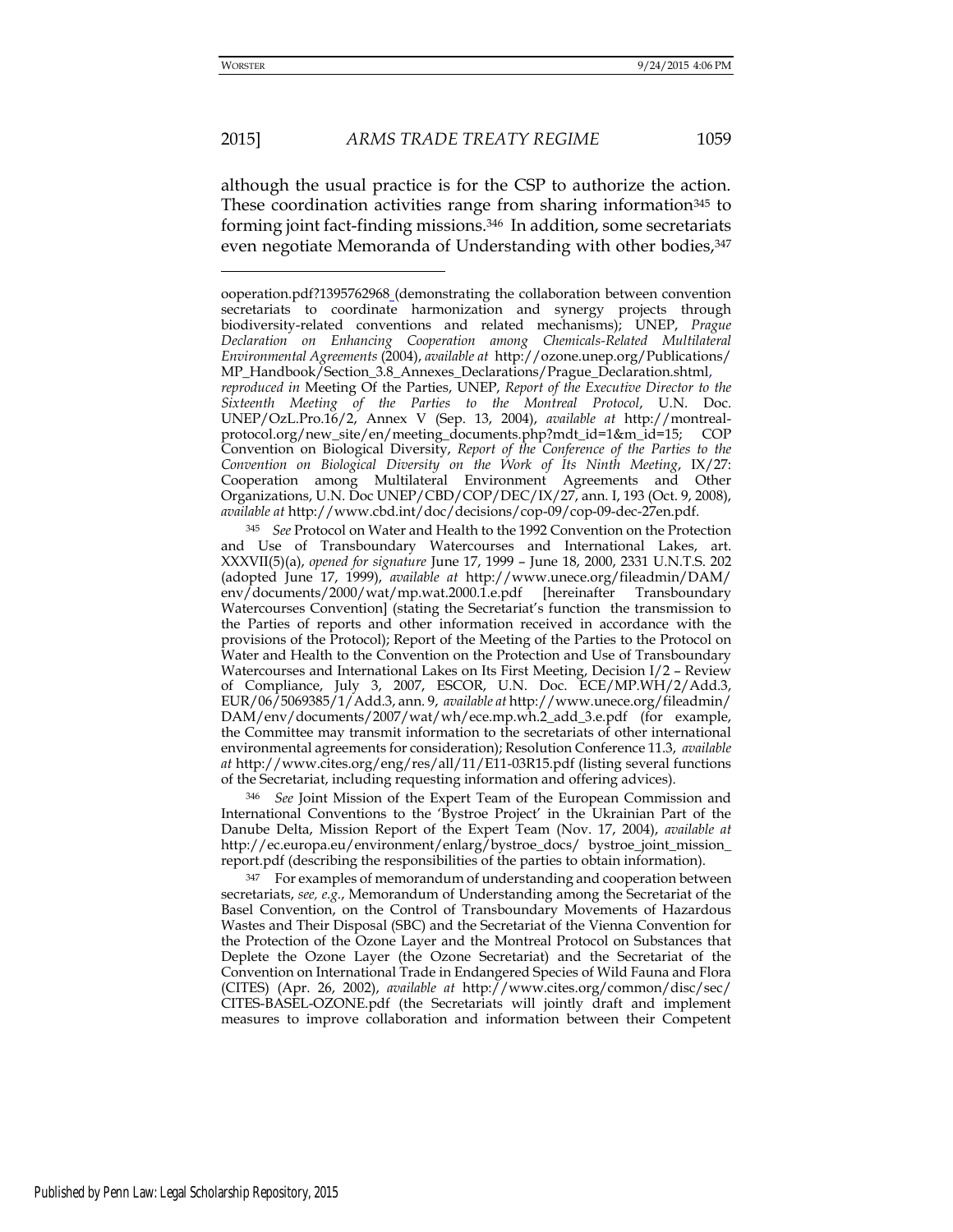although the usual practice is for the CSP to authorize the action. These coordination activities range from sharing information<sup>345</sup> to forming joint fact-finding missions.346 In addition, some secretariats even negotiate Memoranda of Understanding with other bodies, 347

<sup>345</sup> *See* Protocol on Water and Health to the 1992 Convention on the Protection and Use of Transboundary Watercourses and International Lakes, art. XXXVII(5)(a), *opened for signature* June 17, 1999 – June 18, 2000, 2331 U.N.T.S. 202 (adopted June 17, 1999), *available at* [http://www.unece.org/fileadmin/D](http://www.unece.org/fileadmin/)AM/ env/documents/2000/wat/mp.wat.2000.1.e.pdf [hereinafter Transboundary Watercourses Convention] (stating the Secretariat's function the transmission to the Parties of reports and other information received in accordance with the provisions of the Protocol); Report of the Meeting of the Parties to the Protocol on Water and Health to the Convention on the Protection and Use of Transboundary Watercourses and International Lakes on Its First Meeting, Decision I/2 – Review of Compliance, July 3, 2007, ESCOR, U.N. Doc. ECE/MP.WH/2/Add.3, EUR/06/5069385/1/Add.3, ann. 9, *available at* <http://www.unece.org/fileadmin/> DAM/env/documents/2007/wat/wh/ece.mp.wh.2\_add\_3.e.pdf (for example, the Committee may transmit information to the secretariats of other international environmental agreements for consideration); Resolution Conference 11.3, *available at* http://www.cites.org/eng/res/all/11/E11-03R15.pdf (listing several functions of the Secretariat, including requesting information and offering advices).

<sup>346</sup> *See* Joint Mission of the Expert Team of the European Commission and International Conventions to the 'Bystroe Project' in the Ukrainian Part of the Danube Delta, Mission Report of the Expert Team (Nov. 17, 2004), *available at*  http://ec.europa.eu/environment/enlarg/bystroe\_docs/ bystroe\_joint\_mission\_ report.pdf (describing the responsibilities of the parties to obtain information).

<sup>347</sup> For examples of memorandum of understanding and cooperation between secretariats, *see, e.g.*, Memorandum of Understanding among the Secretariat of the Basel Convention, on the Control of Transboundary Movements of Hazardous Wastes and Their Disposal (SBC) and the Secretariat of the Vienna Convention for the Protection of the Ozone Layer and the Montreal Protocol on Substances that Deplete the Ozone Layer (the Ozone Secretariat) and the Secretariat of the Convention on International Trade in Endangered Species of Wild Fauna and Flora (CITES) (Apr. 26, 2002), *available at* http://www.cites.org/common/disc/sec/ CITES-BASEL-OZONE.pdf (the Secretariats will jointly draft and implement measures to improve collaboration and information between their Competent

ooperation.pdf?1395762968 (demonstrating the collaboration between convention secretariats to coordinate harmonization and synergy projects through biodiversity-related conventions and related mechanisms); UNEP, *Prague Declaration on Enhancing Cooperation among Chemicals-Related Multilateral Environmental Agreements* (2004), *available at* <http://ozone.unep.org/Publications/> MP\_Handbook/Section\_3.8\_Annexes\_Declarations/Prague\_Declaration.shtml,

*reproduced in* Meeting Of the Parties, UNEP, *Report of the Executive Director to the Sixteenth Meeting of the Parties to the Montreal Protocol*, U.N. Doc. UNEP/OzL.Pro.16/2, Annex V (Sep. 13, 2004), *available at* http://montrealprotocol.org/new\_site/en/meeting\_documents.php?mdt\_id=1&m\_id=15; COP Convention on Biological Diversity, *Report of the Conference of the Parties to the Convention on Biological Diversity on the Work of Its Ninth Meeting*, IX/27: Cooperation among Multilateral Environment Agreements and Other Organizations, U.N. Doc UNEP/CBD/COP/DEC/IX/27, ann. I, 193 (Oct. 9, 2008), *available at* http://www.cbd.int/doc/decisions/cop-09/cop-09-dec-27en.pdf.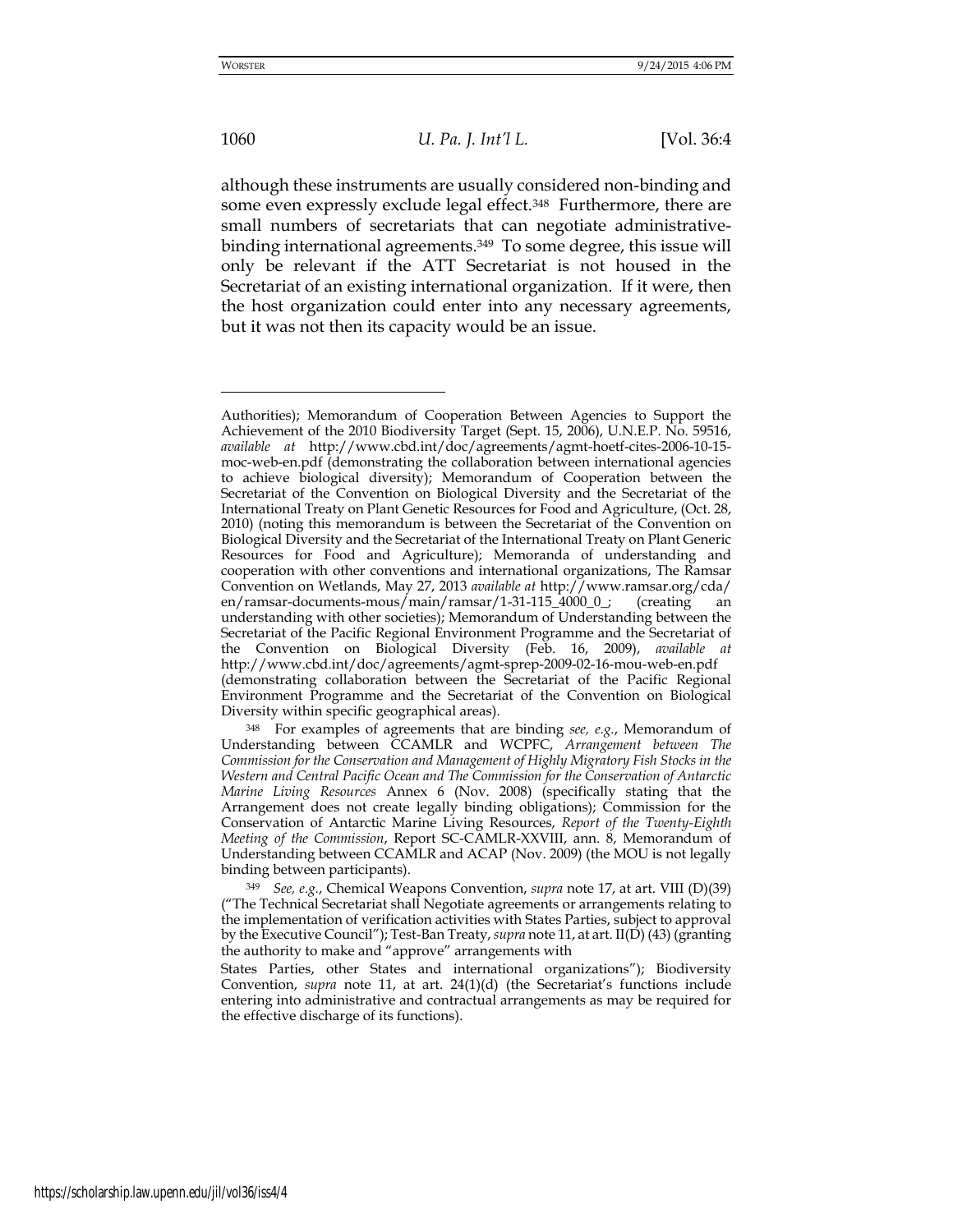## 1060 *U. Pa. J. Int'l L.* [Vol. 36:4

although these instruments are usually considered non-binding and some even expressly exclude legal effect.<sup>348</sup> Furthermore, there are small numbers of secretariats that can negotiate administrativebinding international agreements.<sup>349</sup> To some degree, this issue will only be relevant if the ATT Secretariat is not housed in the Secretariat of an existing international organization. If it were, then the host organization could enter into any necessary agreements, but it was not then its capacity would be an issue.

Authorities); Memorandum of Cooperation Between Agencies to Support the Achievement of the 2010 Biodiversity Target (Sept. 15, 2006), U.N.E.P. No. 59516, *available at* http://www.cbd.int/doc/agreements/agmt-hoetf-cites-2006-10-15 moc-web-en.pdf (demonstrating the collaboration between international agencies to achieve biological diversity); Memorandum of Cooperation between the Secretariat of the Convention on Biological Diversity and the Secretariat of the International Treaty on Plant Genetic Resources for Food and Agriculture, (Oct. 28, 2010) (noting this memorandum is between the Secretariat of the Convention on Biological Diversity and the Secretariat of the International Treaty on Plant Generic Resources for Food and Agriculture); Memoranda of understanding and cooperation with other conventions and international organizations, The Ramsar Convention on Wetlands, May 27, 2013 *available at* [http://www.ramsar.org/c](http://www.ramsar.org/)da/ en/ramsar-documents-mous/main/ramsar/1-31-115\_4000\_0\_; (creating an understanding with other societies); Memorandum of Understanding between the Secretariat of the Pacific Regional Environment Programme and the Secretariat of the Convention on Biological Diversity (Feb. 16, 2009), *available at*  http://www.cbd.int/doc/agreements/agmt-sprep-2009-02-16-mou-web-en.pdf (demonstrating collaboration between the Secretariat of the Pacific Regional Environment Programme and the Secretariat of the Convention on Biological Diversity within specific geographical areas).

<sup>348</sup> For examples of agreements that are binding *see, e.g.*, Memorandum of Understanding between CCAMLR and WCPFC, *Arrangement between The Commission for the Conservation and Management of Highly Migratory Fish Stocks in the Western and Central Pacific Ocean and The Commission for the Conservation of Antarctic Marine Living Resources* Annex 6 (Nov. 2008) (specifically stating that the Arrangement does not create legally binding obligations); Commission for the Conservation of Antarctic Marine Living Resources, *Report of the Twenty-Eighth Meeting of the Commission*, Report SC-CAMLR-XXVIII, ann. 8, Memorandum of Understanding between CCAMLR and ACAP (Nov. 2009) (the MOU is not legally binding between participants).

<sup>349</sup> *See, e.g.*, Chemical Weapons Convention, *supra* note 17, at art. VIII (D)(39) ("The Technical Secretariat shall Negotiate agreements or arrangements relating to the implementation of verification activities with States Parties, subject to approval by the Executive Council"); Test-Ban Treaty, *supra* note 11, at art. II(D) (43) (granting the authority to make and "approve" arrangements with

States Parties, other States and international organizations"); Biodiversity Convention, *supra* note 11, at art. 24(1)(d) (the Secretariat's functions include entering into administrative and contractual arrangements as may be required for the effective discharge of its functions).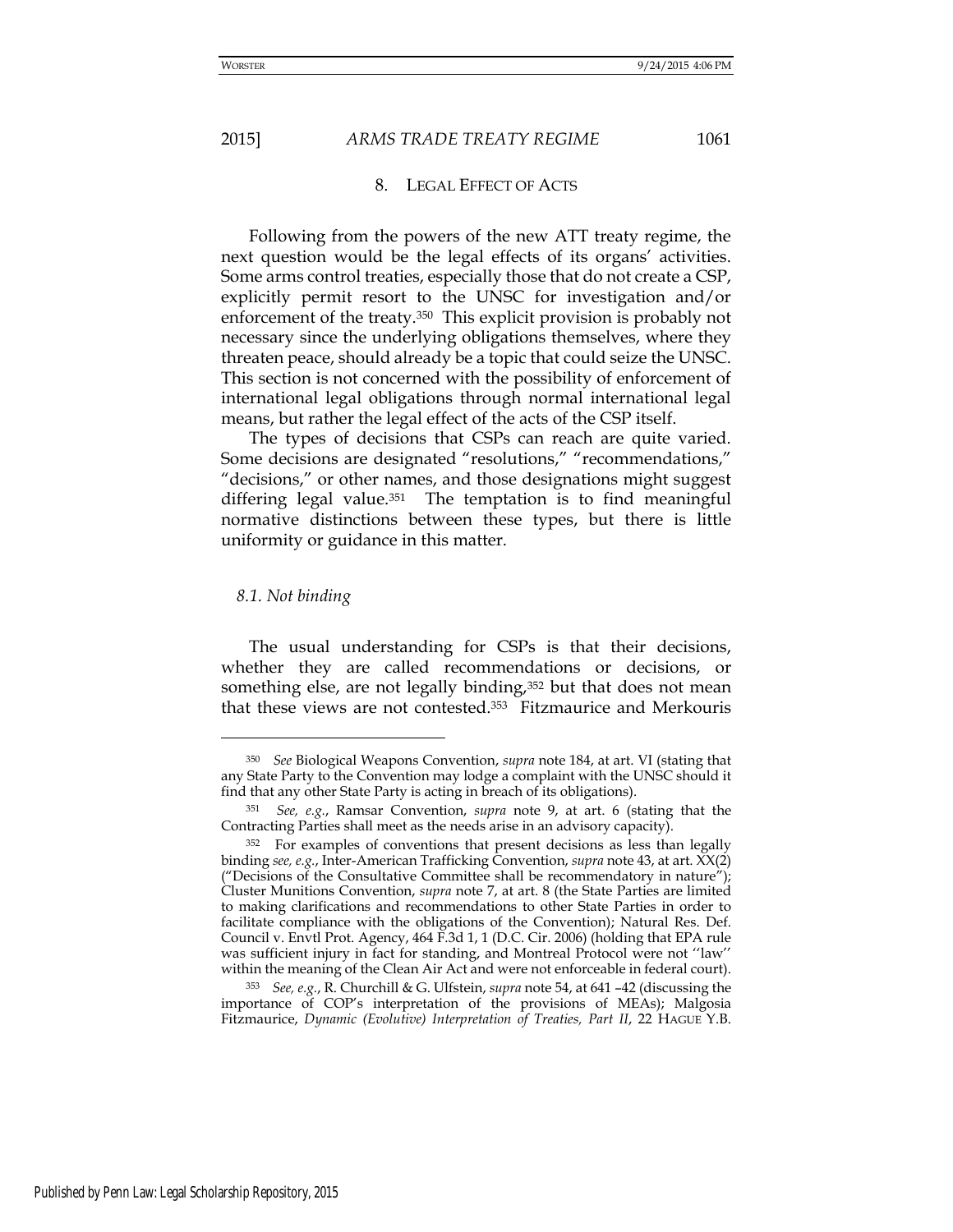## 8. LEGAL EFFECT OF ACTS

Following from the powers of the new ATT treaty regime, the next question would be the legal effects of its organs' activities. Some arms control treaties, especially those that do not create a CSP, explicitly permit resort to the UNSC for investigation and/or enforcement of the treaty.350 This explicit provision is probably not necessary since the underlying obligations themselves, where they threaten peace, should already be a topic that could seize the UNSC. This section is not concerned with the possibility of enforcement of international legal obligations through normal international legal means, but rather the legal effect of the acts of the CSP itself.

The types of decisions that CSPs can reach are quite varied. Some decisions are designated "resolutions," "recommendations," "decisions," or other names, and those designations might suggest differing legal value.<sup>351</sup> The temptation is to find meaningful normative distinctions between these types, but there is little uniformity or guidance in this matter.

#### *8.1. Not binding*

<u>.</u>

The usual understanding for CSPs is that their decisions, whether they are called recommendations or decisions, or something else, are not legally binding,<sup>352</sup> but that does not mean that these views are not contested.353 Fitzmaurice and Merkouris

<sup>350</sup> *See* Biological Weapons Convention, *supra* note 184, at art. VI (stating that any State Party to the Convention may lodge a complaint with the UNSC should it find that any other State Party is acting in breach of its obligations).

<sup>351</sup> *See, e.g.*, Ramsar Convention, *supra* note 9, at art. 6 (stating that the Contracting Parties shall meet as the needs arise in an advisory capacity).

<sup>352</sup> For examples of conventions that present decisions as less than legally binding *see, e.g.*, Inter-American Trafficking Convention, *supra* note 43, at art. XX(2) ("Decisions of the Consultative Committee shall be recommendatory in nature"); Cluster Munitions Convention, *supra* note 7, at art. 8 (the State Parties are limited to making clarifications and recommendations to other State Parties in order to facilitate compliance with the obligations of the Convention); Natural Res. Def. Council v. Envtl Prot. Agency, 464 F.3d 1, 1 (D.C. Cir. 2006) (holding that EPA rule was sufficient injury in fact for standing, and Montreal Protocol were not ''law'' within the meaning of the Clean Air Act and were not enforceable in federal court).

<sup>353</sup> *See, e.g.*, R. Churchill & G. Ulfstein, *supra* note 54, at 641 –42 (discussing the importance of COP's interpretation of the provisions of MEAs); Malgosia Fitzmaurice, *Dynamic (Evolutive) Interpretation of Treaties, Part II*, 22 HAGUE Y.B.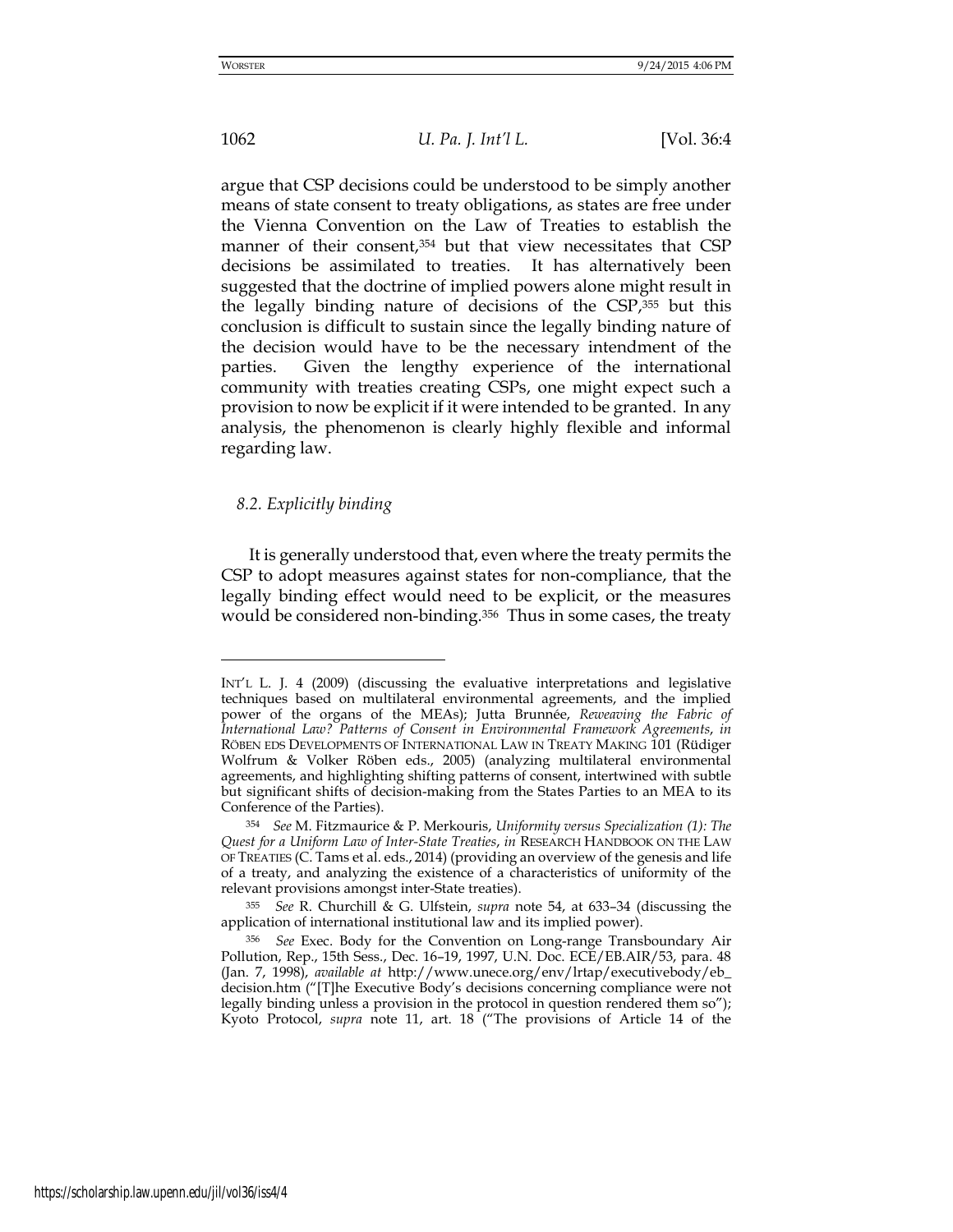1062 *U. Pa. J. Int'l L.* [Vol. 36:4

argue that CSP decisions could be understood to be simply another means of state consent to treaty obligations, as states are free under the Vienna Convention on the Law of Treaties to establish the manner of their consent,<sup>354</sup> but that view necessitates that CSP decisions be assimilated to treaties. It has alternatively been suggested that the doctrine of implied powers alone might result in the legally binding nature of decisions of the CSP,355 but this conclusion is difficult to sustain since the legally binding nature of the decision would have to be the necessary intendment of the parties. Given the lengthy experience of the international community with treaties creating CSPs, one might expect such a provision to now be explicit if it were intended to be granted. In any analysis, the phenomenon is clearly highly flexible and informal regarding law.

#### *8.2. Explicitly binding*

It is generally understood that, even where the treaty permits the CSP to adopt measures against states for non-compliance, that the legally binding effect would need to be explicit, or the measures would be considered non-binding.356 Thus in some cases, the treaty

INT'L L. J. 4 (2009) (discussing the evaluative interpretations and legislative techniques based on multilateral environmental agreements, and the implied power of the organs of the MEAs); Jutta Brunnée, *Reweaving the Fabric of International Law? Patterns of Consent in Environmental Framework Agreements*, *in* RÖBEN EDS DEVELOPMENTS OF INTERNATIONAL LAW IN TREATY MAKING 101 (Rüdiger Wolfrum & Volker Röben eds., 2005) (analyzing multilateral environmental agreements, and highlighting shifting patterns of consent, intertwined with subtle but significant shifts of decision-making from the States Parties to an MEA to its Conference of the Parties).

<sup>354</sup> *See* M. Fitzmaurice & P. Merkouris, *Uniformity versus Specialization (1): The Quest for a Uniform Law of Inter-State Treaties*, *in* RESEARCH HANDBOOK ON THE LAW OF TREATIES (C. Tams et al. eds., 2014) (providing an overview of the genesis and life of a treaty, and analyzing the existence of a characteristics of uniformity of the relevant provisions amongst inter-State treaties).

<sup>355</sup> *See* R. Churchill & G. Ulfstein, *supra* note 54, at 633–34 (discussing the application of international institutional law and its implied power).

<sup>356</sup> *See* Exec. Body for the Convention on Long-range Transboundary Air Pollution, Rep., 15th Sess., Dec. 16–19, 1997, U.N. Doc. ECE/EB.AIR/53, para. 48 (Jan. 7, 1998), *available at* [http://www.unece.org/env/lrtap/e](http://www.unece.org/env/lrtap/)xecutivebody/eb\_ decision.htm ("[T]he Executive Body's decisions concerning compliance were not legally binding unless a provision in the protocol in question rendered them so"); Kyoto Protocol, *supra* note 11, art. 18 ("The provisions of Article 14 of the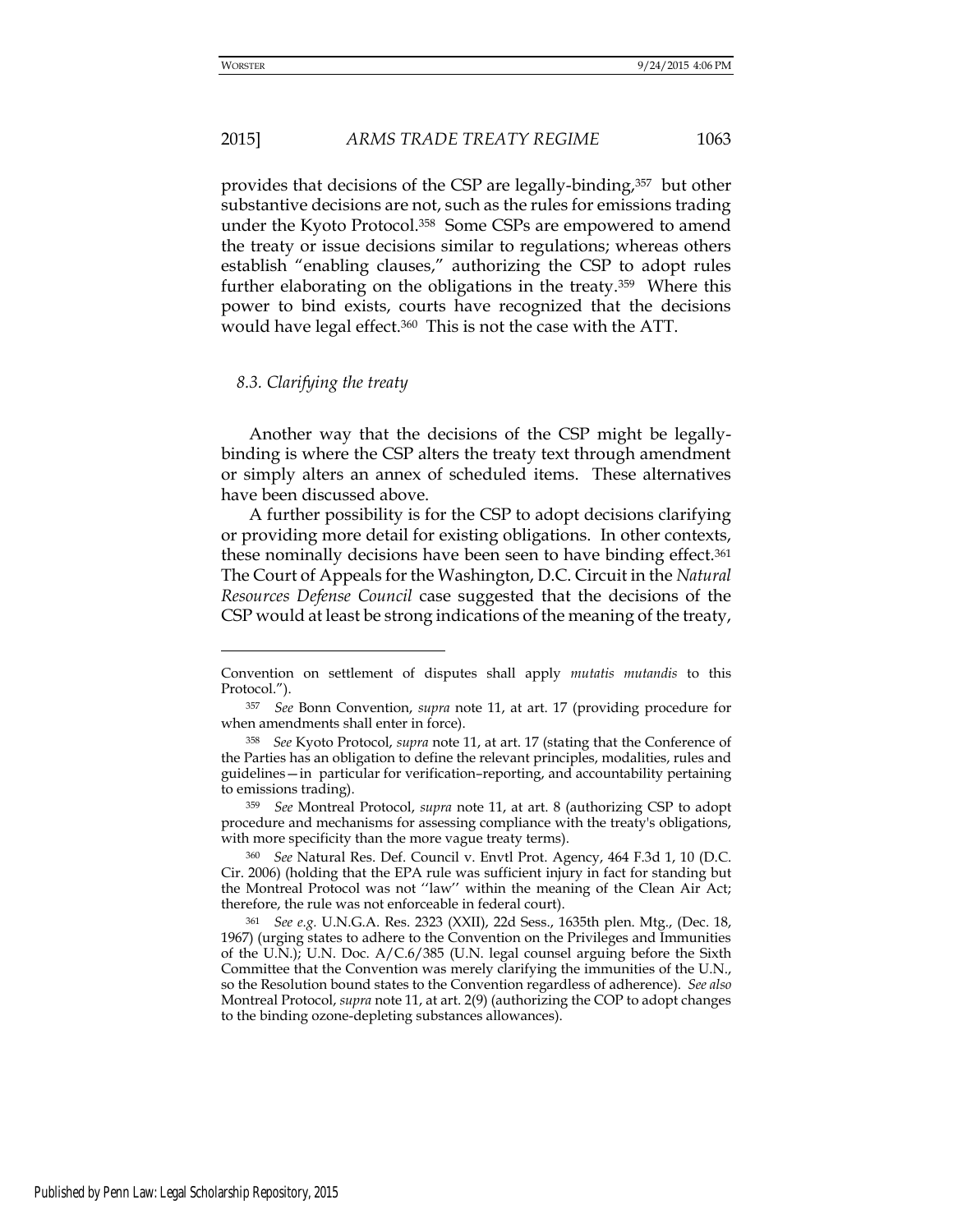#### 2015] *ARMS TRADE TREATY REGIME* 1063

provides that decisions of the CSP are legally-binding,357 but other substantive decisions are not, such as the rules for emissions trading under the Kyoto Protocol.358 Some CSPs are empowered to amend the treaty or issue decisions similar to regulations; whereas others establish "enabling clauses," authorizing the CSP to adopt rules further elaborating on the obligations in the treaty.359 Where this power to bind exists, courts have recognized that the decisions would have legal effect.360 This is not the case with the ATT.

#### *8.3. Clarifying the treaty*

Another way that the decisions of the CSP might be legallybinding is where the CSP alters the treaty text through amendment or simply alters an annex of scheduled items. These alternatives have been discussed above.

A further possibility is for the CSP to adopt decisions clarifying or providing more detail for existing obligations. In other contexts, these nominally decisions have been seen to have binding effect.<sup>361</sup> The Court of Appeals for the Washington, D.C. Circuit in the *Natural Resources Defense Council* case suggested that the decisions of the CSP would at least be strong indications of the meaning of the treaty,

Convention on settlement of disputes shall apply *mutatis mutandis* to this Protocol.").

<sup>357</sup> *See* Bonn Convention, *supra* note 11, at art. 17 (providing procedure for when amendments shall enter in force).

<sup>358</sup> *See* Kyoto Protocol, *supra* note 11, at art. 17 (stating that the Conference of the Parties has an obligation to define the relevant principles, modalities, rules and guidelines—in particular for verification–reporting, and accountability pertaining to emissions trading).

<sup>359</sup> *See* Montreal Protocol, *supra* note 11, at art. 8 (authorizing CSP to adopt procedure and mechanisms for assessing compliance with the treaty's obligations, with more specificity than the more vague treaty terms).

<sup>360</sup> *See* Natural Res. Def. Council v. Envtl Prot. Agency, 464 F.3d 1, 10 (D.C. Cir. 2006) (holding that the EPA rule was sufficient injury in fact for standing but the Montreal Protocol was not ''law'' within the meaning of the Clean Air Act; therefore, the rule was not enforceable in federal court).

<sup>361</sup> *See e.g.* U.N.G.A. Res. 2323 (XXII), 22d Sess., 1635th plen. Mtg., (Dec. 18, 1967) (urging states to adhere to the Convention on the Privileges and Immunities of the U.N.); U.N. Doc. A/C.6/385 (U.N. legal counsel arguing before the Sixth Committee that the Convention was merely clarifying the immunities of the U.N., so the Resolution bound states to the Convention regardless of adherence). *See also*  Montreal Protocol, *supra* note 11, at art. 2(9) (authorizing the COP to adopt changes to the binding ozone-depleting substances allowances).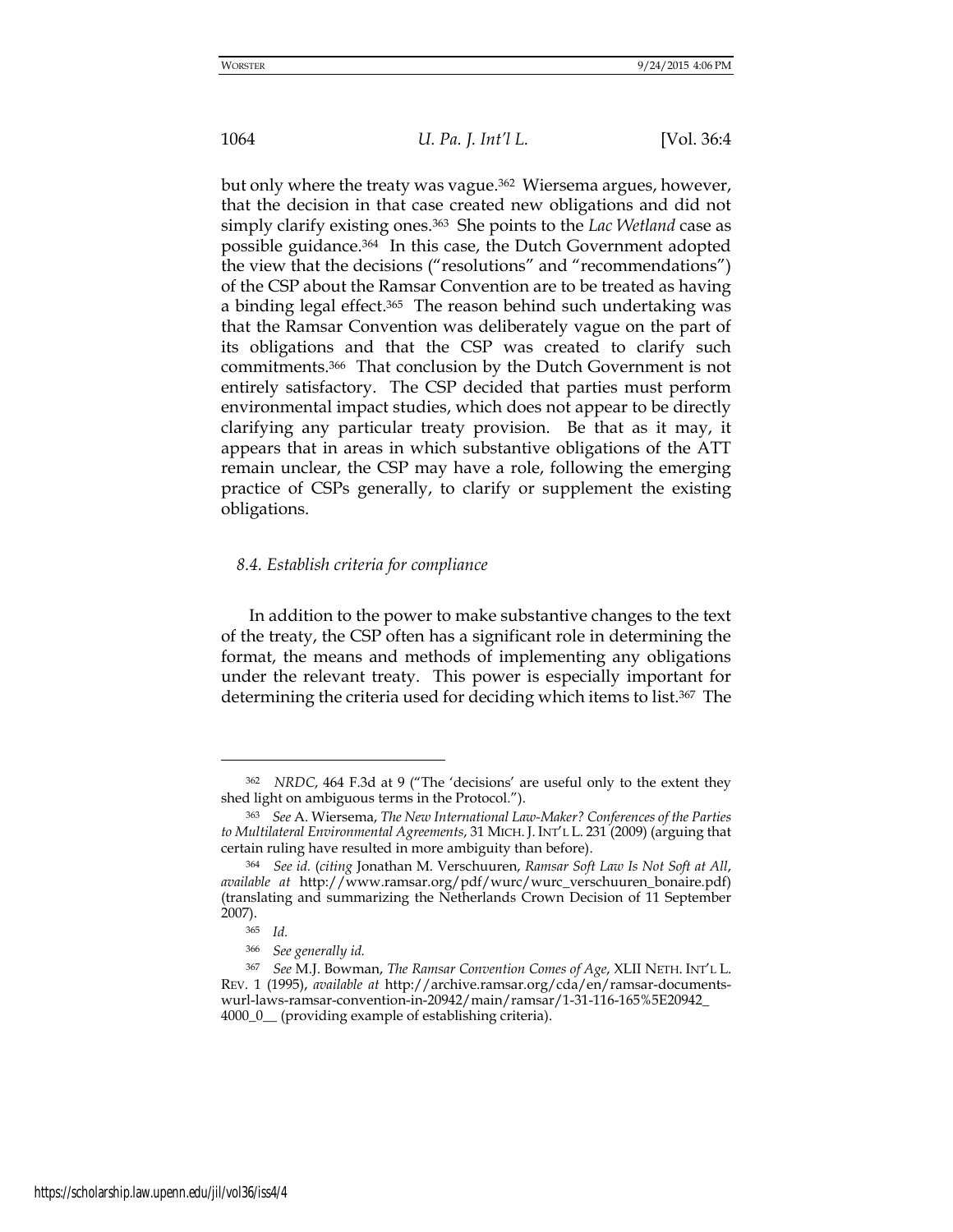but only where the treaty was vague.<sup>362</sup> Wiersema argues, however, that the decision in that case created new obligations and did not simply clarify existing ones.363 She points to the *Lac Wetland* case as possible guidance.364 In this case, the Dutch Government adopted the view that the decisions ("resolutions" and "recommendations") of the CSP about the Ramsar Convention are to be treated as having a binding legal effect.<sup>365</sup> The reason behind such undertaking was that the Ramsar Convention was deliberately vague on the part of its obligations and that the CSP was created to clarify such commitments.366 That conclusion by the Dutch Government is not entirely satisfactory. The CSP decided that parties must perform environmental impact studies, which does not appear to be directly clarifying any particular treaty provision. Be that as it may, it appears that in areas in which substantive obligations of the ATT remain unclear, the CSP may have a role, following the emerging practice of CSPs generally, to clarify or supplement the existing obligations.

## *8.4. Establish criteria for compliance*

In addition to the power to make substantive changes to the text of the treaty, the CSP often has a significant role in determining the format, the means and methods of implementing any obligations under the relevant treaty. This power is especially important for determining the criteria used for deciding which items to list.367 The

-

<sup>362</sup> *NRDC*, 464 F.3d at 9 ("The 'decisions' are useful only to the extent they shed light on ambiguous terms in the Protocol.").

<sup>363</sup> *See* A. Wiersema, *The New International Law-Maker? Conferences of the Parties to Multilateral Environmental Agreements*, 31 MICH. J. INT'L L. 231 (2009) (arguing that certain ruling have resulted in more ambiguity than before).

<sup>364</sup> *See id.* (*citing* Jonathan M. Verschuuren, *Ramsar Soft Law Is Not Soft at All*, *available at* http://www.ramsar.org/pdf/wurc/wurc\_verschuuren\_bonaire.pdf) (translating and summarizing the Netherlands Crown Decision of 11 September 2007).

<sup>365</sup> *Id.* 

<sup>366</sup> *See generally id.*

<sup>367</sup> *See* M.J. Bowman, *The Ramsar Convention Comes of Age*, XLII NETH. INT'L L. REV. 1 (1995), *available at* [http://archive.ramsar.org/cda/en/ramsar-documents](http://archive.ramsar.org/cda/en/ramsar-documents-wurl-laws-ramsar-convention-in-20942/main/ramsar/1-31-116-165%5E20942_)[wurl-laws-ramsar-convention-in-20942/main/ramsar/1-31-116-165%5E20942\\_](http://archive.ramsar.org/cda/en/ramsar-documents-wurl-laws-ramsar-convention-in-20942/main/ramsar/1-31-116-165%5E20942_) 4000\_0\_\_ (providing example of establishing criteria).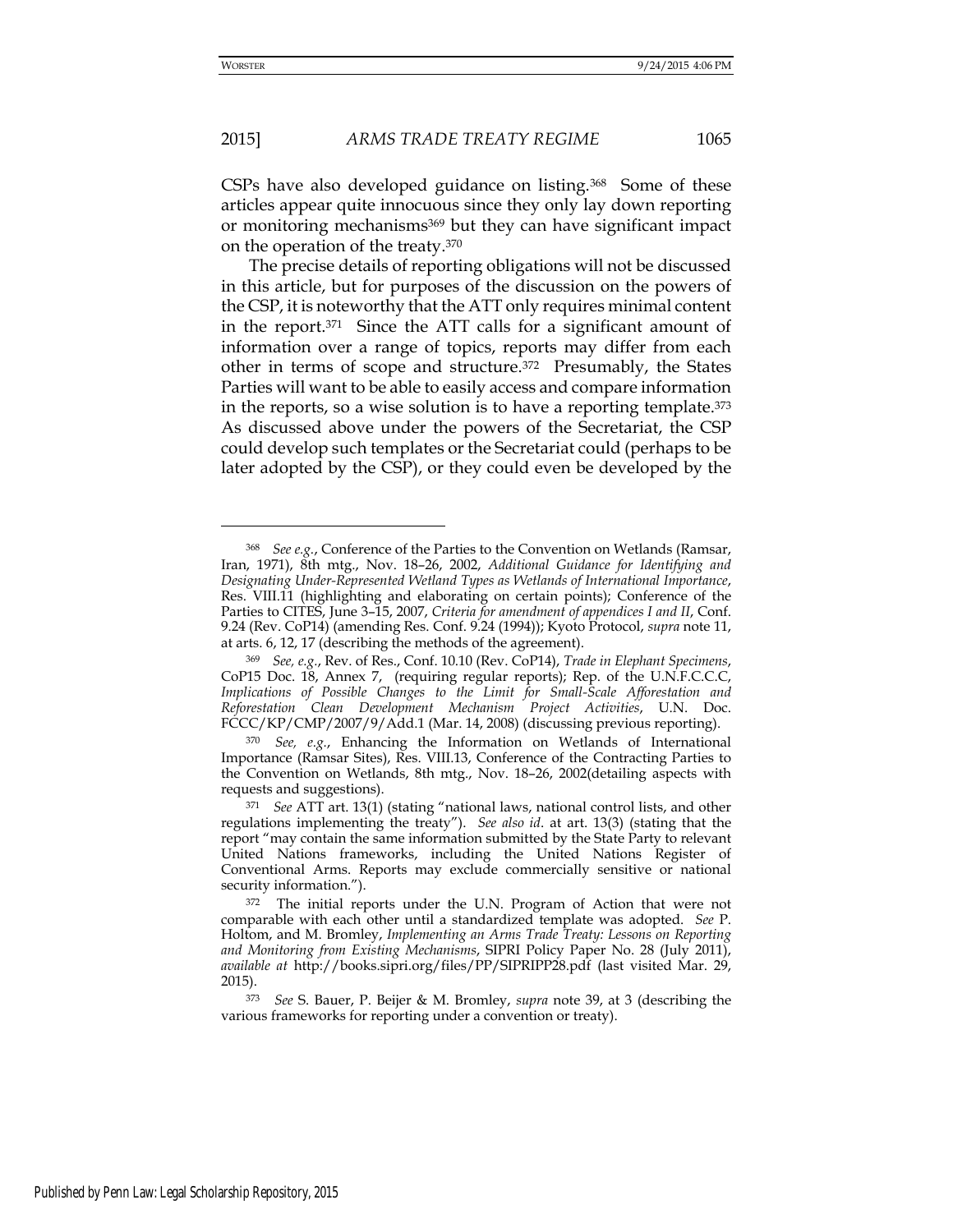-

## 2015] *ARMS TRADE TREATY REGIME* 1065

CSPs have also developed guidance on listing.368 Some of these articles appear quite innocuous since they only lay down reporting or monitoring mechanisms<sup>369</sup> but they can have significant impact on the operation of the treaty.<sup>370</sup>

The precise details of reporting obligations will not be discussed in this article, but for purposes of the discussion on the powers of the CSP, it is noteworthy that the ATT only requires minimal content in the report.371 Since the ATT calls for a significant amount of information over a range of topics, reports may differ from each other in terms of scope and structure.372 Presumably, the States Parties will want to be able to easily access and compare information in the reports, so a wise solution is to have a reporting template.<sup>373</sup> As discussed above under the powers of the Secretariat, the CSP could develop such templates or the Secretariat could (perhaps to be later adopted by the CSP), or they could even be developed by the

<sup>368</sup> *See e.g.*, Conference of the Parties to the Convention on Wetlands (Ramsar, Iran, 1971), 8th mtg., Nov. 18–26, 2002, *Additional Guidance for Identifying and Designating Under-Represented Wetland Types as Wetlands of International Importance*, Res. VIII.11 (highlighting and elaborating on certain points); Conference of the Parties to CITES, June 3–15, 2007, *Criteria for amendment of appendices I and II*, Conf. 9.24 (Rev. CoP14) (amending Res. Conf. 9.24 (1994)); Kyoto Protocol, *supra* note 11, at arts. 6, 12, 17 (describing the methods of the agreement).

<sup>369</sup> *See, e.g.*, Rev. of Res., Conf. 10.10 (Rev. CoP14), *Trade in Elephant Specimens*, CoP15 Doc. 18, Annex 7, (requiring regular reports); Rep. of the U.N.F.C.C.C, *Implications of Possible Changes to the Limit for Small-Scale Afforestation and Reforestation Clean Development Mechanism Project Activities*, U.N. Doc. FCCC/KP/CMP/2007/9/Add.1 (Mar. 14, 2008) (discussing previous reporting).

<sup>370</sup> *See, e.g.*, Enhancing the Information on Wetlands of International Importance (Ramsar Sites), Res. VIII.13, Conference of the Contracting Parties to the Convention on Wetlands, 8th mtg., Nov. 18–26, 2002(detailing aspects with requests and suggestions).

<sup>371</sup> *See* ATT art. 13(1) (stating "national laws, national control lists, and other regulations implementing the treaty"). *See also id*. at art. 13(3) (stating that the report "may contain the same information submitted by the State Party to relevant United Nations frameworks, including the United Nations Register of Conventional Arms. Reports may exclude commercially sensitive or national security information.").

<sup>372</sup> The initial reports under the U.N. Program of Action that were not comparable with each other until a standardized template was adopted. *See* P. Holtom, and M. Bromley, *Implementing an Arms Trade Treaty: Lessons on Reporting and Monitoring from Existing Mechanisms*, SIPRI Policy Paper No. 28 (July 2011), *available at* http://books.sipri.org/files/PP/SIPRIPP28.pdf (last visited Mar. 29, 2015).

<sup>373</sup> *See* S. Bauer, P. Beijer & M. Bromley, *supra* note 39, at 3 (describing the various frameworks for reporting under a convention or treaty).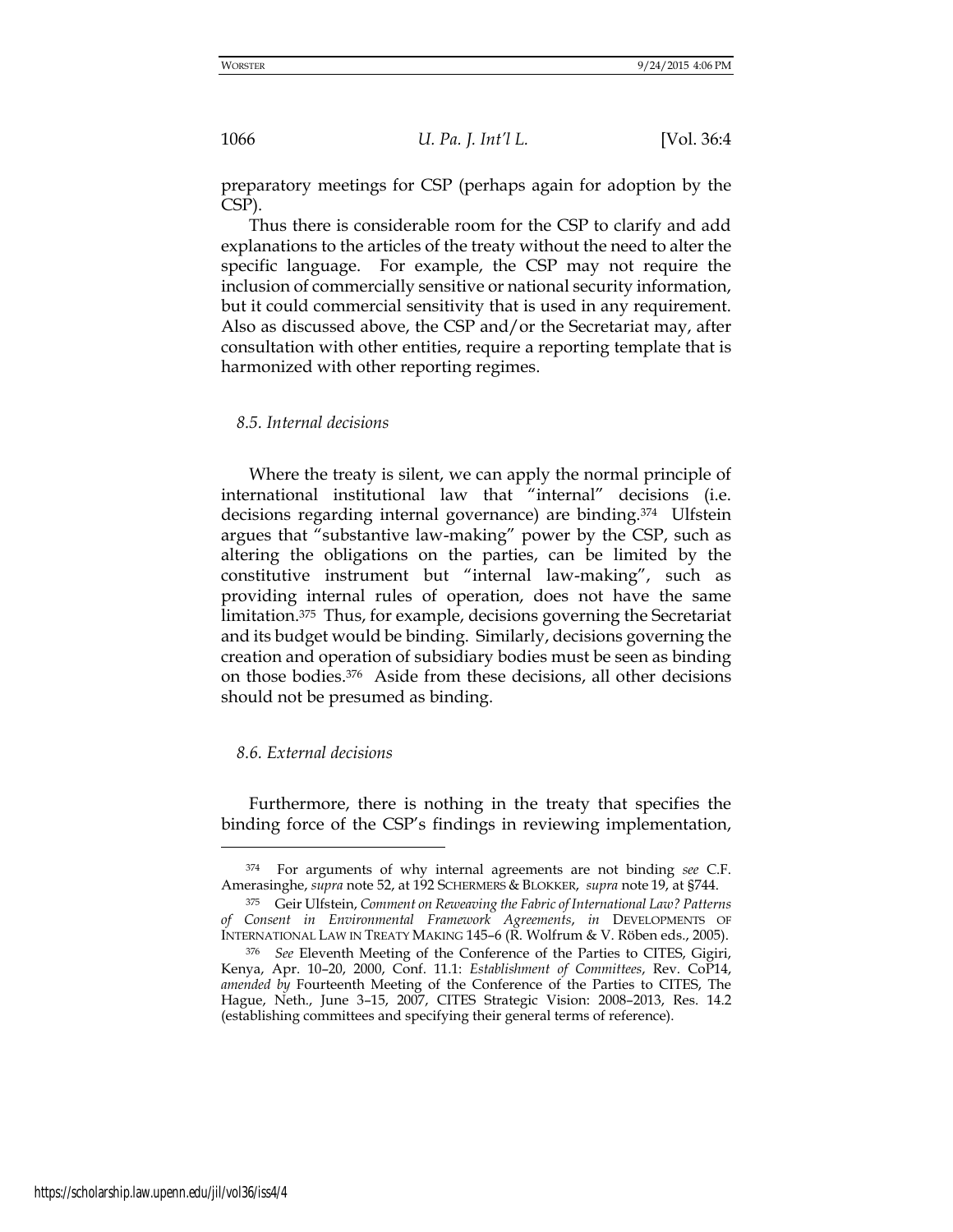preparatory meetings for CSP (perhaps again for adoption by the CSP).

Thus there is considerable room for the CSP to clarify and add explanations to the articles of the treaty without the need to alter the specific language. For example, the CSP may not require the inclusion of commercially sensitive or national security information, but it could commercial sensitivity that is used in any requirement. Also as discussed above, the CSP and/or the Secretariat may, after consultation with other entities, require a reporting template that is harmonized with other reporting regimes.

#### *8.5. Internal decisions*

Where the treaty is silent, we can apply the normal principle of international institutional law that "internal" decisions (i.e. decisions regarding internal governance) are binding.374 Ulfstein argues that "substantive law-making" power by the CSP, such as altering the obligations on the parties, can be limited by the constitutive instrument but "internal law-making", such as providing internal rules of operation, does not have the same limitation.375 Thus, for example, decisions governing the Secretariat and its budget would be binding. Similarly, decisions governing the creation and operation of subsidiary bodies must be seen as binding on those bodies.376 Aside from these decisions, all other decisions should not be presumed as binding.

# *8.6. External decisions*

<u>.</u>

Furthermore, there is nothing in the treaty that specifies the binding force of the CSP's findings in reviewing implementation,

<sup>374</sup> For arguments of why internal agreements are not binding *see* C.F. Amerasinghe, *supra* note 52, at 192 SCHERMERS & BLOKKER, *supra* note 19, at §744.

<sup>375</sup> Geir Ulfstein, *Comment on Reweaving the Fabric of International Law? Patterns of Consent in Environmental Framework Agreements*, *in* DEVELOPMENTS OF INTERNATIONAL LAW IN TREATY MAKING 145–6 (R. Wolfrum & V. Röben eds., 2005).

<sup>376</sup> *See* Eleventh Meeting of the Conference of the Parties to CITES, Gigiri, Kenya, Apr. 10–20, 2000, Conf. 11.1: *Establishment of Committees*, Rev. CoP14, *amended by* Fourteenth Meeting of the Conference of the Parties to CITES, The Hague, Neth., June 3–15, 2007, CITES Strategic Vision: 2008–2013, Res. 14.2 (establishing committees and specifying their general terms of reference).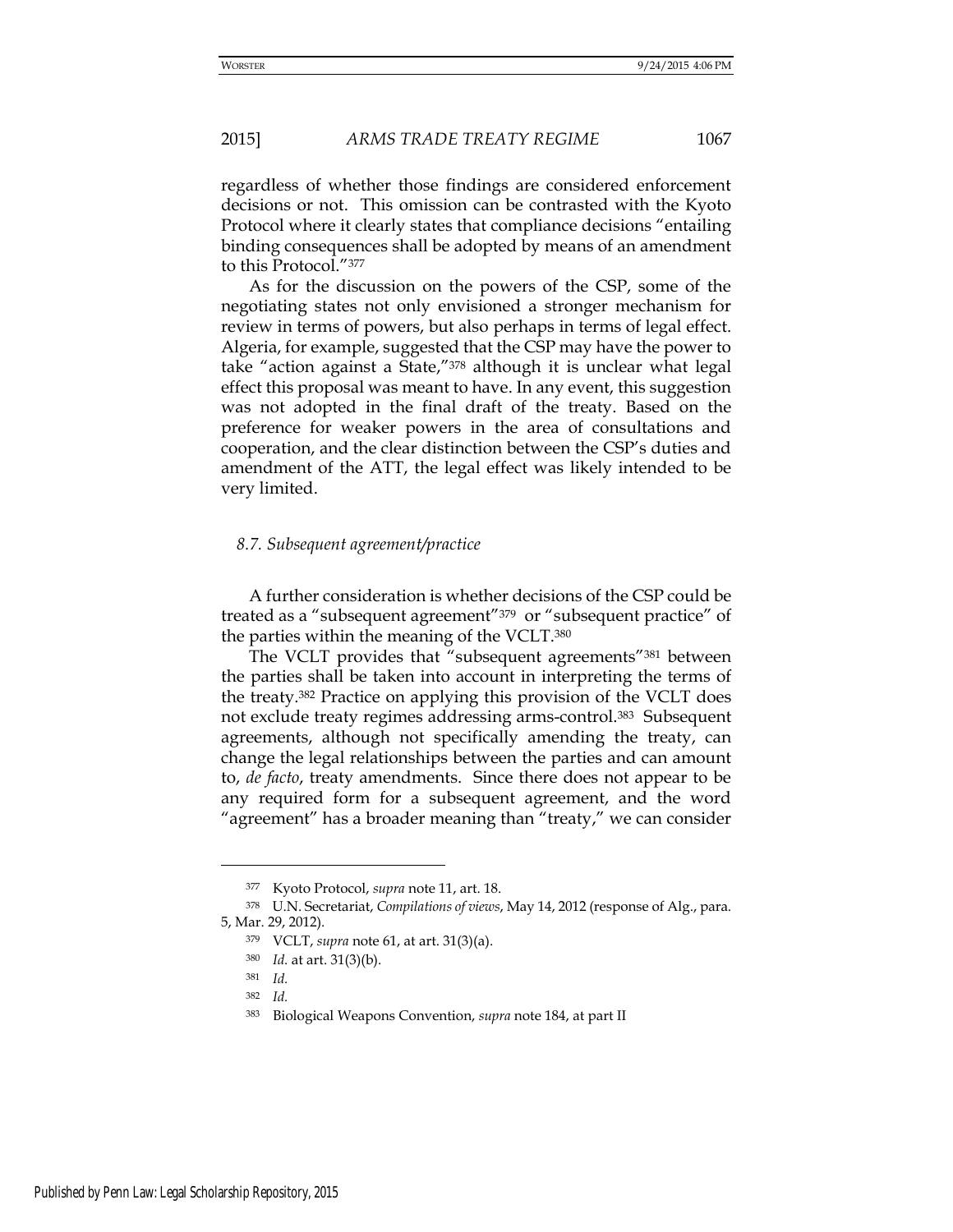regardless of whether those findings are considered enforcement decisions or not. This omission can be contrasted with the Kyoto Protocol where it clearly states that compliance decisions "entailing binding consequences shall be adopted by means of an amendment to this Protocol."<sup>377</sup>

As for the discussion on the powers of the CSP, some of the negotiating states not only envisioned a stronger mechanism for review in terms of powers, but also perhaps in terms of legal effect. Algeria, for example, suggested that the CSP may have the power to take "action against a State,"378 although it is unclear what legal effect this proposal was meant to have. In any event, this suggestion was not adopted in the final draft of the treaty. Based on the preference for weaker powers in the area of consultations and cooperation, and the clear distinction between the CSP's duties and amendment of the ATT, the legal effect was likely intended to be very limited.

## *8.7. Subsequent agreement/practice*

A further consideration is whether decisions of the CSP could be treated as a "subsequent agreement"379 or "subsequent practice" of the parties within the meaning of the VCLT.<sup>380</sup>

The VCLT provides that "subsequent agreements"<sup>381</sup> between the parties shall be taken into account in interpreting the terms of the treaty.382 Practice on applying this provision of the VCLT does not exclude treaty regimes addressing arms-control.383 Subsequent agreements, although not specifically amending the treaty, can change the legal relationships between the parties and can amount to, *de facto*, treaty amendments. Since there does not appear to be any required form for a subsequent agreement, and the word "agreement" has a broader meaning than "treaty," we can consider

<sup>377</sup> Kyoto Protocol, *supra* note 11, art. 18.

<sup>378</sup> U.N. Secretariat, *Compilations of views*, May 14, 2012 (response of Alg., para. 5, Mar. 29, 2012).

<sup>379</sup> VCLT, *supra* note 61, at art. 31(3)(a).

<sup>380</sup> *Id.* at art. 31(3)(b).

<sup>381</sup> *Id.*

<sup>382</sup> *Id.*

<sup>383</sup> Biological Weapons Convention, *supra* note 184, at part II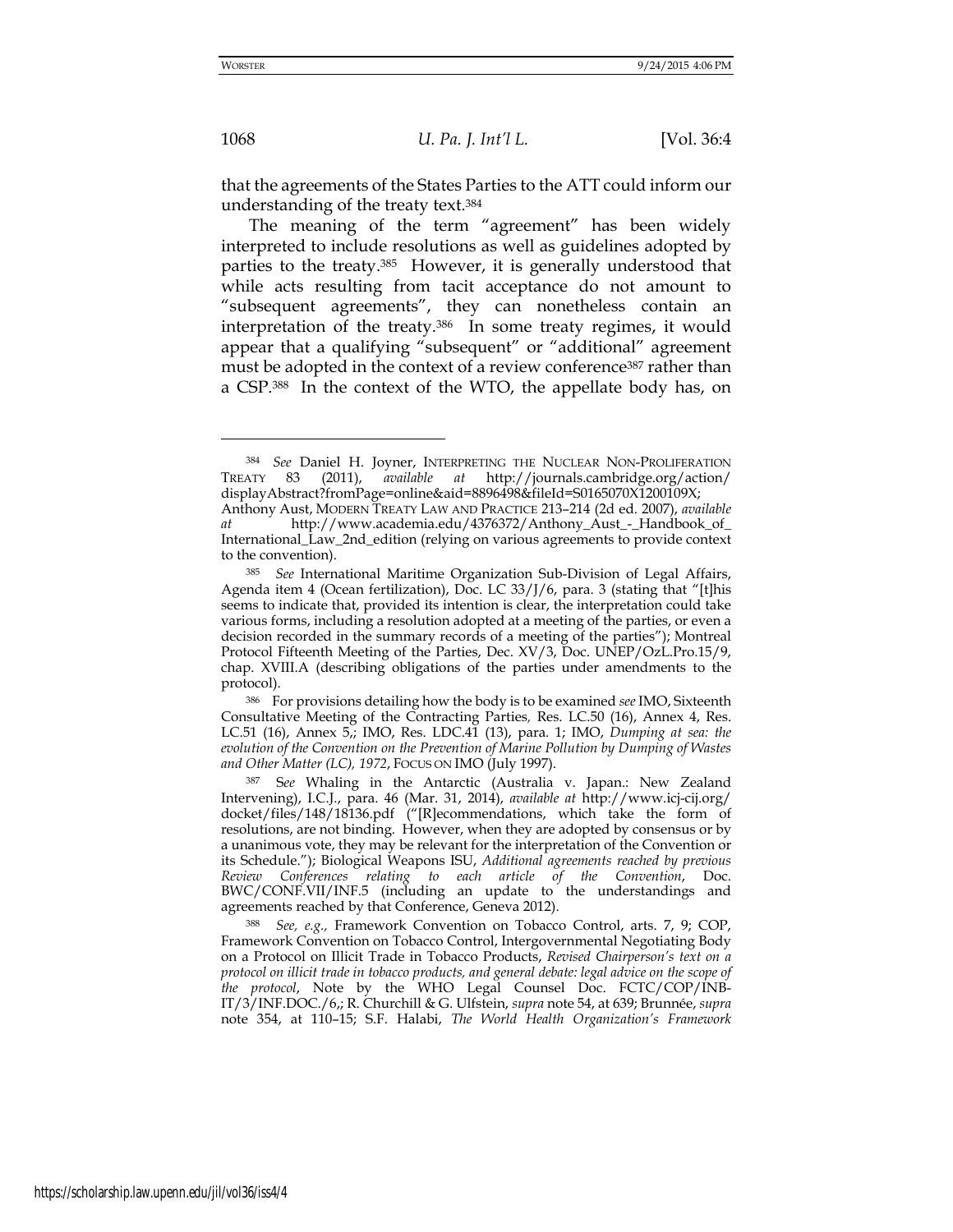that the agreements of the States Parties to the ATT could inform our understanding of the treaty text.<sup>384</sup>

The meaning of the term "agreement" has been widely interpreted to include resolutions as well as guidelines adopted by parties to the treaty.385 However, it is generally understood that while acts resulting from tacit acceptance do not amount to "subsequent agreements", they can nonetheless contain an interpretation of the treaty.386 In some treaty regimes, it would appear that a qualifying "subsequent" or "additional" agreement must be adopted in the context of a review conference<sup>387</sup> rather than a CSP.388 In the context of the WTO, the appellate body has, on

<sup>386</sup> For provisions detailing how the body is to be examined *see* IMO, Sixteenth Consultative Meeting of the Contracting Parties*,* Res. LC.50 (16), Annex 4, Res. LC.51 (16), Annex 5,; IMO, Res. LDC.41 (13), para. 1; IMO, *Dumping at sea: the evolution of the Convention on the Prevention of Marine Pollution by Dumping of Wastes and Other Matter (LC), 1972*, FOCUS ON IMO (July 1997).

<sup>384</sup> *See* Daniel H. Joyner, INTERPRETING THE NUCLEAR NON-PROLIFERATION TREATY 83 (2011), *available at* <http://journals.cambridge.org/action/> displayAbstract?fromPage=online&aid=8896498&fileId=S0165070X1200109X;

Anthony Aust, MODERN TREATY LAW AND PRACTICE 213–214 (2d ed. 2007), *available at* [http://www.academia.edu/4376372/Anthony\\_Aust\\_-\\_Handbook\\_of\\_](http://www.academia.edu/4376372/Anthony_Aust_-_Handbook_of_) International\_Law\_2nd\_edition (relying on various agreements to provide context to the convention).

<sup>385</sup> *See* International Maritime Organization Sub-Division of Legal Affairs, Agenda item 4 (Ocean fertilization), Doc. LC 33/J/6, para. 3 (stating that "[t]his seems to indicate that, provided its intention is clear, the interpretation could take various forms, including a resolution adopted at a meeting of the parties, or even a decision recorded in the summary records of a meeting of the parties"); Montreal Protocol Fifteenth Meeting of the Parties, Dec. XV/3, Doc. UNEP/OzL.Pro.15/9, chap. XVIII.A (describing obligations of the parties under amendments to the protocol).

<sup>387</sup> S*ee* Whaling in the Antarctic (Australia v. Japan.: New Zealand Intervening), I.C.J., para. 46 (Mar. 31, 2014), *available at* <http://www.icj-cij.org/> docket/files/148/18136.pdf ("[R]ecommendations, which take the form of resolutions, are not binding. However, when they are adopted by consensus or by a unanimous vote, they may be relevant for the interpretation of the Convention or its Schedule."); Biological Weapons ISU, *Additional agreements reached by previous Review Conferences relating to each article of the Convention*, Doc. BWC/CONF.VII/INF.5 (including an update to the understandings and agreements reached by that Conference, Geneva 2012).

<sup>388</sup> *See, e.g.,* Framework Convention on Tobacco Control, arts. 7, 9; COP, Framework Convention on Tobacco Control, Intergovernmental Negotiating Body on a Protocol on Illicit Trade in Tobacco Products, *Revised Chairperson's text on a protocol on illicit trade in tobacco products, and general debate: legal advice on the scope of the protocol*, Note by the WHO Legal Counsel Doc. FCTC/COP/INB-IT/3/INF.DOC./6,; R. Churchill & G. Ulfstein, *supra* note 54, at 639; Brunnée, *supra* note 354, at 110–15; S.F. Halabi, *The World Health Organization's Framework*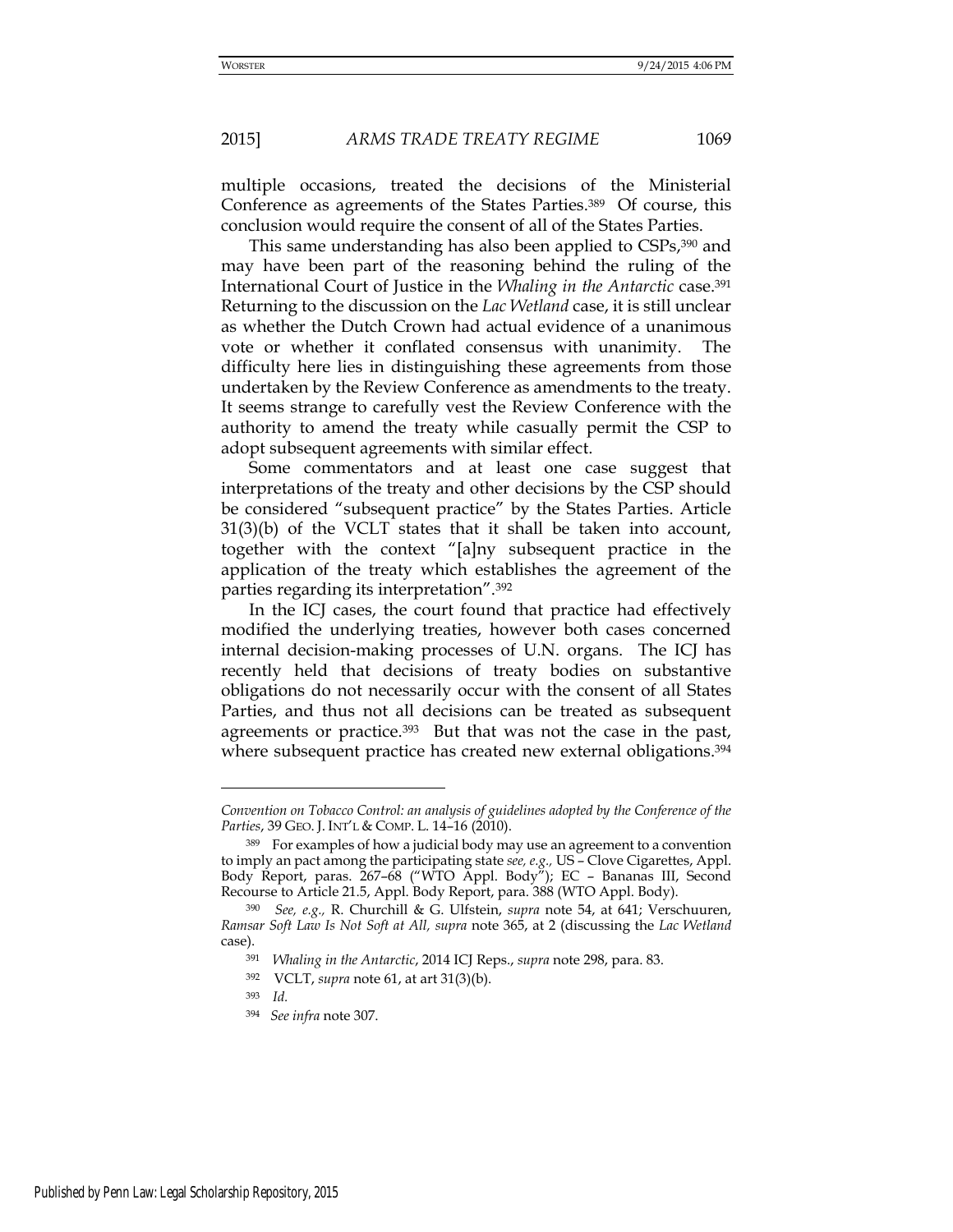multiple occasions, treated the decisions of the Ministerial Conference as agreements of the States Parties.389 Of course, this conclusion would require the consent of all of the States Parties.

This same understanding has also been applied to CSPs, 390 and may have been part of the reasoning behind the ruling of the International Court of Justice in the *Whaling in the Antarctic* case.<sup>391</sup> Returning to the discussion on the *Lac Wetland* case, it is still unclear as whether the Dutch Crown had actual evidence of a unanimous vote or whether it conflated consensus with unanimity. The difficulty here lies in distinguishing these agreements from those undertaken by the Review Conference as amendments to the treaty. It seems strange to carefully vest the Review Conference with the authority to amend the treaty while casually permit the CSP to adopt subsequent agreements with similar effect.

Some commentators and at least one case suggest that interpretations of the treaty and other decisions by the CSP should be considered "subsequent practice" by the States Parties. Article 31(3)(b) of the VCLT states that it shall be taken into account, together with the context "[a]ny subsequent practice in the application of the treaty which establishes the agreement of the parties regarding its interpretation".<sup>392</sup>

In the ICJ cases, the court found that practice had effectively modified the underlying treaties, however both cases concerned internal decision-making processes of U.N. organs. The ICJ has recently held that decisions of treaty bodies on substantive obligations do not necessarily occur with the consent of all States Parties, and thus not all decisions can be treated as subsequent agreements or practice.<sup>393</sup> But that was not the case in the past, where subsequent practice has created new external obligations.<sup>394</sup>

- <sup>392</sup> VCLT, *supra* note 61, at art 31(3)(b).
- <sup>393</sup> *Id.*

-

*Convention on Tobacco Control: an analysis of guidelines adopted by the Conference of the Parties*, 39 GEO. J. INT'L & COMP. L. 14–16 (2010).

<sup>389</sup> For examples of how a judicial body may use an agreement to a convention to imply an pact among the participating state *see, e.g.,* US – Clove Cigarettes, Appl. Body Report, paras. 267–68 ("WTO Appl. Body"); EC – Bananas III, Second Recourse to Article 21.5, Appl. Body Report, para. 388 (WTO Appl. Body).

<sup>390</sup> *See, e.g.,* R. Churchill & G. Ulfstein, *supra* note 54, at 641; Verschuuren, *Ramsar Soft Law Is Not Soft at All, supra* note 365, at 2 (discussing the *Lac Wetland* case).

<sup>391</sup> *Whaling in the Antarctic*, 2014 ICJ Reps., *supra* note 298, para. 83.

<sup>394</sup> *See infra* note 307.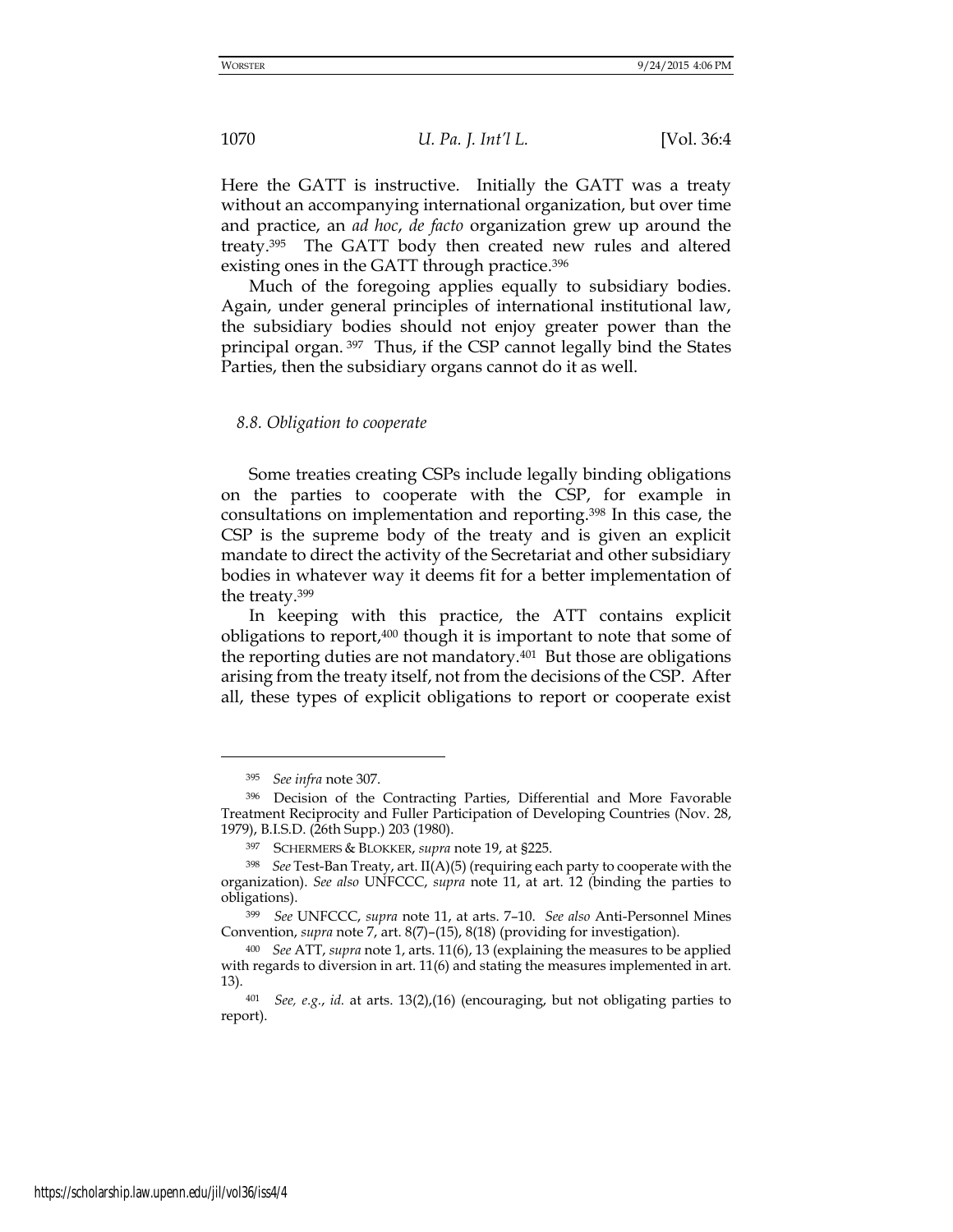Here the GATT is instructive. Initially the GATT was a treaty without an accompanying international organization, but over time and practice, an *ad hoc*, *de facto* organization grew up around the treaty.395 The GATT body then created new rules and altered existing ones in the GATT through practice.<sup>396</sup>

Much of the foregoing applies equally to subsidiary bodies. Again, under general principles of international institutional law, the subsidiary bodies should not enjoy greater power than the principal organ. <sup>397</sup> Thus, if the CSP cannot legally bind the States Parties, then the subsidiary organs cannot do it as well.

#### *8.8. Obligation to cooperate*

Some treaties creating CSPs include legally binding obligations on the parties to cooperate with the CSP, for example in consultations on implementation and reporting.398 In this case, the CSP is the supreme body of the treaty and is given an explicit mandate to direct the activity of the Secretariat and other subsidiary bodies in whatever way it deems fit for a better implementation of the treaty.<sup>399</sup>

In keeping with this practice, the ATT contains explicit obligations to report,400 though it is important to note that some of the reporting duties are not mandatory.401 But those are obligations arising from the treaty itself, not from the decisions of the CSP. After all, these types of explicit obligations to report or cooperate exist

<sup>395</sup> *See infra* note 307.

<sup>396</sup> Decision of the Contracting Parties, Differential and More Favorable Treatment Reciprocity and Fuller Participation of Developing Countries (Nov. 28, 1979), B.I.S.D. (26th Supp.) 203 (1980).

<sup>397</sup> SCHERMERS & BLOKKER, *supra* note 19, at §225.

<sup>398</sup> *See* Test-Ban Treaty, art. II(A)(5) (requiring each party to cooperate with the organization). *See also* UNFCCC, *supra* note 11, at art. 12 (binding the parties to obligations).

<sup>399</sup> *See* UNFCCC, *supra* note 11, at arts. 7–10. *See also* Anti-Personnel Mines Convention, *supra* note 7, art. 8(7)–(15), 8(18) (providing for investigation).

<sup>400</sup> *See* ATT, *supra* note 1, arts. 11(6), 13 (explaining the measures to be applied with regards to diversion in art. 11(6) and stating the measures implemented in art. 13).

<sup>401</sup> *See, e.g.*, *id.* at arts. 13(2),(16) (encouraging, but not obligating parties to report).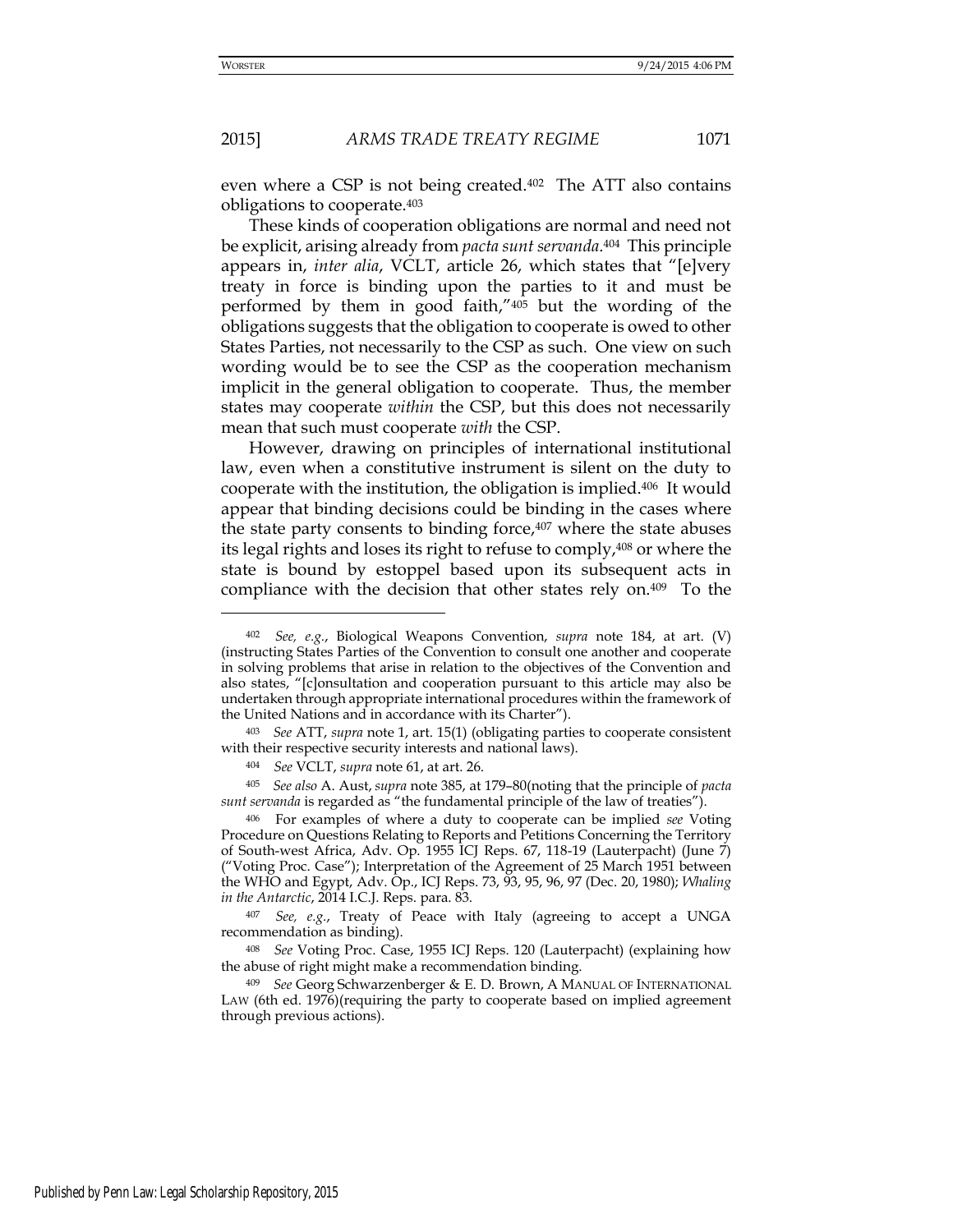<u>.</u>

# 2015] *ARMS TRADE TREATY REGIME* 1071

even where a CSP is not being created.402 The ATT also contains obligations to cooperate.<sup>403</sup>

These kinds of cooperation obligations are normal and need not be explicit, arising already from *pacta sunt servanda*. <sup>404</sup> This principle appears in, *inter alia*, VCLT, article 26, which states that "[e]very treaty in force is binding upon the parties to it and must be performed by them in good faith,"405 but the wording of the obligations suggests that the obligation to cooperate is owed to other States Parties, not necessarily to the CSP as such. One view on such wording would be to see the CSP as the cooperation mechanism implicit in the general obligation to cooperate. Thus, the member states may cooperate *within* the CSP, but this does not necessarily mean that such must cooperate *with* the CSP.

However, drawing on principles of international institutional law, even when a constitutive instrument is silent on the duty to cooperate with the institution, the obligation is implied.406 It would appear that binding decisions could be binding in the cases where the state party consents to binding force,<sup>407</sup> where the state abuses its legal rights and loses its right to refuse to comply,408 or where the state is bound by estoppel based upon its subsequent acts in compliance with the decision that other states rely on.409 To the

<sup>402</sup> *See, e.g.*, Biological Weapons Convention, *supra* note 184, at art. (V) (instructing States Parties of the Convention to consult one another and cooperate in solving problems that arise in relation to the objectives of the Convention and also states, "[c]onsultation and cooperation pursuant to this article may also be undertaken through appropriate international procedures within the framework of the United Nations and in accordance with its Charter").

<sup>403</sup> *See* ATT, *supra* note 1, art. 15(1) (obligating parties to cooperate consistent with their respective security interests and national laws).

<sup>404</sup>*See* VCLT, *supra* note 61, at art. 26.

<sup>405</sup> *See also* A. Aust, *supra* note 385, at 179–80(noting that the principle of *pacta sunt servanda* is regarded as "the fundamental principle of the law of treaties").

<sup>406</sup> For examples of where a duty to cooperate can be implied *see* Voting Procedure on Questions Relating to Reports and Petitions Concerning the Territory of South-west Africa, Adv. Op. 1955 ICJ Reps. 67, 118-19 (Lauterpacht) (June 7) ("Voting Proc. Case"); Interpretation of the Agreement of 25 March 1951 between the WHO and Egypt, Adv. Op., ICJ Reps. 73, 93, 95, 96, 97 (Dec. 20, 1980); *Whaling in the Antarctic*, 2014 I.C.J. Reps. para. 83.

<sup>407</sup> *See, e.g.*, Treaty of Peace with Italy (agreeing to accept a UNGA recommendation as binding).

<sup>408</sup> *See* Voting Proc. Case, 1955 ICJ Reps. 120 (Lauterpacht) (explaining how the abuse of right might make a recommendation binding.

<sup>409</sup> *See* Georg Schwarzenberger & E. D. Brown, A MANUAL OF INTERNATIONAL LAW (6th ed. 1976)(requiring the party to cooperate based on implied agreement through previous actions).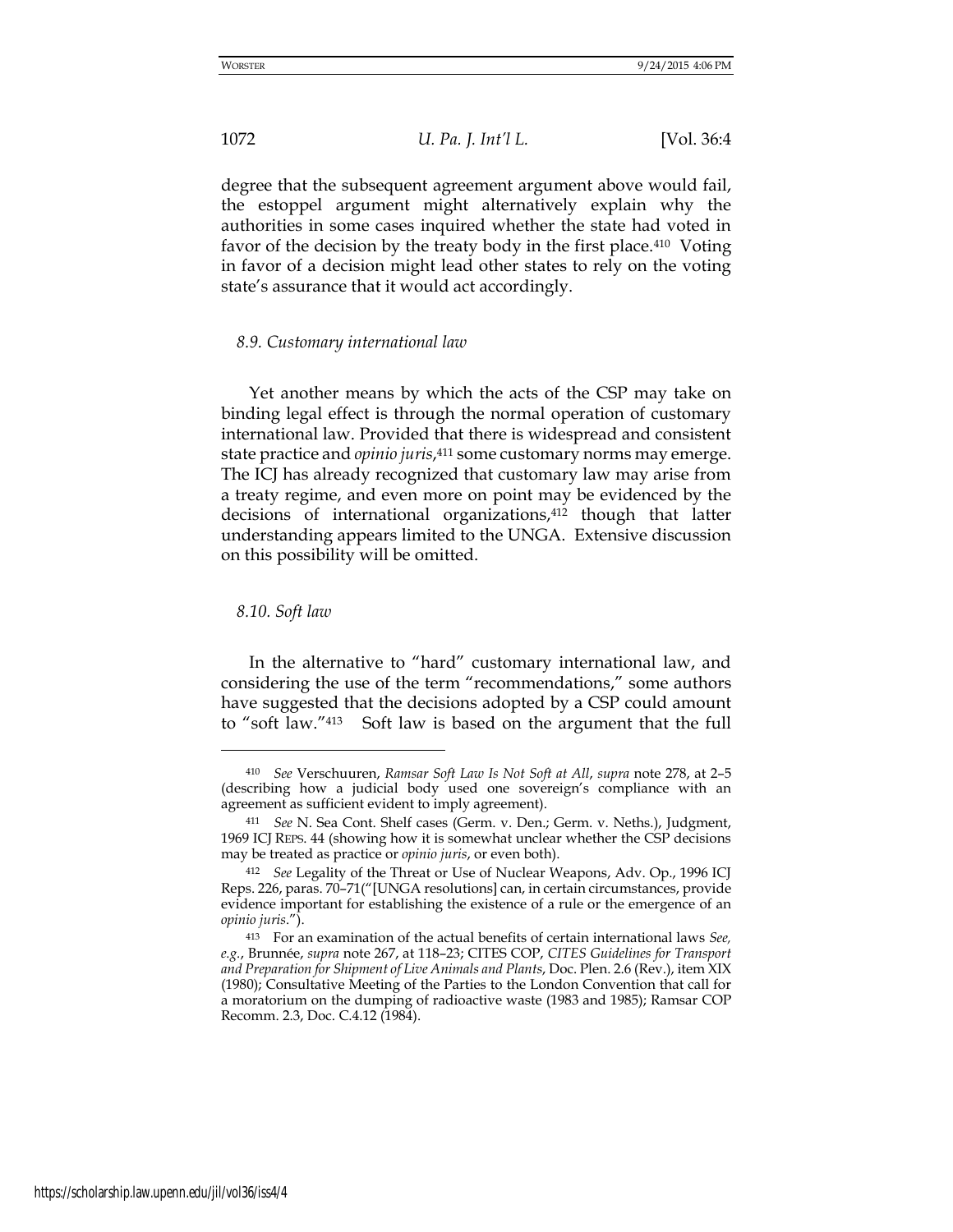degree that the subsequent agreement argument above would fail, the estoppel argument might alternatively explain why the authorities in some cases inquired whether the state had voted in favor of the decision by the treaty body in the first place.410 Voting in favor of a decision might lead other states to rely on the voting state's assurance that it would act accordingly.

# *8.9. Customary international law*

Yet another means by which the acts of the CSP may take on binding legal effect is through the normal operation of customary international law. Provided that there is widespread and consistent state practice and *opinio juris*, <sup>411</sup> some customary norms may emerge. The ICJ has already recognized that customary law may arise from a treaty regime, and even more on point may be evidenced by the decisions of international organizations,<sup>412</sup> though that latter understanding appears limited to the UNGA. Extensive discussion on this possibility will be omitted.

## *8.10. Soft law*

-

In the alternative to "hard" customary international law, and considering the use of the term "recommendations," some authors have suggested that the decisions adopted by a CSP could amount to "soft law."413 Soft law is based on the argument that the full

<sup>410</sup> *See* Verschuuren, *Ramsar Soft Law Is Not Soft at All*, *supra* note 278, at 2–5 (describing how a judicial body used one sovereign's compliance with an agreement as sufficient evident to imply agreement).

<sup>411</sup> *See* N. Sea Cont. Shelf cases (Germ. v. Den.; Germ. v. Neths.), Judgment, 1969 ICJ REPS. 44 (showing how it is somewhat unclear whether the CSP decisions may be treated as practice or *opinio juris*, or even both).

<sup>412</sup> *See* Legality of the Threat or Use of Nuclear Weapons, Adv. Op., 1996 ICJ Reps. 226, paras. 70–71("[UNGA resolutions] can, in certain circumstances, provide evidence important for establishing the existence of a rule or the emergence of an *opinio juris*.").

<sup>413</sup> For an examination of the actual benefits of certain international laws *See, e.g.*, Brunnée, *supra* note 267, at 118–23; CITES COP, *CITES Guidelines for Transport and Preparation for Shipment of Live Animals and Plants*, Doc. Plen. 2.6 (Rev.), item XIX (1980); Consultative Meeting of the Parties to the London Convention that call for a moratorium on the dumping of radioactive waste (1983 and 1985); Ramsar COP Recomm. 2.3, Doc. C.4.12 (1984).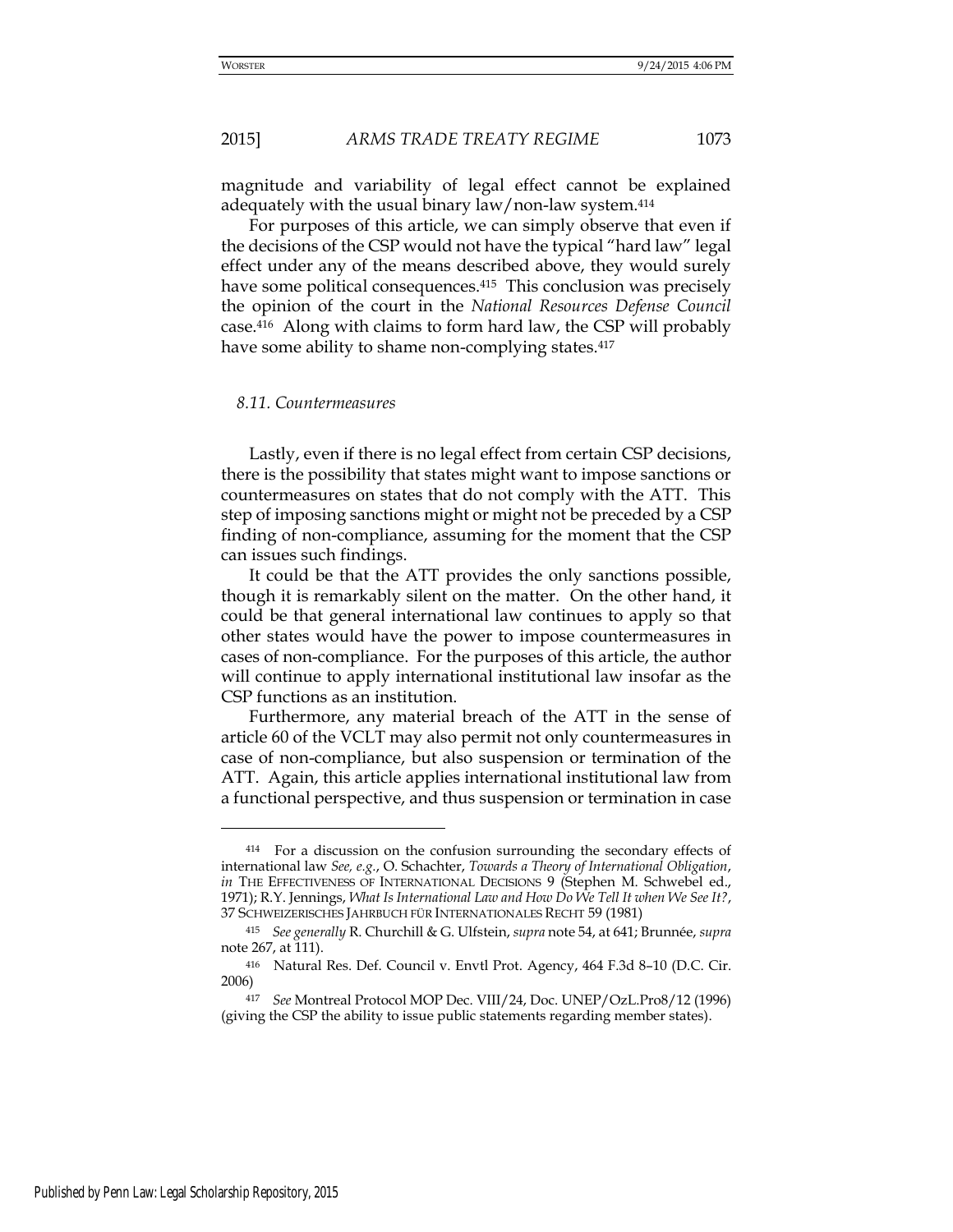magnitude and variability of legal effect cannot be explained adequately with the usual binary law/non-law system.<sup>414</sup>

For purposes of this article, we can simply observe that even if the decisions of the CSP would not have the typical "hard law" legal effect under any of the means described above, they would surely have some political consequences.<sup>415</sup> This conclusion was precisely the opinion of the court in the *National Resources Defense Council* case.416 Along with claims to form hard law, the CSP will probably have some ability to shame non-complying states.<sup>417</sup>

### *8.11. Countermeasures*

Lastly, even if there is no legal effect from certain CSP decisions, there is the possibility that states might want to impose sanctions or countermeasures on states that do not comply with the ATT. This step of imposing sanctions might or might not be preceded by a CSP finding of non-compliance, assuming for the moment that the CSP can issues such findings.

It could be that the ATT provides the only sanctions possible, though it is remarkably silent on the matter. On the other hand, it could be that general international law continues to apply so that other states would have the power to impose countermeasures in cases of non-compliance. For the purposes of this article, the author will continue to apply international institutional law insofar as the CSP functions as an institution.

Furthermore, any material breach of the ATT in the sense of article 60 of the VCLT may also permit not only countermeasures in case of non-compliance, but also suspension or termination of the ATT. Again, this article applies international institutional law from a functional perspective, and thus suspension or termination in case

<sup>414</sup> For a discussion on the confusion surrounding the secondary effects of international law *See, e.g.*, O. Schachter, *Towards a Theory of International Obligation*, *in* THE EFFECTIVENESS OF INTERNATIONAL DECISIONS 9 (Stephen M. Schwebel ed., 1971); R.Y. Jennings, *What Is International Law and How Do We Tell It when We See It?*, 37 SCHWEIZERISCHES JAHRBUCH FÜR INTERNATIONALES RECHT 59 (1981)

<sup>415</sup> *See generally* R. Churchill & G. Ulfstein, *supra* note 54, at 641; Brunnée, *supra* note 267, at 111).

<sup>416</sup> Natural Res. Def. Council v. Envtl Prot. Agency, 464 F.3d 8–10 (D.C. Cir. 2006)

<sup>417</sup> *See* Montreal Protocol MOP Dec. VIII/24, Doc. UNEP/OzL.Pro8/12 (1996) (giving the CSP the ability to issue public statements regarding member states).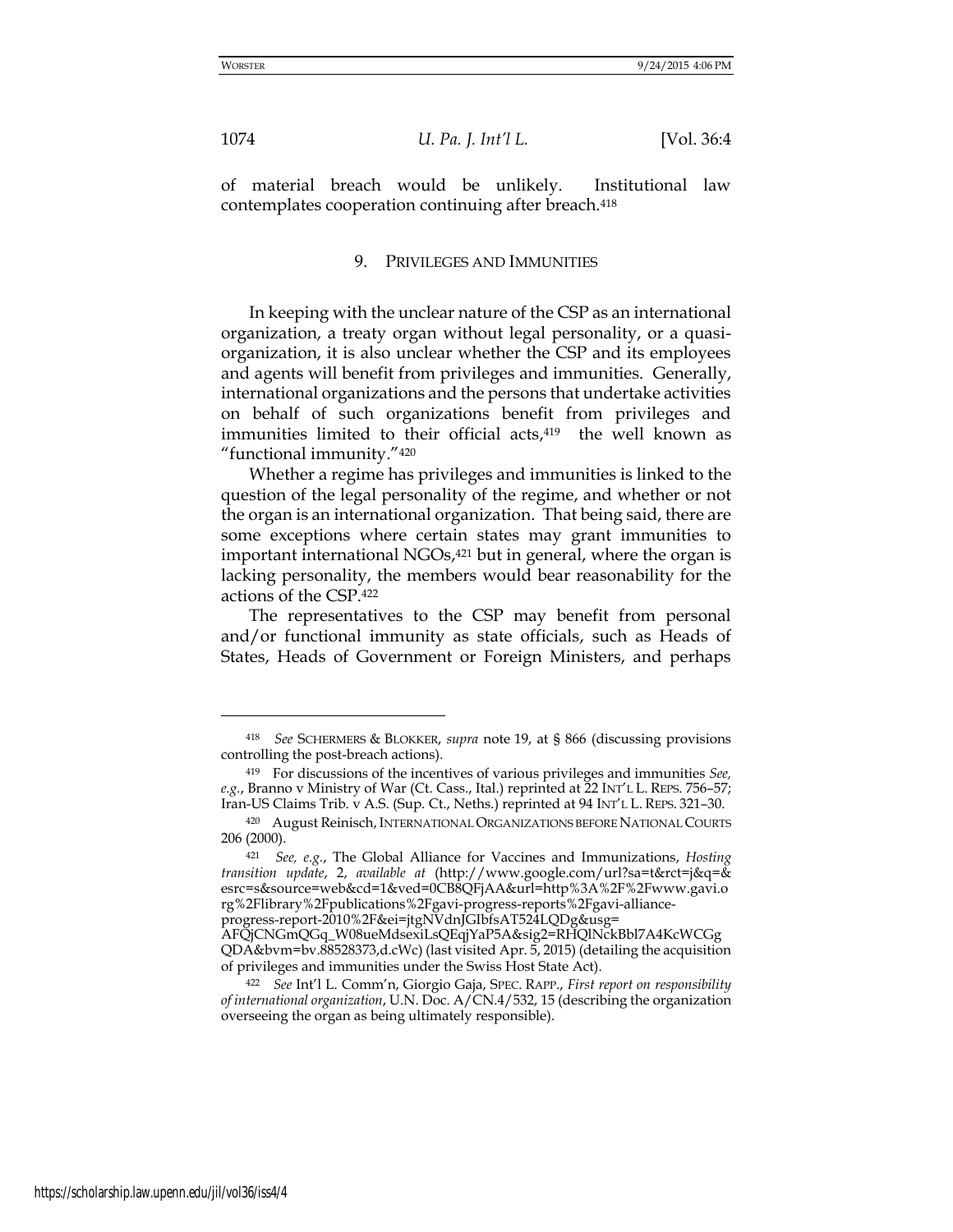<u>.</u>

1074 *U. Pa. J. Int'l L.* [Vol. 36:4

of material breach would be unlikely. Institutional law contemplates cooperation continuing after breach.<sup>418</sup>

#### 9. PRIVILEGES AND IMMUNITIES

In keeping with the unclear nature of the CSP as an international organization, a treaty organ without legal personality, or a quasiorganization, it is also unclear whether the CSP and its employees and agents will benefit from privileges and immunities. Generally, international organizations and the persons that undertake activities on behalf of such organizations benefit from privileges and immunities limited to their official acts,<sup>419</sup> the well known as "functional immunity."<sup>420</sup>

Whether a regime has privileges and immunities is linked to the question of the legal personality of the regime, and whether or not the organ is an international organization. That being said, there are some exceptions where certain states may grant immunities to important international NGOs, $421$  but in general, where the organ is lacking personality, the members would bear reasonability for the actions of the CSP.<sup>422</sup>

The representatives to the CSP may benefit from personal and/or functional immunity as state officials, such as Heads of States, Heads of Government or Foreign Ministers, and perhaps

<sup>418</sup> *See* SCHERMERS & BLOKKER, *supra* note 19, at § 866 (discussing provisions controlling the post-breach actions).

<sup>419</sup> For discussions of the incentives of various privileges and immunities *See, e.g.*, Branno v Ministry of War (Ct. Cass., Ital.) reprinted at 22 INT'L L. REPS. 756–57; Iran-US Claims Trib. v A.S. (Sup. Ct., Neths.) reprinted at 94 INT'L L. REPS. 321–30.

<sup>420</sup> August Reinisch,INTERNATIONAL ORGANIZATIONS BEFORE NATIONAL COURTS 206 (2000).

<sup>421</sup> *See, e.g.*, The Global Alliance for Vaccines and Immunizations, *Hosting transition update*, 2, *available at* [\(http://www.google.com/url?sa=t&rct=j&q=](http://www.google.com/url?sa=t&rct=j&q)& esrc=s&source=web&cd=1&ved=0CB8QFjAA&url=http%3A%2F%2Fwww.gavi.o rg%2Flibrary%2Fpublications%2Fgavi-progress-reports%2Fgavi-alliance-

progress-report-2010%2F&ei=jtgNVdnJGIbfsAT524LQDg&usg=

AFQjCNGmQGq\_W08ueMdsexiLsQEqjYaP5A&sig2=RHQlNckBbl7A4KcWCGg QDA&bvm=bv.88528373,d.cWc) (last visited Apr. 5, 2015) (detailing the acquisition of privileges and immunities under the Swiss Host State Act).

<sup>422</sup> *See* Int'l L. Comm'n, Giorgio Gaja, SPEC. RAPP., *First report on responsibility of international organization*, U.N. Doc. A/CN.4/532, 15 (describing the organization overseeing the organ as being ultimately responsible).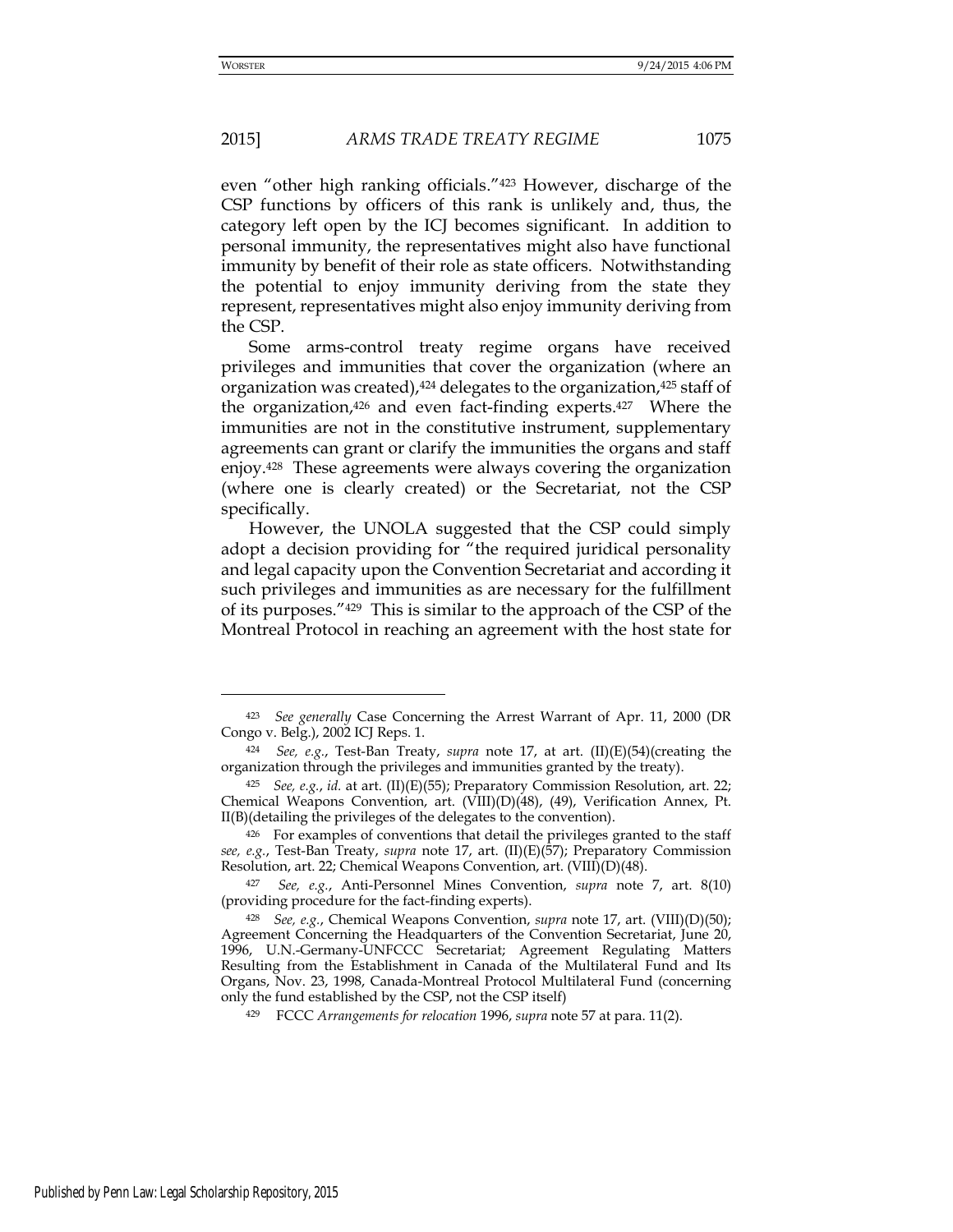even "other high ranking officials."423 However, discharge of the CSP functions by officers of this rank is unlikely and, thus, the category left open by the ICJ becomes significant. In addition to personal immunity, the representatives might also have functional immunity by benefit of their role as state officers. Notwithstanding the potential to enjoy immunity deriving from the state they represent, representatives might also enjoy immunity deriving from the CSP.

Some arms-control treaty regime organs have received privileges and immunities that cover the organization (where an organization was created), <sup>424</sup> delegates to the organization, <sup>425</sup> staff of the organization,426 and even fact-finding experts.427 Where the immunities are not in the constitutive instrument, supplementary agreements can grant or clarify the immunities the organs and staff enjoy.428 These agreements were always covering the organization (where one is clearly created) or the Secretariat, not the CSP specifically.

However, the UNOLA suggested that the CSP could simply adopt a decision providing for "the required juridical personality and legal capacity upon the Convention Secretariat and according it such privileges and immunities as are necessary for the fulfillment of its purposes."429 This is similar to the approach of the CSP of the Montreal Protocol in reaching an agreement with the host state for

-

<sup>423</sup> *See generally* Case Concerning the Arrest Warrant of Apr. 11, 2000 (DR Congo v. Belg.), 2002 ICJ Reps. 1.

<sup>424</sup> *See, e.g.*, Test-Ban Treaty, *supra* note 17, at art. (II)(E)(54)(creating the organization through the privileges and immunities granted by the treaty).

<sup>425</sup> *See, e.g.*, *id.* at art. (II)(E)(55); Preparatory Commission Resolution, art. 22; Chemical Weapons Convention, art. (VIII)(D)(48), (49), Verification Annex, Pt. II(B)(detailing the privileges of the delegates to the convention).

<sup>426</sup> For examples of conventions that detail the privileges granted to the staff *see, e.g.*, Test-Ban Treaty, *supra* note 17, art. (II)(E)(57); Preparatory Commission Resolution, art. 22; Chemical Weapons Convention, art. (VIII)(D)(48).

<sup>427</sup> *See, e.g.*, Anti-Personnel Mines Convention, *supra* note 7, art. 8(10) (providing procedure for the fact-finding experts).

<sup>428</sup> *See, e.g.*, Chemical Weapons Convention, *supra* note 17, art. (VIII)(D)(50); Agreement Concerning the Headquarters of the Convention Secretariat, June 20, 1996, U.N.-Germany-UNFCCC Secretariat; Agreement Regulating Matters Resulting from the Establishment in Canada of the Multilateral Fund and Its Organs, Nov. 23, 1998, Canada-Montreal Protocol Multilateral Fund (concerning only the fund established by the CSP, not the CSP itself)

<sup>429</sup> FCCC *Arrangements for relocation* 1996, *supra* note 57 at para. 11(2).